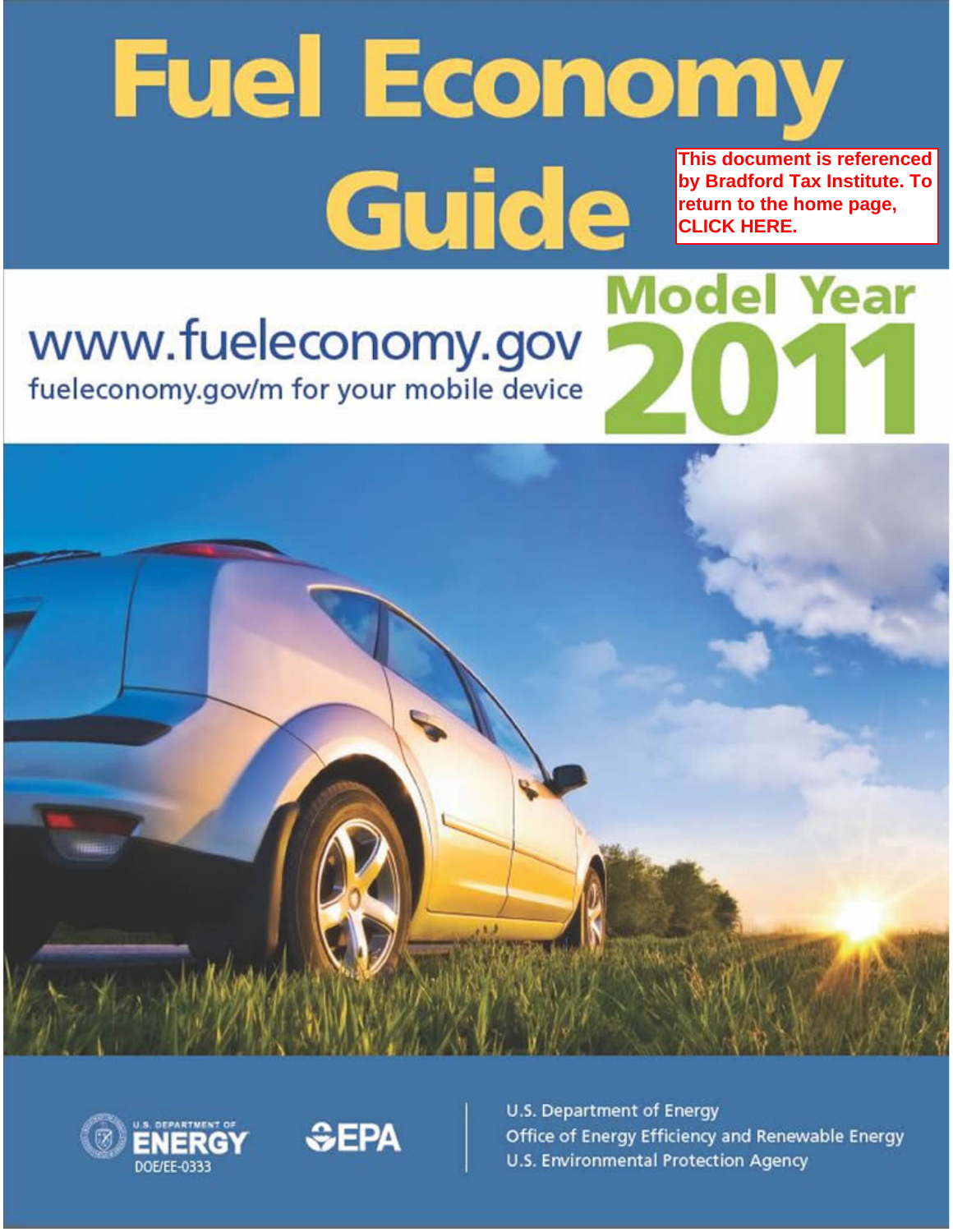# **Fuel Economy** This document is referenced **Guide** by Bradford Tax Institute. To return to the home page, **CLICK HERE. Model Year**

# www.fueleconomy.gov

fueleconomy.gov/m for your mobile device







U.S. Department of Energy Office of Energy Efficiency and Renewable Energy U.S. Environmental Protection Agency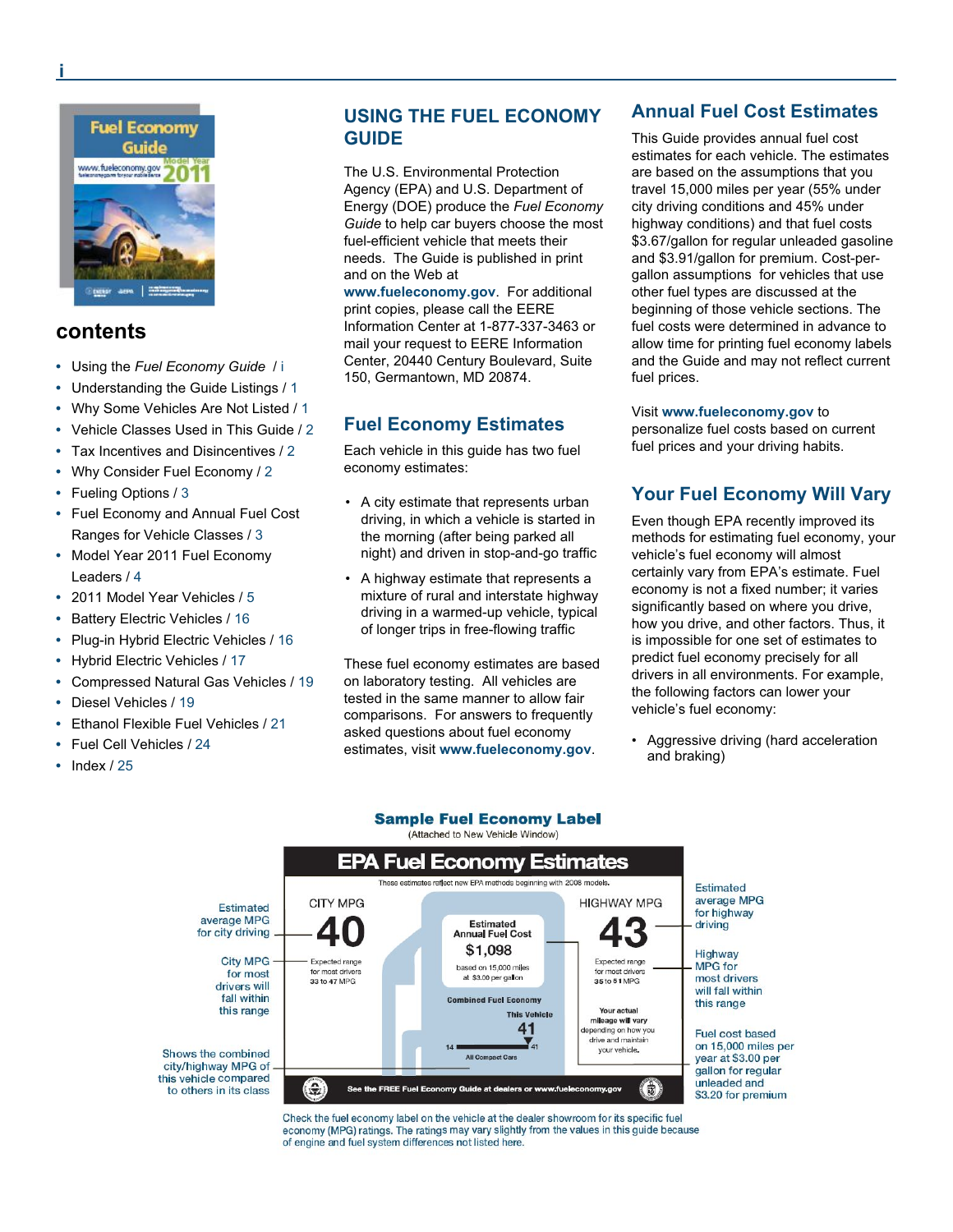

#### **contents**

- **•** Using the *Fuel Economy Guide* / i
- **•** Understanding the Guide Listings / 1
- **•** Why Some Vehicles Are Not Listed / 1
- **•** Vehicle Classes Used in This Guide / 2
- **•** Tax Incentives and Disincentives / 2
- **•** Why Consider Fuel Economy / 2
- **•** Fueling Options / 3
- Fuel Economy and Annual Fuel Cost **•** Ranges for Vehicle Classes / 3
- Model Year 2011 Fuel Economy Leaders / 4 **•**
- **•** 2011 Model Year Vehicles / 5
- **•** Battery Electric Vehicles / 16
- **•** Plug-in Hybrid Electric Vehicles / 16
- **•** Hybrid Electric Vehicles / 17
- **•** Compressed Natural Gas Vehicles / 19
- **•** Diesel Vehicles / 19
- **•** Ethanol Flexible Fuel Vehicles / 21
- **•** Fuel Cell Vehicles / 24
- **•** Index / 25

#### **USING THE FUEL ECONOMY GUIDE**

The U.S. Environmental Protection Agency (EPA) and U.S. Department of Energy (DOE) produce the *Fuel Economy Guide* to help car buyers choose the most fuel-efficient vehicle that meets their needs. The Guide is published in print and on the Web at

**www.fueleconomy.gov**. For additional print copies, please call the EERE Information Center at 1-877-337-3463 or mail your request to EERE Information Center, 20440 Century Boulevard, Suite 150, Germantown, MD 20874.

#### **Fuel Economy Estimates**

Each vehicle in this guide has two fuel economy estimates:

- A city estimate that represents urban driving, in which a vehicle is started in the morning (after being parked all night) and driven in stop-and-go traffic
- A highway estimate that represents a mixture of rural and interstate highway driving in a warmed-up vehicle, typical of longer trips in free-flowing traffic

These fuel economy estimates are based on laboratory testing. All vehicles are tested in the same manner to allow fair comparisons. For answers to frequently asked questions about fuel economy estimates, visit **www.fueleconomy.gov**.

#### **Annual Fuel Cost Estimates**

This Guide provides annual fuel cost estimates for each vehicle. The estimates are based on the assumptions that you travel 15,000 miles per year (55% under city driving conditions and 45% under highway conditions) and that fuel costs \$3.67/gallon for regular unleaded gasoline and \$3.91/gallon for premium. Cost-pergallon assumptions for vehicles that use other fuel types are discussed at the beginning of those vehicle sections. The fuel costs were determined in advance to allow time for printing fuel economy labels and the Guide and may not reflect current fuel prices.

#### Visit **www.fueleconomy.gov** to

personalize fuel costs based on current fuel prices and your driving habits.

#### **Your Fuel Economy Will Vary**

Even though EPA recently improved its methods for estimating fuel economy, your vehicle's fuel economy will almost certainly vary from EPA's estimate. Fuel economy is not a fixed number; it varies significantly based on where you drive, how you drive, and other factors. Thus, it is impossible for one set of estimates to predict fuel economy precisely for all drivers in all environments. For example, the following factors can lower your vehicle's fuel economy:

Aggressive driving (hard acceleration •and braking)



**Sample Fuel Economy Label** 

Check the fuel economy label on the vehicle at the dealer showroom for its specific fuel economy (MPG) ratings. The ratings may vary slightly from the values in this guide because of engine and fuel system differences not listed here.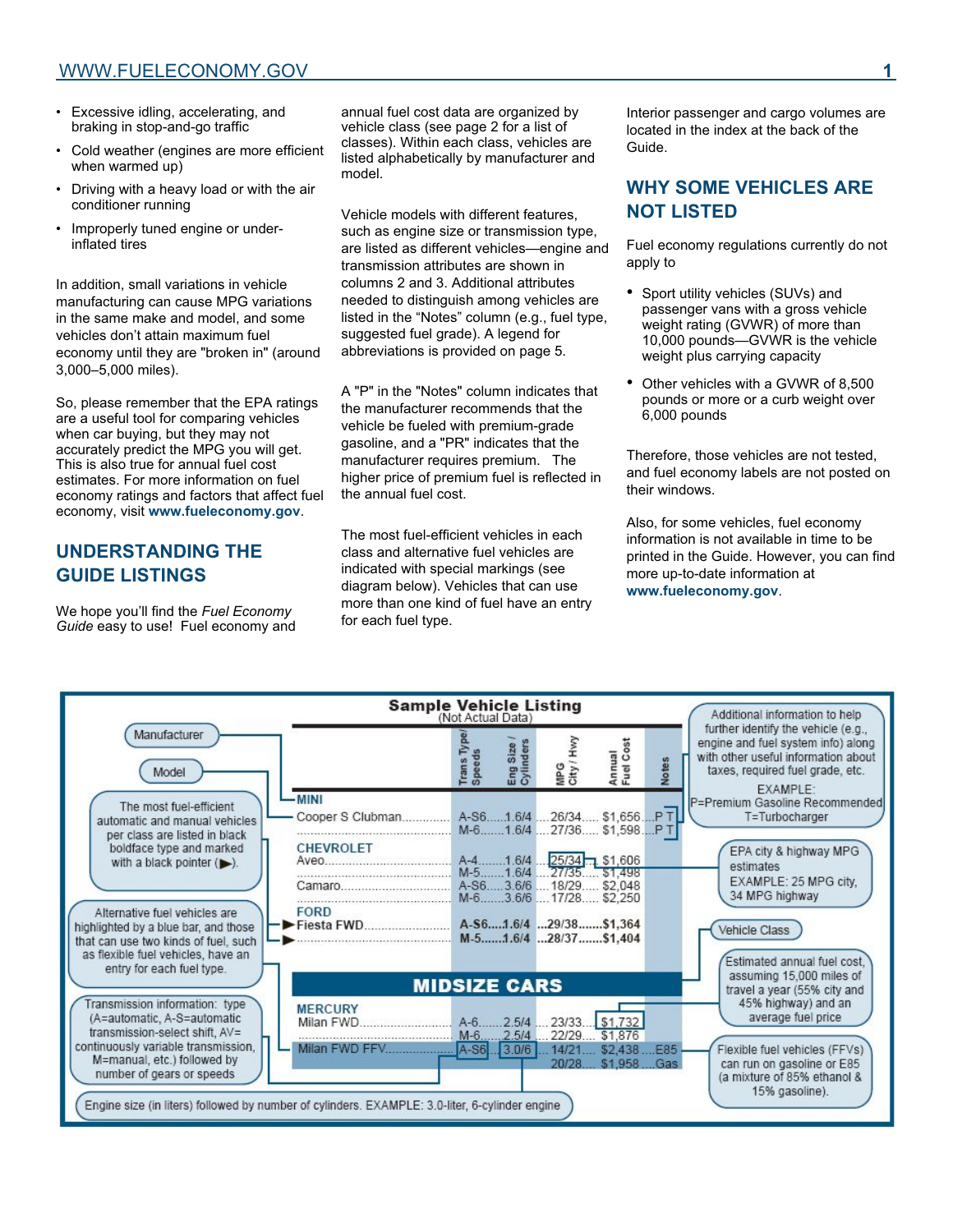- Excessive idling, accelerating, and braking in stop-and-go traffic
- Cold weather (engines are more efficient when warmed up) •
- Driving with a heavy load or with the air conditioner running •
- Improperly tuned engine or underinflated tires •

In addition, small variations in vehicle manufacturing can cause MPG variations in the same make and model, and some vehicles don't attain maximum fuel economy until they are "broken in" (around 3,000–5,000 miles).

So, please remember that the EPA ratings are a useful tool for comparing vehicles when car buying, but they may not accurately predict the MPG you will get. This is also true for annual fuel cost estimates. For more information on fuel economy ratings and factors that affect fuel economy, visit **www.fueleconomy.gov**.

# **UNDERSTANDING THE GUIDE LISTINGS**

We hope you'll find the *Fuel Economy Guide* easy to use! Fuel economy and annual fuel cost data are organized by vehicle class (see page 2 for a list of classes). Within each class, vehicles are listed alphabetically by manufacturer and model.

Vehicle models with different features, such as engine size or transmission type, are listed as different vehicles—engine and transmission attributes are shown in columns 2 and 3. Additional attributes needed to distinguish among vehicles are listed in the "Notes" column (e.g., fuel type, suggested fuel grade). A legend for abbreviations is provided on page 5.

A "P" in the "Notes" column indicates that the manufacturer recommends that the vehicle be fueled with premium-grade gasoline, and a "PR" indicates that the manufacturer requires premium. The higher price of premium fuel is reflected in the annual fuel cost.

The most fuel-efficient vehicles in each class and alternative fuel vehicles are indicated with special markings (see diagram below). Vehicles that can use more than one kind of fuel have an entry for each fuel type.

Interior passenger and cargo volumes are located in the index at the back of the Guide.

## **WHY SOME VEHICLES ARE NOT LISTED**

Fuel economy regulations currently do not apply to

- Sport utility vehicles (SUVs) and passenger vans with a gross vehicle weight rating (GVWR) of more than 10,000 pounds—GVWR is the vehicle weight plus carrying capacity
- Other vehicles with a GVWR of 8,500 pounds or more or a curb weight over 6,000 pounds

Therefore, those vehicles are not tested, and fuel economy labels are not posted on their windows.

Also, for some vehicles, fuel economy information is not available in time to be printed in the Guide. However, you can find more up-to-date information at **www.fueleconomy.gov**.

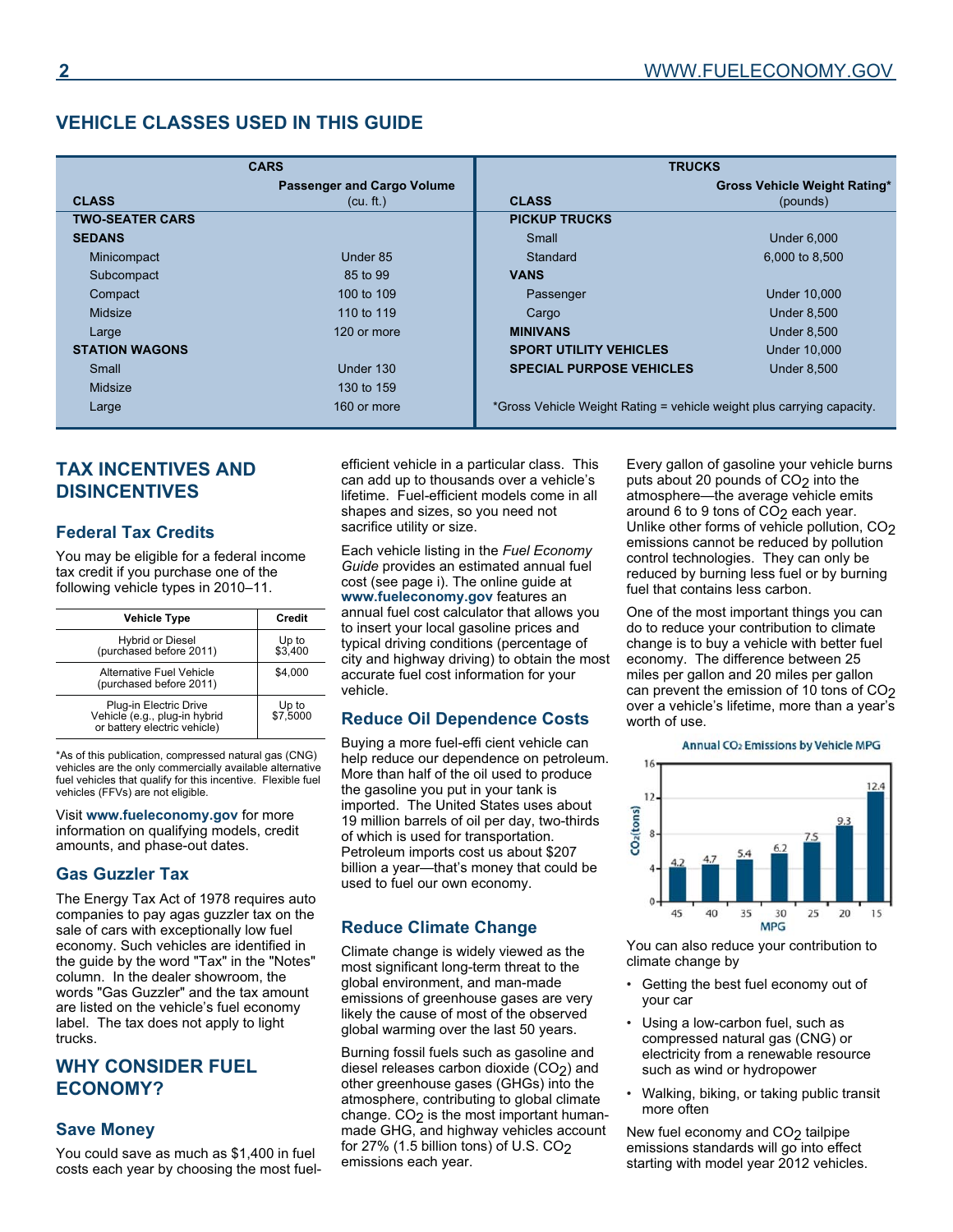### **VEHICLE CLASSES USED IN THIS GUIDE**

|                        | <b>CARS</b>                       | <b>TRUCKS</b>                                                         |                                     |
|------------------------|-----------------------------------|-----------------------------------------------------------------------|-------------------------------------|
|                        | <b>Passenger and Cargo Volume</b> |                                                                       | <b>Gross Vehicle Weight Rating*</b> |
| <b>CLASS</b>           | (cu. ft.)                         | <b>CLASS</b>                                                          | (pounds)                            |
| <b>TWO-SEATER CARS</b> |                                   | <b>PICKUP TRUCKS</b>                                                  |                                     |
| <b>SEDANS</b>          |                                   | Small                                                                 | <b>Under 6,000</b>                  |
| Minicompact            | Under 85                          | Standard                                                              | 6,000 to 8,500                      |
| Subcompact             | 85 to 99                          | <b>VANS</b>                                                           |                                     |
| Compact                | 100 to 109                        | Passenger                                                             | <b>Under 10,000</b>                 |
| Midsize                | 110 to 119                        | Cargo                                                                 | <b>Under 8,500</b>                  |
| Large                  | 120 or more                       | <b>MINIVANS</b>                                                       | <b>Under 8,500</b>                  |
| <b>STATION WAGONS</b>  |                                   | <b>SPORT UTILITY VEHICLES</b>                                         | <b>Under 10,000</b>                 |
| Small                  | Under 130                         | <b>SPECIAL PURPOSE VEHICLES</b>                                       | <b>Under 8,500</b>                  |
| Midsize                | 130 to 159                        |                                                                       |                                     |
| Large                  | 160 or more                       | *Gross Vehicle Weight Rating = vehicle weight plus carrying capacity. |                                     |

## **TAX INCENTIVES AND DISINCENTIVES**

#### **Federal Tax Credits**

You may be eligible for a federal income tax credit if you purchase one of the following vehicle types in 2010–11.

| <b>Vehicle Type</b>                                           | Credit   |
|---------------------------------------------------------------|----------|
| <b>Hybrid or Diesel</b>                                       | Up to    |
| (purchased before 2011)                                       | \$3,400  |
| Alternative Fuel Vehicle<br>(purchased before 2011)           | \$4.000  |
| Plug-in Electric Drive                                        | Up to    |
| Vehicle (e.g., plug-in hybrid<br>or battery electric vehicle) | \$7,5000 |

\*As of this publication, compressed natural gas (CNG) vehicles are the only commercially available alternative fuel vehicles that qualify for this incentive. Flexible fuel vehicles (FFVs) are not eligible.

Visit **www.fueleconomy.gov** for more information on qualifying models, credit amounts, and phase-out dates.

#### **Gas Guzzler Tax**

The Energy Tax Act of 1978 requires auto companies to pay agas guzzler tax on the sale of cars with exceptionally low fuel economy. Such vehicles are identified in the guide by the word "Tax" in the "Notes" column. In the dealer showroom, the words "Gas Guzzler" and the tax amount are listed on the vehicle's fuel economy label. The tax does not apply to light trucks.

#### **WHY CONSIDER FUEL ECONOMY?**

#### **Save Money**

You could save as much as \$1,400 in fuel costs each year by choosing the most fuelefficient vehicle in a particular class. This can add up to thousands over a vehicle's lifetime. Fuel-efficient models come in all shapes and sizes, so you need not sacrifice utility or size.

Each vehicle listing in the *Fuel Economy Guide* provides an estimated annual fuel cost (see page i). The online guide at **www.fueleconomy.gov** features an annual fuel cost calculator that allows you to insert your local gasoline prices and typical driving conditions (percentage of city and highway driving) to obtain the most accurate fuel cost information for your vehicle.

#### **Reduce Oil Dependence Costs**

Buying a more fuel-effi cient vehicle can help reduce our dependence on petroleum. More than half of the oil used to produce the gasoline you put in your tank is imported. The United States uses about 19 million barrels of oil per day, two-thirds of which is used for transportation. Petroleum imports cost us about \$207 billion a year—that's money that could be used to fuel our own economy.

#### **Reduce Climate Change**

Climate change is widely viewed as the most significant long-term threat to the global environment, and man-made emissions of greenhouse gases are very likely the cause of most of the observed global warming over the last 50 years.

Burning fossil fuels such as gasoline and diesel releases carbon dioxide (CO<sub>2</sub>) and other greenhouse gases (GHGs) into the atmosphere, contributing to global climate change.  $CO<sub>2</sub>$  is the most important humanmade GHG, and highway vehicles account for 27% (1.5 billion tons) of U.S.  $CO<sub>2</sub>$ emissions each year.

Every gallon of gasoline your vehicle burns puts about 20 pounds of CO<sub>2</sub> into the atmosphere—the average vehicle emits around 6 to 9 tons of CO<sub>2</sub> each year. Unlike other forms of vehicle pollution, CO2 emissions cannot be reduced by pollution control technologies. They can only be reduced by burning less fuel or by burning fuel that contains less carbon.

One of the most important things you can do to reduce your contribution to climate change is to buy a vehicle with better fuel economy. The difference between 25 miles per gallon and 20 miles per gallon can prevent the emission of 10 tons of CO<sub>2</sub> over a vehicle's lifetime, more than a year's worth of use.

#### Annual CO<sub>2</sub> Emissions by Vehicle MPG



You can also reduce your contribution to climate change by

- Getting the best fuel economy out of your car •
- Using a low-carbon fuel, such as compressed natural gas (CNG) or electricity from a renewable resource such as wind or hydropower
- Walking, biking, or taking public transit more often

New fuel economy and  $CO<sub>2</sub>$  tailpipe emissions standards will go into effect starting with model year 2012 vehicles.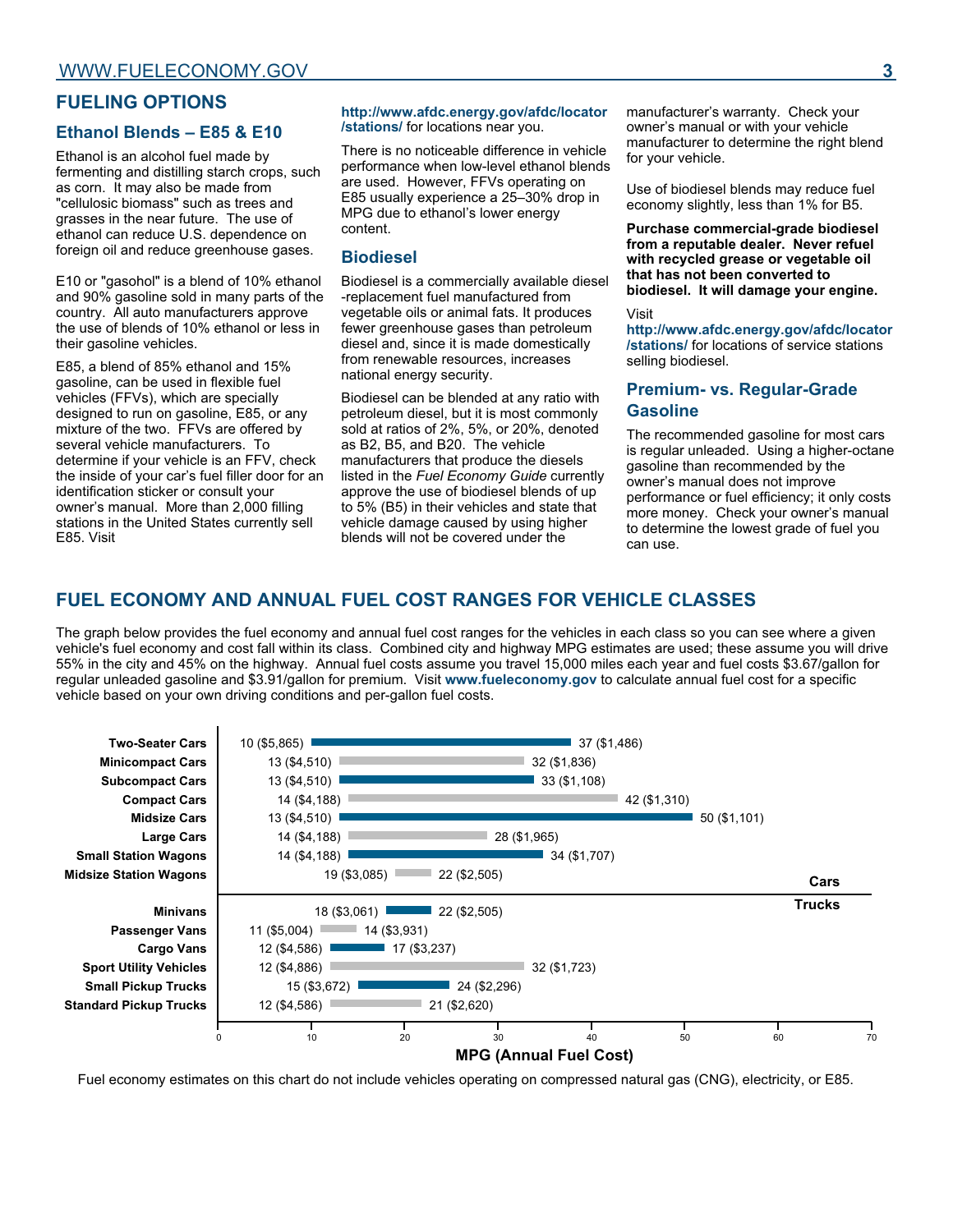#### **FUELING OPTIONS**

#### **Ethanol Blends – E85 & E10**

Ethanol is an alcohol fuel made by fermenting and distilling starch crops, such as corn. It may also be made from "cellulosic biomass" such as trees and grasses in the near future. The use of ethanol can reduce U.S. dependence on foreign oil and reduce greenhouse gases.

E10 or "gasohol" is a blend of 10% ethanol and 90% gasoline sold in many parts of the country. All auto manufacturers approve the use of blends of 10% ethanol or less in their gasoline vehicles.

E85, a blend of 85% ethanol and 15% gasoline, can be used in flexible fuel vehicles (FFVs), which are specially designed to run on gasoline, E85, or any mixture of the two. FFVs are offered by several vehicle manufacturers. To determine if your vehicle is an FFV, check the inside of your car's fuel filler door for an identification sticker or consult your owner's manual. More than 2,000 filling stations in the United States currently sell E85. Visit

#### **http://www.afdc.energy.gov/afdc/locator /stations/** for locations near you.

There is no noticeable difference in vehicle performance when low-level ethanol blends are used. However, FFVs operating on E85 usually experience a 25–30% drop in MPG due to ethanol's lower energy content.

#### **Biodiesel**

Biodiesel is a commercially available diesel -replacement fuel manufactured from vegetable oils or animal fats. It produces fewer greenhouse gases than petroleum diesel and, since it is made domestically from renewable resources, increases national energy security.

Biodiesel can be blended at any ratio with petroleum diesel, but it is most commonly sold at ratios of 2%, 5%, or 20%, denoted as B2, B5, and B20. The vehicle manufacturers that produce the diesels listed in the *Fuel Economy Guide* currently approve the use of biodiesel blends of up to 5% (B5) in their vehicles and state that vehicle damage caused by using higher blends will not be covered under the

manufacturer's warranty. Check your owner's manual or with your vehicle manufacturer to determine the right blend for your vehicle.

Use of biodiesel blends may reduce fuel economy slightly, less than 1% for B5.

**Purchase commercial-grade biodiesel from a reputable dealer. Never refuel with recycled grease or vegetable oil that has not been converted to biodiesel. It will damage your engine.**

#### Visit

**http://www.afdc.energy.gov/afdc/locator /stations/** for locations of service stations selling biodiesel.

#### **Premium- vs. Regular-Grade Gasoline**

The recommended gasoline for most cars is regular unleaded. Using a higher-octane gasoline than recommended by the owner's manual does not improve performance or fuel efficiency; it only costs more money. Check your owner's manual to determine the lowest grade of fuel you can use.

## **FUEL ECONOMY AND ANNUAL FUEL COST RANGES FOR VEHICLE CLASSES**

The graph below provides the fuel economy and annual fuel cost ranges for the vehicles in each class so you can see where a given vehicle's fuel economy and cost fall within its class. Combined city and highway MPG estimates are used; these assume you will drive 55% in the city and 45% on the highway. Annual fuel costs assume you travel 15,000 miles each year and fuel costs \$3.67/gallon for regular unleaded gasoline and \$3.91/gallon for premium. Visit **www.fueleconomy.gov** to calculate annual fuel cost for a specific vehicle based on your own driving conditions and per-gallon fuel costs.



Fuel economy estimates on this chart do not include vehicles operating on compressed natural gas (CNG), electricity, or E85.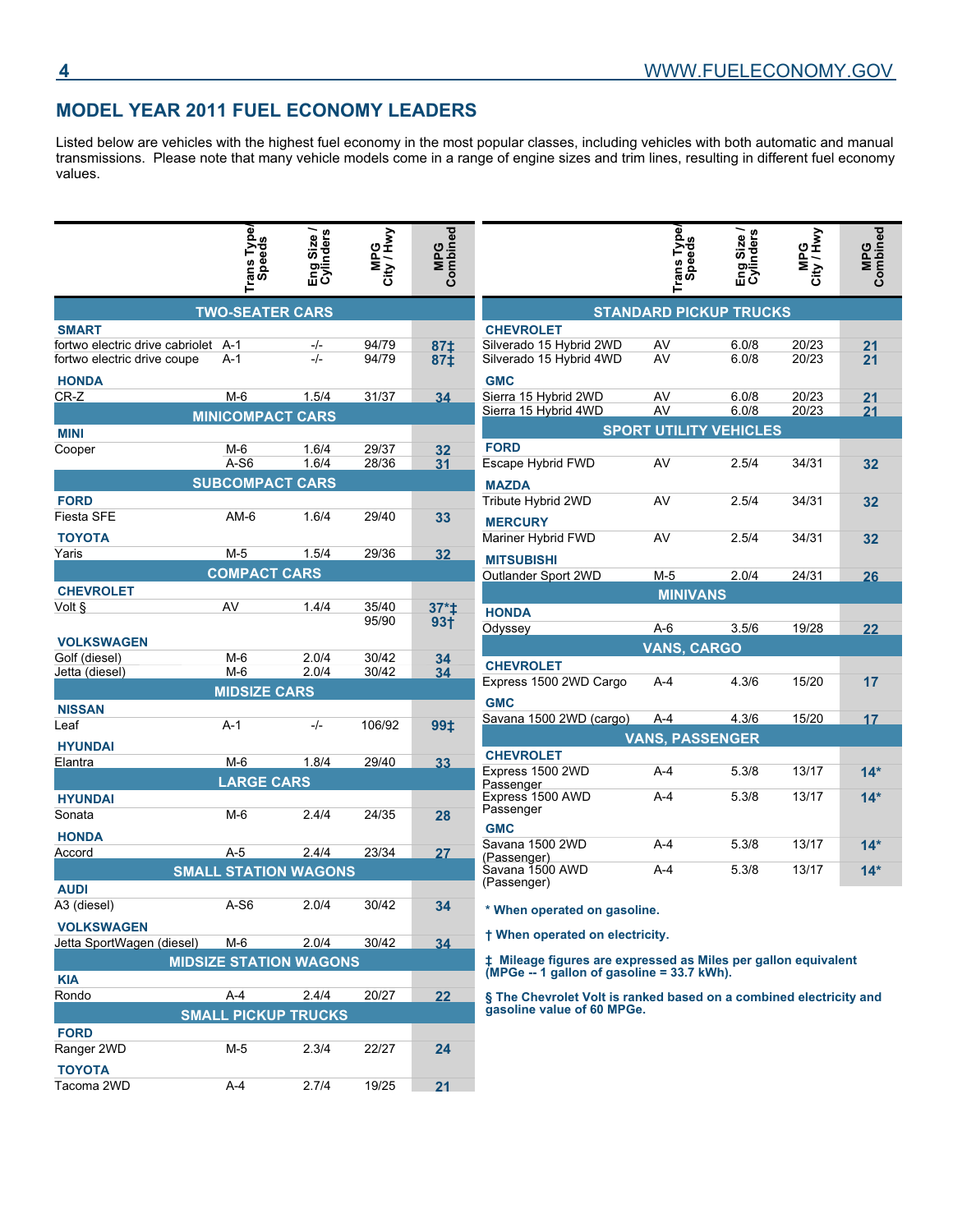## **MODEL YEAR 2011 FUEL ECONOMY LEADERS**

Listed below are vehicles with the highest fuel economy in the most popular classes, including vehicles with both automatic and manual transmissions. Please note that many vehicle models come in a range of engine sizes and trim lines, resulting in different fuel economy values.

|                                                                    | Trans Type/<br>Speeds         | Eng Size /<br>Cylinders | MPG<br>City / Hwy | MPG<br>Combined |                                                                                                              | pe/<br>s<br>Trans Tyl<br>Speeds | Eng Size /<br>Cylinders | MPG<br>City / Hwy | MPG<br>Combined |
|--------------------------------------------------------------------|-------------------------------|-------------------------|-------------------|-----------------|--------------------------------------------------------------------------------------------------------------|---------------------------------|-------------------------|-------------------|-----------------|
|                                                                    | <b>TWO-SEATER CARS</b>        |                         |                   |                 |                                                                                                              | <b>STANDARD PICKUP TRUCKS</b>   |                         |                   |                 |
| <b>SMART</b>                                                       |                               |                         |                   |                 | <b>CHEVROLET</b>                                                                                             |                                 |                         |                   |                 |
| fortwo electric drive cabriolet A-1<br>fortwo electric drive coupe | $A-1$                         | -/-<br>$-/-$            | 94/79<br>94/79    | 87‡<br>87‡      | Silverado 15 Hybrid 2WD<br>Silverado 15 Hybrid 4WD                                                           | AV<br>AV                        | 6.0/8<br>6.0/8          | 20/23<br>20/23    | 21<br>21        |
| <b>HONDA</b>                                                       |                               |                         |                   |                 | <b>GMC</b>                                                                                                   |                                 |                         |                   |                 |
| $CR-Z$                                                             | $M-6$                         | 1.5/4                   | 31/37             | 34              | Sierra 15 Hybrid 2WD                                                                                         | AV                              | 6.0/8                   | 20/23             | 21              |
|                                                                    | <b>MINICOMPACT CARS</b>       |                         |                   |                 | Sierra 15 Hybrid 4WD                                                                                         | AV                              | 6.0/8                   | 20/23             | 21              |
| <b>MINI</b>                                                        |                               |                         |                   |                 |                                                                                                              | <b>SPORT UTILITY VEHICLES</b>   |                         |                   |                 |
| Cooper                                                             | $M-6$                         | 1.6/4                   | 29/37             | 32              | <b>FORD</b>                                                                                                  |                                 |                         |                   |                 |
|                                                                    | A-S6                          | 1.6/4                   | 28/36             | 31              | Escape Hybrid FWD                                                                                            | AV                              | 2.5/4                   | 34/31             | 32              |
|                                                                    | <b>SUBCOMPACT CARS</b>        |                         |                   |                 | <b>MAZDA</b>                                                                                                 |                                 |                         |                   |                 |
| <b>FORD</b>                                                        |                               |                         |                   |                 | Tribute Hybrid 2WD                                                                                           | AV                              | 2.5/4                   | 34/31             | 32              |
| Fiesta SFE                                                         | $AM-6$                        | 1.6/4                   | 29/40             | 33              | <b>MERCURY</b>                                                                                               |                                 |                         |                   |                 |
| <b>TOYOTA</b>                                                      |                               |                         |                   |                 | Mariner Hybrid FWD                                                                                           | AV                              | 2.5/4                   | 34/31             | 32              |
| Yaris                                                              | $M-5$                         | 1.5/4                   | 29/36             | 32              | <b>MITSUBISHI</b>                                                                                            |                                 |                         |                   |                 |
|                                                                    | <b>COMPACT CARS</b>           |                         |                   |                 | Outlander Sport 2WD                                                                                          | $M-5$                           | 2.0/4                   | 24/31             | 26              |
| <b>CHEVROLET</b>                                                   |                               |                         |                   |                 |                                                                                                              | <b>MINIVANS</b>                 |                         |                   |                 |
| Volt §                                                             | AV                            | 1.4/4                   | 35/40             | $37*1$          | <b>HONDA</b>                                                                                                 |                                 |                         |                   |                 |
|                                                                    |                               |                         | 95/90             | 93 <sub>†</sub> | Odyssey                                                                                                      | $A-6$                           | 3.5/6                   | 19/28             | 22              |
| <b>VOLKSWAGEN</b>                                                  |                               |                         |                   |                 |                                                                                                              | <b>VANS, CARGO</b>              |                         |                   |                 |
| Golf (diesel)                                                      | $M-6$                         | 2.0/4                   | 30/42             | 34              | <b>CHEVROLET</b>                                                                                             |                                 |                         |                   |                 |
| Jetta (diesel)                                                     | $M-6$                         | 2.0/4                   | 30/42             | 34              | Express 1500 2WD Cargo                                                                                       | $A-4$                           | 4.3/6                   | 15/20             | 17              |
|                                                                    | <b>MIDSIZE CARS</b>           |                         |                   |                 |                                                                                                              |                                 |                         |                   |                 |
| <b>NISSAN</b>                                                      |                               |                         |                   |                 | <b>GMC</b>                                                                                                   |                                 |                         |                   |                 |
| Leaf                                                               | $A-1$                         | $-/-$                   | 106/92            | 99‡             | Savana 1500 2WD (cargo)                                                                                      | $A-4$                           | 4.3/6                   | 15/20             | 17              |
| <b>HYUNDAI</b>                                                     |                               |                         |                   |                 |                                                                                                              | <b>VANS, PASSENGER</b>          |                         |                   |                 |
| Elantra                                                            | $M-6$                         | 1.8/4                   | 29/40             | 33              | <b>CHEVROLET</b>                                                                                             |                                 |                         |                   |                 |
|                                                                    | <b>LARGE CARS</b>             |                         |                   |                 | Express 1500 2WD<br>Passenger                                                                                | $A-4$                           | 5.3/8                   | 13/17             | $14*$           |
| <b>HYUNDAI</b>                                                     |                               |                         |                   |                 | Express 1500 AWD                                                                                             | $A-4$                           | 5.3/8                   | 13/17             | $14*$           |
| Sonata                                                             | $M-6$                         | 2.4/4                   | 24/35             | 28              | Passenger                                                                                                    |                                 |                         |                   |                 |
| <b>HONDA</b>                                                       |                               |                         |                   |                 | <b>GMC</b>                                                                                                   |                                 |                         |                   |                 |
| Accord                                                             | $A-5$                         | 2.4/4                   | 23/34             | 27              | Savana 1500 2WD                                                                                              | $A-4$                           | 5.3/8                   | 13/17             | $14*$           |
|                                                                    | <b>SMALL STATION WAGONS</b>   |                         |                   |                 | (Passenger)<br>Savana 1500 AWD                                                                               | $A-4$                           | 5.3/8                   | 13/17             | $14*$           |
| <b>AUDI</b>                                                        |                               |                         |                   |                 | (Passenger)                                                                                                  |                                 |                         |                   |                 |
| A3 (diesel)                                                        | $A-S6$                        | 2.0/4                   | 30/42             | 34              |                                                                                                              |                                 |                         |                   |                 |
|                                                                    |                               |                         |                   |                 | * When operated on gasoline.                                                                                 |                                 |                         |                   |                 |
| <b>VOLKSWAGEN</b>                                                  |                               |                         |                   |                 | † When operated on electricity.                                                                              |                                 |                         |                   |                 |
| Jetta SportWagen (diesel)                                          | $M-6$                         | 2.0/4                   | 30/42             | 34              |                                                                                                              |                                 |                         |                   |                 |
| <b>KIA</b>                                                         | <b>MIDSIZE STATION WAGONS</b> |                         |                   |                 | # Mileage figures are expressed as Miles per gallon equivalent<br>(MPGe -- 1 gallon of gasoline = 33.7 kWh). |                                 |                         |                   |                 |
| Rondo                                                              | A-4                           | 2.4/4                   | 20/27             | 22              | § The Chevrolet Volt is ranked based on a combined electricity and                                           |                                 |                         |                   |                 |
|                                                                    | <b>SMALL PICKUP TRUCKS</b>    |                         |                   |                 | gasoline value of 60 MPGe.                                                                                   |                                 |                         |                   |                 |
| <b>FORD</b>                                                        |                               |                         |                   |                 |                                                                                                              |                                 |                         |                   |                 |
| Ranger 2WD                                                         | $M-5$                         | 2.3/4                   | 22/27             | 24              |                                                                                                              |                                 |                         |                   |                 |
|                                                                    |                               |                         |                   |                 |                                                                                                              |                                 |                         |                   |                 |
| <b>TOYOTA</b><br>Tacoma 2WD                                        | A-4                           | 2.7/4                   | 19/25             | 21              |                                                                                                              |                                 |                         |                   |                 |
|                                                                    |                               |                         |                   |                 |                                                                                                              |                                 |                         |                   |                 |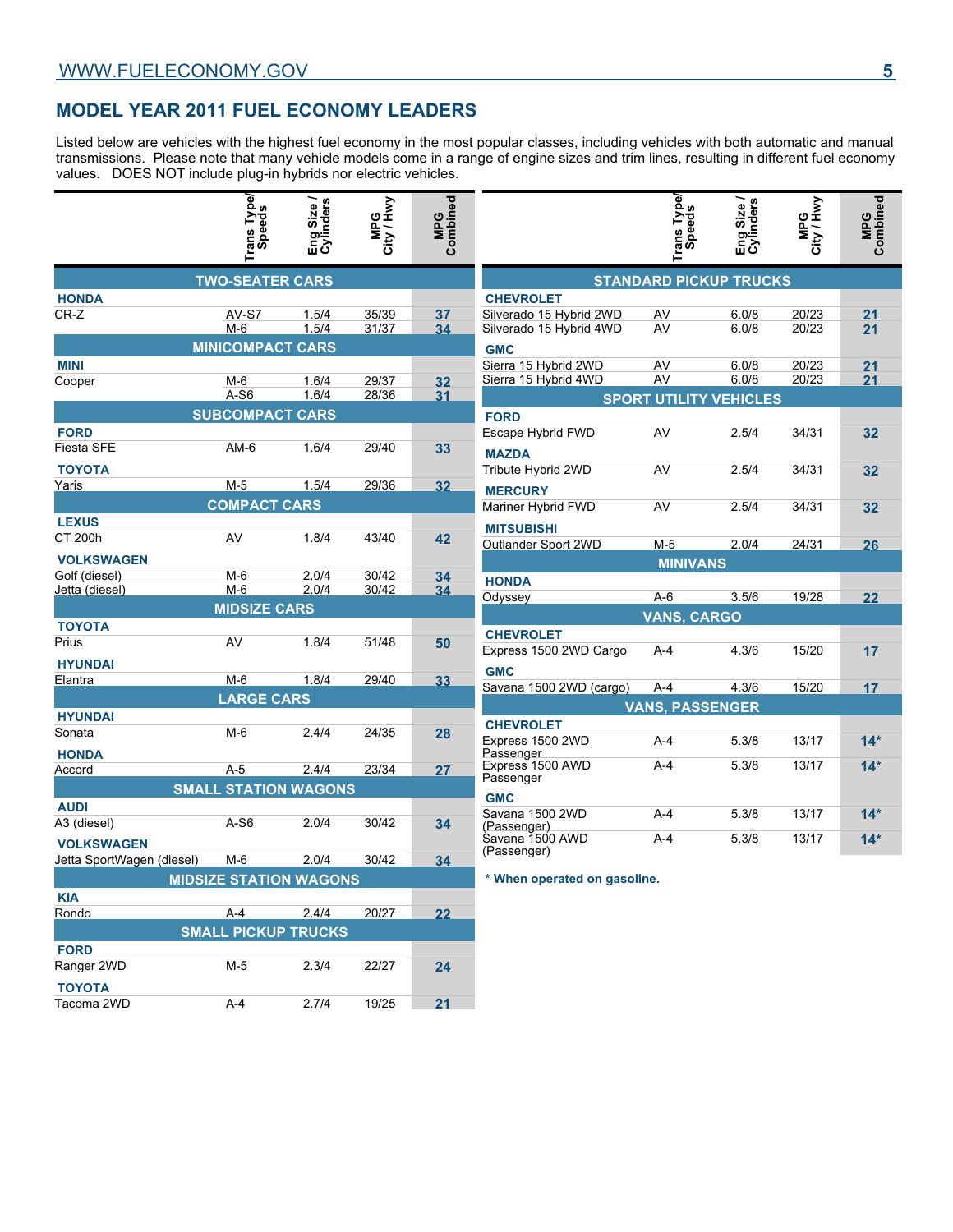### **MODEL YEAR 2011 FUEL ECONOMY LEADERS**

Listed below are vehicles with the highest fuel economy in the most popular classes, including vehicles with both automatic and manual transmissions. Please note that many vehicle models come in a range of engine sizes and trim lines, resulting in different fuel economy values. DOES NOT include plug-in hybrids nor electric vehicles.

|                            | Trans Type/<br>Speeds         | Eng Size /<br>Cylinders | MPG<br>City / Hwy | MPG<br>Combined |                                | Trans Type/                   | Eng Size /<br>Cylinders | MPG<br>City / Hwy | MPG<br>Combined |
|----------------------------|-------------------------------|-------------------------|-------------------|-----------------|--------------------------------|-------------------------------|-------------------------|-------------------|-----------------|
|                            | <b>TWO-SEATER CARS</b>        |                         |                   |                 |                                | <b>STANDARD PICKUP TRUCKS</b> |                         |                   |                 |
| <b>HONDA</b>               |                               |                         |                   |                 | <b>CHEVROLET</b>               |                               |                         |                   |                 |
| CR-Z                       | AV-S7                         | 1.5/4                   | 35/39             | 37              | Silverado 15 Hybrid 2WD        | AV                            | 6.0/8                   | 20/23             | 21              |
|                            | $M-6$                         | 1.5/4                   | 31/37             | 34              | Silverado 15 Hybrid 4WD        | AV                            | 6.0/8                   | 20/23             | 21              |
|                            | <b>MINICOMPACT CARS</b>       |                         |                   |                 | <b>GMC</b>                     |                               |                         |                   |                 |
| <b>MINI</b>                |                               |                         |                   |                 | Sierra 15 Hybrid 2WD           | AV                            | 6.0/8                   | 20/23             | 21              |
| Cooper                     | $M-6$                         | 1.6/4                   | 29/37             | 32              | Sierra 15 Hybrid 4WD           | AV                            | 6.0/8                   | 20/23             | 21              |
|                            | $A-S6$                        | 1.6/4                   | 28/36             | 31              |                                | <b>SPORT UTILITY VEHICLES</b> |                         |                   |                 |
|                            | <b>SUBCOMPACT CARS</b>        |                         |                   |                 | <b>FORD</b>                    |                               |                         |                   |                 |
| <b>FORD</b>                |                               |                         |                   |                 | Escape Hybrid FWD              | AV                            | 2.5/4                   | 34/31             | 32              |
| Fiesta SFE                 | $AM-6$                        | 1.6/4                   | 29/40             | 33              | <b>MAZDA</b>                   |                               |                         |                   |                 |
| <b>TOYOTA</b>              |                               |                         |                   |                 | Tribute Hybrid 2WD             | AV                            | 2.5/4                   | 34/31             | 32              |
| Yaris                      | $M-5$                         | 1.5/4                   | 29/36             | 32              | <b>MERCURY</b>                 |                               |                         |                   |                 |
|                            | <b>COMPACT CARS</b>           |                         |                   |                 | Mariner Hybrid FWD             | AV                            | 2.5/4                   | 34/31             | 32              |
| <b>LEXUS</b>               |                               |                         |                   |                 | <b>MITSUBISHI</b>              |                               |                         |                   |                 |
| <b>CT 200h</b>             | AV                            | 1.8/4                   | 43/40             | 42              | Outlander Sport 2WD            | $M-5$                         | 2.0/4                   | 24/31             | 26              |
| <b>VOLKSWAGEN</b>          |                               |                         |                   |                 |                                | <b>MINIVANS</b>               |                         |                   |                 |
| Golf (diesel)              | $M-6$                         | 2.0/4                   | 30/42             | 34              | <b>HONDA</b>                   |                               |                         |                   |                 |
| Jetta (diesel)             | $M-6$                         | 2.0/4                   | 30/42             | 34              | Odyssey                        | $A-6$                         | 3.5/6                   | 19/28             | 22              |
|                            | <b>MIDSIZE CARS</b>           |                         |                   |                 |                                | <b>VANS, CARGO</b>            |                         |                   |                 |
| <b>TOYOTA</b>              |                               |                         |                   |                 | <b>CHEVROLET</b>               |                               |                         |                   |                 |
| Prius                      | AV                            | 1.8/4                   | 51/48             | 50              | Express 1500 2WD Cargo         | A-4                           | 4.3/6                   | 15/20             | 17              |
| <b>HYUNDAI</b>             |                               |                         |                   |                 |                                |                               |                         |                   |                 |
| Elantra                    | $M-6$                         | 1.8/4                   | 29/40             | 33              | <b>GMC</b>                     |                               |                         |                   |                 |
|                            | <b>LARGE CARS</b>             |                         |                   |                 | Savana 1500 2WD (cargo)        | $A-4$                         | 4.3/6                   | 15/20             | 17              |
| <b>HYUNDAI</b>             |                               |                         |                   |                 |                                | <b>VANS, PASSENGER</b>        |                         |                   |                 |
| Sonata                     | $M-6$                         | 2.4/4                   | 24/35             | 28              | <b>CHEVROLET</b>               |                               |                         |                   |                 |
| <b>HONDA</b>               |                               |                         |                   |                 | Express 1500 2WD<br>Passenger  | A-4                           | 5.3/8                   | 13/17             | $14*$           |
| Accord                     | $A-5$                         | 2.4/4                   | 23/34             | 27              | Express 1500 AWD               | $A-4$                         | 5.3/8                   | 13/17             | $14*$           |
|                            |                               |                         |                   |                 | Passenger                      |                               |                         |                   |                 |
|                            | <b>SMALL STATION WAGONS</b>   |                         |                   |                 | <b>GMC</b>                     |                               |                         |                   |                 |
| <b>AUDI</b><br>A3 (diesel) | A-S6                          | 2.0/4                   | 30/42             |                 | Savana 1500 2WD                | $A-4$                         | 5.3/8                   | 13/17             | $14*$           |
|                            |                               |                         |                   | 34              | (Passenger)<br>Savana 1500 AWD | A-4                           | 5.3/8                   | 13/17             | $14*$           |
| <b>VOLKSWAGEN</b>          |                               |                         |                   |                 | (Passenger)                    |                               |                         |                   |                 |
| Jetta SportWagen (diesel)  | $M-6$                         | 2.0/4                   | 30/42             | 34              |                                |                               |                         |                   |                 |
|                            | <b>MIDSIZE STATION WAGONS</b> |                         |                   |                 | * When operated on gasoline.   |                               |                         |                   |                 |
| <b>KIA</b>                 |                               |                         |                   |                 |                                |                               |                         |                   |                 |
| Rondo                      | $A-4$                         | 2.4/4                   | 20/27             | 22              |                                |                               |                         |                   |                 |
|                            | <b>SMALL PICKUP TRUCKS</b>    |                         |                   |                 |                                |                               |                         |                   |                 |
| <b>FORD</b>                |                               |                         |                   |                 |                                |                               |                         |                   |                 |
| Ranger 2WD                 | $M-5$                         | 2.3/4                   | 22/27             | 24              |                                |                               |                         |                   |                 |
| <b>TOYOTA</b>              |                               |                         |                   |                 |                                |                               |                         |                   |                 |
| Tacoma 2WD                 | $A-4$                         | 2.7/4                   | 19/25             | 21              |                                |                               |                         |                   |                 |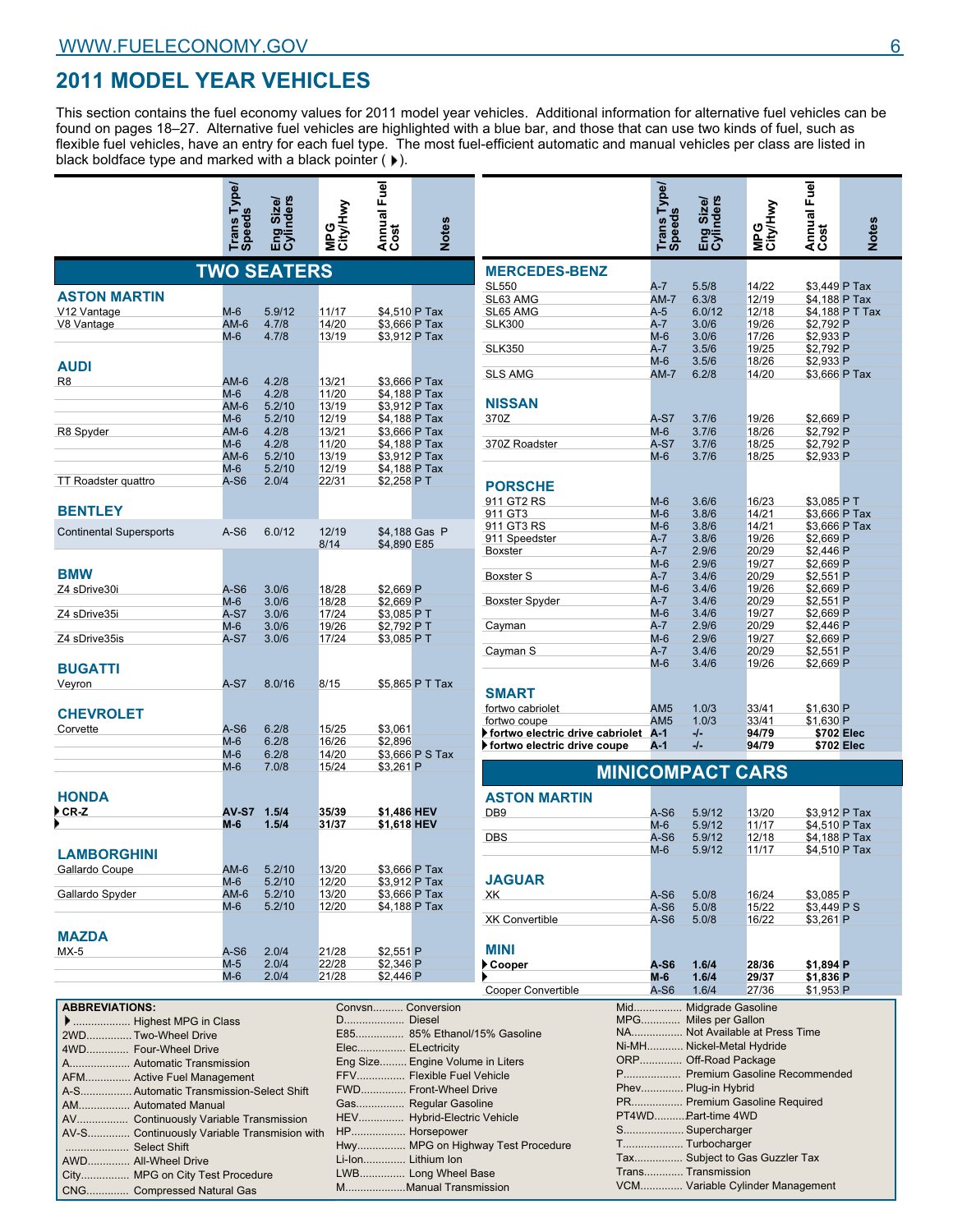# **2011 MODEL YEAR VEHICLES**

This section contains the fuel economy values for 2011 model year vehicles. Additional information for alternative fuel vehicles can be found on pages 18–27. Alternative fuel vehicles are highlighted with a blue bar, and those that can use two kinds of fuel, such as flexible fuel vehicles, have an entry for each fuel type. The most fuel-efficient automatic and manual vehicles per class are listed in black boldface type and marked with a black pointer  $( )$ .

|                                      | <b>Trans Type</b><br>Speeds | nders<br>шó    |                | Annual Fuel<br>  Cost     | Votes           |
|--------------------------------------|-----------------------------|----------------|----------------|---------------------------|-----------------|
|                                      | <b>TWO SEATERS</b>          |                |                |                           |                 |
| <b>ASTON MARTIN</b>                  |                             |                |                |                           |                 |
| V12 Vantage                          | $M-6$                       | 5.9/12         | 11/17          | \$4,510 P Tax             |                 |
| V8 Vantage                           | $AM-6$                      | 4.7/8          | 14/20          | \$3,666 P Tax             |                 |
|                                      | $M-6$                       | 4.7/8          | 13/19          | \$3,912 P Tax             |                 |
| <b>AUDI</b>                          |                             |                |                |                           |                 |
| R8                                   | AM-6                        | 4.2/8          | 13/21          | \$3,666 P Tax             |                 |
|                                      | M-6                         | 4.2/8          | 11/20          | \$4,188 P Tax             |                 |
|                                      | $AM-6$                      | 5.2/10         | 13/19          | \$3,912 P Tax             |                 |
|                                      | $M-6$                       | 5.2/10         | 12/19          | \$4,188 P Tax             |                 |
| R8 Spyder                            | AM-6                        | 4.2/8          | 13/21          | \$3,666 P Tax             |                 |
|                                      | $M-6$                       | 4.2/8          | 11/20          | \$4,188 P Tax             |                 |
|                                      | $AM-6$                      | 5.2/10         | 13/19          | \$3,912 P Tax             |                 |
|                                      | M-6                         | 5.2/10         | 12/19          | \$4,188 P Tax             |                 |
| <b>TT Roadster quattro</b>           | A-S6                        | 2.0/4          | 22/31          | \$2,258 PT                |                 |
| <b>BENTLEY</b>                       |                             |                |                |                           |                 |
| <b>Continental Supersports</b>       | $A-S6$                      | 6.0/12         | 12/19<br>8/14  | \$4,890 E85               | \$4,188 Gas P   |
| <b>BMW</b><br>Z4 sDrive30i           | A-S6                        | 3.0/6          | 18/28          | \$2,669 P                 |                 |
|                                      | M-6                         | 3.0/6          | 18/28          | \$2,669 P                 |                 |
| Z4 sDrive35i                         | $A-S7$<br>$M-6$             | 3.0/6<br>3.0/6 | 17/24<br>19/26 | \$3,085 P T               |                 |
| Z4 sDrive35is                        | $A-S7$                      | 3.0/6          | 17/24          | \$2,792 PT<br>\$3,085 P T |                 |
| <b>BUGATTI</b><br>Veyron             | $A-S7$                      | 8.0/16         | 8/15           |                           | \$5,865 P T Tax |
| <b>CHEVROLET</b>                     |                             |                |                |                           |                 |
| Corvette                             | $A-S6$                      | 6.2/8          | 15/25          | \$3,061                   |                 |
|                                      | $M-6$                       | 6.2/8          | 16/26          | \$2,896                   |                 |
|                                      | $M-6$                       | 6.2/8          | 14/20          |                           | \$3,666 P S Tax |
|                                      | $M-6$                       | 7.0/8          | 15/24          | \$3,261 P                 |                 |
| <b>HONDA</b>                         |                             |                |                |                           |                 |
| ▶CR-Z                                | <b>AV-S7</b>                | 1.5/4          | 35/39          | \$1,486 HEV               |                 |
|                                      | $M-6$                       | 1.5/4          | 31/37          | \$1,618 HEV               |                 |
| <b>LAMBORGHINI</b><br>Gallardo Coupe | $AM-6$                      | 5.2/10         | 13/20          | \$3,666 P Tax             |                 |
|                                      | M-6                         | 5.2/10         | 12/20          | \$3,912 P Tax             |                 |
| Gallardo Spyder                      | AM-6                        | 5.2/10         | 13/20          | \$3,666 P Tax             |                 |
|                                      | $M-6$                       | 5.2/10         | 12/20          | \$4,188 P Tax             |                 |
| <b>MAZDA</b>                         |                             |                |                |                           |                 |
| $MX-5$                               | A-S6                        | 2.0/4          | 21/28          | \$2,551 P                 |                 |
|                                      | $M-5$                       | 2.0/4          | 22/28          | \$2,346 P                 |                 |
|                                      | $M-6$                       | 2.0/4          | 21/28          | \$2,446 P                 |                 |
|                                      |                             |                |                |                           |                 |

Gas................ Regular Gasoline HEV............... Hybrid-Electric Vehicle HP.................. Horsepower

Li-Ion.............. Lithium Ion LWB............... Long Wheel Base M....................Manual Transmission

Hwy................ MPG on Highway Test Procedure

**ABBREVIATIONS:**

 ................... Highest MPG in Class 2WD............... Two-Wheel Drive 4WD.............. Four-Wheel Drive A.................... Automatic Transmission AFM............... Active Fuel Management A-S................. Automatic Transmission-Select Shift

AM................. Automated Manual

..................... Select Shift AWD.............. All-Wheel Drive

AV................. Continuously Variable Transmission AV-S.............. Continuously Variable Transmision with

City................ MPG on City Test Procedure CNG.............. Compressed Natural Gas

| <b>City/Hwy</b> | Annual Fuel                    | <b>Notes</b>                     |                                 | Trans Type/<br>Speeds | Eng Size/<br>Cylinders         | MPG<br>City/Hwy | Annual Fuel            | <b>Notes</b>    |
|-----------------|--------------------------------|----------------------------------|---------------------------------|-----------------------|--------------------------------|-----------------|------------------------|-----------------|
|                 |                                |                                  | <b>MERCEDES-BENZ</b>            |                       |                                |                 |                        |                 |
|                 |                                |                                  |                                 |                       |                                |                 |                        |                 |
|                 |                                |                                  | <b>SL550</b>                    | A-7                   | 5.5/8                          | 14/22           | \$3,449 P Tax          |                 |
|                 |                                |                                  | SL63 AMG                        | AM-7                  | 6.3/8                          | 12/19           | \$4,188 P Tax          |                 |
| 17              | \$4,510 P Tax                  |                                  | SL65 AMG<br><b>SLK300</b>       | A-5<br>A-7            | 6.0/12                         | 12/18           |                        | \$4,188 P T Tax |
| 20<br>19        | \$3,666 P Tax<br>\$3.912 P Tax |                                  |                                 | $M-6$                 | 3.0/6<br>3.0/6                 | 19/26<br>17/26  | \$2,792 P<br>\$2,933 P |                 |
|                 |                                |                                  | <b>SLK350</b>                   | A-7                   | 3.5/6                          | 19/25           | \$2,792 P              |                 |
|                 |                                |                                  |                                 | $M-6$                 | 3.5/6                          | 18/26           | \$2,933 P              |                 |
|                 |                                |                                  | <b>SLS AMG</b>                  | AM-7                  | 6.2/8                          | 14/20           | \$3,666 P Tax          |                 |
| 21              | \$3,666 P Tax                  |                                  |                                 |                       |                                |                 |                        |                 |
| 20              | \$4,188 P Tax                  |                                  |                                 |                       |                                |                 |                        |                 |
| 19              | \$3,912 P Tax                  |                                  | <b>NISSAN</b>                   |                       |                                |                 |                        |                 |
| 19              | \$4,188 P Tax                  |                                  | 370Z                            | $A-S7$                | 3.7/6                          | 19/26           | \$2,669 P              |                 |
| 21              | \$3,666 P Tax                  |                                  |                                 | $M-6$                 | 3.7/6                          | 18/26           | \$2,792 P              |                 |
| 20              | \$4,188 P Tax                  |                                  | 370Z Roadster                   | $A-S7$                | 3.7/6                          | 18/25           | \$2,792 P              |                 |
| 19              | \$3,912 P Tax                  |                                  |                                 | M-6                   | 3.7/6                          | 18/25           | \$2,933 P              |                 |
| 19              | \$4,188 P Tax                  |                                  |                                 |                       |                                |                 |                        |                 |
| 31              | \$2,258 PT                     |                                  | <b>PORSCHE</b>                  |                       |                                |                 |                        |                 |
|                 |                                |                                  | 911 GT2 RS                      | $M-6$                 | 3.6/6                          | 16/23           | \$3,085 PT             |                 |
|                 |                                |                                  | 911 GT3                         | $M-6$                 | 3.8/6                          | 14/21           | \$3,666 P Tax          |                 |
|                 |                                |                                  | 911 GT3 RS                      | $M-6$                 | 3.8/6                          | 14/21           | \$3,666 P Tax          |                 |
| 19              |                                | \$4,188 Gas P                    | 911 Speedster                   | A-7                   | 3.8/6                          | 19/26           | \$2,669 P              |                 |
| 4               | \$4,890 E85                    |                                  | Boxster                         | $A-7$                 | 2.9/6                          | 20/29           | \$2,446 P              |                 |
|                 |                                |                                  |                                 | $M-6$                 | 2.9/6                          | 19/27           | \$2,669 P              |                 |
|                 |                                |                                  | <b>Boxster S</b>                | A-7                   | 3.4/6                          | 20/29           | $$2,551$ P             |                 |
| 28              | \$2,669 P                      |                                  |                                 | $M-6$                 | 3.4/6                          | 19/26           | \$2,669 P              |                 |
| 28              | \$2,669 P                      |                                  | <b>Boxster Spyder</b>           | A-7                   | 3.4/6                          | 20/29           | \$2,551 P              |                 |
| 24              | \$3,085 PT                     |                                  |                                 | $M-6$                 | 3.4/6                          | 19/27           | \$2,669 P              |                 |
| 26              | \$2,792 PT                     |                                  | Cayman                          | $A-7$                 | 2.9/6                          | 20/29           | \$2,446 P              |                 |
| 24              | \$3,085 PT                     |                                  |                                 | $M-6$                 | 2.9/6                          | 19/27           | \$2,669 P              |                 |
|                 |                                |                                  | Cayman S                        | A-7                   | 3.4/6                          | 20/29           | \$2,551 P              |                 |
|                 |                                |                                  |                                 | $M-6$                 | 3.4/6                          | 19/26           | \$2,669 P              |                 |
|                 |                                |                                  |                                 |                       |                                |                 |                        |                 |
| 5               |                                | \$5,865 P T Tax                  | <b>SMART</b>                    |                       |                                |                 |                        |                 |
|                 |                                |                                  | fortwo cabriolet                | AM <sub>5</sub>       | 1.0/3                          | 33/41           | \$1,630 P              |                 |
|                 |                                |                                  | fortwo coupe                    | AM <sub>5</sub>       | 1.0/3                          | 33/41           | \$1,630 P              |                 |
| 25              | \$3,061                        |                                  | fortwo electric drive cabriolet | $A - 1$               | -/-                            | 94/79           | \$702 Elec             |                 |
| 26              | \$2,896                        |                                  | ▶ fortwo electric drive coupe   | A-1                   | -/−                            | 94/79           | \$702 Elec             |                 |
| 20              |                                | \$3,666 P S Tax                  |                                 |                       |                                |                 |                        |                 |
| 24              | \$3,261 P                      |                                  |                                 |                       | <b>MINICOMPACT CARS</b>        |                 |                        |                 |
|                 |                                |                                  |                                 |                       |                                |                 |                        |                 |
|                 |                                |                                  | <b>ASTON MARTIN</b>             |                       |                                |                 |                        |                 |
| 39              | \$1,486 HEV                    |                                  | DB <sub>9</sub>                 | A-S6                  | 5.9/12                         | 13/20           | \$3,912 P Tax          |                 |
| 37              | \$1,618 HEV                    |                                  |                                 | $M-6$                 | 5.9/12                         | 11/17           | \$4,510 P Tax          |                 |
|                 |                                |                                  | <b>DBS</b>                      | $A-S6$                | 5.9/12                         | 12/18           | \$4,188 P Tax          |                 |
|                 |                                |                                  |                                 | $M-6$                 | 5.9/12                         | 11/17           | \$4,510 P Tax          |                 |
|                 |                                |                                  |                                 |                       |                                |                 |                        |                 |
| 20              | \$3,666 P Tax                  |                                  |                                 |                       |                                |                 |                        |                 |
| 20              | \$3,912 P Tax                  |                                  | <b>JAGUAR</b>                   |                       |                                |                 |                        |                 |
| 20              | \$3,666 P Tax                  |                                  | XK                              | $A-S6$                | 5.0/8                          | 16/24           | \$3,085 P              |                 |
| 20              | \$4,188 P Tax                  |                                  |                                 | A-S6                  | 5.0/8                          | 15/22           | \$3,449 P S            |                 |
|                 |                                |                                  | <b>XK Convertible</b>           | A-S6                  | 5.0/8                          | 16/22           | \$3,261 P              |                 |
|                 |                                |                                  |                                 |                       |                                |                 |                        |                 |
| 28              | \$2,551 P                      |                                  | MINI                            |                       |                                |                 |                        |                 |
| 28              | \$2,346 P                      |                                  | ▶ Cooper                        | A-S6                  | 1.6/4                          | 28/36           | \$1,894 P              |                 |
| 28              | \$2,446 P                      |                                  |                                 | M-6                   | 1.6/4                          | 29/37           | \$1,836 P              |                 |
|                 |                                |                                  | <b>Cooper Convertible</b>       | A-S6                  | 1.6/4                          | 27/36           | \$1,953 P              |                 |
|                 |                                | Convsn Conversion                |                                 |                       | Mid Midgrade Gasoline          |                 |                        |                 |
|                 | D Diesel                       |                                  |                                 |                       | MPG Miles per Gallon           |                 |                        |                 |
|                 |                                | E85 85% Ethanol/15% Gasoline     |                                 |                       | NA Not Available at Press Time |                 |                        |                 |
|                 |                                | Elec ELectricity                 |                                 |                       | Ni-MH Nickel-Metal Hydride     |                 |                        |                 |
|                 |                                | Eng Size Engine Volume in Liters |                                 |                       | ORP Off-Road Package           |                 |                        |                 |
|                 |                                |                                  |                                 |                       | P Premium Gasoline Recommended |                 |                        |                 |
|                 |                                | FFV Flexible Fuel Vehicle        |                                 |                       | Phev Plug-in Hybrid            |                 |                        |                 |
|                 |                                | FWD Front-Wheel Drive            |                                 |                       |                                |                 |                        |                 |

PR................. Premium Gasoline Required

Tax................ Subject to Gas Guzzler Tax

VCM.............. Variable Cylinder Management

PT4WD............... Part-time 4WD S.................... Supercharger T.................... Turbocharger

Trans............. Transmission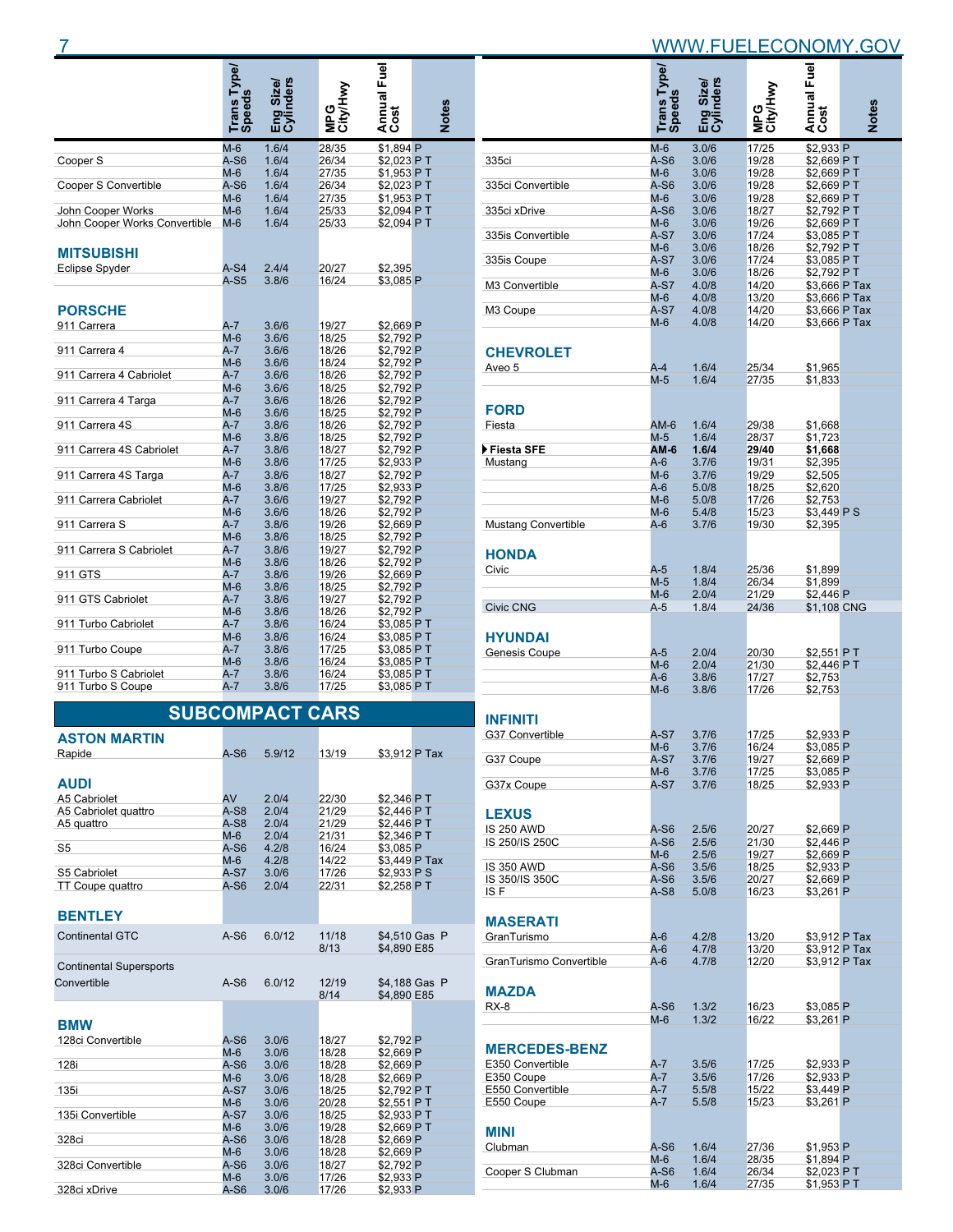|  |  |  | WWW.FUELECONOMY.GOV |
|--|--|--|---------------------|
|  |  |  |                     |

|                               | Trans Type/<br>Speeds |                        |                 | Annual Fuel<br>Cost |              |
|-------------------------------|-----------------------|------------------------|-----------------|---------------------|--------------|
|                               |                       | Eng Size/<br>Cylinders | MPG<br>City/Hwy |                     | <b>Notes</b> |
|                               | $M-6$                 | 1.6/4                  | 28/35           | \$1.894 P           |              |
| Cooper S                      | A-S6                  | 1.6/4                  | 26/34           | \$2,023 PT          |              |
|                               | $M-6$                 | 1.6/4                  | 27/35           | \$1,953 PT          |              |
| Cooper S Convertible          | $A-S6$                | 1.6/4                  | 26/34           | \$2,023 PT          |              |
|                               | $M-6$                 | 1.6/4                  | 27/35           | \$1,953 PT          |              |
| John Cooper Works             | $M-6$                 | 1.6/4                  | 25/33           | \$2,094 PT          |              |
| John Cooper Works Convertible | $M-6$                 | 1.6/4                  | 25/33           | \$2,094 PT          |              |
| <b>MITSUBISHI</b>             |                       |                        |                 |                     |              |
| <b>Eclipse Spyder</b>         | $A-S4$                | 2.4/4                  | 20/27           | \$2,395             |              |
|                               | $A-S5$                | 3.8/6                  | 16/24           | \$3,085 P           |              |
| <b>PORSCHE</b>                |                       |                        |                 |                     |              |
| 911 Carrera                   | $A-7$                 | 3.6/6                  | 19/27           | \$2.669 P           |              |
|                               | $M-6$                 | 3.6/6                  | 18/25           | \$2,792 P           |              |
| 911 Carrera 4                 | $A-7$                 | 3.6/6                  | 18/26           | \$2.792 P           |              |
|                               | $M-6$                 | 3.6/6                  | 18/24           | \$2,792 P           |              |
| 911 Carrera 4 Cabriolet       | $A-7$                 | 3.6/6                  | 18/26           | \$2,792 P           |              |
|                               | $M-6$                 | 3.6/6                  | 18/25           | \$2,792 P           |              |
| 911 Carrera 4 Targa           | $A-7$                 | 3.6/6                  | 18/26           | \$2,792 P           |              |
|                               | $M-6$                 | 3.6/6                  | 18/25           | \$2,792 P           |              |
| 911 Carrera 4S                | $A - 7$               | 3.8/6                  | 18/26           | \$2.792 P           |              |
|                               | $M-6$                 | 3.8/6                  | 18/25           | \$2,792 P           |              |
| 911 Carrera 4S Cabriolet      | $A - 7$               | 3.8/6                  | 18/27           | \$2,792 P           |              |
|                               | $M-6$                 | 3.8/6                  | 17/25           | \$2,933 P           |              |
| 911 Carrera 4S Targa          | $A-7$                 | 3.8/6                  | 18/27           | \$2,792 P           |              |
|                               | $M-6$                 | 3.8/6                  | 17/25           | \$2,933 P           |              |
| 911 Carrera Cabriolet         | $A-7$                 | 3.6/6                  | 19/27           | \$2,792 P           |              |
|                               | $M-6$                 | 3.6/6                  | 18/26           | \$2,792 P           |              |
| 911 Carrera S                 | $A-7$                 | 3.8/6                  | 19/26           | \$2,669 P           |              |
|                               | $M-6$                 | 3.8/6                  | 18/25           | \$2.792 P           |              |
| 911 Carrera S Cabriolet       | $A-7$                 | 3.8/6                  | 19/27           | \$2,792 P           |              |
|                               | $M-6$                 | 3.8/6                  | 18/26           | \$2,792 P           |              |
| 911 GTS                       | $A-7$                 | 3.8/6                  | 19/26           | \$2,669 P           |              |
|                               | $M-6$                 | 3.8/6                  | 18/25           | \$2,792 P           |              |
| 911 GTS Cabriolet             | $A-7$                 | 3.8/6                  | 19/27           | \$2,792 P           |              |
|                               | $M-6$                 | 3.8/6                  | 18/26           | \$2,792 P           |              |
| 911 Turbo Cabriolet           | $A-7$                 | 3.8/6                  | 16/24           | \$3,085 PT          |              |
|                               | $M-6$                 | 3.8/6                  | 16/24           | \$3,085 P T         |              |
| 911 Turbo Coupe               | $A-7$                 | 3.8/6                  | 17/25           | $$3.085$ PT         |              |
|                               | $M-6$                 | 3.8/6                  | 16/24           | \$3,085 P T         |              |
| 911 Turbo S Cabriolet         | A-7                   | 3.8/6<br>3.8/6         | 16/24<br>17/25  | \$3,085 P T         |              |
| 911 Turbo S Coupe             | $A-7$                 |                        |                 | \$3,085 PT          |              |

# **SUBCOMPACT CARS**

| <b>ASTON MARTIN</b>            |        |        |       |               |               |
|--------------------------------|--------|--------|-------|---------------|---------------|
| Rapide                         | $A-S6$ | 5.9/12 | 13/19 | \$3.912 P Tax |               |
|                                |        |        |       |               |               |
| <b>AUDI</b>                    |        |        |       |               |               |
| A5 Cabriolet                   | AV     | 2.0/4  | 22/30 | \$2.346 PT    |               |
| A5 Cabriolet quattro           | $A-S8$ | 2.0/4  | 21/29 | \$2.446 PT    |               |
| A5 quattro                     | $A-S8$ | 2.0/4  | 21/29 | \$2.446 PT    |               |
|                                | $M-6$  | 2.0/4  | 21/31 | \$2.346 PT    |               |
| S <sub>5</sub>                 | $A-S6$ | 4.2/8  | 16/24 | \$3.085 P     |               |
|                                | M-6    | 4.2/8  | 14/22 | \$3,449 P Tax |               |
| S5 Cabriolet                   | A-S7   | 3.0/6  | 17/26 | \$2.933 P S   |               |
| <b>TT Coupe quattro</b>        | $A-S6$ | 2.0/4  | 22/31 | \$2.258 PT    |               |
|                                |        |        |       |               |               |
| <b>BENTLEY</b>                 |        |        |       |               |               |
| <b>Continental GTC</b>         | $A-S6$ | 6.0/12 | 11/18 |               | \$4,510 Gas P |
|                                |        |        | 8/13  | \$4,890 E85   |               |
| <b>Continental Supersports</b> |        |        |       |               |               |
| Convertible                    | $A-S6$ | 6.0/12 | 12/19 |               | \$4,188 Gas P |
|                                |        |        | 8/14  | \$4.890 E85   |               |
|                                |        |        |       |               |               |
| <b>BMW</b>                     |        |        |       |               |               |
| 128ci Convertible              | $A-S6$ | 3.0/6  | 18/27 | \$2.792 P     |               |
|                                | $M-6$  | 3.0/6  | 18/28 | \$2.669 P     |               |
| 128i                           | $A-S6$ | 3.0/6  | 18/28 | \$2.669 P     |               |
|                                | $M-6$  | 3.0/6  | 18/28 | \$2,669 P     |               |
| 135i                           | $A-S7$ | 3.0/6  | 18/25 | \$2.792 PT    |               |
|                                | $M-6$  | 3.0/6  | 20/28 | \$2,551 PT    |               |
| 135i Convertible               | $A-S7$ | 3.0/6  | 18/25 | \$2,933 PT    |               |
|                                | $M-6$  | 3.0/6  | 19/28 | \$2.669 PT    |               |
| 328ci                          | $A-S6$ | 3.0/6  | 18/28 | \$2,669 P     |               |
|                                | $M-6$  | 3.0/6  | 18/28 | \$2,669 P     |               |
| 328ci Convertible              | $A-S6$ | 3.0/6  | 18/27 | \$2.792 P     |               |
|                                | $M-6$  | 3.0/6  | 17/26 | \$2,933 P     |               |
| 328ci xDrive                   | $A-S6$ | 3.0/6  | 17/26 | \$2.933 P     |               |
|                                |        |        |       |               |               |

|                                   |                       |                        | MPG<br>City/Hwy |                                |              |
|-----------------------------------|-----------------------|------------------------|-----------------|--------------------------------|--------------|
|                                   | Trans Type/<br>Speeds | Eng Size/<br>Cylinders |                 | Annual Fuel                    | <b>Notes</b> |
| 335ci                             | $M-6$<br>A-S6         | 3.0/6<br>3.0/6         | 17/25<br>19/28  | \$2.933 P<br>\$2,669 PT        |              |
| 335ci Convertible                 | $M-6$<br>A-S6         | 3.0/6<br>3.0/6         | 19/28<br>19/28  | \$2,669 PT<br>\$2,669 PT       |              |
|                                   | $M-6$                 | 3.0/6                  | 19/28           | \$2,669 P T                    |              |
| 335ci xDrive                      | $A-S6$<br>$M-6$       | 3.0/6<br>3.0/6         | 18/27<br>19/26  | \$2,792 PT<br>\$2,669 PT       |              |
| 335is Convertible                 | A-S7<br>$M-6$         | 3.0/6<br>3.0/6         | 17/24<br>18/26  | \$3,085 P T<br>\$2,792 PT      |              |
| 335is Coupe                       | A-S7<br>$M-6$         | 3.0/6<br>3.0/6         | 17/24<br>18/26  | \$3,085 P T<br>\$2,792 P T     |              |
| M3 Convertible                    | A-S7                  | 4.0/8                  | 14/20           | \$3,666 P Tax                  |              |
| M <sub>3</sub> Coupe              | $M-6$<br>A-S7         | 4.0/8<br>4.0/8         | 13/20<br>14/20  | \$3,666 P Tax<br>\$3,666 P Tax |              |
|                                   | $M-6$                 | 4.0/8                  | 14/20           | \$3,666 P Tax                  |              |
| <b>CHEVROLET</b>                  |                       |                        |                 |                                |              |
| Aveo 5                            | $A-4$<br>$M-5$        | 1.6/4<br>1.6/4         | 25/34<br>27/35  | \$1,965<br>\$1,833             |              |
|                                   |                       |                        |                 |                                |              |
| <b>FORD</b><br>Fiesta             | AM-6                  | 1.6/4                  | 29/38           | \$1,668                        |              |
|                                   | $M-5$                 | 1.6/4                  | 28/37           | \$1,723                        |              |
| Fiesta SFE<br>Mustang             | AM-6<br>$A-6$         | 1.6/4<br>3.7/6         | 29/40<br>19/31  | \$1,668<br>\$2,395             |              |
|                                   | $M-6$                 | 3.7/6                  | 19/29           | \$2,505                        |              |
|                                   | A-6<br>$M-6$          | 5.0/8<br>5.0/8         | 18/25<br>17/26  | \$2,620<br>\$2,753             |              |
|                                   | $M-6$                 | 5.4/8                  | 15/23           | \$3,449 P S                    |              |
| <b>Mustang Convertible</b>        | $A-6$                 | 3.7/6                  | 19/30           | \$2,395                        |              |
| <b>HONDA</b>                      |                       |                        |                 |                                |              |
| Civic                             | $A-5$<br>$M-5$        | 1.8/4<br>1.8/4         | 25/36<br>26/34  | \$1,899<br>\$1,899             |              |
| <b>Civic CNG</b>                  | $M-6$<br>A-5          | 2.0/4<br>1.8/4         | 21/29<br>24/36  | \$2,446 P<br>\$1,108 CNG       |              |
|                                   |                       |                        |                 |                                |              |
| <b>HYUNDAI</b>                    | $A-5$                 |                        |                 |                                |              |
| Genesis Coupe                     | $M-6$                 | 2.0/4<br>2.0/4         | 20/30<br>21/30  | \$2,551 PT<br>\$2,446 PT       |              |
|                                   | $A-6$<br>$M-6$        | 3.8/6<br>3.8/6         | 17/27<br>17/26  | \$2,753<br>\$2,753             |              |
|                                   |                       |                        |                 |                                |              |
| INFINITI<br>G37 Convertible       | A-S7                  | 3.7/6                  | 17/25           | \$2.933 P                      |              |
|                                   | $M-6$                 | 3.7/6                  | 16/24           | \$3,085 P                      |              |
| G37 Coupe                         | A-S7                  | 3.7/6                  | 19/27           | \$2,669 P                      |              |
| G37x Coupe                        | $M-6$<br>$A-S7$       | 3.7/6<br>3.7/6         | 17/25<br>18/25  | \$3,085 P<br>\$2.933 P         |              |
|                                   |                       |                        |                 |                                |              |
| <b>LEXUS</b><br><b>IS 250 AWD</b> | $A-S6$                | 2.5/6                  | 20/27           | \$2,669 P                      |              |
| IS 250/IS 250C                    | $A-S6$                | 2.5/6                  | 21/30           | \$2,446 P                      |              |
| <b>IS 350 AWD</b>                 | $M-6$<br>$A-S6$       | 2.5/6<br>3.5/6         | 19/27<br>18/25  | \$2,669 P<br>\$2,933 P         |              |
| IS 350/IS 350C                    | $A-S6$                | 3.5/6                  | 20/27           | \$2,669 P                      |              |
| IS F                              | $A-S8$                | 5.0/8                  | 16/23           | \$3,261 P                      |              |
| <b>MASERATI</b>                   |                       |                        |                 |                                |              |
| GranTurismo                       | $A-6$<br>$A-6$        | 4.2/8<br>4.7/8         | 13/20<br>13/20  | \$3,912 P Tax<br>\$3,912 P Tax |              |
| GranTurismo Convertible           | $A-6$                 | 4.7/8                  | 12/20           | \$3,912 P Tax                  |              |
| <b>MAZDA</b>                      |                       |                        |                 |                                |              |
| <b>RX-8</b>                       | $A-S6$<br>$M-6$       | 1.3/2<br>1.3/2         | 16/23<br>16/22  | \$3,085 P<br>\$3,261 P         |              |
|                                   |                       |                        |                 |                                |              |
| <b>MERCEDES-BENZ</b>              |                       |                        |                 |                                |              |
| E350 Convertible<br>E350 Coupe    | $A-7$<br>A-7          | 3.5/6<br>3.5/6         | 17/25<br>17/26  | \$2,933 P<br>\$2,933 P         |              |
| E550 Convertible                  | $A - 7$               | 5.5/8                  | 15/22           | \$3,449 P                      |              |
| E550 Coupe                        | $A-7$                 | 5.5/8                  | 15/23           | \$3,261 P                      |              |
| MINI                              |                       |                        |                 |                                |              |
| Clubman                           | $A-S6$                | 1.6/4                  | 27/36           | \$1,953 P                      |              |
| Cooper S Clubman                  | $M-6$<br>$A-S6$       | 1.6/4<br>1.6/4         | 28/35<br>26/34  | \$1,894 P<br>\$2,023 PT        |              |
|                                   | $M-6$                 | 1.6/4                  | 27/35           | \$1,953 PT                     |              |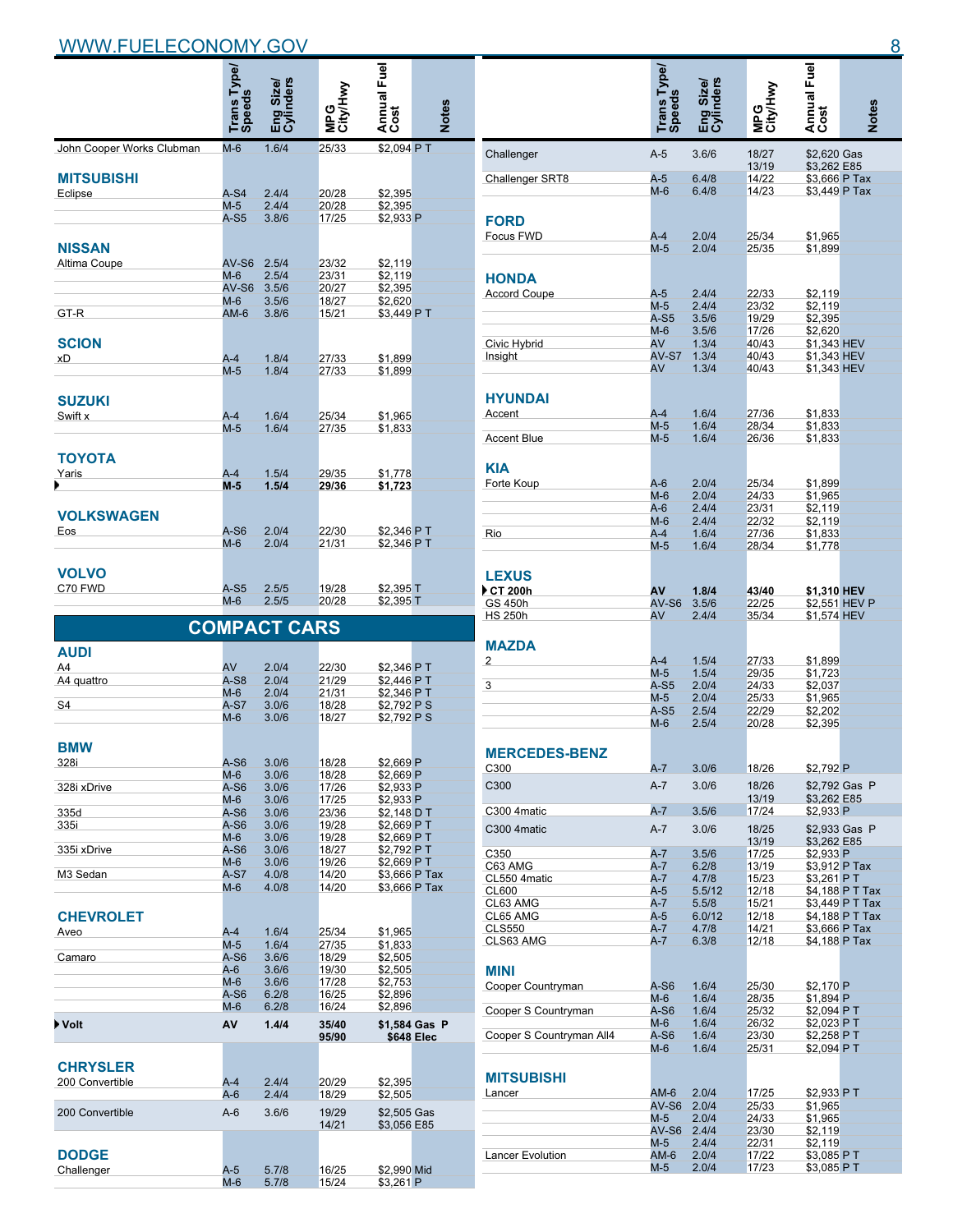|                           |                                     | rders<br>Size/      |                |                     |              |
|---------------------------|-------------------------------------|---------------------|----------------|---------------------|--------------|
|                           | <b>Trans Type/</b><br><b>Speeds</b> | 요.<br>민준            |                | Annual Fuel<br>Cost | <b>Notes</b> |
| John Cooper Works Clubman | $M-6$                               | 1.6/4               | 25/33          | \$2,094 PT          |              |
|                           |                                     |                     |                |                     |              |
| <b>MITSUBISHI</b>         |                                     |                     |                |                     |              |
| Eclipse                   | $A-S4$                              | 2.4/4               | 20/28          | \$2,395             |              |
|                           | $M-5$                               | 2.4/4               | 20/28          | \$2,395             |              |
|                           | $A-S5$                              | 3.8/6               | 17/25          | \$2,933 P           |              |
| <b>NISSAN</b>             |                                     |                     |                |                     |              |
|                           |                                     |                     |                |                     |              |
| Altima Coupe              | $AV-S6$<br>M-6                      | 2.5/4<br>2.5/4      | 23/32<br>23/31 | \$2,119             |              |
|                           | $AV-S6$                             | 3.5/6               | 20/27          | \$2,119<br>\$2,395  |              |
|                           | $M-6$                               | 3.5/6               | 18/27          | \$2,620             |              |
| GT-R                      | $AM-6$                              | 3.8/6               | 15/21          | \$3,449 PT          |              |
|                           |                                     |                     |                |                     |              |
| <b>SCION</b>              |                                     |                     |                |                     |              |
| xD                        | $A-4$                               | 1.8/4               | 27/33          | \$1,899             |              |
|                           | M-5                                 | 1.8/4               | 27/33          | \$1,899             |              |
|                           |                                     |                     |                |                     |              |
| <b>SUZUKI</b>             |                                     |                     |                |                     |              |
| Swift x                   | $A-4$                               | 1.6/4               | 25/34          | \$1,965             |              |
|                           | $M-5$                               | 1.6/4               | 27/35          | \$1,833             |              |
| ΤΟΥΟΤΑ                    |                                     |                     |                |                     |              |
| Yaris                     | $A-4$                               | 1.5/4               | 29/35          | \$1,778             |              |
|                           | $M-5$                               | 1.5/4               | 29/36          | \$1,723             |              |
|                           |                                     |                     |                |                     |              |
| <b>VOLKSWAGEN</b>         |                                     |                     |                |                     |              |
| Eos                       | $A-S6$                              | 2.0/4               | 22/30          | \$2,346 PT          |              |
|                           | $M-6$                               | 2.0/4               | 21/31          | \$2,346 PT          |              |
|                           |                                     |                     |                |                     |              |
| <b>VOLVO</b>              |                                     |                     |                |                     |              |
| C70 FWD                   | $A-S5$                              | 2.5/5               | 19/28          | \$2,395 T           |              |
|                           | M-6                                 | 2.5/5               | 20/28          | \$2,395 T           |              |
|                           |                                     |                     |                |                     |              |
|                           |                                     | <b>COMPACT CARS</b> |                |                     |              |
| <b>AUDI</b>               |                                     |                     |                |                     |              |
| A4                        | AV                                  | 2.0/4               | 22/30          | \$2,346 P T         |              |
| A4 quattro                | $A-S8$                              | 2.0/4               | 21/29          | \$2,446 PT          |              |
|                           | $M-6$                               | 2.0/4               | 21/31          | \$2,346 PT          |              |
| S <sub>4</sub>            | $A-S7$                              | 3.0/6               | 18/28          | \$2,792 PS          |              |
|                           | M-6                                 | 3.0/6               | 18/27          | \$2,792 PS          |              |
| <b>BMW</b>                |                                     |                     |                |                     |              |
| 328i                      | A-S6                                | 3.0/6               | 18/28          | \$2,669 P           |              |
|                           | $M-6$                               | 3.0/6               | 18/28          | \$2,669 P           |              |
| 328i xDrive               | A-S6                                | 3.0/6               | 17/26          | \$2,933 P           |              |
|                           | $M-6$                               | 3.0/6               | 17/25          | \$2,933 P           |              |
| 335d                      | $A-S6$                              | 3.0/6               | 23/36          | \$2.148 D T         |              |

| <b>BMW</b>       |                |       |       |               |               |
|------------------|----------------|-------|-------|---------------|---------------|
| 328i             | $A-S6$         | 3.0/6 | 18/28 | \$2.669 P     |               |
|                  | $M-6$          | 3.0/6 | 18/28 | \$2.669 P     |               |
| 328i xDrive      | $A-S6$         | 3.0/6 | 17/26 | \$2.933 P     |               |
|                  | $M-6$          | 3.0/6 | 17/25 | \$2.933 P     |               |
| 335d             | $A-S6$         | 3.0/6 | 23/36 | \$2.148 D T   |               |
| 335i             | $A-S6$         | 3.0/6 | 19/28 | \$2.669 PT    |               |
|                  | $M-6$          | 3.0/6 | 19/28 | \$2,669 PT    |               |
| 335i xDrive      | $A-S6$         | 3.0/6 | 18/27 | \$2.792 PT    |               |
|                  | $M-6$          | 3.0/6 | 19/26 | \$2.669 PT    |               |
| M3 Sedan         | $A-S7$         | 4.0/8 | 14/20 | \$3,666 P Tax |               |
|                  | $M-6$          | 4.0/8 | 14/20 | \$3,666 P Tax |               |
|                  |                |       |       |               |               |
| <b>CHEVROLET</b> |                |       |       |               |               |
|                  |                |       |       |               |               |
| Aveo             | $A-4$<br>$M-5$ | 1.6/4 | 25/34 | \$1,965       |               |
|                  |                | 1.6/4 | 27/35 | \$1,833       |               |
| Camaro           | $A-S6$         | 3.6/6 | 18/29 | \$2.505       |               |
|                  | $A-6$          | 3.6/6 | 19/30 | \$2.505       |               |
|                  | $M-6$          | 3.6/6 | 17/28 | \$2,753       |               |
|                  | $A-S6$         | 6.2/8 | 16/25 | \$2.896       |               |
|                  | $M-6$          | 6.2/8 | 16/24 | \$2.896       |               |
| Volt             | AV             | 1.4/4 | 35/40 |               | \$1.584 Gas P |
|                  |                |       | 95/90 | \$648 Elec    |               |
|                  |                |       |       |               |               |
| <b>CHRYSLER</b>  |                |       |       |               |               |
|                  |                |       |       |               |               |
| 200 Convertible  | $A-4$          | 2.4/4 | 20/29 | \$2.395       |               |
|                  | $A-6$          | 2.4/4 | 18/29 | \$2,505       |               |
| 200 Convertible  | $A-6$          | 3.6/6 | 19/29 | \$2,505 Gas   |               |
|                  |                |       | 14/21 | \$3,056 E85   |               |
|                  |                |       |       |               |               |
|                  |                |       |       |               |               |
| <b>DODGE</b>     |                |       |       |               |               |

Challenger A-5 5.7/8 16/25 \$2,990 Mid

M-6 5.7/8 15/24 \$3,261 P

**Challenger** 

|                           | Trans Type/<br>Speeds | Eng Size/<br>Cylinders |                 | Annual Fuel                  |                                    |
|---------------------------|-----------------------|------------------------|-----------------|------------------------------|------------------------------------|
|                           |                       |                        | MPG<br>City/Hwy |                              | <b>Notes</b>                       |
| Challenger                | $A-5$                 | 3.6/6                  | 18/27           | \$2,620 Gas                  |                                    |
| Challenger SRT8           | $A-5$                 | 6.4/8                  | 13/19<br>14/22  | \$3,262 E85<br>\$3,666 P Tax |                                    |
|                           | $M-6$                 | 6.4/8                  | 14/23           | \$3,449 P Tax                |                                    |
|                           |                       |                        |                 |                              |                                    |
| <b>FORD</b>               |                       |                        |                 |                              |                                    |
| Focus FWD                 | $A-4$<br>$M-5$        | 2.0/4<br>2.0/4         | 25/34<br>25/35  | \$1,965<br>\$1,899           |                                    |
|                           |                       |                        |                 |                              |                                    |
| <b>HONDA</b>              |                       |                        |                 |                              |                                    |
| <b>Accord Coupe</b>       | $A-5$                 | 2.4/4                  | 22/33           | \$2,119                      |                                    |
|                           | $M-5$<br>$A-S5$       | 2.4/4<br>3.5/6         | 23/32<br>19/29  | \$2,119<br>\$2,395           |                                    |
|                           | $M-6$                 | 3.5/6                  | 17/26           | \$2,620                      |                                    |
| Civic Hybrid              | AV                    | 1.3/4                  | 40/43           | \$1,343 HEV                  |                                    |
| Insight                   | AV-S7<br>AV           | 1.3/4<br>1.3/4         | 40/43<br>40/43  | \$1,343 HEV<br>\$1,343 HEV   |                                    |
|                           |                       |                        |                 |                              |                                    |
| <b>HYUNDAI</b>            |                       |                        |                 |                              |                                    |
| Accent                    | $A-4$                 | 1.6/4                  | 27/36           | \$1,833                      |                                    |
|                           | $M-5$                 | 1.6/4                  | 28/34           | \$1.833                      |                                    |
| <b>Accent Blue</b>        | $M-5$                 | 1.6/4                  | 26/36           | \$1,833                      |                                    |
| <b>KIA</b>                |                       |                        |                 |                              |                                    |
| Forte Koup                | $A-6$                 | 2.0/4                  | 25/34           | \$1,899                      |                                    |
|                           | $M-6$                 | 2.0/4                  | 24/33           | \$1,965                      |                                    |
|                           | $A-6$                 | 2.4/4                  | 23/31           | \$2,119                      |                                    |
| Rio                       | $M-6$<br>$A-4$        | 2.4/4<br>1.6/4         | 22/32<br>27/36  | \$2,119<br>\$1,833           |                                    |
|                           | $M-5$                 | 1.6/4                  | 28/34           | \$1,778                      |                                    |
|                           |                       |                        |                 |                              |                                    |
| <b>LEXUS</b>              |                       |                        |                 |                              |                                    |
| <b>CT 200h</b><br>GS 450h | AV<br>$AV-S6$         | 1.8/4<br>3.5/6         | 43/40<br>22/25  | \$1,310 HEV                  | \$2,551 HEV P                      |
| <b>HS 250h</b>            | AV                    | 2.4/4                  | 35/34           | \$1,574 HEV                  |                                    |
|                           |                       |                        |                 |                              |                                    |
| <b>MAZDA</b>              |                       |                        |                 |                              |                                    |
| 2                         | $A-4$                 | 1.5/4                  | 27/33           | \$1.899                      |                                    |
| 3                         | $M-5$<br>$A-S5$       | 1.5/4<br>2.0/4         | 29/35<br>24/33  | \$1,723<br>\$2,037           |                                    |
|                           | $M-5$                 | 2.0/4                  | 25/33           | \$1,965                      |                                    |
|                           | A-S5                  | 2.5/4                  | 22/29           | \$2,202                      |                                    |
|                           | $M-6$                 | 2.5/4                  | 20/28           | \$2,395                      |                                    |
| <b>MERCEDES-BENZ</b>      |                       |                        |                 |                              |                                    |
| C300                      | A-7                   | 3.0/6                  | 18/26           | \$2,792 P                    |                                    |
| C300                      | A-7                   | 3.0/6                  | 18/26           |                              | \$2,792 Gas P                      |
|                           |                       |                        | 13/19           | \$3,262 E85                  |                                    |
| C300 4matic               | $A - 7$               | 3.5/6                  | 17/24           | \$2,933 P                    |                                    |
| C300 4matic               | $A-7$                 | 3.0/6                  | 18/25           |                              | \$2.933 Gas P                      |
| C350                      | $A - 7$               | 3.5/6                  | 13/19<br>17/25  | \$3,262 E85<br>\$2,933 P     |                                    |
| C63 AMG                   | A-7                   | 6.2/8                  | 13/19           | \$3,912 P Tax                |                                    |
| CL550 4matic              | A-7                   | 4.7/8                  | 15/23           | \$3,261 PT                   |                                    |
| <b>CL600</b><br>CL63 AMG  | $A-5$<br>$A - 7$      | 5.5/12<br>5.5/8        | 12/18<br>15/21  |                              | \$4,188 P T Tax<br>\$3,449 P T Tax |
| CL65 AMG                  | $A-5$                 | 6.0/12                 | 12/18           |                              | \$4,188 P T Tax                    |
| <b>CLS550</b>             | A-7                   | 4.7/8                  | 14/21           | \$3,666 P Tax                |                                    |
| CLS63 AMG                 | A-7                   | 6.3/8                  | 12/18           | \$4,188 P Tax                |                                    |
| MINI                      |                       |                        |                 |                              |                                    |
| Cooper Countryman         | A-S6                  | 1.6/4                  | 25/30           | \$2,170 P                    |                                    |
|                           | $M-6$                 | 1.6/4                  | 28/35           | \$1,894 P                    |                                    |
| Cooper S Countryman       | $A-S6$<br>$M-6$       | 1.6/4<br>1.6/4         | 25/32           | \$2,094 PT<br>\$2,023 PT     |                                    |
| Cooper S Countryman All4  | A-S6                  | 1.6/4                  | 26/32<br>23/30  | \$2,258 PT                   |                                    |
|                           | $M-6$                 | 1.6/4                  | 25/31           | \$2,094 PT                   |                                    |
|                           |                       |                        |                 |                              |                                    |
| <b>MITSUBISHI</b>         |                       |                        |                 |                              |                                    |
| Lancer                    | AM-6<br>AV-S6         | 2.0/4<br>2.0/4         | 17/25<br>25/33  | \$2,933 PT<br>\$1,965        |                                    |
|                           | $M-5$                 | 2.0/4                  | 24/33           | \$1,965                      |                                    |
|                           | AV-S6                 | 2.4/4                  | 23/30           | \$2,119                      |                                    |
|                           | $M-5$<br>$AM-6$       | 2.4/4                  | 22/31<br>17/22  | \$2,119                      |                                    |
| Lancer Evolution          | $M-5$                 | 2.0/4<br>2.0/4         | 17/23           | \$3,085 PT<br>\$3,085 P T    |                                    |
|                           |                       |                        |                 |                              |                                    |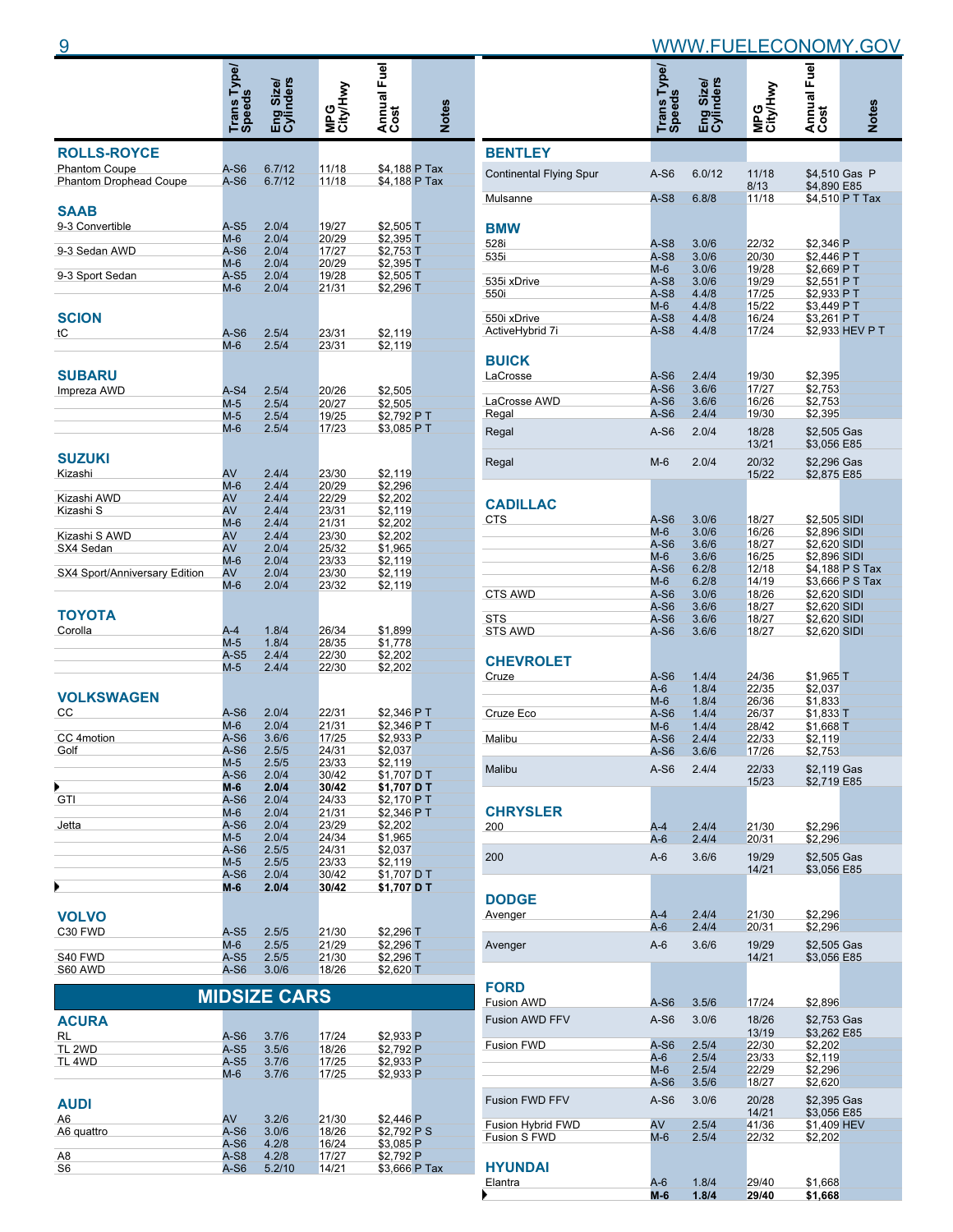|                                | Trans Type/<br>Speeds | Eng Size/<br>Cylinders | MPG<br>City/Hwy | Annual Fuel                | <b>Notes</b> |
|--------------------------------|-----------------------|------------------------|-----------------|----------------------------|--------------|
| <b>ROLLS-ROYCE</b>             |                       |                        |                 |                            |              |
| <b>Phantom Coupe</b>           | A-S6                  | 6.7/12                 | 11/18           | \$4,188 P Tax              |              |
| <b>Phantom Drophead Coupe</b>  | A-S6                  | 6.7/12                 | 11/18           | \$4,188 P Tax              |              |
|                                |                       |                        |                 |                            |              |
| <b>SAAB</b><br>9-3 Convertible | A-S5                  | 2.0/4                  | 19/27           | $$2,505$ T                 |              |
|                                | M-6                   | 2.0/4                  | 20/29           | $$2,395$ T                 |              |
| 9-3 Sedan AWD                  | A-S6                  | 2.0/4                  | 17/27           | \$2,753 T                  |              |
| 9-3 Sport Sedan                | M-6<br>A-S5           | 2.0/4<br>2.0/4         | 20/29<br>19/28  | \$2,395 T<br>\$2,505 $T$   |              |
|                                | M-6                   | 2.0/4                  | 21/31           | $$2,296$ T                 |              |
|                                |                       |                        |                 |                            |              |
| <b>SCION</b>                   |                       |                        |                 |                            |              |
| tC                             | A-S6                  | 2.5/4                  | 23/31           | \$2,119                    |              |
|                                | M-6                   | 2.5/4                  | 23/31           | \$2,119                    |              |
| SUBARU                         |                       |                        |                 |                            |              |
| Impreza AWD                    | $A-S4$                | 2.5/4                  | 20/26           | \$2,505                    |              |
|                                | $M-5$                 | 2.5/4                  | 20/27           | \$2,505                    |              |
|                                | $M-5$                 | 2.5/4                  | 19/25           | \$2,792 PT                 |              |
|                                | M-6                   | 2.5/4                  | 17/23           | \$3,085 P T                |              |
| <b>SUZUKI</b>                  |                       |                        |                 |                            |              |
| Kizashi                        | AV                    | 2.4/4                  | 23/30           | \$2,119                    |              |
|                                | $M-6$                 | 2.4/4                  | 20/29           | \$2,296                    |              |
| Kizashi AWD                    | AV                    | 2.4/4                  | 22/29           | \$2,202                    |              |
| Kizashi S                      | AV                    | 2.4/4                  | 23/31           | \$2,119                    |              |
| Kizashi S AWD                  | $M-6$<br>AV           | 2.4/4<br>2.4/4         | 21/31<br>23/30  | \$2,202<br>\$2,202         |              |
| SX4 Sedan                      | AV                    | 2.0/4                  | 25/32           | \$1,965                    |              |
|                                | $M-6$                 | 2.0/4                  | 23/33           | \$2,119                    |              |
| SX4 Sport/Anniversary Edition  | AV                    | 2.0/4                  | 23/30           | \$2,119                    |              |
|                                | M-6                   | 2.0/4                  | 23/32           | \$2,119                    |              |
| ΤΟΥΟΤΑ                         |                       |                        |                 |                            |              |
| Corolla                        | $A-4$                 | 1.8/4                  | 26/34           | \$1,899                    |              |
|                                | $M-5$                 | 1.8/4                  | 28/35           | \$1,778                    |              |
|                                | A-S5                  | 2.4/4                  | 22/30           | \$2,202                    |              |
|                                | $M-5$                 | 2.4/4                  | 22/30           | \$2,202                    |              |
|                                |                       |                        |                 |                            |              |
| <b>VOLKSWAGEN</b><br>CС        |                       | 2.0/4                  |                 |                            |              |
|                                | A-S6<br>$M-6$         | 2.0/4                  | 22/31<br>21/31  | \$2,346 PT<br>\$2,346 PT   |              |
| CC 4motion                     | A-S6                  | 3.6/6                  | 17/25           | \$2,933 P                  |              |
| Golf                           | A-S6                  | 2.5/5                  | 24/31           | \$2,037                    |              |
|                                | M-5<br>$A-S6$         | 2.5/5                  | 23/33           | \$2,119                    |              |
| ▶                              | M-6                   | 2.0/4<br>2.0/4         | 30/42<br>30/42  | \$1,707 D T<br>\$1,707 D T |              |
| GTI                            | A-S6                  | 2.0/4                  | 24/33           | \$2,170 PT                 |              |
|                                | $M-6$                 | 2.0/4                  | 21/31           | \$2,346 PT                 |              |
| Jetta                          | A-S6<br>$M-5$         | 2.0/4<br>2.0/4         | 23/29           | \$2,202<br>\$1,965         |              |
|                                | A-S6                  | 2.5/5                  | 24/34<br>24/31  | \$2,037                    |              |
|                                | $M-5$                 | 2.5/5                  | 23/33           | \$2,119                    |              |
|                                | A-S6                  | 2.0/4                  | 30/42           | \$1,707 D T                |              |
| ▶                              | M-6                   | 2.0/4                  | 30/42           | \$1,707 D T                |              |
| <b>VOLVO</b>                   |                       |                        |                 |                            |              |
| C30 FWD                        | A-S5                  | 2.5/5                  | 21/30           | \$2,296 T                  |              |
|                                | M-6                   | 2.5/5                  | 21/29           | \$2,296 T                  |              |
| S40 FWD                        | A-S5                  | 2.5/5                  | 21/30           | \$2,296 T                  |              |
| S60 AWD                        | A-S6                  | 3.0/6                  | 18/26           | \$2,620 T                  |              |
|                                |                       | <b>MIDSIZE CARS</b>    |                 |                            |              |
|                                |                       |                        |                 |                            |              |
| <b>ACIIDA</b>                  |                       |                        |                 |                            |              |

| <b>ACURA</b>   |        |        |       |               |  |
|----------------|--------|--------|-------|---------------|--|
| <b>RL</b>      | $A-S6$ | 3.7/6  | 17/24 | \$2,933 P     |  |
| TL 2WD         | $A-S5$ | 3.5/6  | 18/26 | \$2.792 P     |  |
| TL 4WD         | $A-S5$ | 3.7/6  | 17/25 | \$2.933 P     |  |
|                | $M-6$  | 3.7/6  | 17/25 | \$2.933 P     |  |
|                |        |        |       |               |  |
| <b>AUDI</b>    |        |        |       |               |  |
| A6             | AV     | 3.2/6  | 21/30 | \$2,446 P     |  |
| A6 quattro     | $A-S6$ | 3.0/6  | 18/26 | \$2.792 P S   |  |
|                | $A-S6$ | 4.2/8  | 16/24 | \$3.085 P     |  |
| A <sub>8</sub> | $A-S8$ | 4.2/8  | 17/27 | \$2,792 P     |  |
| S6             | $A-S6$ | 5.2/10 | 14/21 | \$3.666 P Tax |  |
|                |        |        |       |               |  |

|                                          | Trans Type/<br>Speeds | inders<br>Eng Size/<br>Cylinders | MPG<br>City/Hwy | Annual Fuel                  | <b>Notes</b>    |
|------------------------------------------|-----------------------|----------------------------------|-----------------|------------------------------|-----------------|
|                                          |                       |                                  |                 |                              |                 |
| <b>BENTLEY</b>                           |                       |                                  |                 |                              |                 |
| <b>Continental Flying Spur</b>           | A-S6                  | 6.0/12                           | 11/18<br>8/13   | \$4,890 E85                  | \$4,510 Gas P   |
| Mulsanne                                 | $A-S8$                | 6.8/8                            | 11/18           |                              | \$4,510 P T Tax |
| <b>BMW</b>                               |                       |                                  |                 |                              |                 |
| 528i                                     | $A-S8$                | 3.0/6                            | 22/32           | \$2,346 P                    |                 |
| 535i                                     | $A-S8$                | 3.0/6                            | 20/30           | \$2,446 PT                   |                 |
|                                          | $M-6$<br>$A-S8$       | 3.0/6                            | 19/28           | \$2.669 PT<br>\$2,551 PT     |                 |
| 535i xDrive<br>550i                      | A-S8                  | 3.0/6<br>4.4/8                   | 19/29<br>17/25  | \$2,933 PT                   |                 |
|                                          | $M-6$                 | 4.4/8                            | 15/22           | \$3,449 PT                   |                 |
| 550i xDrive                              | $A-S8$                | 4.4/8                            | 16/24           | \$3,261 PT                   |                 |
| ActiveHybrid 7i                          | A-S8                  | 4.4/8                            | 17/24           |                              | \$2,933 HEV P T |
|                                          |                       |                                  |                 |                              |                 |
| <b>BUICK</b>                             |                       |                                  |                 |                              |                 |
| LaCrosse                                 | $A-S6$<br>$A-S6$      | 2.4/4<br>3.6/6                   | 19/30<br>17/27  | \$2.395<br>\$2,753           |                 |
| LaCrosse AWD                             | A-S6                  | 3.6/6                            | 16/26           | \$2,753                      |                 |
| Regal                                    | $A-S6$                | 2.4/4                            | 19/30           | \$2,395                      |                 |
| Regal                                    | $A-S6$                | 2.0/4                            | 18/28           | \$2,505 Gas                  |                 |
|                                          |                       |                                  | 13/21           | \$3,056 E85                  |                 |
| Regal                                    | $M-6$                 | 2.0/4                            | 20/32           | \$2,296 Gas                  |                 |
|                                          |                       |                                  | 15/22           | \$2,875 E85                  |                 |
|                                          |                       |                                  |                 |                              |                 |
| <b>CADILLAC</b>                          |                       |                                  |                 |                              |                 |
| <b>CTS</b>                               | $A-S6$                | 3.0/6                            | 18/27           | \$2,505 SIDI                 |                 |
|                                          | $M-6$                 | 3.0/6                            | 16/26           | \$2,896 SIDI                 |                 |
|                                          | A-S6<br>$M-6$         | 3.6/6<br>3.6/6                   | 18/27<br>16/25  | \$2,620 SIDI<br>\$2,896 SIDI |                 |
|                                          | A-S6                  | 6.2/8                            | 12/18           |                              | \$4,188 P S Tax |
|                                          | $M-6$                 | 6.2/8                            | 14/19           |                              | \$3,666 P S Tax |
| <b>CTS AWD</b>                           | A-S6                  | 3.0/6                            | 18/26           | \$2,620 SIDI                 |                 |
|                                          | A-S6                  | 3.6/6                            | 18/27           | \$2,620 SIDI                 |                 |
| <b>STS</b><br><b>STS AWD</b>             | A-S6<br>A-S6          | 3.6/6<br>3.6/6                   | 18/27<br>18/27  | \$2,620 SIDI<br>\$2,620 SIDI |                 |
|                                          |                       |                                  |                 |                              |                 |
| <b>CHEVROLET</b>                         |                       |                                  |                 |                              |                 |
| Cruze                                    | A-S6                  | 1.4/4                            | 24/36           | $$1,965$ T                   |                 |
|                                          | $A-6$                 | 1.8/4                            | 22/35           | \$2,037                      |                 |
|                                          | $M-6$                 | 1.8/4                            | 26/36           | \$1,833                      |                 |
| Cruze Eco                                | A-S6                  | 1.4/4                            | 26/37           | \$1,833 T                    |                 |
| Malibu                                   | $M-6$<br>A-S6         | 1.4/4<br>2.4/4                   | 28/42<br>22/33  | \$1,668 T<br>\$2,119         |                 |
|                                          | A-S6                  | 3.6/6                            | 17/26           | \$2,753                      |                 |
| Malibu                                   | $A-S6$                | 2.4/4                            | 22/33           | \$2,119 Gas                  |                 |
|                                          |                       |                                  | 15/23           | \$2,719 E85                  |                 |
|                                          |                       |                                  |                 |                              |                 |
| <b>CHRYSLER</b>                          |                       |                                  |                 |                              |                 |
| 200                                      | A-4                   | 2.4/4                            | 21/30           | \$2,296                      |                 |
|                                          | A-6                   | 2.4/4                            | 20/31           | \$2,296                      |                 |
| 200                                      | $A-6$                 | 3.6/6                            | 19/29           | \$2,505 Gas                  |                 |
|                                          |                       |                                  | 14/21           | \$3,056 E85                  |                 |
|                                          |                       |                                  |                 |                              |                 |
| <b>DODGE</b>                             |                       |                                  |                 |                              |                 |
| Avenger                                  | A-4                   | 2.4/4                            | 21/30           | \$2,296                      |                 |
|                                          | A-6                   | 2.4/4                            | 20/31           | \$2,296                      |                 |
| Avenger                                  | $A-6$                 | 3.6/6                            | 19/29           | \$2,505 Gas                  |                 |
|                                          |                       |                                  | 14/21           | \$3,056 E85                  |                 |
|                                          |                       |                                  |                 |                              |                 |
| <b>FORD</b>                              |                       |                                  |                 |                              |                 |
| <b>Fusion AWD</b>                        | A-S6                  | 3.5/6                            | 17/24           | \$2,896                      |                 |
| <b>Fusion AWD FFV</b>                    | $A-S6$                | 3.0/6                            | 18/26           | \$2,753 Gas                  |                 |
| <b>Fusion FWD</b>                        | A-S6                  | 2.5/4                            | 13/19<br>22/30  | \$3,262 E85<br>\$2,202       |                 |
|                                          | A-6                   | 2.5/4                            | 23/33           | \$2,119                      |                 |
|                                          | $M-6$                 | 2.5/4                            | 22/29           | \$2,296                      |                 |
|                                          | A-S6                  | 3.5/6                            | 18/27           | \$2,620                      |                 |
| <b>Fusion FWD FFV</b>                    | A-S6                  | 3.0/6                            | 20/28           | \$2,395 Gas                  |                 |
|                                          |                       |                                  | 14/21           | \$3,056 E85                  |                 |
| <b>Fusion Hybrid FWD</b><br>Fusion S FWD | AV<br>M-6             | 2.5/4<br>2.5/4                   | 41/36<br>22/32  | \$1,409 HEV<br>\$2,202       |                 |
|                                          |                       |                                  |                 |                              |                 |
| <b>HYUNDAI</b>                           |                       |                                  |                 |                              |                 |
| Elantra                                  | A-6                   | 1.8/4                            | 29/40           | \$1,668                      |                 |

**M-6 1.8/4 29/40 \$1,668**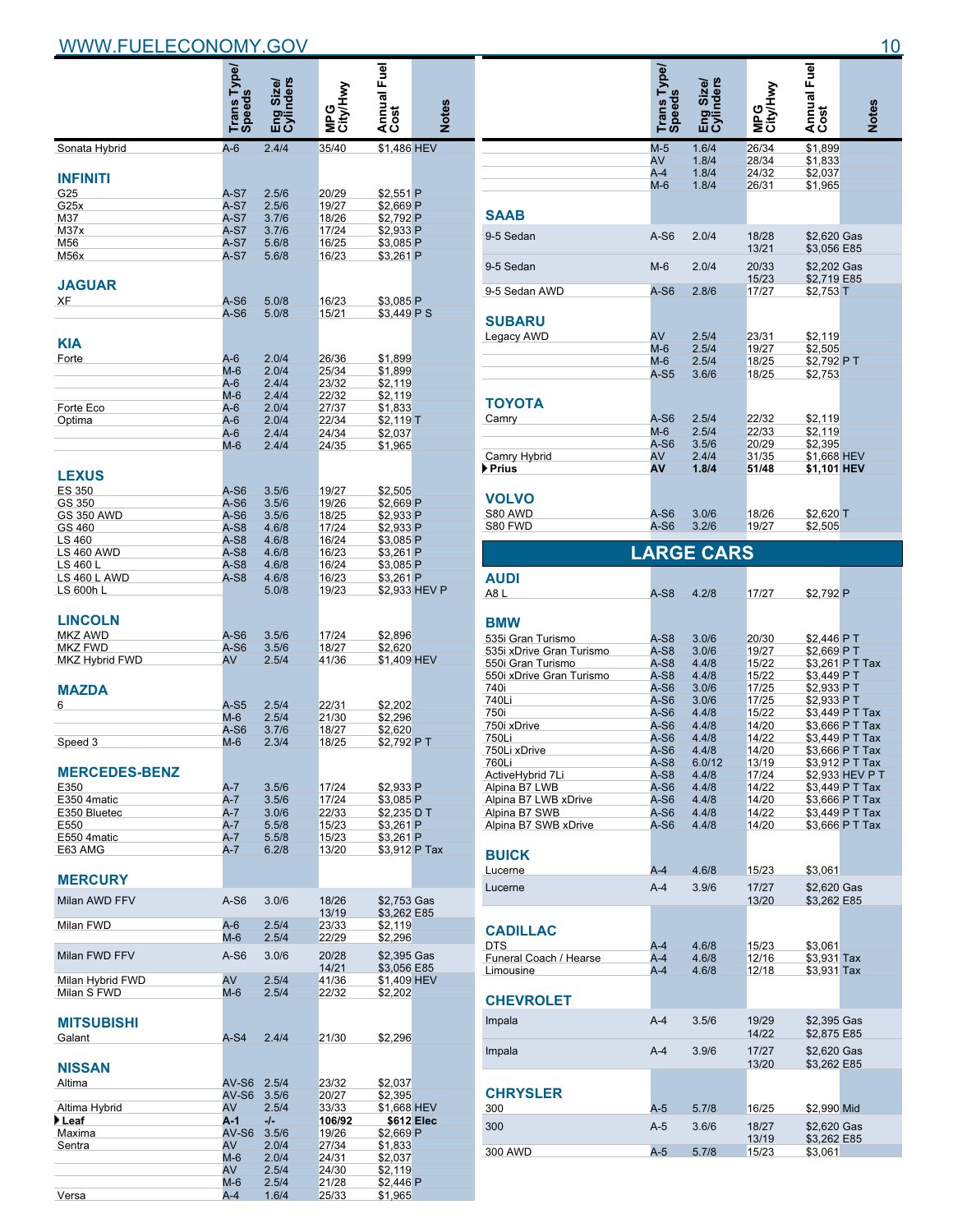|                                  | Trans Type/<br>Speeds | inders<br>Size/<br>es<br>민준 |                | l Annual Fuel<br>Cost      | Notes         |
|----------------------------------|-----------------------|-----------------------------|----------------|----------------------------|---------------|
| Sonata Hybrid                    | $A-6$                 | 2.4/4                       | 35/40          | \$1.486 HEV                |               |
| <b>INFINITI</b>                  |                       |                             |                |                            |               |
| G25                              | A-S7                  | 2.5/6                       | 20/29          | \$2,551 P                  |               |
| G25x                             | $A-S7$                | 2.5/6                       | 19/27          | \$2,669 P                  |               |
| M37                              | $A-S7$                | 3.7/6                       | 18/26          | \$2,792 P                  |               |
| M <sub>37x</sub>                 | $A-S7$                | 3.7/6                       | 17/24          | \$2,933 P                  |               |
| M56                              | $A-S7$                | 5.6/8                       | 16/25          | \$3,085 P                  |               |
| M56x                             | $A-S7$                | 5.6/8                       | 16/23          | \$3.261 P                  |               |
| <b>JAGUAR</b>                    |                       |                             |                |                            |               |
| XF                               | A-S6                  | 5.0/8                       | 16/23          | \$3,085 P                  |               |
|                                  | A-S6                  | 5.0/8                       | 15/21          | \$3,449 P S                |               |
|                                  |                       |                             |                |                            |               |
| KIA                              |                       |                             |                |                            |               |
| Forte                            | $A-6$                 | 2.0/4                       | 26/36          | \$1,899                    |               |
|                                  | $M-6$                 | 2.0/4                       | 25/34          | \$1,899                    |               |
|                                  | A-6                   | 2.4/4                       | 23/32          | \$2,119                    |               |
|                                  | M-6                   | 2.4/4                       | 22/32          | \$2,119                    |               |
| Forte Eco                        | A-6                   | 2.0/4                       | 27/37          | \$1,833                    |               |
| Optima                           | A-6                   | 2.0/4                       | 22/34          | $$2,119$ T                 |               |
|                                  | $A-6$                 | 2.4/4                       | 24/34          | \$2,037                    |               |
|                                  | $M-6$                 | 2.4/4                       | 24/35          | \$1,965                    |               |
| <b>LEXUS</b>                     |                       |                             |                |                            |               |
|                                  |                       |                             | 19/27          |                            |               |
| <b>ES 350</b><br>GS 350          | A-S6<br>$A-S6$        | 3.5/6<br>3.5/6              | 19/26          | \$2,505<br>\$2,669 P       |               |
| <b>GS 350 AWD</b>                | $A-S6$                | 3.5/6                       | 18/25          | \$2,933 P                  |               |
| GS 460                           | $A-S8$                | 4.6/8                       | 17/24          | \$2,933 P                  |               |
| LS 460                           | $A-S8$                | 4.6/8                       | 16/24          | \$3,085 P                  |               |
| <b>LS 460 AWD</b>                | $A-S8$                | 4.6/8                       | 16/23          | \$3,261 P                  |               |
| LS 460 L                         | $A-S8$                | 4.6/8                       | 16/24          | \$3,085 P                  |               |
| LS 460 L AWD                     | $A-S8$                | 4.6/8                       | 16/23          | \$3,261 P                  |               |
| LS 600h L                        |                       | 5.0/8                       | 19/23          |                            | \$2,933 HEV P |
| <b>LINCOLN</b><br><b>MKZ AWD</b> | A-S6                  | 3.5/6                       | 17/24          | \$2,896                    |               |
| <b>MKZ FWD</b>                   | $A-S6$                | 3.5/6                       | 18/27          | \$2,620                    |               |
| MKZ Hybrid FWD                   | AV                    | 2.5/4                       | 41/36          | \$1,409 HEV                |               |
| <b>MAZDA</b>                     |                       |                             |                |                            |               |
| 6                                | A-S5                  | 2.5/4                       | 22/31          | \$2.202                    |               |
|                                  | $M-6$                 | 2.5/4                       | 21/30          | \$2,296                    |               |
|                                  | $A-S6$                | 3.7/6                       | 18/27          | \$2,620                    |               |
| Speed 3                          | $M-6$                 | 2.3/4                       | 18/25          | \$2,792 PT                 |               |
| <b>MERCEDES-BENZ</b><br>E350     | A-7                   | 3.5/6                       | 17/24          | \$2.933 P                  |               |
| E350 4matic                      | $A-7$                 | 3.5/6                       | 17/24          | \$3,085 P                  |               |
| E350 Bluetec                     | A-7                   | 3.0/6                       | 22/33          | \$2.235 D T                |               |
| E550                             | A-7                   | 5.5/8                       | 15/23          | \$3,261 P                  |               |
| E550 4matic                      | $A-7$                 | 5.5/8                       | 15/23          | \$3,261 P                  |               |
| E63 AMG                          | $A-7$                 | 6.2/8                       | 13/20          | \$3,912 P Tax              |               |
| <b>MERCURY</b>                   |                       |                             |                |                            |               |
| Milan AWD FFV                    | A-S6                  | 3.0/6                       | 18/26          | \$2,753 Gas                |               |
|                                  |                       |                             | 13/19          | \$3,262 E85                |               |
| Milan FWD                        | $A-6$                 | 2.5/4                       | 23/33          | \$2,119                    |               |
|                                  | M-6                   | 2.5/4                       | 22/29          | \$2,296                    |               |
| Milan FWD FFV                    | $A-S6$                | 3.0/6                       | 20/28<br>14/21 | \$2,395 Gas<br>\$3,056 E85 |               |
| Milan Hybrid FWD                 | AV                    | 2.5/4                       | 41/36          | \$1,409 HEV                |               |
| Milan S FWD                      | $M-6$                 | 2.5/4                       | 22/32          | \$2,202                    |               |
| <b>MITSUBISHI</b>                |                       |                             |                |                            |               |
| Galant                           | $A-S4$                | 2.4/4                       | 21/30          | \$2,296                    |               |
| <b>NISSAN</b><br>Altima          | AV-S6                 | 2.5/4                       | 23/32          | \$2,037                    |               |
|                                  | $AV-S6$               | 3.5/6                       | 20/27          | \$2,395                    |               |
| Altima Hybrid                    | AV                    | 2.5/4                       | 33/33          | \$1,668 HEV                |               |
| ▶ Leaf                           | A-1                   | -/-                         | 106/92         |                            | \$612 Elec    |
| Maxima                           | AV-S6                 | 3.5/6                       | 19/26          | \$2,669 P                  |               |
| Sentra                           | AV                    | 2.0/4                       | 27/34          | \$1,833                    |               |
|                                  | $M-6$                 | 2.0/4                       | 24/31          | \$2,037                    |               |
|                                  | AV                    | 2.5/4                       | 24/30          | \$2,119                    |               |
|                                  | $M-6$                 | 2.5/4                       | 21/28          | \$2,446 P                  |               |
| Versa                            | A-4                   | 1.6/4                       | 25/33          | \$1,965                    |               |

|                                     | Trans Type/<br>Speeds |                        |                | Annual Fuel<br>Cost        |                                    |
|-------------------------------------|-----------------------|------------------------|----------------|----------------------------|------------------------------------|
|                                     |                       | <b>Inders</b><br>Size/ |                |                            |                                    |
|                                     |                       | Engi<br>Gylir          | ≩              |                            | <b>Notes</b>                       |
|                                     | $M-5$                 | 1.6/4                  | 26/34          | \$1,899                    |                                    |
|                                     | AV<br>$A-4$           | 1.8/4<br>1.8/4         | 28/34<br>24/32 | \$1,833<br>\$2,037         |                                    |
|                                     | M-6                   | 1.8/4                  | 26/31          | \$1,965                    |                                    |
| SAAB                                |                       |                        |                |                            |                                    |
|                                     | $A-S6$                |                        |                |                            |                                    |
| 9-5 Sedan                           |                       | 2.0/4                  | 18/28<br>13/21 | \$2,620 Gas<br>\$3,056 E85 |                                    |
| 9-5 Sedan                           | $M-6$                 | 2.0/4                  | 20/33<br>15/23 | \$2,202 Gas<br>\$2,719 E85 |                                    |
| 9-5 Sedan AWD                       | $A-S6$                | 2.8/6                  | 17/27          | \$2,753 T                  |                                    |
| <b>SUBARU</b>                       |                       |                        |                |                            |                                    |
| Legacy AWD                          | AV                    | 2.5/4                  | 23/31          | \$2,119                    |                                    |
|                                     | $M-6$                 | 2.5/4                  | 19/27          | \$2,505                    |                                    |
|                                     | $M-6$<br>$A-S5$       | 2.5/4<br>3.6/6         | 18/25<br>18/25 | \$2,792 PT                 |                                    |
|                                     |                       |                        |                | \$2,753                    |                                    |
| <b>TOYOTA</b>                       |                       |                        |                |                            |                                    |
| Camry                               | $A-S6$                | 2.5/4                  | 22/32          | \$2,119                    |                                    |
|                                     | $M-6$<br>$A-S6$       | 2.5/4<br>3.5/6         | 22/33<br>20/29 | \$2,119<br>\$2,395         |                                    |
| Camry Hybrid                        | AV                    | 2.4/4                  | 31/35          | \$1,668 HEV                |                                    |
| ▶ Prius                             | Α٧                    | 1.8/4                  | 51/48          | \$1,101 HEV                |                                    |
|                                     |                       |                        |                |                            |                                    |
| <b>VOLVO</b><br>S80 AWD             | A-S6                  | 3.0/6                  | 18/26          |                            |                                    |
| S80 FWD                             | A-S6                  | 3.2/6                  | 19/27          | $$2,620$ T<br>\$2,505      |                                    |
|                                     |                       | <b>LARGE CARS</b>      |                |                            |                                    |
| AUDI                                |                       |                        |                |                            |                                    |
| A8L                                 | A-S8                  | 4.2/8                  | 17/27          | \$2,792 P                  |                                    |
| <b>BMW</b>                          |                       |                        |                |                            |                                    |
| 535i Gran Turismo                   | $A-S8$                | 3.0/6                  | 20/30          | \$2,446 PT                 |                                    |
| 535i xDrive Gran Turismo            | A-S8                  | 3.0/6                  | 19/27          | \$2,669 PT                 |                                    |
| 550i Gran Turismo                   | $A-S8$                | 4.4/8                  | 15/22          |                            | \$3,261 P T Tax                    |
| 550i xDrive Gran Turismo            | $A-S8$                | 4.4/8                  | 15/22          | \$3,449 PT                 |                                    |
| 740i<br>740Li                       | A-S6<br>$A-S6$        | 3.0/6<br>3.0/6         | 17/25<br>17/25 | \$2,933 PT<br>\$2,933 PT   |                                    |
| 750i                                | A-S6                  | 4.4/8                  | 15/22          |                            | \$3,449 P T Tax                    |
| 750i xDrive                         | $A-S6$                | 4.4/8                  | 14/20          |                            | \$3,666 P T Tax                    |
| 750Li                               | A-S6                  | 4.4/8                  | 14/22          |                            | \$3,449 P T Tax                    |
| 750Li xDrive                        | A-S6                  | 4.4/8                  | 14/20          |                            | \$3,666 P T Tax                    |
| <b>/60LI</b><br>ActiveHybrid 7Li    | A-S8<br>A-S8          | 6.0/12<br>4.4/8        | 13/19          |                            | \$3,912 P T Tax                    |
| Alpina B7 LWB                       | A-S6                  | 4.4/8                  | 17/24<br>14/22 |                            | \$2,933 HEV P T<br>\$3,449 P T Tax |
| Alpina B7 LWB xDrive                | A-S6                  | 4.4/8                  | 14/20          |                            | \$3,666 P T Tax                    |
| Alpina B7 SWB                       | A-S6                  | 4.4/8                  | 14/22          |                            | \$3,449 P T Tax                    |
| Alpina B7 SWB xDrive                | A-S6                  | 4.4/8                  | 14/20          |                            | \$3,666 P T Tax                    |
| <b>BUICK</b>                        |                       |                        |                |                            |                                    |
| Lucerne                             | A-4                   | 4.6/8                  | 15/23          | \$3,061                    |                                    |
| Lucerne                             | $A-4$                 | 3.9/6                  | 17/27<br>13/20 | \$2,620 Gas<br>\$3.262 E85 |                                    |
|                                     |                       |                        |                |                            |                                    |
| <b>CADILLAC</b>                     |                       |                        |                |                            |                                    |
| <b>DTS</b>                          | A-4                   | 4.6/8                  | 15/23          | \$3,061                    |                                    |
| Funeral Coach / Hearse<br>Limousine | A-4<br>A-4            | 4.6/8<br>4.6/8         | 12/16<br>12/18 | \$3,931 Tax<br>\$3,931 Tax |                                    |
|                                     |                       |                        |                |                            |                                    |
| <b>CHEVROLET</b>                    |                       |                        |                |                            |                                    |
| Impala                              | $A-4$                 | 3.5/6                  | 19/29<br>14/22 | \$2,395 Gas<br>\$2,875 E85 |                                    |
| Impala                              | $A-4$                 | 3.9/6                  | 17/27          | \$2,620 Gas                |                                    |
|                                     |                       |                        | 13/20          | \$3,262 E85                |                                    |
| <b>CHRYSLER</b>                     |                       |                        |                |                            |                                    |
| 300                                 | $A-5$                 | 5.7/8                  | 16/25          | \$2,990 Mid                |                                    |
| 300                                 | $A-5$                 | 3.6/6                  | 18/27          | \$2,620 Gas                |                                    |
| 300 AWD                             | $A-5$                 | 5.7/8                  | 13/19<br>15/23 | \$3,262 E85<br>\$3,061     |                                    |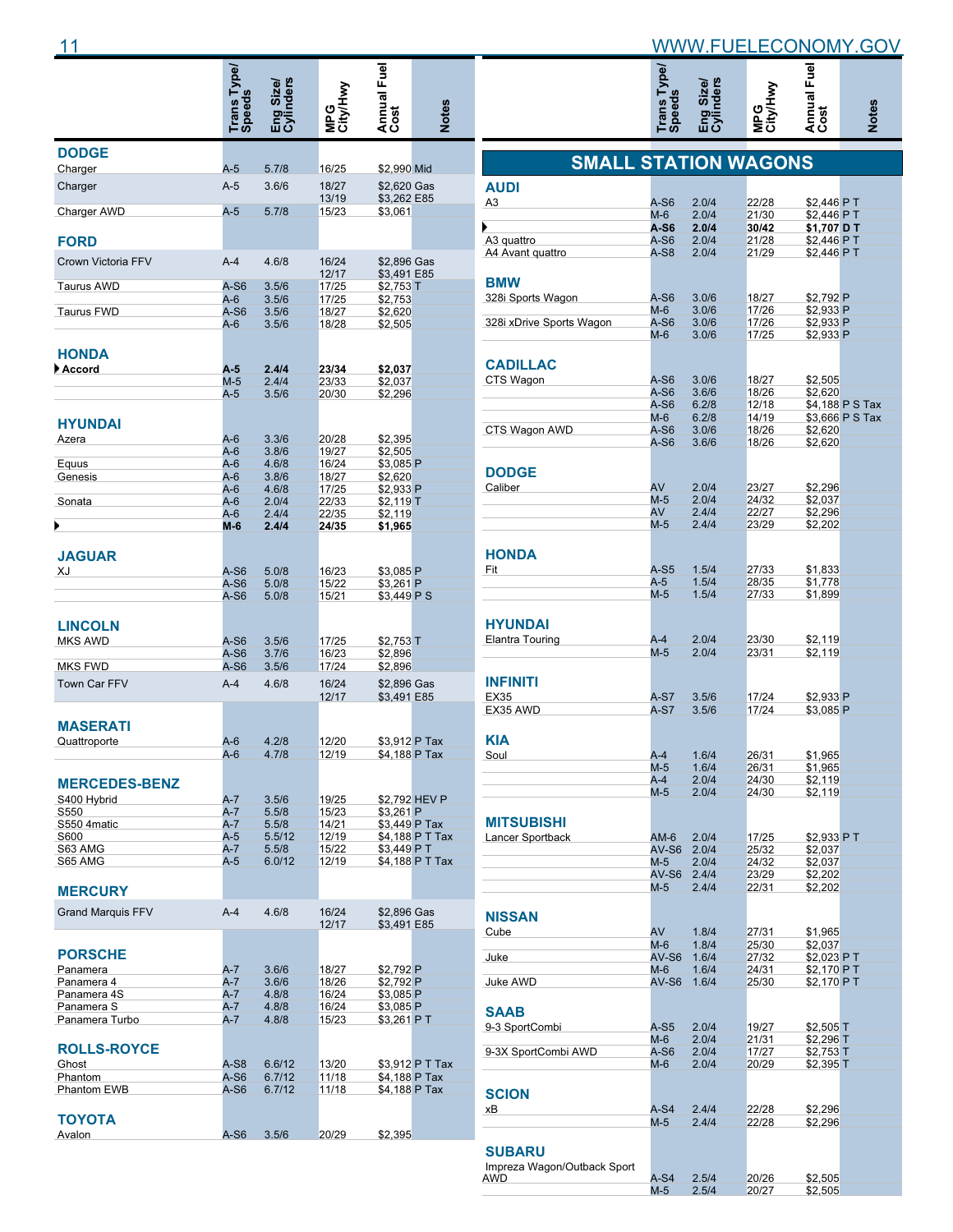|                                  | Trans Type/<br>Speeds | Eng Size/<br>Cylinders | MPG<br>City/Hwy | Annual Fuel                | <b>Notes</b>    |
|----------------------------------|-----------------------|------------------------|-----------------|----------------------------|-----------------|
| <b>DODGE</b><br>Charger          | A-5                   | 5.7/8                  | 16/25           | \$2,990 Mid                |                 |
| Charger                          | $A-5$                 | 3.6/6                  | 18/27           | \$2,620 Gas                |                 |
| Charger AWD                      | $A-5$                 | 5.7/8                  | 13/19<br>15/23  | \$3,262 E85<br>\$3,061     |                 |
| <b>FORD</b>                      |                       |                        |                 |                            |                 |
| Crown Victoria FFV               | $A-4$                 | 4.6/8                  | 16/24<br>12/17  | \$2,896 Gas<br>\$3,491 E85 |                 |
| <b>Taurus AWD</b>                | A-S6                  | 3.5/6                  | 17/25           | \$2,753 T                  |                 |
| <b>Taurus FWD</b>                | A-6<br>A-S6           | 3.5/6<br>3.5/6         | 17/25<br>18/27  | \$2,753<br>\$2,620         |                 |
| <b>HONDA</b>                     | A-6                   | 3.5/6                  | 18/28           | \$2,505                    |                 |
| Accord                           | A-5                   | 2.4/4                  | 23/34           | \$2,037                    |                 |
|                                  | $M-5$                 | 2.4/4                  | 23/33           | \$2,037                    |                 |
|                                  | A-5                   | 3.5/6                  | 20/30           | \$2,296                    |                 |
| <b>HYUNDAI</b><br>Azera          | A-6                   | 3.3/6                  | 20/28           | \$2,395                    |                 |
|                                  | A-6                   | 3.8/6                  | 19/27           | \$2,505                    |                 |
| Equus                            | A-6                   | 4.6/8                  | 16/24           | \$3,085 P                  |                 |
| Genesis                          | A-6<br>A-6            | 3.8/6<br>4.6/8         | 18/27<br>17/25  | \$2,620<br>\$2,933 P       |                 |
| Sonata                           | A-6                   | 2.0/4                  | 22/33           | \$2,119 T                  |                 |
|                                  | A-6                   | 2.4/4                  | 22/35           | \$2,119                    |                 |
| ▶                                | M-6                   | 2.4/4                  | 24/35           | \$1,965                    |                 |
| <b>JAGUAR</b><br>XJ              | A-S6                  | 5.0/8                  | 16/23           | \$3,085 P                  |                 |
|                                  | A-S6                  | 5.0/8                  | 15/22           | \$3,261 P                  |                 |
|                                  | A-S6                  | 5.0/8                  | 15/21           | \$3,449 P S                |                 |
| <b>LINCOLN</b><br><b>MKS AWD</b> | A-S6                  | 3.5/6                  | 17/25           |                            |                 |
|                                  | A-S6                  | 3.7/6                  | 16/23           | \$2,753 T<br>\$2,896       |                 |
| <b>MKS FWD</b>                   | $A-S6$                | 3.5/6                  | 17/24           | \$2,896                    |                 |
| Town Car FFV                     | $A-4$                 | 4.6/8                  | 16/24<br>12/17  | \$2,896 Gas<br>\$3,491 E85 |                 |
| MASERATI                         |                       |                        |                 |                            |                 |
| Quattroporte                     | A-6<br>A-6            | 4.2/8                  | 12/20<br>12/19  | \$3,912 P Tax              |                 |
| <b>MERCEDES-BENZ</b>             |                       | 4.7/8                  |                 | \$4,188 P Tax              |                 |
| S400 Hybrid                      | A-7                   | 3.5/6                  | 19/25           |                            | \$2,792 HEV P   |
| S550<br>S550 4matic              | A-7<br>A-7            | 5.5/8<br>5.5/8         | 15/23<br>14/21  | \$3,261 P<br>\$3,449 P Tax |                 |
| S600                             | A-5                   | 5.5/12                 | 12/19           |                            | \$4,188 P T Tax |
| S63 AMG                          | A-7                   | 5.5/8                  | 15/22           | \$3,449 PT                 |                 |
| S65 AMG<br><b>MERCURY</b>        | A-5                   | 6.0/12                 | 12/19           |                            | \$4,188 P T Tax |
| <b>Grand Marquis FFV</b>         | $A-4$                 | 4.6/8                  | 16/24<br>12/17  | \$2,896 Gas<br>\$3,491 E85 |                 |
| <b>PORSCHE</b>                   |                       |                        |                 |                            |                 |
| Panamera                         | $A-7$                 | 3.6/6                  | 18/27           | \$2,792 P                  |                 |
| Panamera 4<br>Panamera 4S        | A-7<br>$A-7$          | 3.6/6<br>4.8/8         | 18/26<br>16/24  | \$2,792 P<br>\$3,085 P     |                 |
| Panamera S                       | A-7                   | 4.8/8                  | 16/24           | \$3,085 P                  |                 |
| Panamera Turbo                   | A-7                   | 4.8/8                  | 15/23           | \$3,261 P T                |                 |
| <b>ROLLS-ROYCE</b>               |                       |                        |                 |                            |                 |
| Ghost<br>Phantom                 | A-S8<br>A-S6          | 6.6/12<br>6.7/12       | 13/20<br>11/18  | \$4,188 P Tax              | \$3,912 P T Tax |
| Phantom EWB                      | A-S6                  | 6.7/12                 | 11/18           | \$4,188 P Tax              |                 |
| ΤΟΥΟΤΑ                           |                       |                        |                 |                            |                 |
| Avalon                           | A-S6                  | 3.5/6                  | 20/29           | \$2,395                    |                 |

|                             | Trans Type/<br>Speeds | Eng Size/<br>Cylinders | MPG<br>City/Hwy | Annual Fuel               | <b>Notes</b>    |
|-----------------------------|-----------------------|------------------------|-----------------|---------------------------|-----------------|
| <b>SMALL STATION WAGONS</b> |                       |                        |                 |                           |                 |
| <b>AUDI</b>                 |                       |                        |                 |                           |                 |
| A3                          | A-S6                  | 2.0/4                  | 22/28           | \$2,446 PT                |                 |
|                             | M-6<br>A-S6           | 2.0/4<br>2.0/4         | 21/30<br>30/42  | \$2,446 PT<br>\$1,707 D T |                 |
| A3 quattro                  | A-S6                  | 2.0/4                  | 21/28           | \$2,446 PT                |                 |
| A4 Avant quattro            | A-S8                  | 2.0/4                  | 21/29           | \$2,446 PT                |                 |
|                             |                       |                        |                 |                           |                 |
| <b>BMW</b>                  |                       |                        |                 |                           |                 |
| 328i Sports Wagon           | A-S6                  | 3.0/6                  | 18/27           | \$2,792 P                 |                 |
| 328i xDrive Sports Wagon    | M-6<br>A-S6           | 3.0/6<br>3.0/6         | 17/26<br>17/26  | \$2,933 P<br>\$2,933 P    |                 |
|                             | M-6                   | 3.0/6                  | 17/25           | \$2,933 P                 |                 |
|                             |                       |                        |                 |                           |                 |
| <b>CADILLAC</b>             |                       |                        |                 |                           |                 |
| CTS Wagon                   | $A-S6$                | 3.0/6                  | 18/27           | \$2,505                   |                 |
|                             | $A-S6$<br>A-S6        | 3.6/6<br>6.2/8         | 18/26<br>12/18  | \$2,620                   | \$4,188 P S Tax |
|                             | M-6                   | 6.2/8                  | 14/19           |                           | \$3,666 P S Tax |
| CTS Wagon AWD               | $A-S6$                | 3.0/6                  | 18/26           | \$2.620                   |                 |
|                             | A-S6                  | 3.6/6                  | 18/26           | \$2,620                   |                 |
|                             |                       |                        |                 |                           |                 |
| <b>DODGE</b>                |                       |                        |                 |                           |                 |
| Caliber                     | AV                    | 2.0/4                  | 23/27           | \$2,296                   |                 |
|                             | $M-5$<br>AV           | 2.0/4                  | 24/32           | \$2,037                   |                 |
|                             | $M-5$                 | 2.4/4<br>2.4/4         | 22/27<br>23/29  | \$2,296<br>\$2,202        |                 |
|                             |                       |                        |                 |                           |                 |
| <b>HONDA</b>                |                       |                        |                 |                           |                 |
| Fit                         | $A-S5$                | 1.5/4                  | 27/33           | \$1,833                   |                 |
|                             | A-5                   | 1.5/4                  | 28/35           | \$1,778                   |                 |
|                             | $M-5$                 | 1.5/4                  | 27/33           | \$1,899                   |                 |
|                             |                       |                        |                 |                           |                 |
| <b>HYUNDAI</b>              |                       |                        |                 |                           |                 |
| Elantra Touring             | $A-4$                 | 2.0/4                  | 23/30           | \$2,119                   |                 |
|                             | $M-5$                 | 2.0/4                  | 23/31           | \$2,119                   |                 |
|                             |                       |                        |                 |                           |                 |
| <b>INFINITI</b>             |                       |                        |                 |                           |                 |
| <b>EX35</b><br>EX35 AWD     | A-S7<br>$A-S7$        | 3.5/6<br>3.5/6         | 17/24<br>17/24  | \$2,933 P<br>\$3,085 P    |                 |
|                             |                       |                        |                 |                           |                 |
| <b>KIA</b>                  |                       |                        |                 |                           |                 |
| Soul                        | A-4                   | 1.6/4                  | 26/31           | \$1,965                   |                 |
|                             | $M-5$                 | 1.6/4                  | 26/31           | \$1,965                   |                 |
|                             | A-4                   | 2.0/4                  | 24/30           | \$2,119                   |                 |
|                             | $M-5$                 | 2.0/4                  | 24/30           | \$2,119                   |                 |
|                             |                       |                        |                 |                           |                 |
| <b>MITSUBISHI</b>           |                       |                        |                 |                           |                 |
| Lancer Sportback            | $AM-6$<br>AV-S6       | 2.0/4<br>2.0/4         | 17/25<br>25/32  | \$2,933 PT<br>\$2.037     |                 |
|                             | $M-5$                 | 2.0/4                  | 24/32           | \$2,037                   |                 |
|                             | AV-S6                 | 2.4/4                  | 23/29           | \$2,202                   |                 |
|                             | $M-5$                 | 2.4/4                  | 22/31           | \$2,202                   |                 |
|                             |                       |                        |                 |                           |                 |
| <b>NISSAN</b>               |                       |                        |                 |                           |                 |
| Cube                        | AV                    | 1.8/4                  | 27/31           | \$1,965                   |                 |
| Juke                        | M-6<br>$AV-S6$        | 1.8/4<br>1.6/4         | 25/30<br>27/32  | \$2,037<br>\$2,023 PT     |                 |
|                             | M-6                   | 1.6/4                  | 24/31           | \$2,170 PT                |                 |
| Juke AWD                    | AV-S6                 | 1.6/4                  | 25/30           | \$2,170 PT                |                 |
|                             |                       |                        |                 |                           |                 |
| SAAB                        |                       |                        |                 |                           |                 |
| 9-3 SportCombi              | A-S5                  | 2.0/4                  | 19/27           | $$2,505$ T                |                 |
|                             | M-6                   | 2.0/4                  | 21/31           | \$2,296 T                 |                 |
| 9-3X SportCombi AWD         | A-S6<br>M-6           | 2.0/4<br>2.0/4         | 17/27<br>20/29  | $$2,753$ T<br>\$2,395 T   |                 |
|                             |                       |                        |                 |                           |                 |
| <b>SCION</b>                |                       |                        |                 |                           |                 |
| хB                          | $A-S4$                | 2.4/4                  | 22/28           | \$2,296                   |                 |
|                             | $M-5$                 | 2.4/4                  | 22/28           | \$2,296                   |                 |
|                             |                       |                        |                 |                           |                 |
| <b>SUBARU</b>               |                       |                        |                 |                           |                 |
| Impreza Wagon/Outback Sport |                       |                        |                 |                           |                 |
| awd                         | A-S4<br>M-5           | 2.5/4<br>2.5/4         | 20/26<br>20/27  | \$2,505<br>\$2,505        |                 |
|                             |                       |                        |                 |                           |                 |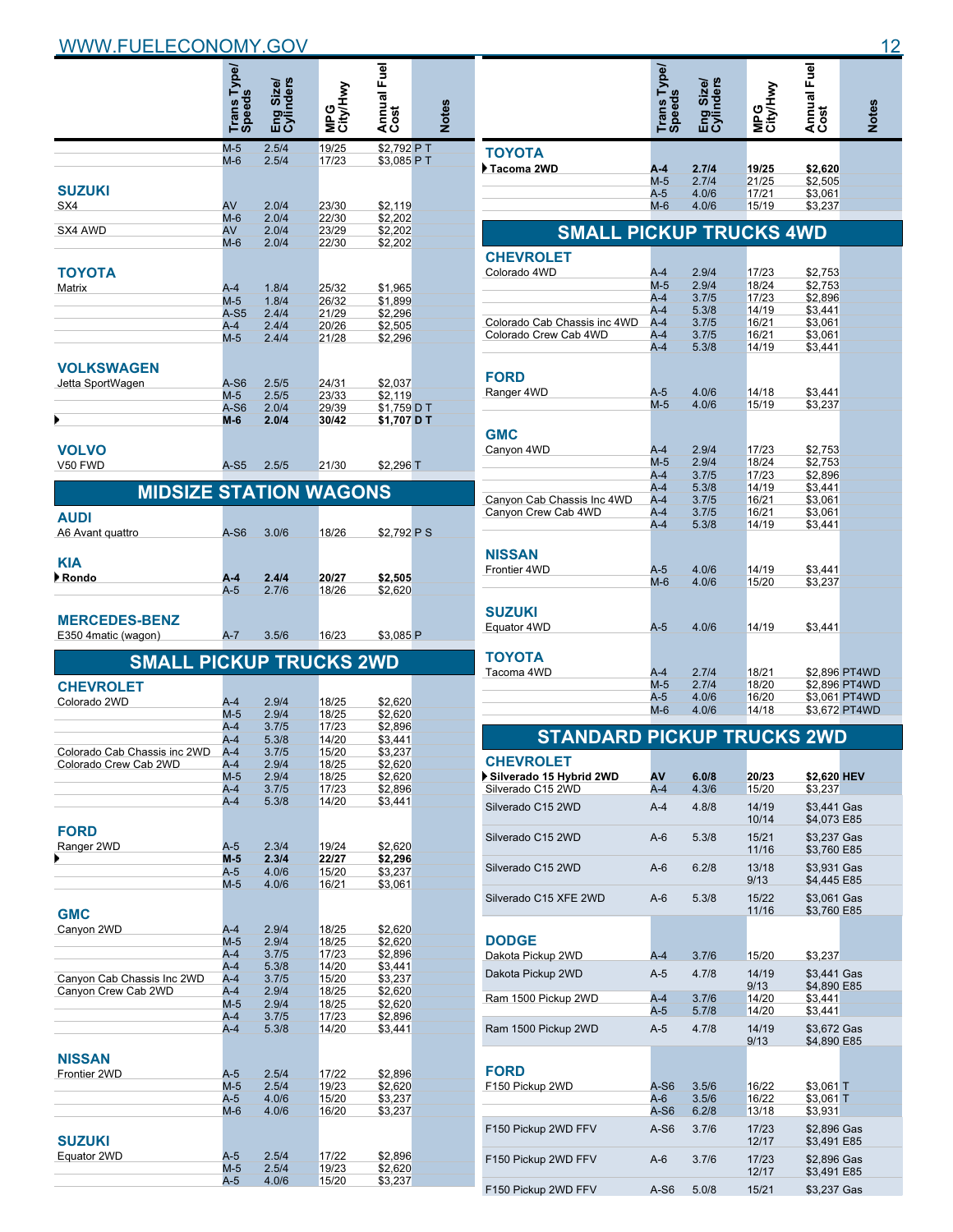|                                                       | Trans Type/<br>Speeds | Eng Size/<br>Cylinders | MPG<br>City/Hwy | Annual Fuel        | <b>Notes</b> |
|-------------------------------------------------------|-----------------------|------------------------|-----------------|--------------------|--------------|
|                                                       | $M-5$                 | 2.5/4                  | 19/25           | \$2,792 PT         |              |
|                                                       | $M-6$                 | 2.5/4                  | 17/23           | \$3.085 PT         |              |
| <b>SUZUKI</b>                                         |                       |                        |                 |                    |              |
| SX4                                                   | AV<br>$M-6$           | 2.0/4<br>2.0/4         | 23/30<br>22/30  | \$2,119<br>\$2,202 |              |
| SX4 AWD                                               | AV<br>$M - 6$         | 2.0/4<br>2.0/4         | 23/29<br>22/30  | \$2,202<br>\$2,202 |              |
|                                                       |                       |                        |                 |                    |              |
| ΤΟΥΟΤΑ                                                |                       |                        |                 |                    |              |
| Matrix                                                | $A-4$<br>$M-5$        | 1.8/4<br>1.8/4         | 25/32<br>26/32  | \$1,965<br>\$1,899 |              |
|                                                       | $A-S5$                | 2.4/4                  | 21/29           | \$2,296            |              |
|                                                       | $A-4$<br>$M-5$        | 2.4/4<br>2.4/4         | 20/26<br>21/28  | \$2,505<br>\$2,296 |              |
|                                                       |                       |                        |                 |                    |              |
| VOLKSWAGEN                                            |                       |                        |                 |                    |              |
| Jetta SportWagen                                      | $A-S6$<br>$M-5$       | 2.5/5<br>2.5/5         | 24/31<br>23/33  | \$2,037<br>\$2,119 |              |
|                                                       | $A-S6$                | 2.0/4                  | 29/39           | \$1,759 D T        |              |
| ▶                                                     | M-6                   | 2.0/4                  | 30/42           | \$1.707 D T        |              |
| <b>VOLVO</b>                                          |                       |                        |                 |                    |              |
| V50 FWD                                               | A-S5                  | 2.5/5                  | 21/30           | \$2,296 T          |              |
| <b>MIDSIZE STATION WAGONS</b>                         |                       |                        |                 |                    |              |
|                                                       |                       |                        |                 |                    |              |
| <b>AUDI</b>                                           |                       |                        |                 |                    |              |
| A6 Avant quattro                                      | A-S6                  | 3.0/6                  | 18/26           | \$2,792 P S        |              |
| <b>KIA</b>                                            |                       |                        |                 |                    |              |
| $\blacktriangleright$ Rondo                           | $A-4$                 | 2.4/4                  | 20/27           | \$2,505            |              |
|                                                       | $A-5$                 | 2.7/6                  | 18/26           | \$2,620            |              |
| <b>MERCEDES-BENZ</b>                                  |                       |                        |                 |                    |              |
| E350 4 matic (wagon)                                  | A-7                   | 3.5/6                  | 16/23           | \$3,085 P          |              |
| <b>SMALL PICKUP TRUCKS 2WD</b>                        |                       |                        |                 |                    |              |
| <b>CHEVROLET</b>                                      |                       |                        |                 |                    |              |
| Colorado 2WD                                          | A-4                   | 2.9/4                  | 18/25           | \$2,620            |              |
|                                                       | $M-5$<br>A-4          | 2.9/4<br>3.7/5         | 18/25<br>17/23  | \$2,620<br>\$2,896 |              |
|                                                       | A-4                   | 5.3/8                  | 14/20           | \$3.441            |              |
| Colorado Cab Chassis inc 2WD<br>Colorado Crew Cab 2WD | $A-4$                 | 3.7/5                  | 15/20           | \$3,237            |              |
|                                                       | A-4<br>$M-5$          | 2.9/4<br>2.9/4         | 18/25<br>18/25  | \$2,620<br>\$2,620 |              |
|                                                       | $A-4$                 | 3.7/5                  | 17/23           | \$2,896            |              |
|                                                       | $A-4$                 | 5.3/8                  | 14/20           | \$3,441            |              |
| <b>FORD</b>                                           |                       |                        |                 |                    |              |
| Ranger 2WD                                            | A-5                   | 2.3/4                  | 19/24           | \$2,620            |              |
| ▶                                                     | $M-5$<br>$A-5$        | 2.3/4<br>4.0/6         | 22/27<br>15/20  | \$2,296<br>\$3,237 |              |
|                                                       | $M-5$                 | 4.0/6                  | 16/21           | \$3,061            |              |
|                                                       |                       |                        |                 |                    |              |
| <b>GMC</b>                                            |                       |                        |                 |                    |              |
| Canyon 2WD                                            | $A-4$<br>$M-5$        | 2.9/4<br>2.9/4         | 18/25<br>18/25  | \$2,620<br>\$2,620 |              |
|                                                       | A-4                   | 3.7/5                  | 17/23           | \$2,896            |              |
| Canyon Cab Chassis Inc 2WD                            | $A-4$<br>A-4          | 5.3/8<br>3.7/5         | 14/20<br>15/20  | \$3,441<br>\$3,237 |              |
| Canyon Crew Cab 2WD                                   | A-4                   | 2.9/4                  | 18/25           | \$2,620            |              |
|                                                       | $M-5$                 | 2.9/4                  | 18/25           | \$2,620            |              |
|                                                       | $A-4$<br>A-4          | 3.7/5<br>5.3/8         | 17/23<br>14/20  | \$2,896<br>\$3,441 |              |
|                                                       |                       |                        |                 |                    |              |
| <b>NISSAN</b>                                         |                       |                        |                 |                    |              |
| Frontier 2WD                                          | A-5<br>$M-5$          | 2.5/4<br>2.5/4         | 17/22<br>19/23  | \$2,896<br>\$2,620 |              |
|                                                       | A-5                   | 4.0/6                  | 15/20           | \$3,237            |              |
|                                                       | $M-6$                 | 4.0/6                  | 16/20           | \$3,237            |              |
| <b>SUZUKI</b>                                         |                       |                        |                 |                    |              |
| Equator 2WD                                           | A-5                   | 2.5/4                  | 17/22           | \$2,896            |              |
|                                                       | $M-5$                 | 2.5/4                  | 19/23           | \$2,620            |              |
|                                                       | A-5                   | 4.0/6                  | 15/20           | \$3,237            |              |

|                                                       | Trans Type/<br>Speeds | linders<br>Eng Size | MPG<br>City/Hwy | Annual Fuel        | <b>Notes</b>  |
|-------------------------------------------------------|-----------------------|---------------------|-----------------|--------------------|---------------|
|                                                       |                       |                     |                 |                    |               |
| <b>TOYOTA</b>                                         |                       |                     |                 |                    |               |
| Tacoma 2WD                                            | $A-4$<br>$M-5$        | 2.7/4               | 19/25           | \$2,620            |               |
|                                                       | $A-5$                 | 2.7/4<br>4.0/6      | 21/25<br>17/21  | \$2.505<br>\$3,061 |               |
|                                                       | $M-6$                 | 4.0/6               | 15/19           | \$3,237            |               |
|                                                       |                       |                     |                 |                    |               |
| <b>SMALL PICKUP TRUCKS 4WD</b>                        |                       |                     |                 |                    |               |
| <b>CHEVROLET</b>                                      |                       |                     |                 |                    |               |
| Colorado 4WD                                          | $A-4$                 | 2.9/4               | 17/23           | \$2,753            |               |
|                                                       | $M-5$                 | 2.9/4               | 18/24           | \$2,753            |               |
|                                                       | $A-4$                 | 3.7/5               | 17/23           | \$2,896            |               |
|                                                       | $A-4$                 | 5.3/8               | 14/19           | \$3,441            |               |
| Colorado Cab Chassis inc 4WD<br>Colorado Crew Cab 4WD | $A-4$<br>$A-4$        | 3.7/5<br>3.7/5      | 16/21<br>16/21  | \$3.061<br>\$3.061 |               |
|                                                       | $A-4$                 | 5.3/8               | 14/19           | \$3,441            |               |
|                                                       |                       |                     |                 |                    |               |
| FORD                                                  |                       |                     |                 |                    |               |
| Ranger 4WD                                            | $A-5$                 | 4.0/6               | 14/18           | \$3.441            |               |
|                                                       | $M-5$                 | 4.0/6               | 15/19           | \$3.237            |               |
|                                                       |                       |                     |                 |                    |               |
| GMC                                                   |                       |                     |                 |                    |               |
| Canyon 4WD                                            | $A-4$                 | 2.9/4               | 17/23           | \$2,753            |               |
|                                                       | $M-5$                 | 2.9/4               | 18/24           | \$2.753            |               |
|                                                       | $A-4$                 | 3.7/5               | 17/23           | \$2,896            |               |
|                                                       | $A-4$                 | 5.3/8               | 14/19           | \$3,441            |               |
| Canyon Cab Chassis Inc 4WD                            | $A-4$                 | 3.7/5               | 16/21           | \$3,061            |               |
| Canyon Crew Cab 4WD                                   | $A-4$                 | 3.7/5               | 16/21           | \$3,061            |               |
|                                                       | $A-4$                 | 5.3/8               | 14/19           | \$3,441            |               |
| <b>NISSAN</b>                                         |                       |                     |                 |                    |               |
|                                                       |                       |                     |                 |                    |               |
| Frontier 4WD                                          | $A-5$<br>$M-6$        | 4.0/6<br>4.0/6      | 14/19<br>15/20  | \$3,441<br>\$3,237 |               |
|                                                       |                       |                     |                 |                    |               |
| <b>SUZUKI</b>                                         |                       |                     |                 |                    |               |
| Equator 4WD                                           | $A-5$                 | 4.0/6               | 14/19           | \$3,441            |               |
|                                                       |                       |                     |                 |                    |               |
| ΤΟΥΟΤΑ                                                |                       |                     |                 |                    |               |
| Tacoma 4WD                                            | $A-4$                 | 2.7/4               | 18/21           |                    | \$2,896 PT4WD |
|                                                       | $M-5$                 | 2.7/4               | 18/20           |                    | \$2.896 PT4WD |
|                                                       | $A-5$                 | 4.0/6               | 16/20           |                    | \$3,061 PT4WD |
|                                                       | $M-6$                 | 4.0/6               | 14/18           |                    | \$3,672 PT4WD |
|                                                       |                       |                     |                 |                    |               |

| <b>STANDARD PICKUP TRUCKS 2WD</b>           |        |       |                |                            |  |
|---------------------------------------------|--------|-------|----------------|----------------------------|--|
| <b>CHEVROLET</b><br>Silverado 15 Hybrid 2WD | AV     | 6.0/8 | 20/23          | \$2,620 HEV                |  |
| Silverado C15 2WD                           | $A-4$  | 4.3/6 | 15/20          | \$3.237                    |  |
| Silverado C15 2WD                           | $A-4$  | 4.8/8 | 14/19<br>10/14 | \$3.441 Gas<br>\$4,073 E85 |  |
| Silverado C15 2WD                           | $A-6$  | 5.3/8 | 15/21<br>11/16 | \$3,237 Gas<br>\$3,760 E85 |  |
| Silverado C15 2WD                           | $A-6$  | 6.2/8 | 13/18<br>9/13  | \$3.931 Gas<br>\$4,445 E85 |  |
| Silverado C15 XFE 2WD                       | $A-6$  | 5.3/8 | 15/22<br>11/16 | \$3.061 Gas<br>\$3,760 E85 |  |
| <b>DODGE</b>                                |        |       |                |                            |  |
| Dakota Pickup 2WD                           | $A-4$  | 3.7/6 | 15/20          | \$3,237                    |  |
| Dakota Pickup 2WD                           | $A-5$  | 4.7/8 | 14/19<br>9/13  | \$3,441 Gas<br>\$4.890 E85 |  |
| Ram 1500 Pickup 2WD                         | $A-4$  | 3.7/6 | 14/20          | \$3,441                    |  |
|                                             | $A-5$  | 5.7/8 | 14/20          | \$3,441                    |  |
| Ram 1500 Pickup 2WD                         | $A-5$  | 4.7/8 | 14/19<br>9/13  | \$3.672 Gas<br>\$4,890 E85 |  |
| <b>FORD</b>                                 |        |       |                |                            |  |
| F150 Pickup 2WD                             | $A-S6$ | 3.5/6 | 16/22          | \$3,061 T                  |  |
|                                             | $A-6$  | 3.5/6 | 16/22          | \$3.061 T                  |  |
|                                             | $A-S6$ | 6.2/8 | 13/18          | \$3.931                    |  |
| F150 Pickup 2WD FFV                         | $A-S6$ | 3.7/6 | 17/23<br>12/17 | \$2,896 Gas<br>\$3,491 E85 |  |
| F150 Pickup 2WD FFV                         | $A-6$  | 3.7/6 | 17/23<br>12/17 | \$2,896 Gas<br>\$3,491 E85 |  |
| F150 Pickup 2WD FFV                         | $A-S6$ | 5.0/8 | 15/21          | \$3.237 Gas                |  |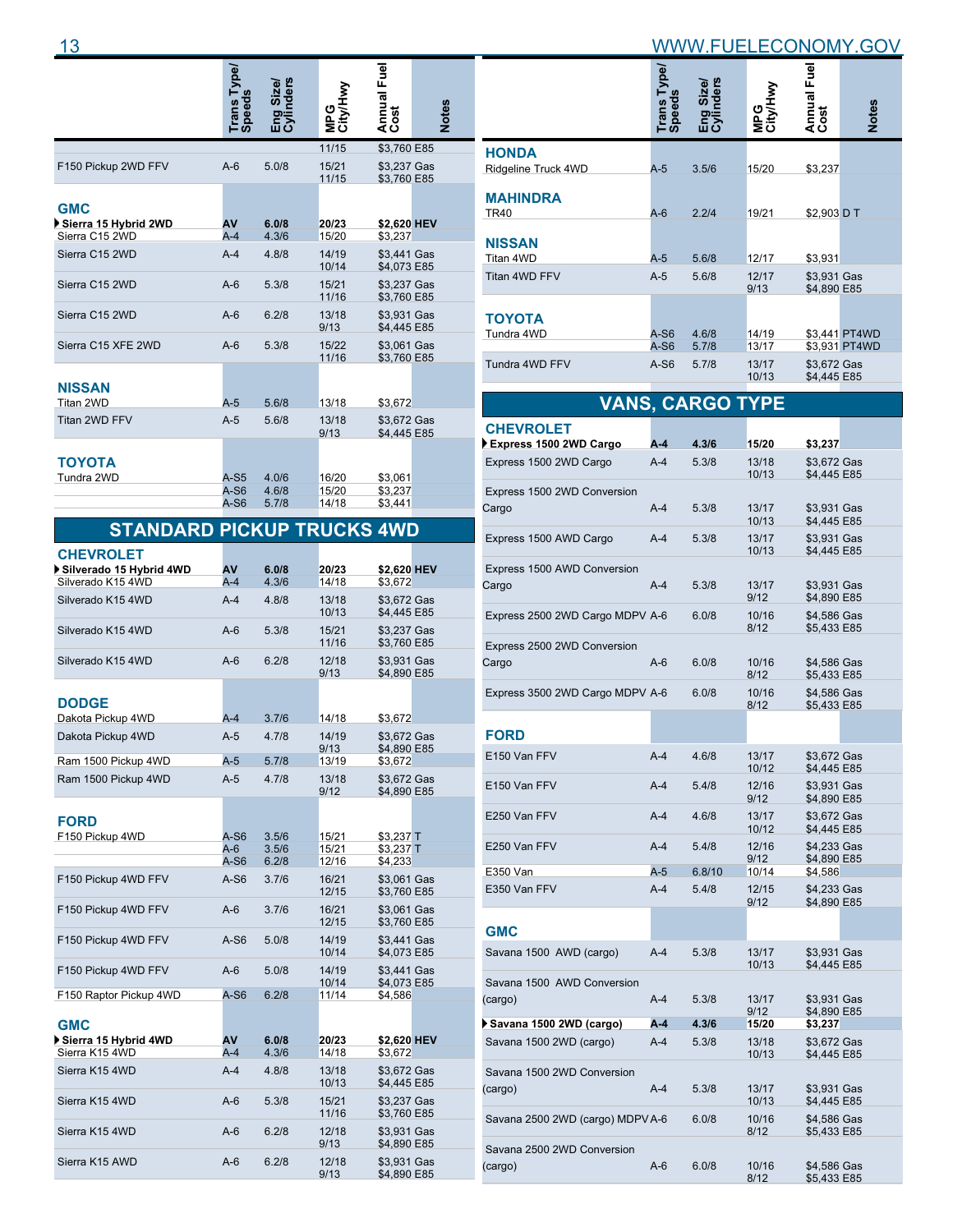| $\overline{a}$ |       |  |   | ж<br>ורו | . |
|----------------|-------|--|---|----------|---|
|                | <br>ω |  | . | മ        |   |

|                                                      | rpe)<br>Trans Ty<br>Speeds | nders<br>Sizel<br>모.<br>민준 | MPG<br>City/Hwy         | Annual Fuel<br>Cost           | Notes |
|------------------------------------------------------|----------------------------|----------------------------|-------------------------|-------------------------------|-------|
|                                                      |                            |                            | 11/15                   | \$3,760 E85                   |       |
| F150 Pickup 2WD FFV                                  | $A-6$                      | 5.0/8                      | 15/21<br>11/15          | \$3,237 Gas<br>\$3,760 E85    |       |
| <b>GMC</b><br>Sierra 15 Hybrid 2WD<br>Sierra C15 2WD | AV                         | 6.0/8                      | 20/23                   | \$2,620 HEV                   |       |
|                                                      | $A-4$                      | 4.3/6                      | 15/20                   | \$3,237                       |       |
| Sierra C15 2WD                                       | $A-4$                      | 4.8/8                      | 14/19<br>10/14          | \$3,441 Gas<br>\$4,073 E85    |       |
| Sierra C15 2WD                                       | $A-6$                      | 5.3/8                      | 15/21<br>11/16          | \$3,237 Gas<br>\$3,760 E85    |       |
| Sierra C15 2WD                                       | $A-6$                      | 6.2/8                      | 13/18<br>9/13           | \$3,931 Gas<br>\$4,445 E85    |       |
| Sierra C15 XFE 2WD                                   | $A-6$                      | 5.3/8                      | 15/22<br>11/16          | \$3,061 Gas<br>\$3,760 E85    |       |
| <b>NISSAN</b><br>Titan 2WD                           | $A-5$                      | 5.6/8                      | 13/18                   | \$3,672                       |       |
| Titan 2WD FFV                                        | $A-5$                      | 5.6/8                      | 13/18<br>9/13           | \$3,672 Gas<br>\$4,445 E85    |       |
| <b>TOYOTA</b><br>Tundra 2WD                          | $A-S5$<br>$A-S6$<br>$A-S6$ | 4.0/6<br>4.6/8<br>5.7/8    | 16/20<br>15/20<br>14/18 | \$3,061<br>\$3,237<br>\$3,441 |       |
| 87 A<br>NIN                                          | nr                         |                            |                         | <i>AWR</i>                    |       |

#### **STANDARD PICKUP TRUCKS 4WD**

| <b>CHEVROLET</b>                       |                 |                |                |                            |  |
|----------------------------------------|-----------------|----------------|----------------|----------------------------|--|
| Silverado 15 Hybrid 4WD                | AV              | 6.0/8          | 20/23          | \$2,620 HEV                |  |
| Silverado K15 4WD                      | $A-4$           | 4.3/6          | 14/18          | \$3.672                    |  |
| Silverado K15 4WD                      | $A-4$           | 4.8/8          | 13/18<br>10/13 | \$3.672 Gas<br>\$4,445 E85 |  |
| Silverado K15 4WD                      | $A-6$           | 5.3/8          | 15/21<br>11/16 | \$3,237 Gas<br>\$3,760 E85 |  |
| Silverado K15 4WD                      | $A-6$           | 6.2/8          | 12/18<br>9/13  | \$3,931 Gas<br>\$4.890 E85 |  |
| <b>DODGE</b>                           |                 |                |                |                            |  |
| Dakota Pickup 4WD                      | $A-4$           | 3.7/6          | 14/18          | \$3,672                    |  |
| Dakota Pickup 4WD                      | $A-5$           | 4.7/8          | 14/19<br>9/13  | \$3,672 Gas<br>\$4,890 E85 |  |
| Ram 1500 Pickup 4WD                    | $A-5$           | 5.7/8          | 13/19          | \$3,672                    |  |
| Ram 1500 Pickup 4WD                    | $A-5$           | 4.7/8          | 13/18<br>9/12  | \$3,672 Gas<br>\$4,890 E85 |  |
| <b>FORD</b>                            |                 |                |                |                            |  |
| F150 Pickup 4WD                        | A-S6            | 3.5/6          | 15/21          | $$3.237$ T                 |  |
|                                        | $A-6$<br>$A-S6$ | 3.5/6<br>6.2/8 | 15/21<br>12/16 | \$3,237 T<br>\$4,233       |  |
| F150 Pickup 4WD FFV                    | $A-S6$          | 3.7/6          | 16/21<br>12/15 | \$3,061 Gas<br>\$3.760 E85 |  |
| F150 Pickup 4WD FFV                    | $A-6$           | 3.7/6          | 16/21<br>12/15 | \$3,061 Gas<br>\$3,760 E85 |  |
| F150 Pickup 4WD FFV                    | $A-S6$          | 5.0/8          | 14/19<br>10/14 | \$3,441 Gas<br>\$4.073 E85 |  |
| F150 Pickup 4WD FFV                    | $A-6$           | 5.0/8          | 14/19<br>10/14 | \$3.441 Gas<br>\$4,073 E85 |  |
| F150 Raptor Pickup 4WD                 | $A-S6$          | 6.2/8          | 11/14          | \$4,586                    |  |
| <b>GMC</b>                             |                 |                |                |                            |  |
| Sierra 15 Hybrid 4WD<br>Sierra K15 4WD | AV<br>$A-4$     | 6.0/8<br>4.3/6 | 20/23<br>14/18 | \$2,620 HEV<br>\$3,672     |  |
|                                        |                 |                |                |                            |  |
| Sierra K15 4WD                         | $A-4$           | 4.8/8          | 13/18<br>10/13 | \$3.672 Gas<br>\$4.445 E85 |  |
| Sierra K15 4WD                         | $A-6$           | 5.3/8          | 15/21<br>11/16 | \$3,237 Gas<br>\$3,760 E85 |  |
| Sierra K15 4WD                         | $A-6$           | 6.2/8          | 12/18<br>9/13  | \$3,931 Gas<br>\$4.890 E85 |  |
| Sierra K15 AWD                         | $A-6$           | 6.2/8          | 12/18<br>9/13  | \$3,931 Gas<br>\$4,890 E85 |  |

|                      | Trans Type/<br>Speeds | Size/<br>nders<br>ミシ | MPG<br>City/Hwy | Annual Fuel<br>Cost        | <b>Notes</b>  |
|----------------------|-----------------------|----------------------|-----------------|----------------------------|---------------|
| <b>HONDA</b>         |                       |                      |                 |                            |               |
| Ridgeline Truck 4WD  | $A-5$                 | 3.5/6                | 15/20           | \$3,237                    |               |
| <b>MAHINDRA</b>      |                       |                      |                 |                            |               |
| <b>TR40</b>          | $A-6$                 | 2.2/4                | 19/21           | \$2,903 D T                |               |
| <b>NISSAN</b>        |                       |                      |                 |                            |               |
| Titan 4WD            | $A-5$                 | 5.6/8                | 12/17           | \$3,931                    |               |
| <b>Titan 4WD FFV</b> | $A-5$                 | 5.6/8                | 12/17<br>9/13   | \$3,931 Gas<br>\$4,890 E85 |               |
| <b>TOYOTA</b>        |                       |                      |                 |                            |               |
| Tundra 4WD           | $A-S6$                | 4.6/8                | 14/19           |                            | \$3,441 PT4WD |
|                      | $A-S6$                | 5.7/8                | 13/17           |                            | \$3,931 PT4WD |
| Tundra 4WD FFV       | $A-S6$                | 5.7/8                | 13/17<br>10/13  | \$3,672 Gas<br>\$4,445 E85 |               |
|                      |                       |                      |                 |                            |               |

|                                  |       | <b>VANS, CARGO TYPE</b> |                |                            |
|----------------------------------|-------|-------------------------|----------------|----------------------------|
| <b>CHEVROLET</b>                 |       |                         |                |                            |
| Express 1500 2WD Cargo           | A-4   | 4.3/6                   | 15/20          | \$3,237                    |
| Express 1500 2WD Cargo           | $A-4$ | 5.3/8                   | 13/18<br>10/13 | \$3,672 Gas<br>\$4,445 E85 |
| Express 1500 2WD Conversion      |       |                         |                |                            |
| Cargo                            | $A-4$ | 5.3/8                   | 13/17<br>10/13 | \$3,931 Gas<br>\$4,445 E85 |
| Express 1500 AWD Cargo           | $A-4$ | 5.3/8                   | 13/17<br>10/13 | \$3,931 Gas<br>\$4,445 E85 |
| Express 1500 AWD Conversion      |       |                         |                |                            |
| Cargo                            | A-4   | 5.3/8                   | 13/17<br>9/12  | \$3,931 Gas<br>\$4,890 E85 |
| Express 2500 2WD Cargo MDPV A-6  |       | 6.0/8                   | 10/16<br>8/12  | \$4,586 Gas<br>\$5,433 E85 |
| Express 2500 2WD Conversion      |       |                         |                |                            |
| Cargo                            | A-6   | 6.0/8                   | 10/16<br>8/12  | \$4,586 Gas<br>\$5,433 E85 |
| Express 3500 2WD Cargo MDPV A-6  |       | 6.0/8                   | 10/16<br>8/12  | \$4,586 Gas<br>\$5,433 E85 |
| <b>FORD</b>                      |       |                         |                |                            |
| E150 Van FFV                     | $A-4$ | 4.6/8                   | 13/17          | \$3,672 Gas                |
|                                  |       |                         | 10/12          | \$4,445 E85                |
| E150 Van FFV                     | $A-4$ | 5.4/8                   | 12/16<br>9/12  | \$3,931 Gas<br>\$4,890 E85 |
| E250 Van FFV                     | $A-4$ | 4.6/8                   | 13/17<br>10/12 | \$3,672 Gas<br>\$4,445 E85 |
| E250 Van FFV                     | $A-4$ | 5.4/8                   | 12/16<br>9/12  | \$4,233 Gas<br>\$4,890 E85 |
| E350 Van                         | $A-5$ | 6.8/10                  | 10/14          | \$4,586                    |
| E350 Van FFV                     | $A-4$ | 5.4/8                   | 12/15<br>9/12  | \$4,233 Gas<br>\$4,890 E85 |
| <b>GMC</b>                       |       |                         |                |                            |
| Savana 1500 AWD (cargo)          | $A-4$ | 5.3/8                   | 13/17<br>10/13 | \$3,931 Gas<br>\$4,445 E85 |
| Savana 1500 AWD Conversion       |       |                         |                |                            |
| (cargo)                          | $A-4$ | 5.3/8                   | 13/17<br>9/12  | \$3,931 Gas<br>\$4,890 E85 |
| Savana 1500 2WD (cargo)          | $A-4$ | 4.3/6                   | 15/20          | \$3,237                    |
| Savana 1500 2WD (cargo)          | $A-4$ | 5.3/8                   | 13/18<br>10/13 | \$3,672 Gas<br>\$4,445 E85 |
| Savana 1500 2WD Conversion       |       |                         |                |                            |
| (cargo)                          | $A-4$ | 5.3/8                   | 13/17<br>10/13 | \$3,931 Gas<br>\$4,445 E85 |
| Savana 2500 2WD (cargo) MDPV A-6 |       | 6.0/8                   | 10/16<br>8/12  | \$4,586 Gas<br>\$5,433 E85 |
| Savana 2500 2WD Conversion       |       |                         |                |                            |
| (cargo)                          | A-6   | 6.0/8                   | 10/16<br>8/12  | \$4,586 Gas<br>\$5,433 E85 |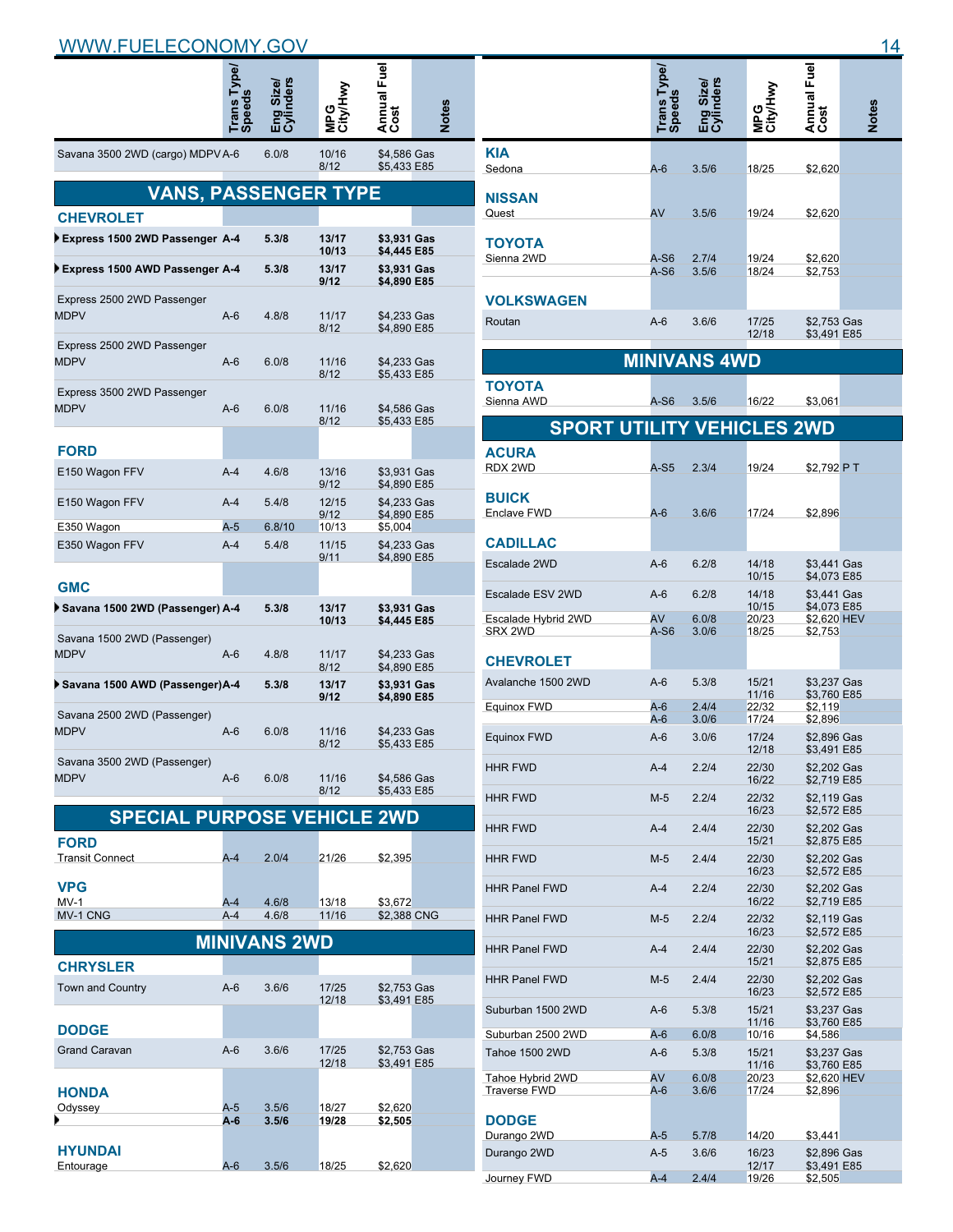|                                            | <b>Speeds</b>                                                                                                                                                                                                                                                                                                                                                                                                                                                                                                                                                                                                                                                                                                                                                                                                              |        |                | Annual Fuel<br>Cost | Notes |
|--------------------------------------------|----------------------------------------------------------------------------------------------------------------------------------------------------------------------------------------------------------------------------------------------------------------------------------------------------------------------------------------------------------------------------------------------------------------------------------------------------------------------------------------------------------------------------------------------------------------------------------------------------------------------------------------------------------------------------------------------------------------------------------------------------------------------------------------------------------------------------|--------|----------------|---------------------|-------|
| Savana 3500 2WD (cargo) MDPV A-6           |                                                                                                                                                                                                                                                                                                                                                                                                                                                                                                                                                                                                                                                                                                                                                                                                                            | 6.0/8  | 10/16<br>8/12  |                     |       |
|                                            |                                                                                                                                                                                                                                                                                                                                                                                                                                                                                                                                                                                                                                                                                                                                                                                                                            |        |                |                     |       |
| <b>CHEVROLET</b>                           |                                                                                                                                                                                                                                                                                                                                                                                                                                                                                                                                                                                                                                                                                                                                                                                                                            |        |                |                     |       |
| Express 1500 2WD Passenger A-4             |                                                                                                                                                                                                                                                                                                                                                                                                                                                                                                                                                                                                                                                                                                                                                                                                                            | 5.3/8  | 13/17          |                     |       |
| Express 1500 AWD Passenger A-4             |                                                                                                                                                                                                                                                                                                                                                                                                                                                                                                                                                                                                                                                                                                                                                                                                                            | 5.3/8  | 13/17          |                     |       |
| Express 2500 2WD Passenger<br><b>MDPV</b>  | $A-6$                                                                                                                                                                                                                                                                                                                                                                                                                                                                                                                                                                                                                                                                                                                                                                                                                      | 4.8/8  | 11/17          |                     |       |
| Express 2500 2WD Passenger<br><b>MDPV</b>  | $A-6$                                                                                                                                                                                                                                                                                                                                                                                                                                                                                                                                                                                                                                                                                                                                                                                                                      | 6.0/8  | 11/16<br>8/12  |                     |       |
| Express 3500 2WD Passenger<br><b>MDPV</b>  | $A-6$                                                                                                                                                                                                                                                                                                                                                                                                                                                                                                                                                                                                                                                                                                                                                                                                                      | 6.0/8  | 11/16<br>8/12  |                     |       |
| <b>FORD</b>                                |                                                                                                                                                                                                                                                                                                                                                                                                                                                                                                                                                                                                                                                                                                                                                                                                                            |        |                |                     |       |
| E150 Wagon FFV                             | $A-4$                                                                                                                                                                                                                                                                                                                                                                                                                                                                                                                                                                                                                                                                                                                                                                                                                      | 4.6/8  | 13/16          |                     |       |
| E150 Wagon FFV                             | $A-4$                                                                                                                                                                                                                                                                                                                                                                                                                                                                                                                                                                                                                                                                                                                                                                                                                      | 5.4/8  | 12/15          |                     |       |
| E350 Wagon                                 | $A-5$                                                                                                                                                                                                                                                                                                                                                                                                                                                                                                                                                                                                                                                                                                                                                                                                                      | 6.8/10 | 10/13          |                     |       |
| E350 Wagon FFV                             | $A-4$                                                                                                                                                                                                                                                                                                                                                                                                                                                                                                                                                                                                                                                                                                                                                                                                                      | 5.4/8  | 11/15<br>9/11  |                     |       |
| <b>GMC</b>                                 |                                                                                                                                                                                                                                                                                                                                                                                                                                                                                                                                                                                                                                                                                                                                                                                                                            |        |                |                     |       |
| ▶ Savana 1500 2WD (Passenger) A-4          |                                                                                                                                                                                                                                                                                                                                                                                                                                                                                                                                                                                                                                                                                                                                                                                                                            | 5.3/8  | 13/17          |                     |       |
| Savana 1500 2WD (Passenger)<br><b>MDPV</b> | $A-6$                                                                                                                                                                                                                                                                                                                                                                                                                                                                                                                                                                                                                                                                                                                                                                                                                      | 4.8/8  | 11/17          |                     |       |
| ▶ Savana 1500 AWD (Passenger)A-4           |                                                                                                                                                                                                                                                                                                                                                                                                                                                                                                                                                                                                                                                                                                                                                                                                                            | 5.3/8  | 13/17          |                     |       |
| Savana 2500 2WD (Passenger)<br><b>MDPV</b> | $A-6$                                                                                                                                                                                                                                                                                                                                                                                                                                                                                                                                                                                                                                                                                                                                                                                                                      | 6.0/8  | 11/16<br>8/12  |                     |       |
| Savana 3500 2WD (Passenger)<br><b>MDPV</b> | $A-6$                                                                                                                                                                                                                                                                                                                                                                                                                                                                                                                                                                                                                                                                                                                                                                                                                      | 6.0/8  | 11/16<br>8/12  |                     |       |
|                                            |                                                                                                                                                                                                                                                                                                                                                                                                                                                                                                                                                                                                                                                                                                                                                                                                                            |        |                |                     |       |
| <b>FORD</b><br><b>Transit Connect</b>      | A-4                                                                                                                                                                                                                                                                                                                                                                                                                                                                                                                                                                                                                                                                                                                                                                                                                        | 2.0/4  | 21/26          | \$2,395             |       |
| <b>VPG</b><br>$MV-1$                       | A-4                                                                                                                                                                                                                                                                                                                                                                                                                                                                                                                                                                                                                                                                                                                                                                                                                        | 4.6/8  | 13/18          | \$3,672             |       |
| MV-1 CNG                                   | $A-4$                                                                                                                                                                                                                                                                                                                                                                                                                                                                                                                                                                                                                                                                                                                                                                                                                      | 4.6/8  | 11/16          |                     |       |
|                                            |                                                                                                                                                                                                                                                                                                                                                                                                                                                                                                                                                                                                                                                                                                                                                                                                                            |        |                |                     |       |
| <b>CHRYSLER</b>                            |                                                                                                                                                                                                                                                                                                                                                                                                                                                                                                                                                                                                                                                                                                                                                                                                                            |        |                |                     |       |
| <b>Town and Country</b>                    | A-6                                                                                                                                                                                                                                                                                                                                                                                                                                                                                                                                                                                                                                                                                                                                                                                                                        | 3.6/6  | 17/25<br>12/18 |                     |       |
| <b>DODGE</b>                               | \$4,586 Gas<br>\$5,433 E85<br>VANS, PASSENGER T<br>\$3,931 Gas<br>10/13<br>\$4.445 E85<br>\$3,931 Gas<br>9/12<br>\$4,890 E85<br>\$4,233 Gas<br>8/12<br>\$4,890 E85<br>\$4,233 Gas<br>\$5,433 E85<br>\$4,586 Gas<br>\$5,433 E85<br>\$3,931 Gas<br>9/12<br>\$4,890 E85<br>\$4,233 Gas<br>9/12<br>\$4,890 E85<br>\$5,004<br>\$4,233 Gas<br>\$4,890 E85<br>\$3,931 Gas<br>10/13<br>\$4,445 E85<br>\$4,233 Gas<br>8/12<br>\$4,890 E85<br>\$3,931 Gas<br>9/12<br>\$4,890 E85<br>\$4,233 Gas<br>\$5,433 E85<br>\$4,586 Gas<br>\$5,433 E85<br><b>SPECIAL PURPOSE VEHICLE 2WD</b><br>\$2,388 CNG<br><b>MINIVANS 2WD</b><br>\$2,753 Gas<br>\$3,491 E85<br>$A-6$<br>3.6/6<br>17/25<br>\$2,753 Gas<br>12/18<br>\$3,491 E85<br>A-5<br>3.5/6<br>18/27<br>\$2,620<br>3.5/6<br>A-6<br>19/28<br>\$2,505<br>A-6<br>3.5/6<br>18/25<br>\$2,620 |        |                |                     |       |
| <b>Grand Caravan</b>                       |                                                                                                                                                                                                                                                                                                                                                                                                                                                                                                                                                                                                                                                                                                                                                                                                                            |        |                |                     |       |
| HONDA<br>Odyssey                           |                                                                                                                                                                                                                                                                                                                                                                                                                                                                                                                                                                                                                                                                                                                                                                                                                            |        |                |                     |       |
|                                            |                                                                                                                                                                                                                                                                                                                                                                                                                                                                                                                                                                                                                                                                                                                                                                                                                            |        |                |                     |       |
| <b>HYUNDAI</b><br>Entourage                |                                                                                                                                                                                                                                                                                                                                                                                                                                                                                                                                                                                                                                                                                                                                                                                                                            |        |                |                     |       |

|                                         | Trans Type/<br>Speeds | nders<br>Size/<br>Eng<br>Gvil |                | Annual Fuel<br>Cost        | <b>Notes</b> |
|-----------------------------------------|-----------------------|-------------------------------|----------------|----------------------------|--------------|
| <b>KIA</b><br>Sedona                    | A-6                   | 3.5/6                         | 18/25          | \$2,620                    |              |
| <b>NISSAN</b>                           |                       |                               |                |                            |              |
| Quest<br>ΤΟΥΟΤΑ                         | AV                    | 3.5/6                         | 19/24          | \$2,620                    |              |
| Sienna 2WD                              | A-S6<br>A-S6          | 2.7/4<br>3.5/6                | 19/24<br>18/24 | \$2,620<br>\$2,753         |              |
| <b>VOLKSWAGEN</b><br>Routan             | $A-6$                 | 3.6/6                         | 17/25          | \$2,753 Gas                |              |
|                                         |                       |                               | 12/18          | \$3,491 E85                |              |
|                                         |                       | <b>MINIVANS 4WD</b>           |                |                            |              |
| ΤΟΥΟΤΑ<br>Sienna AWD                    | A-S6                  | 3.5/6                         | 16/22          | \$3,061                    |              |
| <b>SPORT UTILITY VEHICLES 2WD</b>       |                       |                               |                |                            |              |
| <b>ACURA</b><br>RDX 2WD                 | $A-S5$                | 2.3/4                         | 19/24          | \$2,792 PT                 |              |
| <b>BUICK</b>                            |                       |                               |                |                            |              |
| Enclave FWD                             | $A-6$                 | 3.6/6                         | 17/24          | \$2,896                    |              |
| <b>CADILLAC</b>                         |                       |                               |                |                            |              |
| Escalade 2WD                            | $A-6$                 | 6.2/8                         | 14/18<br>10/15 | \$3,441 Gas<br>\$4,073 E85 |              |
| Escalade ESV 2WD                        | $A-6$                 | 6.2/8                         | 14/18<br>10/15 | \$3,441 Gas<br>\$4,073 E85 |              |
| Escalade Hybrid 2WD<br>SRX 2WD          | AV<br>A-S6            | 6.0/8<br>3.0/6                | 20/23<br>18/25 | \$2,620 HEV<br>\$2,753     |              |
| <b>CHEVROLET</b>                        |                       |                               |                |                            |              |
| Avalanche 1500 2WD                      | $A-6$                 | 5.3/8                         | 15/21          | \$3,237 Gas                |              |
| Equinox FWD                             | $A-6$                 | 2.4/4                         | 11/16<br>22/32 | \$3.760 E85<br>\$2,119     |              |
| Equinox FWD                             | A-6<br>$A-6$          | 3.0/6<br>3.0/6                | 17/24<br>17/24 | \$2,896<br>\$2,896 Gas     |              |
| <b>HHR FWD</b>                          | A-4                   | 2.2/4                         | 12/18<br>22/30 | \$3,491 E85<br>\$2,202 Gas |              |
| HHR FWD                                 | M-5                   | 2.2/4                         | 16/22<br>22/32 | \$2,719 E85<br>\$2,119 Gas |              |
|                                         |                       |                               | 16/23          | \$2,572 E85                |              |
| <b>HHR FWD</b>                          | A-4                   | 2.4/4                         | 22/30<br>15/21 | \$2,202 Gas<br>\$2,875 E85 |              |
| <b>HHR FWD</b>                          | M-5                   | 2.4/4                         | 22/30<br>16/23 | \$2,202 Gas<br>\$2,572 E85 |              |
| <b>HHR Panel FWD</b>                    | A-4                   | 2.2/4                         | 22/30<br>16/22 | \$2,202 Gas<br>\$2,719 E85 |              |
| <b>HHR Panel FWD</b>                    | M-5                   | 2.2/4                         | 22/32<br>16/23 | \$2,119 Gas<br>\$2,572 E85 |              |
| <b>HHR Panel FWD</b>                    | A-4                   | 2.4/4                         | 22/30<br>15/21 | \$2,202 Gas<br>\$2,875 E85 |              |
| <b>HHR Panel FWD</b>                    | M-5                   | 2.4/4                         | 22/30<br>16/23 | \$2,202 Gas<br>\$2,572 E85 |              |
| Suburban 1500 2WD                       | A-6                   | 5.3/8                         | 15/21<br>11/16 | \$3,237 Gas<br>\$3,760 E85 |              |
| Suburban 2500 2WD                       | $A-6$                 | 6.0/8                         | 10/16          | \$4,586                    |              |
| Tahoe 1500 2WD                          | A-6                   | 5.3/8                         | 15/21<br>11/16 | \$3,237 Gas<br>\$3,760 E85 |              |
| Tahoe Hybrid 2WD<br><b>Traverse FWD</b> | AV<br>A-6             | 6.0/8<br>3.6/6                | 20/23<br>17/24 | \$2,620 HEV<br>\$2,896     |              |
| <b>DODGE</b>                            |                       |                               |                |                            |              |
| Durango 2WD<br>Durango 2WD              | A-5<br>$A-5$          | 5.7/8                         | 14/20<br>16/23 | \$3,441<br>\$2,896 Gas     |              |
| Journey FWD                             | $A-4$                 | 3.6/6<br>2.4/4                | 12/17<br>19/26 | \$3,491 E85<br>\$2,505     |              |
|                                         |                       |                               |                |                            |              |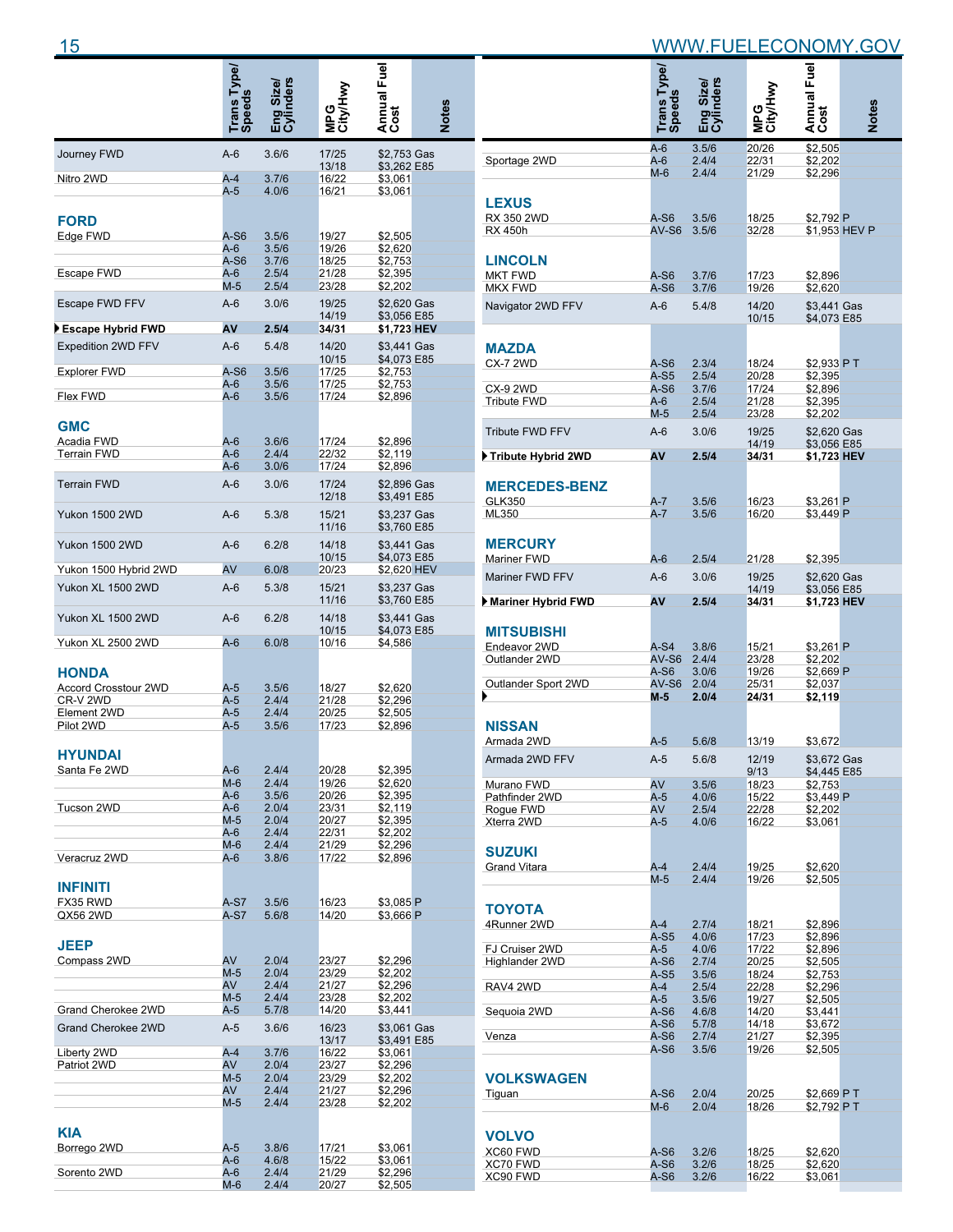|                                  | Trans Type/<br>Speeds | Size/<br>Iders |                 | Annual Fuel<br>Cost        |              |
|----------------------------------|-----------------------|----------------|-----------------|----------------------------|--------------|
|                                  |                       | 밇              | MPG<br>City/Hwy |                            | <b>Notes</b> |
| Journey FWD                      | $A-6$                 | 3.6/6          | 17/25<br>13/18  | \$2,753 Gas<br>\$3,262 E85 |              |
| Nitro 2WD                        | $A-4$                 | 3.7/6          | 16/22           | \$3,061                    |              |
|                                  | A-5                   | 4.0/6          | 16/21           | \$3,061                    |              |
|                                  |                       |                |                 |                            |              |
| <b>FORD</b><br>Edge FWD          | A-S6                  | 3.5/6          | 19/27           |                            |              |
|                                  | A-6                   | 3.5/6          | 19/26           | \$2,505<br>\$2,620         |              |
|                                  | A-S6                  | 3.7/6          | 18/25           | \$2,753                    |              |
| Escape FWD                       | $A-6$<br>$M-5$        | 2.5/4<br>2.5/4 | 21/28<br>23/28  | \$2,395<br>\$2,202         |              |
| Escape FWD FFV                   | $A-6$                 | 3.0/6          | 19/25           | \$2,620 Gas                |              |
| Escape Hybrid FWD                | AV                    | 2.5/4          | 14/19<br>34/31  | \$3,056 E85<br>\$1,723 HEV |              |
|                                  | $A-6$                 | 5.4/8          | 14/20           |                            |              |
| Expedition 2WD FFV               |                       |                | 10/15           | \$3,441 Gas<br>\$4,073 E85 |              |
| <b>Explorer FWD</b>              | $A-S6$                | 3.5/6          | 17/25           | \$2,753                    |              |
| Flex FWD                         | $A-6$<br>A-6          | 3.5/6<br>3.5/6 | 17/25<br>17/24  | \$2,753<br>\$2,896         |              |
|                                  |                       |                |                 |                            |              |
| GMC                              |                       |                |                 |                            |              |
| Acadia FWD                       | A-6                   | 3.6/6          | 17/24           | \$2,896                    |              |
| <b>Terrain FWD</b>               | $A-6$                 | 2.4/4          | 22/32           | \$2,119                    |              |
|                                  | A-6                   | 3.0/6          | 17/24           | \$2,896                    |              |
| <b>Terrain FWD</b>               | $A-6$                 | 3.0/6          | 17/24<br>12/18  | \$2,896 Gas<br>\$3,491 E85 |              |
|                                  |                       |                | 15/21           |                            |              |
| Yukon 1500 2WD                   | $A-6$                 | 5.3/8          | 11/16           | \$3,237 Gas<br>\$3,760 E85 |              |
| <b>Yukon 1500 2WD</b>            | $A-6$                 | 6.2/8          | 14/18           | \$3,441 Gas                |              |
|                                  |                       |                | 10/15           | \$4,073 E85                |              |
| Yukon 1500 Hybrid 2WD            | AV                    | 6.0/8          | 20/23           | \$2,620 HEV                |              |
| Yukon XL 1500 2WD                | $A-6$                 | 5.3/8          | 15/21           | \$3,237 Gas                |              |
|                                  |                       |                | 11/16           | \$3,760 E85                |              |
| Yukon XL 1500 2WD                | A-6                   | 6.2/8          | 14/18<br>10/15  | \$3,441 Gas<br>\$4,073 E85 |              |
| Yukon XL 2500 2WD                | $A-6$                 | 6.0/8          | 10/16           | \$4,586                    |              |
|                                  |                       |                |                 |                            |              |
| HONDA                            |                       |                |                 |                            |              |
| Accord Crosstour 2WD<br>CR-V 2WD | A-5<br>$A-5$          | 3.5/6<br>2.4/4 | 18/27<br>21/28  | \$2,620<br>\$2,296         |              |
| Element 2WD                      | $A-5$                 | 2.4/4          | 20/25           | \$2,505                    |              |
| Pilot 2WD                        | A-5                   | 3.5/6          | 17/23           | \$2,896                    |              |
|                                  |                       |                |                 |                            |              |
| <b>HYUNDAI</b>                   |                       |                |                 |                            |              |
| Santa Fe 2WD                     | $A-6$<br>$M-6$        | 2.4/4<br>2.4/4 | 20/28<br>19/26  | \$2,395<br>\$2,620         |              |
|                                  | A-6                   | 3.5/6          | 20/26           | \$2,395                    |              |
| Tucson 2WD                       | A-6                   | 2.0/4          | 23/31           | \$2,119                    |              |
|                                  | $M-5$                 | 2.0/4          | 20/27           | \$2,395                    |              |
|                                  | A-6<br>M-6            | 2.4/4<br>2.4/4 | 22/31<br>21/29  | \$2,202<br>\$2,296         |              |
| Veracruz 2WD                     | A-6                   | 3.8/6          | 17/22           | \$2,896                    |              |
|                                  |                       |                |                 |                            |              |
| INFINITI                         |                       |                |                 |                            |              |
| FX35 RWD<br>QX56 2WD             | $A-S7$<br>A-S7        | 3.5/6<br>5.6/8 | 16/23<br>14/20  | \$3,085 P<br>\$3,666 P     |              |
|                                  |                       |                |                 |                            |              |
| JEEP                             |                       |                |                 |                            |              |
| Compass 2WD                      | AV                    | 2.0/4          | 23/27           | \$2,296                    |              |
|                                  | $M-5$                 | 2.0/4          | 23/29           | \$2,202                    |              |
|                                  | AV<br>$M-5$           | 2.4/4<br>2.4/4 | 21/27<br>23/28  | \$2,296                    |              |
| Grand Cherokee 2WD               | A-5                   | 5.7/8          | 14/20           | \$2,202<br>\$3,441         |              |
| Grand Cherokee 2WD               | A-5                   | 3.6/6          | 16/23           | \$3,061 Gas                |              |
|                                  |                       |                | 13/17           | \$3,491 E85                |              |
| Liberty 2WD                      | $A-4$                 | 3.7/6          | 16/22           | \$3,061                    |              |
| Patriot 2WD                      | AV<br>$M-5$           | 2.0/4<br>2.0/4 | 23/27<br>23/29  | \$2,296<br>\$2,202         |              |
|                                  | AV                    | 2.4/4          | 21/27           | \$2,296                    |              |
|                                  | M-5                   | 2.4/4          | 23/28           | \$2,202                    |              |
|                                  |                       |                |                 |                            |              |
| KIA                              |                       |                |                 |                            |              |
| Borrego 2WD                      | A-5<br>$A-6$          | 3.8/6<br>4.6/8 | 17/21<br>15/22  | \$3,061<br>\$3,061         |              |
| Sorento 2WD                      | A-6                   | 2.4/4          | 21/29           | \$2,296                    |              |
|                                  | M-6                   | 2.4/4          | 20/27           | \$2,505                    |              |

|                                   |                       | Size/          |                        |                            |               |
|-----------------------------------|-----------------------|----------------|------------------------|----------------------------|---------------|
|                                   | Trans Type/<br>Speeds | linders        | City/Hwy<br><b>SdM</b> | l Annual Fuel<br>Cost      | <b>Notes</b>  |
|                                   |                       | Eng<br>Gvil    |                        |                            |               |
|                                   | $A-6$                 | 3.5/6          | 20/26                  | \$2,505                    |               |
| Sportage 2WD                      | $A-6$<br>$M-6$        | 2.4/4<br>2.4/4 | 22/31<br>21/29         | \$2,202<br>\$2,296         |               |
|                                   |                       |                |                        |                            |               |
| <b>LEXUS</b>                      |                       |                |                        |                            |               |
| RX 350 2WD<br><b>RX 450h</b>      | $A-S6$<br>AV-S6       | 3.5/6<br>3.5/6 | 18/25<br>32/28         | \$2,792 P                  | \$1,953 HEV P |
|                                   |                       |                |                        |                            |               |
| <b>LINCOLN</b>                    |                       |                |                        |                            |               |
| <b>MKT FWD</b>                    | $A-S6$                | 3.7/6          | 17/23                  | \$2,896                    |               |
| <b>MKX FWD</b>                    | A-S6                  | 3.7/6          | 19/26                  | \$2,620                    |               |
| Navigator 2WD FFV                 | $A-6$                 | 5.4/8          | 14/20<br>10/15         | \$3,441 Gas<br>\$4,073 E85 |               |
|                                   |                       |                |                        |                            |               |
| <b>MAZDA</b>                      |                       |                |                        |                            |               |
| <b>CX-7 2WD</b>                   | $A-S6$                | 2.3/4          | 18/24                  | \$2,933 PT                 |               |
| <b>CX-9 2WD</b>                   | $A-S5$<br>$A-S6$      | 2.5/4<br>3.7/6 | 20/28<br>17/24         | \$2,395<br>\$2,896         |               |
| <b>Tribute FWD</b>                | $A-6$                 | 2.5/4          | 21/28                  | \$2,395                    |               |
|                                   | $M-5$                 | 2.5/4          | 23/28                  | \$2,202                    |               |
| <b>Tribute FWD FFV</b>            | $A-6$                 | 3.0/6          | 19/25                  | \$2,620 Gas                |               |
|                                   |                       |                | 14/19                  | \$3,056 E85                |               |
| Tribute Hybrid 2WD                | AV                    | 2.5/4          | 34/31                  | \$1,723 HEV                |               |
| <b>MERCEDES-BENZ</b>              |                       |                |                        |                            |               |
| <b>GLK350</b>                     | A-7                   | 3.5/6          | 16/23                  | \$3,261 P                  |               |
| ML350                             | A-7                   | 3.5/6          | 16/20                  | \$3.449 P                  |               |
|                                   |                       |                |                        |                            |               |
| <b>MERCURY</b><br>Mariner FWD     | $A-6$                 | 2.5/4          | 21/28                  |                            |               |
|                                   |                       |                |                        | \$2,395                    |               |
| Mariner FWD FFV                   | $A-6$                 | 3.0/6          | 19/25<br>14/19         | \$2,620 Gas<br>\$3,056 E85 |               |
| Mariner Hybrid FWD                | AV                    | 2.5/4          | 34/31                  | \$1,723 HEV                |               |
|                                   |                       |                |                        |                            |               |
| <b>MITSUBISHI</b><br>Endeavor 2WD | A-S4                  | 3.8/6          | 15/21                  | \$3,261 P                  |               |
| Outlander 2WD                     | $AV-S6$               | 2.4/4          | 23/28                  | \$2,202                    |               |
|                                   | $A-S6$                | 3.0/6          | 19/26                  | \$2,669 P                  |               |
| Outlander Sport 2WD               | AV-S6<br>$M-5$        | 2.0/4<br>2.0/4 | 25/31<br>24/31         | \$2,037                    |               |
|                                   |                       |                |                        | \$2,119                    |               |
| <b>NISSAN</b>                     |                       |                |                        |                            |               |
| Armada 2WD                        | A-5                   | 5.6/8          | 13/19                  | \$3,672                    |               |
| Armada 2WD FFV                    | $A-5$                 | 5.6/8          | 12/19                  | \$3.672 Gas                |               |
| Murano FWD                        | AV                    |                | 9/13                   | \$4,445 E85<br>\$2,753     |               |
| Pathfinder 2WD                    | A-5                   | 3.5/6<br>4.0/6 | 18/23<br>15/22         | \$3,449 P                  |               |
| Rogue FWD                         | AV                    | 2.5/4          | 22/28                  | \$2,202                    |               |
| Xterra 2WD                        | A-5                   | 4.0/6          | 16/22                  | \$3,061                    |               |
| <b>SUZUKI</b>                     |                       |                |                        |                            |               |
| <b>Grand Vitara</b>               | $A-4$                 | 2.4/4          | 19/25                  | \$2,620                    |               |
|                                   | $M-5$                 | 2.4/4          | 19/26                  | \$2,505                    |               |
|                                   |                       |                |                        |                            |               |
| <b>TOYOTA</b>                     |                       |                |                        |                            |               |
| 4Runner 2WD                       | $A-4$<br>A-S5         | 2.7/4<br>4.0/6 | 18/21<br>17/23         | \$2,896<br>\$2,896         |               |
| FJ Cruiser 2WD                    | A-5                   | 4.0/6          | 17/22                  | \$2,896                    |               |
| Highlander 2WD                    | $A-S6$                | 2.7/4          | 20/25                  | \$2,505                    |               |
|                                   | A-S5                  | 3.5/6          | 18/24                  | \$2,753                    |               |
| RAV4 2WD                          | A-4<br>A-5            | 2.5/4<br>3.5/6 | 22/28<br>19/27         | \$2,296<br>\$2,505         |               |
| Sequoia 2WD                       | $A-S6$                | 4.6/8          | 14/20                  | \$3,441                    |               |
|                                   | A-S6                  | 5.7/8          | 14/18                  | \$3,672                    |               |
| Venza                             | A-S6<br>A-S6          | 2.7/4<br>3.5/6 | 21/27<br>19/26         | \$2,395<br>\$2,505         |               |
|                                   |                       |                |                        |                            |               |
| <b>VOLKSWAGEN</b>                 |                       |                |                        |                            |               |
| Tiguan                            | A-S6                  | 2.0/4          | 20/25                  | \$2,669 PT                 |               |
|                                   | $M-6$                 | 2.0/4          | 18/26                  | \$2,792 PT                 |               |
| <b>VOLVO</b>                      |                       |                |                        |                            |               |
| XC60 FWD                          | A-S6                  | 3.2/6          | 18/25                  | \$2,620                    |               |
| XC70 FWD                          | $A-S6$                | 3.2/6          | 18/25                  | \$2,620                    |               |
| XC90 FWD                          | A-S6                  | 3.2/6          | 16/22                  | \$3,061                    |               |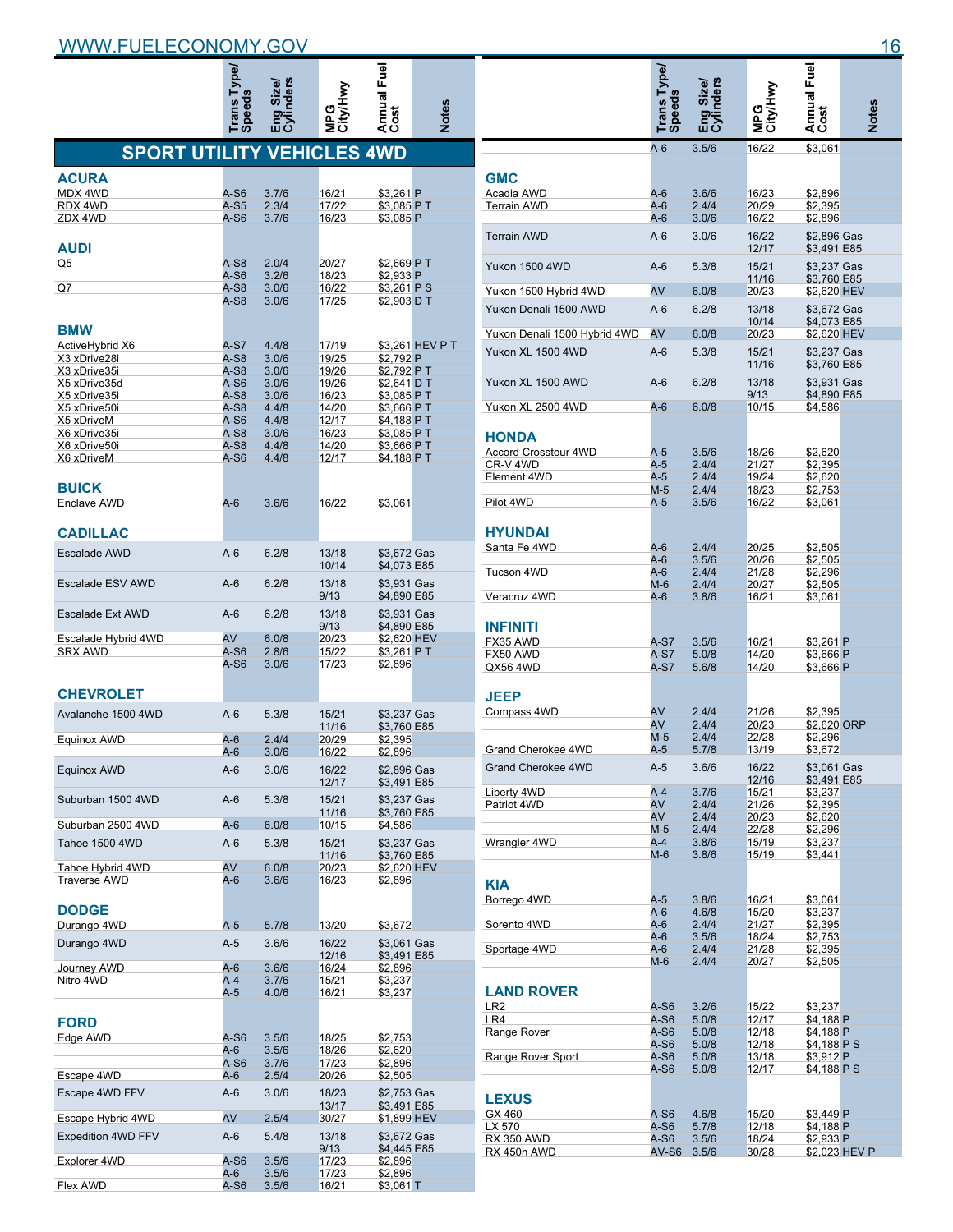|                              |                                                                                                                                                                                                                                                                                                                                                                                                                                                                                                                                                                                                                                                                                                                                                                                                                                                                                                                                                                                                                                                                                                                                                                                                                                                                                                                                                                                                                                                                                                                                                                                                                                                                                                                                                                                                                                                                                                                                                                                                                                                                                                                                                                                                                                                                                                                       |       |       |  | <b>Notes</b>    |
|------------------------------|-----------------------------------------------------------------------------------------------------------------------------------------------------------------------------------------------------------------------------------------------------------------------------------------------------------------------------------------------------------------------------------------------------------------------------------------------------------------------------------------------------------------------------------------------------------------------------------------------------------------------------------------------------------------------------------------------------------------------------------------------------------------------------------------------------------------------------------------------------------------------------------------------------------------------------------------------------------------------------------------------------------------------------------------------------------------------------------------------------------------------------------------------------------------------------------------------------------------------------------------------------------------------------------------------------------------------------------------------------------------------------------------------------------------------------------------------------------------------------------------------------------------------------------------------------------------------------------------------------------------------------------------------------------------------------------------------------------------------------------------------------------------------------------------------------------------------------------------------------------------------------------------------------------------------------------------------------------------------------------------------------------------------------------------------------------------------------------------------------------------------------------------------------------------------------------------------------------------------------------------------------------------------------------------------------------------------|-------|-------|--|-----------------|
|                              |                                                                                                                                                                                                                                                                                                                                                                                                                                                                                                                                                                                                                                                                                                                                                                                                                                                                                                                                                                                                                                                                                                                                                                                                                                                                                                                                                                                                                                                                                                                                                                                                                                                                                                                                                                                                                                                                                                                                                                                                                                                                                                                                                                                                                                                                                                                       |       |       |  |                 |
| <b>ACURA</b>                 |                                                                                                                                                                                                                                                                                                                                                                                                                                                                                                                                                                                                                                                                                                                                                                                                                                                                                                                                                                                                                                                                                                                                                                                                                                                                                                                                                                                                                                                                                                                                                                                                                                                                                                                                                                                                                                                                                                                                                                                                                                                                                                                                                                                                                                                                                                                       |       |       |  |                 |
| MDX 4WD                      | A-S6                                                                                                                                                                                                                                                                                                                                                                                                                                                                                                                                                                                                                                                                                                                                                                                                                                                                                                                                                                                                                                                                                                                                                                                                                                                                                                                                                                                                                                                                                                                                                                                                                                                                                                                                                                                                                                                                                                                                                                                                                                                                                                                                                                                                                                                                                                                  | 3.7/6 | 16/21 |  |                 |
| RDX 4WD                      | Fuel<br>ders<br>Annual I<br>Cost<br><b>Speeds</b><br><b>Frans</b><br><b>SPORT UTILITY VEHICLES 4WD</b><br>\$3,261 P<br>$A-S5$<br>2.3/4<br>17/22<br>\$3,085 PT<br>A-S6<br>3.7/6<br>16/23<br>\$3.085 P<br>$A-S8$<br>2.0/4<br>20/27<br>\$2,669 P T<br>$A-S6$<br>\$2.933 P<br>3.2/6<br>18/23<br>\$3,261 PS<br>A-S8<br>3.0/6<br>16/22<br>A-S8<br>3.0/6<br>17/25<br>\$2,903 D T<br>A-S7<br>4.4/8<br>17/19<br>A-S8<br>3.0/6<br>19/25<br>\$2,792 P<br>A-S8<br>3.0/6<br>19/26<br>\$2,792 PT<br>$A-S6$<br>3.0/6<br>19/26<br>\$2,641 D T<br>A-S8<br>3.0/6<br>16/23<br>\$3,085 P T<br>A-S8<br>4.4/8<br>14/20<br>\$3,666 P T<br>$A-S6$<br>4.4/8<br>12/17<br>\$4,188 PT<br>$A-S8$<br>3.0/6<br>16/23<br>\$3,085 P T<br>A-S8<br>4.4/8<br>14/20<br>\$3,666 P T<br>$A-S6$<br>4.4/8<br>12/17<br>\$4,188 P T<br>$A-6$<br>3.6/6<br>16/22<br>\$3,061<br>$A-6$<br>6.2/8<br>13/18<br>\$3,672 Gas<br>10/14<br>\$4,073 E85<br>\$3,931 Gas<br>Escalade ESV AWD<br>$A-6$<br>6.2/8<br>13/18<br>9/13<br>\$4,890 E85<br>$A-6$<br>6.2/8<br>13/18<br>\$3,931 Gas<br>9/13<br>\$4,890 E85<br>AV<br>6.0/8<br>20/23<br>\$2,620 HEV<br>A-S6<br>2.8/6<br>15/22<br>\$3,261 PT<br>A-S6<br>3.0/6<br>17/23<br>\$2,896<br>A-6<br>5.3/8<br>15/21<br>\$3.237 Gas<br>11/16<br>\$3,760 E85<br>$A-6$<br>2.4/4<br>20/29<br>\$2.395<br>$A-6$<br>3.0/6<br>16/22<br>\$2,896<br>16/22<br>\$2,896 Gas<br>A-6<br>3.0/6<br>12/17<br>\$3,491 E85<br>5.3/8<br>15/21<br>\$3,237 Gas<br>A-6<br>11/16<br>\$3,760 E85<br>$A-6$<br>6.0/8<br>10/15<br>\$4,586<br>A-6<br>5.3/8<br>15/21<br>\$3,237 Gas<br>11/16<br>\$3.760 E85<br>AV<br>Tahoe Hybrid 4WD<br>6.0/8<br>20/23<br>\$2,620 HEV<br>A-6<br>3.6/6<br>16/23<br>\$2,896<br>A-5<br>5.7/8<br>13/20<br>\$3,672<br>A-5<br>3.6/6<br>\$3,061 Gas<br>16/22<br>12/16<br>\$3,491 E85<br>$A-6$<br>3.6/6<br>16/24<br>\$2,896<br>A-4<br>3.7/6<br>15/21<br>\$3,237<br>A-5<br>4.0/6<br>16/21<br>\$3,237<br>A-S6<br>3.5/6<br>18/25<br>\$2,753<br>A-6<br>3.5/6<br>18/26<br>\$2,620<br>A-S6<br>3.7/6<br>17/23<br>\$2,896<br>A-6<br>2.5/4<br>20/26<br>\$2,505<br>A-6<br>3.0/6<br>18/23<br>\$2,753 Gas<br>13/17<br>\$3,491 E85<br>AV<br>2.5/4<br>\$1,899 HEV<br>30/27<br>A-6<br>5.4/8<br>13/18<br>\$3,672 Gas<br>9/13<br>\$4,445 E85<br>A-S6<br>3.5/6<br>17/23<br>\$2,896<br>A-6<br>3.5/6<br>17/23<br>\$2,896<br>A-S6<br>3.5/6<br>16/21<br>\$3,061 T |       |       |  |                 |
| ZDX 4WD                      |                                                                                                                                                                                                                                                                                                                                                                                                                                                                                                                                                                                                                                                                                                                                                                                                                                                                                                                                                                                                                                                                                                                                                                                                                                                                                                                                                                                                                                                                                                                                                                                                                                                                                                                                                                                                                                                                                                                                                                                                                                                                                                                                                                                                                                                                                                                       |       |       |  |                 |
| <b>AUDI</b>                  |                                                                                                                                                                                                                                                                                                                                                                                                                                                                                                                                                                                                                                                                                                                                                                                                                                                                                                                                                                                                                                                                                                                                                                                                                                                                                                                                                                                                                                                                                                                                                                                                                                                                                                                                                                                                                                                                                                                                                                                                                                                                                                                                                                                                                                                                                                                       |       |       |  |                 |
| Q5                           |                                                                                                                                                                                                                                                                                                                                                                                                                                                                                                                                                                                                                                                                                                                                                                                                                                                                                                                                                                                                                                                                                                                                                                                                                                                                                                                                                                                                                                                                                                                                                                                                                                                                                                                                                                                                                                                                                                                                                                                                                                                                                                                                                                                                                                                                                                                       |       |       |  |                 |
| Q7                           |                                                                                                                                                                                                                                                                                                                                                                                                                                                                                                                                                                                                                                                                                                                                                                                                                                                                                                                                                                                                                                                                                                                                                                                                                                                                                                                                                                                                                                                                                                                                                                                                                                                                                                                                                                                                                                                                                                                                                                                                                                                                                                                                                                                                                                                                                                                       |       |       |  |                 |
|                              |                                                                                                                                                                                                                                                                                                                                                                                                                                                                                                                                                                                                                                                                                                                                                                                                                                                                                                                                                                                                                                                                                                                                                                                                                                                                                                                                                                                                                                                                                                                                                                                                                                                                                                                                                                                                                                                                                                                                                                                                                                                                                                                                                                                                                                                                                                                       |       |       |  |                 |
|                              |                                                                                                                                                                                                                                                                                                                                                                                                                                                                                                                                                                                                                                                                                                                                                                                                                                                                                                                                                                                                                                                                                                                                                                                                                                                                                                                                                                                                                                                                                                                                                                                                                                                                                                                                                                                                                                                                                                                                                                                                                                                                                                                                                                                                                                                                                                                       |       |       |  |                 |
| <b>BMW</b>                   |                                                                                                                                                                                                                                                                                                                                                                                                                                                                                                                                                                                                                                                                                                                                                                                                                                                                                                                                                                                                                                                                                                                                                                                                                                                                                                                                                                                                                                                                                                                                                                                                                                                                                                                                                                                                                                                                                                                                                                                                                                                                                                                                                                                                                                                                                                                       |       |       |  |                 |
| ActiveHybrid X6              |                                                                                                                                                                                                                                                                                                                                                                                                                                                                                                                                                                                                                                                                                                                                                                                                                                                                                                                                                                                                                                                                                                                                                                                                                                                                                                                                                                                                                                                                                                                                                                                                                                                                                                                                                                                                                                                                                                                                                                                                                                                                                                                                                                                                                                                                                                                       |       |       |  | \$3,261 HEV P T |
| X3 xDrive28i                 |                                                                                                                                                                                                                                                                                                                                                                                                                                                                                                                                                                                                                                                                                                                                                                                                                                                                                                                                                                                                                                                                                                                                                                                                                                                                                                                                                                                                                                                                                                                                                                                                                                                                                                                                                                                                                                                                                                                                                                                                                                                                                                                                                                                                                                                                                                                       |       |       |  |                 |
| X3 xDrive35i                 |                                                                                                                                                                                                                                                                                                                                                                                                                                                                                                                                                                                                                                                                                                                                                                                                                                                                                                                                                                                                                                                                                                                                                                                                                                                                                                                                                                                                                                                                                                                                                                                                                                                                                                                                                                                                                                                                                                                                                                                                                                                                                                                                                                                                                                                                                                                       |       |       |  |                 |
| X5 xDrive35d<br>X5 xDrive35i |                                                                                                                                                                                                                                                                                                                                                                                                                                                                                                                                                                                                                                                                                                                                                                                                                                                                                                                                                                                                                                                                                                                                                                                                                                                                                                                                                                                                                                                                                                                                                                                                                                                                                                                                                                                                                                                                                                                                                                                                                                                                                                                                                                                                                                                                                                                       |       |       |  |                 |
| X5 xDrive50i                 |                                                                                                                                                                                                                                                                                                                                                                                                                                                                                                                                                                                                                                                                                                                                                                                                                                                                                                                                                                                                                                                                                                                                                                                                                                                                                                                                                                                                                                                                                                                                                                                                                                                                                                                                                                                                                                                                                                                                                                                                                                                                                                                                                                                                                                                                                                                       |       |       |  |                 |
| X5 xDriveM                   |                                                                                                                                                                                                                                                                                                                                                                                                                                                                                                                                                                                                                                                                                                                                                                                                                                                                                                                                                                                                                                                                                                                                                                                                                                                                                                                                                                                                                                                                                                                                                                                                                                                                                                                                                                                                                                                                                                                                                                                                                                                                                                                                                                                                                                                                                                                       |       |       |  |                 |
| X6 xDrive35i                 |                                                                                                                                                                                                                                                                                                                                                                                                                                                                                                                                                                                                                                                                                                                                                                                                                                                                                                                                                                                                                                                                                                                                                                                                                                                                                                                                                                                                                                                                                                                                                                                                                                                                                                                                                                                                                                                                                                                                                                                                                                                                                                                                                                                                                                                                                                                       |       |       |  |                 |
| X6 xDrive50i                 |                                                                                                                                                                                                                                                                                                                                                                                                                                                                                                                                                                                                                                                                                                                                                                                                                                                                                                                                                                                                                                                                                                                                                                                                                                                                                                                                                                                                                                                                                                                                                                                                                                                                                                                                                                                                                                                                                                                                                                                                                                                                                                                                                                                                                                                                                                                       |       |       |  |                 |
| X6 xDriveM                   |                                                                                                                                                                                                                                                                                                                                                                                                                                                                                                                                                                                                                                                                                                                                                                                                                                                                                                                                                                                                                                                                                                                                                                                                                                                                                                                                                                                                                                                                                                                                                                                                                                                                                                                                                                                                                                                                                                                                                                                                                                                                                                                                                                                                                                                                                                                       |       |       |  |                 |
| <b>BUICK</b>                 |                                                                                                                                                                                                                                                                                                                                                                                                                                                                                                                                                                                                                                                                                                                                                                                                                                                                                                                                                                                                                                                                                                                                                                                                                                                                                                                                                                                                                                                                                                                                                                                                                                                                                                                                                                                                                                                                                                                                                                                                                                                                                                                                                                                                                                                                                                                       |       |       |  |                 |
| Enclave AWD                  |                                                                                                                                                                                                                                                                                                                                                                                                                                                                                                                                                                                                                                                                                                                                                                                                                                                                                                                                                                                                                                                                                                                                                                                                                                                                                                                                                                                                                                                                                                                                                                                                                                                                                                                                                                                                                                                                                                                                                                                                                                                                                                                                                                                                                                                                                                                       |       |       |  |                 |
| <b>CADILLAC</b>              |                                                                                                                                                                                                                                                                                                                                                                                                                                                                                                                                                                                                                                                                                                                                                                                                                                                                                                                                                                                                                                                                                                                                                                                                                                                                                                                                                                                                                                                                                                                                                                                                                                                                                                                                                                                                                                                                                                                                                                                                                                                                                                                                                                                                                                                                                                                       |       |       |  |                 |
| <b>Escalade AWD</b>          |                                                                                                                                                                                                                                                                                                                                                                                                                                                                                                                                                                                                                                                                                                                                                                                                                                                                                                                                                                                                                                                                                                                                                                                                                                                                                                                                                                                                                                                                                                                                                                                                                                                                                                                                                                                                                                                                                                                                                                                                                                                                                                                                                                                                                                                                                                                       |       |       |  |                 |
|                              |                                                                                                                                                                                                                                                                                                                                                                                                                                                                                                                                                                                                                                                                                                                                                                                                                                                                                                                                                                                                                                                                                                                                                                                                                                                                                                                                                                                                                                                                                                                                                                                                                                                                                                                                                                                                                                                                                                                                                                                                                                                                                                                                                                                                                                                                                                                       |       |       |  |                 |
|                              |                                                                                                                                                                                                                                                                                                                                                                                                                                                                                                                                                                                                                                                                                                                                                                                                                                                                                                                                                                                                                                                                                                                                                                                                                                                                                                                                                                                                                                                                                                                                                                                                                                                                                                                                                                                                                                                                                                                                                                                                                                                                                                                                                                                                                                                                                                                       |       |       |  |                 |
| <b>Escalade Ext AWD</b>      |                                                                                                                                                                                                                                                                                                                                                                                                                                                                                                                                                                                                                                                                                                                                                                                                                                                                                                                                                                                                                                                                                                                                                                                                                                                                                                                                                                                                                                                                                                                                                                                                                                                                                                                                                                                                                                                                                                                                                                                                                                                                                                                                                                                                                                                                                                                       |       |       |  |                 |
| Escalade Hybrid 4WD          |                                                                                                                                                                                                                                                                                                                                                                                                                                                                                                                                                                                                                                                                                                                                                                                                                                                                                                                                                                                                                                                                                                                                                                                                                                                                                                                                                                                                                                                                                                                                                                                                                                                                                                                                                                                                                                                                                                                                                                                                                                                                                                                                                                                                                                                                                                                       |       |       |  |                 |
| <b>SRX AWD</b>               |                                                                                                                                                                                                                                                                                                                                                                                                                                                                                                                                                                                                                                                                                                                                                                                                                                                                                                                                                                                                                                                                                                                                                                                                                                                                                                                                                                                                                                                                                                                                                                                                                                                                                                                                                                                                                                                                                                                                                                                                                                                                                                                                                                                                                                                                                                                       |       |       |  |                 |
|                              |                                                                                                                                                                                                                                                                                                                                                                                                                                                                                                                                                                                                                                                                                                                                                                                                                                                                                                                                                                                                                                                                                                                                                                                                                                                                                                                                                                                                                                                                                                                                                                                                                                                                                                                                                                                                                                                                                                                                                                                                                                                                                                                                                                                                                                                                                                                       |       |       |  |                 |
| <b>CHEVROLET</b>             |                                                                                                                                                                                                                                                                                                                                                                                                                                                                                                                                                                                                                                                                                                                                                                                                                                                                                                                                                                                                                                                                                                                                                                                                                                                                                                                                                                                                                                                                                                                                                                                                                                                                                                                                                                                                                                                                                                                                                                                                                                                                                                                                                                                                                                                                                                                       |       |       |  |                 |
| Avalanche 1500 4WD           |                                                                                                                                                                                                                                                                                                                                                                                                                                                                                                                                                                                                                                                                                                                                                                                                                                                                                                                                                                                                                                                                                                                                                                                                                                                                                                                                                                                                                                                                                                                                                                                                                                                                                                                                                                                                                                                                                                                                                                                                                                                                                                                                                                                                                                                                                                                       |       |       |  |                 |
|                              |                                                                                                                                                                                                                                                                                                                                                                                                                                                                                                                                                                                                                                                                                                                                                                                                                                                                                                                                                                                                                                                                                                                                                                                                                                                                                                                                                                                                                                                                                                                                                                                                                                                                                                                                                                                                                                                                                                                                                                                                                                                                                                                                                                                                                                                                                                                       |       |       |  |                 |
| Equinox AWD                  |                                                                                                                                                                                                                                                                                                                                                                                                                                                                                                                                                                                                                                                                                                                                                                                                                                                                                                                                                                                                                                                                                                                                                                                                                                                                                                                                                                                                                                                                                                                                                                                                                                                                                                                                                                                                                                                                                                                                                                                                                                                                                                                                                                                                                                                                                                                       |       |       |  |                 |
|                              |                                                                                                                                                                                                                                                                                                                                                                                                                                                                                                                                                                                                                                                                                                                                                                                                                                                                                                                                                                                                                                                                                                                                                                                                                                                                                                                                                                                                                                                                                                                                                                                                                                                                                                                                                                                                                                                                                                                                                                                                                                                                                                                                                                                                                                                                                                                       |       |       |  |                 |
| Equinox AWD                  |                                                                                                                                                                                                                                                                                                                                                                                                                                                                                                                                                                                                                                                                                                                                                                                                                                                                                                                                                                                                                                                                                                                                                                                                                                                                                                                                                                                                                                                                                                                                                                                                                                                                                                                                                                                                                                                                                                                                                                                                                                                                                                                                                                                                                                                                                                                       |       |       |  |                 |
| Suburban 1500 4WD            |                                                                                                                                                                                                                                                                                                                                                                                                                                                                                                                                                                                                                                                                                                                                                                                                                                                                                                                                                                                                                                                                                                                                                                                                                                                                                                                                                                                                                                                                                                                                                                                                                                                                                                                                                                                                                                                                                                                                                                                                                                                                                                                                                                                                                                                                                                                       |       |       |  |                 |
|                              |                                                                                                                                                                                                                                                                                                                                                                                                                                                                                                                                                                                                                                                                                                                                                                                                                                                                                                                                                                                                                                                                                                                                                                                                                                                                                                                                                                                                                                                                                                                                                                                                                                                                                                                                                                                                                                                                                                                                                                                                                                                                                                                                                                                                                                                                                                                       |       |       |  |                 |
| Suburban 2500 4WD            |                                                                                                                                                                                                                                                                                                                                                                                                                                                                                                                                                                                                                                                                                                                                                                                                                                                                                                                                                                                                                                                                                                                                                                                                                                                                                                                                                                                                                                                                                                                                                                                                                                                                                                                                                                                                                                                                                                                                                                                                                                                                                                                                                                                                                                                                                                                       |       |       |  |                 |
| <b>Tahoe 1500 4WD</b>        |                                                                                                                                                                                                                                                                                                                                                                                                                                                                                                                                                                                                                                                                                                                                                                                                                                                                                                                                                                                                                                                                                                                                                                                                                                                                                                                                                                                                                                                                                                                                                                                                                                                                                                                                                                                                                                                                                                                                                                                                                                                                                                                                                                                                                                                                                                                       |       |       |  |                 |
|                              |                                                                                                                                                                                                                                                                                                                                                                                                                                                                                                                                                                                                                                                                                                                                                                                                                                                                                                                                                                                                                                                                                                                                                                                                                                                                                                                                                                                                                                                                                                                                                                                                                                                                                                                                                                                                                                                                                                                                                                                                                                                                                                                                                                                                                                                                                                                       |       |       |  |                 |
| <b>Traverse AWD</b>          |                                                                                                                                                                                                                                                                                                                                                                                                                                                                                                                                                                                                                                                                                                                                                                                                                                                                                                                                                                                                                                                                                                                                                                                                                                                                                                                                                                                                                                                                                                                                                                                                                                                                                                                                                                                                                                                                                                                                                                                                                                                                                                                                                                                                                                                                                                                       |       |       |  |                 |
|                              |                                                                                                                                                                                                                                                                                                                                                                                                                                                                                                                                                                                                                                                                                                                                                                                                                                                                                                                                                                                                                                                                                                                                                                                                                                                                                                                                                                                                                                                                                                                                                                                                                                                                                                                                                                                                                                                                                                                                                                                                                                                                                                                                                                                                                                                                                                                       |       |       |  |                 |
| <b>DODGE</b>                 |                                                                                                                                                                                                                                                                                                                                                                                                                                                                                                                                                                                                                                                                                                                                                                                                                                                                                                                                                                                                                                                                                                                                                                                                                                                                                                                                                                                                                                                                                                                                                                                                                                                                                                                                                                                                                                                                                                                                                                                                                                                                                                                                                                                                                                                                                                                       |       |       |  |                 |
|                              |                                                                                                                                                                                                                                                                                                                                                                                                                                                                                                                                                                                                                                                                                                                                                                                                                                                                                                                                                                                                                                                                                                                                                                                                                                                                                                                                                                                                                                                                                                                                                                                                                                                                                                                                                                                                                                                                                                                                                                                                                                                                                                                                                                                                                                                                                                                       |       |       |  |                 |
| Durango 4WD                  |                                                                                                                                                                                                                                                                                                                                                                                                                                                                                                                                                                                                                                                                                                                                                                                                                                                                                                                                                                                                                                                                                                                                                                                                                                                                                                                                                                                                                                                                                                                                                                                                                                                                                                                                                                                                                                                                                                                                                                                                                                                                                                                                                                                                                                                                                                                       |       |       |  |                 |
| Durango 4WD                  |                                                                                                                                                                                                                                                                                                                                                                                                                                                                                                                                                                                                                                                                                                                                                                                                                                                                                                                                                                                                                                                                                                                                                                                                                                                                                                                                                                                                                                                                                                                                                                                                                                                                                                                                                                                                                                                                                                                                                                                                                                                                                                                                                                                                                                                                                                                       |       |       |  |                 |
| Journey AWD                  |                                                                                                                                                                                                                                                                                                                                                                                                                                                                                                                                                                                                                                                                                                                                                                                                                                                                                                                                                                                                                                                                                                                                                                                                                                                                                                                                                                                                                                                                                                                                                                                                                                                                                                                                                                                                                                                                                                                                                                                                                                                                                                                                                                                                                                                                                                                       |       |       |  |                 |
| Nitro 4WD                    |                                                                                                                                                                                                                                                                                                                                                                                                                                                                                                                                                                                                                                                                                                                                                                                                                                                                                                                                                                                                                                                                                                                                                                                                                                                                                                                                                                                                                                                                                                                                                                                                                                                                                                                                                                                                                                                                                                                                                                                                                                                                                                                                                                                                                                                                                                                       |       |       |  |                 |
|                              |                                                                                                                                                                                                                                                                                                                                                                                                                                                                                                                                                                                                                                                                                                                                                                                                                                                                                                                                                                                                                                                                                                                                                                                                                                                                                                                                                                                                                                                                                                                                                                                                                                                                                                                                                                                                                                                                                                                                                                                                                                                                                                                                                                                                                                                                                                                       |       |       |  |                 |
|                              |                                                                                                                                                                                                                                                                                                                                                                                                                                                                                                                                                                                                                                                                                                                                                                                                                                                                                                                                                                                                                                                                                                                                                                                                                                                                                                                                                                                                                                                                                                                                                                                                                                                                                                                                                                                                                                                                                                                                                                                                                                                                                                                                                                                                                                                                                                                       |       |       |  |                 |
| <b>FORD</b>                  |                                                                                                                                                                                                                                                                                                                                                                                                                                                                                                                                                                                                                                                                                                                                                                                                                                                                                                                                                                                                                                                                                                                                                                                                                                                                                                                                                                                                                                                                                                                                                                                                                                                                                                                                                                                                                                                                                                                                                                                                                                                                                                                                                                                                                                                                                                                       |       |       |  |                 |
| Edge AWD                     |                                                                                                                                                                                                                                                                                                                                                                                                                                                                                                                                                                                                                                                                                                                                                                                                                                                                                                                                                                                                                                                                                                                                                                                                                                                                                                                                                                                                                                                                                                                                                                                                                                                                                                                                                                                                                                                                                                                                                                                                                                                                                                                                                                                                                                                                                                                       |       |       |  |                 |
|                              |                                                                                                                                                                                                                                                                                                                                                                                                                                                                                                                                                                                                                                                                                                                                                                                                                                                                                                                                                                                                                                                                                                                                                                                                                                                                                                                                                                                                                                                                                                                                                                                                                                                                                                                                                                                                                                                                                                                                                                                                                                                                                                                                                                                                                                                                                                                       |       |       |  |                 |
|                              |                                                                                                                                                                                                                                                                                                                                                                                                                                                                                                                                                                                                                                                                                                                                                                                                                                                                                                                                                                                                                                                                                                                                                                                                                                                                                                                                                                                                                                                                                                                                                                                                                                                                                                                                                                                                                                                                                                                                                                                                                                                                                                                                                                                                                                                                                                                       |       |       |  |                 |
| Escape 4WD                   |                                                                                                                                                                                                                                                                                                                                                                                                                                                                                                                                                                                                                                                                                                                                                                                                                                                                                                                                                                                                                                                                                                                                                                                                                                                                                                                                                                                                                                                                                                                                                                                                                                                                                                                                                                                                                                                                                                                                                                                                                                                                                                                                                                                                                                                                                                                       |       |       |  |                 |
| Escape 4WD FFV               |                                                                                                                                                                                                                                                                                                                                                                                                                                                                                                                                                                                                                                                                                                                                                                                                                                                                                                                                                                                                                                                                                                                                                                                                                                                                                                                                                                                                                                                                                                                                                                                                                                                                                                                                                                                                                                                                                                                                                                                                                                                                                                                                                                                                                                                                                                                       |       |       |  |                 |
|                              |                                                                                                                                                                                                                                                                                                                                                                                                                                                                                                                                                                                                                                                                                                                                                                                                                                                                                                                                                                                                                                                                                                                                                                                                                                                                                                                                                                                                                                                                                                                                                                                                                                                                                                                                                                                                                                                                                                                                                                                                                                                                                                                                                                                                                                                                                                                       |       |       |  |                 |
| Escape Hybrid 4WD            |                                                                                                                                                                                                                                                                                                                                                                                                                                                                                                                                                                                                                                                                                                                                                                                                                                                                                                                                                                                                                                                                                                                                                                                                                                                                                                                                                                                                                                                                                                                                                                                                                                                                                                                                                                                                                                                                                                                                                                                                                                                                                                                                                                                                                                                                                                                       |       |       |  |                 |
| Expedition 4WD FFV           |                                                                                                                                                                                                                                                                                                                                                                                                                                                                                                                                                                                                                                                                                                                                                                                                                                                                                                                                                                                                                                                                                                                                                                                                                                                                                                                                                                                                                                                                                                                                                                                                                                                                                                                                                                                                                                                                                                                                                                                                                                                                                                                                                                                                                                                                                                                       |       |       |  |                 |
| Explorer 4WD                 |                                                                                                                                                                                                                                                                                                                                                                                                                                                                                                                                                                                                                                                                                                                                                                                                                                                                                                                                                                                                                                                                                                                                                                                                                                                                                                                                                                                                                                                                                                                                                                                                                                                                                                                                                                                                                                                                                                                                                                                                                                                                                                                                                                                                                                                                                                                       |       |       |  |                 |
|                              |                                                                                                                                                                                                                                                                                                                                                                                                                                                                                                                                                                                                                                                                                                                                                                                                                                                                                                                                                                                                                                                                                                                                                                                                                                                                                                                                                                                                                                                                                                                                                                                                                                                                                                                                                                                                                                                                                                                                                                                                                                                                                                                                                                                                                                                                                                                       |       |       |  |                 |
| Flex AWD                     |                                                                                                                                                                                                                                                                                                                                                                                                                                                                                                                                                                                                                                                                                                                                                                                                                                                                                                                                                                                                                                                                                                                                                                                                                                                                                                                                                                                                                                                                                                                                                                                                                                                                                                                                                                                                                                                                                                                                                                                                                                                                                                                                                                                                                                                                                                                       |       |       |  |                 |
|                              |                                                                                                                                                                                                                                                                                                                                                                                                                                                                                                                                                                                                                                                                                                                                                                                                                                                                                                                                                                                                                                                                                                                                                                                                                                                                                                                                                                                                                                                                                                                                                                                                                                                                                                                                                                                                                                                                                                                                                                                                                                                                                                                                                                                                                                                                                                                       |       |       |  |                 |

|                              |                              |                |                | Annual Fuel<br>Cost        |               |
|------------------------------|------------------------------|----------------|----------------|----------------------------|---------------|
|                              |                              | nders<br>Size, |                |                            |               |
|                              |                              |                |                |                            |               |
|                              | Trans Type,<br><b>Speeds</b> | e<br>민준        | <b>Sal</b>     |                            | <b>Notes</b>  |
|                              | $A-6$                        | 3.5/6          | 16/22          | \$3,061                    |               |
|                              |                              |                |                |                            |               |
| <b>GMC</b>                   |                              |                |                |                            |               |
| Acadia AWD                   | A-6                          | 3.6/6          | 16/23          | \$2,896                    |               |
| <b>Terrain AWD</b>           | A-6                          | 2.4/4          | 20/29          | \$2,395                    |               |
|                              | A-6                          | 3.0/6          | 16/22          | \$2,896                    |               |
| <b>Terrain AWD</b>           | $A-6$                        | 3.0/6          | 16/22<br>12/17 | \$2,896 Gas<br>\$3,491 E85 |               |
| Yukon 1500 4WD               | $A-6$                        | 5.3/8          | 15/21          | \$3,237 Gas                |               |
|                              |                              |                | 11/16          | \$3,760 E85                |               |
| Yukon 1500 Hybrid 4WD        | AV                           | 6.0/8          | 20/23          | \$2,620 HEV                |               |
| Yukon Denali 1500 AWD        | $A-6$                        | 6.2/8          | 13/18          | \$3,672 Gas                |               |
|                              |                              |                | 10/14          | \$4,073 E85                |               |
| Yukon Denali 1500 Hybrid 4WD | AV                           | 6.0/8          | 20/23          | \$2,620 HEV                |               |
| Yukon XL 1500 4WD            | $A-6$                        | 5.3/8          | 15/21          | \$3,237 Gas                |               |
|                              |                              |                | 11/16          | \$3,760 E85                |               |
| Yukon XL 1500 AWD            | $A-6$                        | 6.2/8          | 13/18<br>9/13  | \$3,931 Gas<br>\$4,890 E85 |               |
| Yukon XL 2500 4WD            | $A-6$                        | 6.0/8          | 10/15          | \$4,586                    |               |
|                              |                              |                |                |                            |               |
| <b>HONDA</b>                 |                              |                |                |                            |               |
| Accord Crosstour 4WD         | A-5                          | 3.5/6          | 18/26          | \$2,620                    |               |
| CR-V 4WD                     | $A-5$                        | 2.4/4          | 21/27          | \$2,395                    |               |
| Element 4WD                  | A-5                          | 2.4/4          | 19/24          | \$2.620                    |               |
| Pilot 4WD                    | $M-5$<br>A-5                 | 2.4/4<br>3.5/6 | 18/23<br>16/22 | \$2,753<br>\$3,061         |               |
|                              |                              |                |                |                            |               |
| <b>HYUNDAI</b>               |                              |                |                |                            |               |
| Santa Fe 4WD                 | A-6                          | 2.4/4          | 20/25          | \$2,505                    |               |
|                              | A-6                          | 3.5/6          | 20/26          | \$2,505                    |               |
| Tucson 4WD                   | A-6                          | 2.4/4          | 21/28          | \$2,296                    |               |
| Veracruz 4WD                 | $M-6$<br>A-6                 | 2.4/4<br>3.8/6 | 20/27<br>16/21 | \$2,505                    |               |
|                              |                              |                |                | \$3,061                    |               |
| INFINITI                     |                              |                |                |                            |               |
| FX35 AWD                     | A-S7                         | 3.5/6          | 16/21          | \$3,261 P                  |               |
| FX50 AWD                     | A-S7                         | 5.0/8          | 14/20          | \$3,666 P                  |               |
| QX56 4WD                     | A-S7                         | 5.6/8          | 14/20          | \$3,666 P                  |               |
|                              |                              |                |                |                            |               |
| JEEP                         |                              |                |                |                            |               |
| Compass 4WD                  | AV                           | 2.4/4          | 21/26          | \$2,395                    |               |
|                              | AV<br>$M-5$                  | 2.4/4<br>2.4/4 | 20/23<br>22/28 | \$2,620 ORP<br>\$2,296     |               |
| Grand Cherokee 4WD           | A-5                          | 5.7/8          | 13/19          | \$3,672                    |               |
| Grand Cherokee 4WD           | $A-5$                        | 3.6/6          | 16/22          | \$3,061 Gas                |               |
|                              |                              |                | 12/16          | \$3,491 E85                |               |
| Liberty 4WD                  | $A-4$                        | 3.7/6          | 15/21          | \$3,237                    |               |
| Patriot 4WD                  | AV                           | 2.4/4          | 21/26          | \$2,395                    |               |
|                              | AV<br>$M-5$                  | 2.4/4<br>2.4/4 | 20/23<br>22/28 | \$2,620<br>\$2,296         |               |
| Wrangler 4WD                 | A-4                          | 3.8/6          | 15/19          | \$3,237                    |               |
|                              | $M-6$                        | 3.8/6          | 15/19          | \$3,441                    |               |
|                              |                              |                |                |                            |               |
| <b>KIA</b>                   |                              |                |                |                            |               |
| Borrego 4WD                  | A-5                          | 3.8/6          | 16/21          | \$3,061                    |               |
| Sorento 4WD                  | A-6<br>A-6                   | 4.6/8<br>2.4/4 | 15/20<br>21/27 | \$3,237<br>\$2,395         |               |
|                              | A-6                          | 3.5/6          | 18/24          | \$2,753                    |               |
| Sportage 4WD                 | $A-6$                        | 2.4/4          | 21/28          | \$2,395                    |               |
|                              | $M-6$                        | 2.4/4          | 20/27          | \$2,505                    |               |
|                              |                              |                |                |                            |               |
| <b>LAND ROVER</b>            |                              |                |                |                            |               |
| LR <sub>2</sub><br>LR4       | A-S6<br>A-S6                 | 3.2/6<br>5.0/8 | 15/22<br>12/17 | \$3,237<br>\$4,188 P       |               |
| Range Rover                  | A-S6                         | 5.0/8          | 12/18          | \$4,188 P                  |               |
|                              | A-S6                         | 5.0/8          | 12/18          | \$4,188 P S                |               |
| Range Rover Sport            | A-S6                         | 5.0/8          | 13/18          | \$3,912 P                  |               |
|                              | A-S6                         | 5.0/8          | 12/17          | \$4,188 P S                |               |
|                              |                              |                |                |                            |               |
| <b>LEXUS</b>                 |                              |                |                |                            |               |
| GX 460<br>LX 570             | A-S6<br>A-S6                 | 4.6/8<br>5.7/8 | 15/20<br>12/18 | \$3,449 P<br>\$4,188 P     |               |
| <b>RX 350 AWD</b>            | A-S6                         | 3.5/6          | 18/24          | \$2,933 P                  |               |
| RX 450h AWD                  | AV-S6                        | 3.5/6          | 30/28          |                            | \$2,023 HEV P |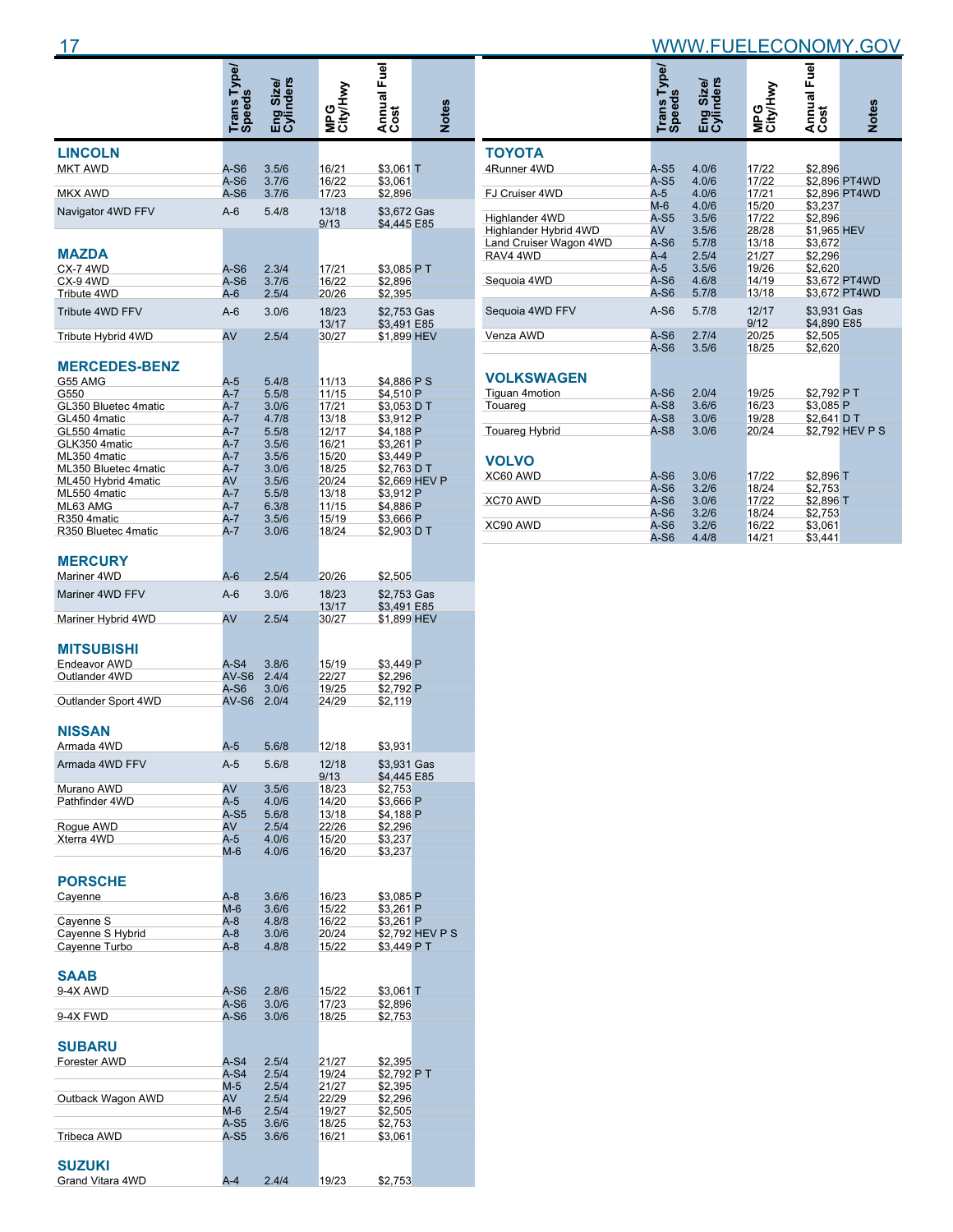|                                     | Trans Type/<br>Speeds |                       |                 | Annual Fuel                |                 |
|-------------------------------------|-----------------------|-----------------------|-----------------|----------------------------|-----------------|
|                                     |                       | <b>nders</b><br>Size/ | MPG<br>City/Hwy |                            |                 |
|                                     |                       | Eng <sup>s</sup>      |                 |                            | <b>Notes</b>    |
| <b>LINCOLN</b>                      |                       |                       |                 |                            |                 |
| <b>MKT AWD</b>                      | A-S6<br>A-S6          | 3.5/6<br>3.7/6        | 16/21<br>16/22  | \$3,061 T<br>\$3,061       |                 |
| <b>MKX AWD</b>                      | A-S6                  | 3.7/6                 | 17/23           | \$2,896                    |                 |
| Navigator 4WD FFV                   | $A-6$                 | 5.4/8                 | 13/18<br>9/13   | \$3,672 Gas<br>\$4,445 E85 |                 |
|                                     |                       |                       |                 |                            |                 |
| <b>MAZDA</b>                        |                       |                       |                 |                            |                 |
| CX-74WD<br>CX-94WD                  | $A-S6$<br>A-S6        | 2.3/4<br>3.7/6        | 17/21<br>16/22  | \$3,085 P T<br>\$2,896     |                 |
| Tribute 4WD                         | A-6                   | 2.5/4                 | 20/26           | \$2,395                    |                 |
| Tribute 4WD FFV                     | $A-6$                 | 3.0/6                 | 18/23<br>13/17  | \$2,753 Gas                |                 |
| Tribute Hybrid 4WD                  | AV                    | 2.5/4                 | 30/27           | \$3,491 E85<br>\$1,899 HEV |                 |
| <b>MERCEDES-BENZ</b>                |                       |                       |                 |                            |                 |
| G55 AMG                             | $A-5$                 | 5.4/8                 | 11/13           | \$4,886 P S                |                 |
| G550                                | A-7                   | 5.5/8                 | 11/15           | \$4,510 P                  |                 |
| GL350 Bluetec 4matic                | $A-7$                 | 3.0/6                 | 17/21           | \$3,053 D T                |                 |
| GL450 4matic                        | A-7                   | 4.7/8                 | 13/18           | \$3,912 P                  |                 |
| GL550 4matic<br>GLK350 4matic       | A-7<br>$A-7$          | 5.5/8<br>3.5/6        | 12/17<br>16/21  | \$4,188 P<br>\$3,261 P     |                 |
| ML350 4matic                        | A-7                   | 3.5/6                 | 15/20           | \$3,449 P                  |                 |
| ML350 Bluetec 4matic                | A-7                   | 3.0/6                 | 18/25           | \$2,763 D T                |                 |
| ML450 Hybrid 4matic                 | AV                    | 3.5/6                 | 20/24           |                            | \$2,669 HEV P   |
| ML550 4matic                        | A-7                   | 5.5/8                 | 13/18           | \$3.912 P                  |                 |
| ML63 AMG                            | A-7                   | 6.3/8                 | 11/15           | \$4,886 P                  |                 |
| R350 4 matic<br>R350 Bluetec 4matic | $A-7$                 | 3.5/6<br>3.0/6        | 15/19           | \$3.666 P                  |                 |
|                                     | A-7                   |                       | 18/24           | \$2,903 D T                |                 |
| <b>MERCURY</b>                      |                       |                       |                 |                            |                 |
| Mariner 4WD<br>Mariner 4WD FFV      | A-6<br>$A-6$          | 2.5/4<br>3.0/6        | 20/26<br>18/23  | \$2,505<br>\$2,753 Gas     |                 |
|                                     |                       |                       | 13/17           | \$3,491 E85                |                 |
| Mariner Hybrid 4WD                  | AV                    | 2.5/4                 | 30/27           | \$1,899 HEV                |                 |
| <b>MITSUBISHI</b>                   |                       |                       |                 |                            |                 |
| Endeavor AWD                        | A-S4                  | 3.8/6                 | 15/19           | \$3,449 P                  |                 |
| Outlander 4WD                       | AV-S6                 | 2.4/4                 | 22/27           | \$2,296                    |                 |
| Outlander Sport 4WD                 | A-S6<br>AV-S6         | 3.0/6<br>2.0/4        | 19/25<br>24/29  | \$2,792 P<br>\$2,119       |                 |
|                                     |                       |                       |                 |                            |                 |
| <b>NISSAN</b><br>Armada 4WD         | A-5                   | 5.6/8                 | 12/18           | \$3,931                    |                 |
|                                     |                       |                       |                 |                            |                 |
| Armada 4WD FFV                      | A-5                   | 5.6/8                 | 12/18<br>9/13   | \$3,931 Gas<br>\$4,445 E85 |                 |
| Murano AWD                          | AV                    | 3.5/6                 | 18/23           | \$2,753                    |                 |
| Pathfinder 4WD                      | A-5                   | 4.0/6                 | 14/20           | \$3.666 P                  |                 |
|                                     | $A-S5$                | 5.6/8                 | 13/18           | \$4,188 P                  |                 |
| Roque AWD<br>Xterra 4WD             | AV<br>A-5             | 2.5/4<br>4.0/6        | 22/26<br>15/20  | \$2,296<br>\$3,237         |                 |
|                                     | M-6                   | 4.0/6                 | 16/20           | \$3,237                    |                 |
|                                     |                       |                       |                 |                            |                 |
| <b>PORSCHE</b>                      |                       |                       |                 |                            |                 |
| Cayenne                             | $A-8$                 | 3.6/6                 | 16/23           | \$3,085 P                  |                 |
|                                     | M-6                   | 3.6/6                 | 15/22           | \$3,261 P                  |                 |
| Cayenne S                           | $A-8$                 | 4.8/8                 | 16/22           | \$3,261 P                  |                 |
| Cayenne S Hybrid                    | $A-8$                 | 3.0/6                 | 20/24           |                            | \$2,792 HEV P S |
| Cayenne Turbo                       | A-8                   | 4.8/8                 | 15/22           | \$3.449 PT                 |                 |
| SAAB                                |                       |                       |                 |                            |                 |
| 9-4X AWD                            | A-S6                  | 2.8/6                 | 15/22           | \$3,061 T                  |                 |
|                                     | $A-S6$                | 3.0/6                 | 17/23           | \$2,896                    |                 |
| 9-4X FWD                            | A-S6                  | 3.0/6                 | 18/25           | \$2,753                    |                 |
| SUBARU                              |                       |                       |                 |                            |                 |
| Forester AWD                        | A-S4                  | 2.5/4                 | 21/27           | \$2,395                    |                 |
|                                     | $A-S4$                | 2.5/4                 | 19/24           | \$2,792 PT                 |                 |
|                                     | M-5                   | 2.5/4                 | 21/27           | \$2,395                    |                 |
| Outback Wagon AWD                   | AV                    | 2.5/4                 | 22/29           | \$2,296                    |                 |
|                                     | M-6                   | 2.5/4                 | 19/27           | \$2,505                    |                 |
|                                     | A-S5                  | 3.6/6                 | 18/25           | \$2,753                    |                 |
| Tribeca AWD                         | A-S5                  | 3.6/6                 | 16/21           | \$3,061                    |                 |
|                                     |                       |                       |                 |                            |                 |
| <b>SUZUKI</b>                       |                       |                       |                 |                            |                 |
| Grand Vitara 4WD                    | $A-4$                 | 2.4/4                 | 19/23           | \$2,753                    |                 |

|                        | Trans Type/<br>Speeds | Eng Size/<br>Cylinders | MPG<br>City/Hwy | Annual Fuel<br>Cost        | <b>Notes</b>    |
|------------------------|-----------------------|------------------------|-----------------|----------------------------|-----------------|
| <b>TOYOTA</b>          |                       |                        |                 |                            |                 |
| 4Runner 4WD            | $A-S5$                | 4.0/6                  | 17/22           | \$2.896                    |                 |
|                        | $A-S5$                | 4.0/6                  | 17/22           |                            | \$2.896 PT4WD   |
| FJ Cruiser 4WD         | $A-5$                 | 4.0/6                  | 17/21           |                            | \$2,896 PT4WD   |
|                        | $M-6$                 | 4.0/6                  | 15/20           | \$3.237                    |                 |
| Highlander 4WD         | $A-S5$                | 3.5/6                  | 17/22           | \$2,896                    |                 |
| Highlander Hybrid 4WD  | AV                    | 3.5/6                  | 28/28           | \$1,965 HEV                |                 |
| Land Cruiser Wagon 4WD | $A-S6$                | 5.7/8                  | 13/18           | \$3.672                    |                 |
| RAV4 4WD               | $A-4$                 | 2.5/4                  | 21/27           | \$2.296                    |                 |
|                        | $A-5$                 | 3.5/6                  | 19/26           | \$2,620                    |                 |
| Sequoia 4WD            | $A-S6$                | 4.6/8                  | 14/19           |                            | \$3.672 PT4WD   |
|                        | $A-S6$                | 5.7/8                  | 13/18           |                            | \$3,672 PT4WD   |
| Sequoia 4WD FFV        | $A-S6$                | 5.7/8                  | 12/17<br>9/12   | \$3.931 Gas<br>\$4.890 E85 |                 |
| Venza AWD              | $A-S6$                | 2.7/4                  | 20/25           | \$2,505                    |                 |
|                        | $A-S6$                | 3.5/6                  | 18/25           | \$2.620                    |                 |
| <b>VOLKSWAGEN</b>      |                       |                        |                 |                            |                 |
| <b>Tiguan 4motion</b>  | $A-S6$                | 2.0/4                  | 19/25           | \$2,792 PT                 |                 |
| Touareg                | $A-S8$                | 3.6/6                  | 16/23           | \$3,085 P                  |                 |
|                        | $A-S8$                | 3.0/6                  | 19/28           | \$2.641 D T                |                 |
| <b>Touareg Hybrid</b>  | $A-S8$                | 3.0/6                  | 20/24           |                            | \$2,792 HEV P S |
| <b>VOLVO</b>           |                       |                        |                 |                            |                 |
| XC60 AWD               | $A-S6$                | 3.0/6                  | 17/22           | \$2,896 T                  |                 |
|                        | $A-S6$                | 3.2/6                  | 18/24           | \$2.753                    |                 |
| XC70 AWD               | $A-S6$                | 3.0/6                  | 17/22           | \$2,896 T                  |                 |
|                        | $A-S6$                | 3.2/6                  | 18/24           | \$2,753                    |                 |
| XC90 AWD               | $A-S6$                | 3.2/6                  | 16/22           | \$3.061                    |                 |
|                        | $A-S6$                | 4.4/8                  | 14/21           | \$3.441                    |                 |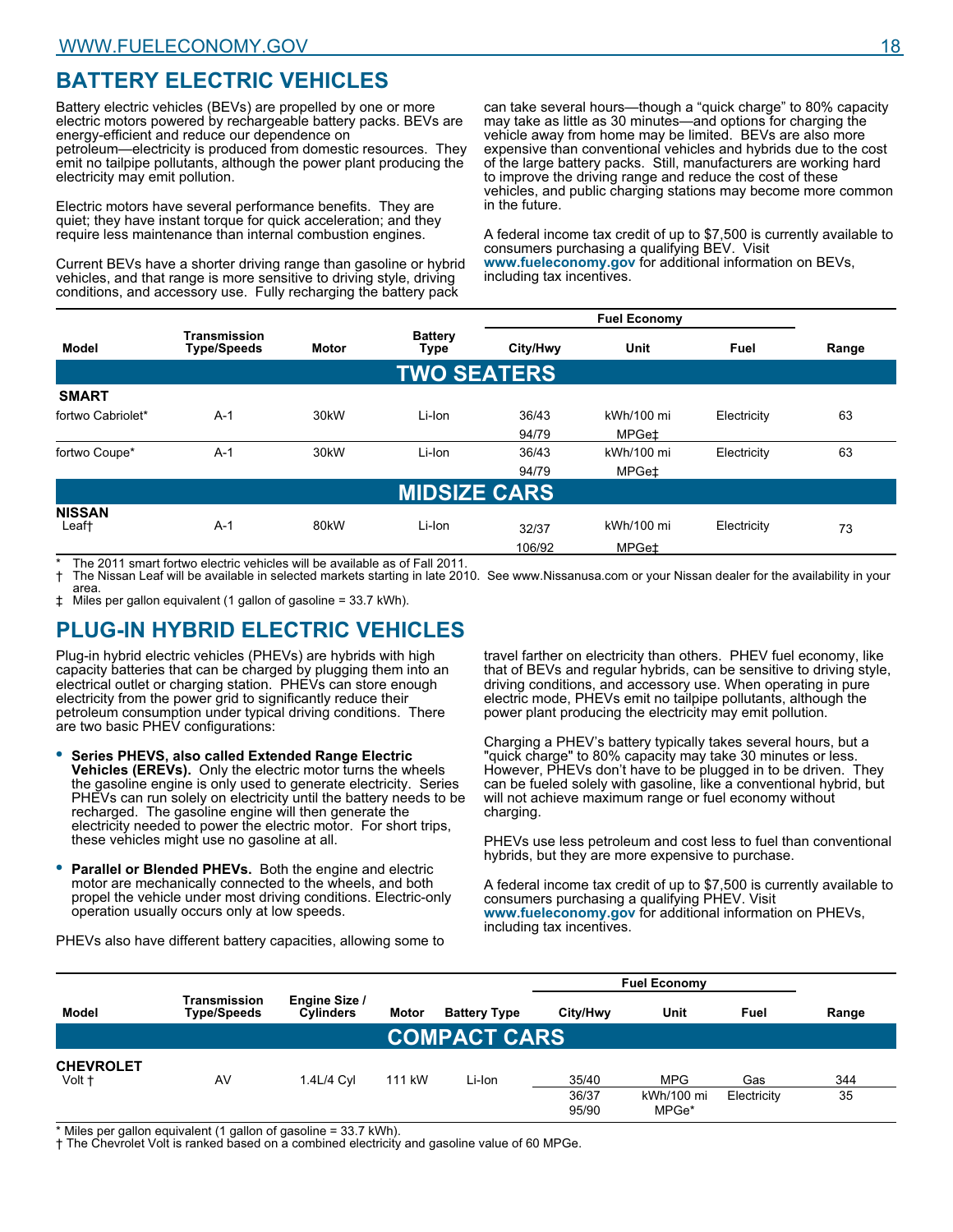# **BATTERY ELECTRIC VEHICLES**

Battery electric vehicles (BEVs) are propelled by one or more electric motors powered by rechargeable battery packs. BEVs are energy-efficient and reduce our dependence on petroleum—electricity is produced from domestic resources. They

emit no tailpipe pollutants, although the power plant producing the electricity may emit pollution.

Electric motors have several performance benefits. They are quiet; they have instant torque for quick acceleration; and they require less maintenance than internal combustion engines.

Current BEVs have a shorter driving range than gasoline or hybrid vehicles, and that range is more sensitive to driving style, driving conditions, and accessory use. Fully recharging the battery pack

can take several hours—though a "quick charge" to 80% capacity may take as little as 30 minutes—and options for charging the vehicle away from home may be limited. BEVs are also more expensive than conventional vehicles and hybrids due to the cost of the large battery packs. Still, manufacturers are working hard to improve the driving range and reduce the cost of these vehicles, and public charging stations may become more common in the future.

A federal income tax credit of up to \$7,500 is currently available to consumers purchasing a qualifying BEV. Visit **www.fueleconomy.gov** for additional information on BEVs, including tax incentives.

|                        |                                    |              |                        |          | <b>Fuel Economy</b> |             |       |
|------------------------|------------------------------------|--------------|------------------------|----------|---------------------|-------------|-------|
| <b>Model</b>           | Transmission<br><b>Type/Speeds</b> | <b>Motor</b> | <b>Battery</b><br>Type | City/Hwy | Unit                | Fuel        | Range |
|                        |                                    |              | <b>TWO SEATERS</b>     |          |                     |             |       |
| <b>SMART</b>           |                                    |              |                        |          |                     |             |       |
| fortwo Cabriolet*      | $A-1$                              | 30kW         | Li-Ion                 | 36/43    | kWh/100 mi          | Electricity | 63    |
|                        |                                    |              |                        | 94/79    | MPGet               |             |       |
| fortwo Coupe*          | $A-1$                              | 30kW         | Li-Ion                 | 36/43    | kWh/100 mi          | Electricity | 63    |
|                        |                                    |              |                        | 94/79    | MPGe‡               |             |       |
|                        |                                    |              | <b>MIDSIZE CARS</b>    |          |                     |             |       |
| <b>NISSAN</b><br>Leaf† | $A-1$                              | 80kW         | Li-Ion                 | 32/37    | kWh/100 mi          | Electricity | 73    |
|                        |                                    |              |                        | 106/92   | MPGet               |             |       |

\* The 2011 smart fortwo electric vehicles will be available as of Fall 2011. † The Nissan Leaf will be available in selected markets starting in late 2010. See www.Nissanusa.com or your Nissan dealer for the availability in your area.

‡ Miles per gallon equivalent (1 gallon of gasoline = 33.7 kWh).

# **PLUG-IN HYBRID ELECTRIC VEHICLES**

Plug-in hybrid electric vehicles (PHEVs) are hybrids with high capacity batteries that can be charged by plugging them into an electrical outlet or charging station. PHEVs can store enough electricity from the power grid to significantly reduce their petroleum consumption under typical driving conditions. There are two basic PHEV configurations:

- **Series PHEVS, also called Extended Range Electric Vehicles (EREVs).** Only the electric motor turns the wheels the gasoline engine is only used to generate electricity. Series PHEVs can run solely on electricity until the battery needs to be recharged. The gasoline engine will then generate the electricity needed to power the electric motor. For short trips, these vehicles might use no gasoline at all. **•**
- **Parallel or Blended PHEVs.** Both the engine and electric motor are mechanically connected to the wheels, and both propel the vehicle under most driving conditions. Electric-only operation usually occurs only at low speeds. **•**

travel farther on electricity than others. PHEV fuel economy, like that of BEVs and regular hybrids, can be sensitive to driving style, driving conditions, and accessory use. When operating in pure electric mode, PHEVs emit no tailpipe pollutants, although the power plant producing the electricity may emit pollution.

Charging a PHEV's battery typically takes several hours, but a "quick charge" to 80% capacity may take 30 minutes or less. However, PHEVs don't have to be plugged in to be driven. They can be fueled solely with gasoline, like a conventional hybrid, but will not achieve maximum range or fuel economy without charging.

PHEVs use less petroleum and cost less to fuel than conventional hybrids, but they are more expensive to purchase.

A federal income tax credit of up to \$7,500 is currently available to consumers purchasing a qualifying PHEV. Visit **www.fueleconomy.gov** for additional information on PHEVs, including tax incentives.

PHEVs also have different battery capacities, allowing some to

|                            |                                    |                                   |        |                     |                         | <b>Fuel Economy</b>               |                    |           |
|----------------------------|------------------------------------|-----------------------------------|--------|---------------------|-------------------------|-----------------------------------|--------------------|-----------|
| Model                      | Transmission<br><b>Type/Speeds</b> | Engine Size /<br><b>Cylinders</b> | Motor  | <b>Battery Type</b> | City/Hwy                | Unit                              | Fuel               | Range     |
|                            |                                    |                                   |        | <b>COMPACT CARS</b> |                         |                                   |                    |           |
| <b>CHEVROLET</b><br>Volt + | AV                                 | 1.4L/4 Cvl                        | 111 kW | Li-Ion              | 35/40<br>36/37<br>95/90 | <b>MPG</b><br>kWh/100 mi<br>MPGe* | Gas<br>Electricity | 344<br>35 |

\* Miles per gallon equivalent (1 gallon of gasoline = 33.7 kWh).

† The Chevrolet Volt is ranked based on a combined electricity and gasoline value of 60 MPGe.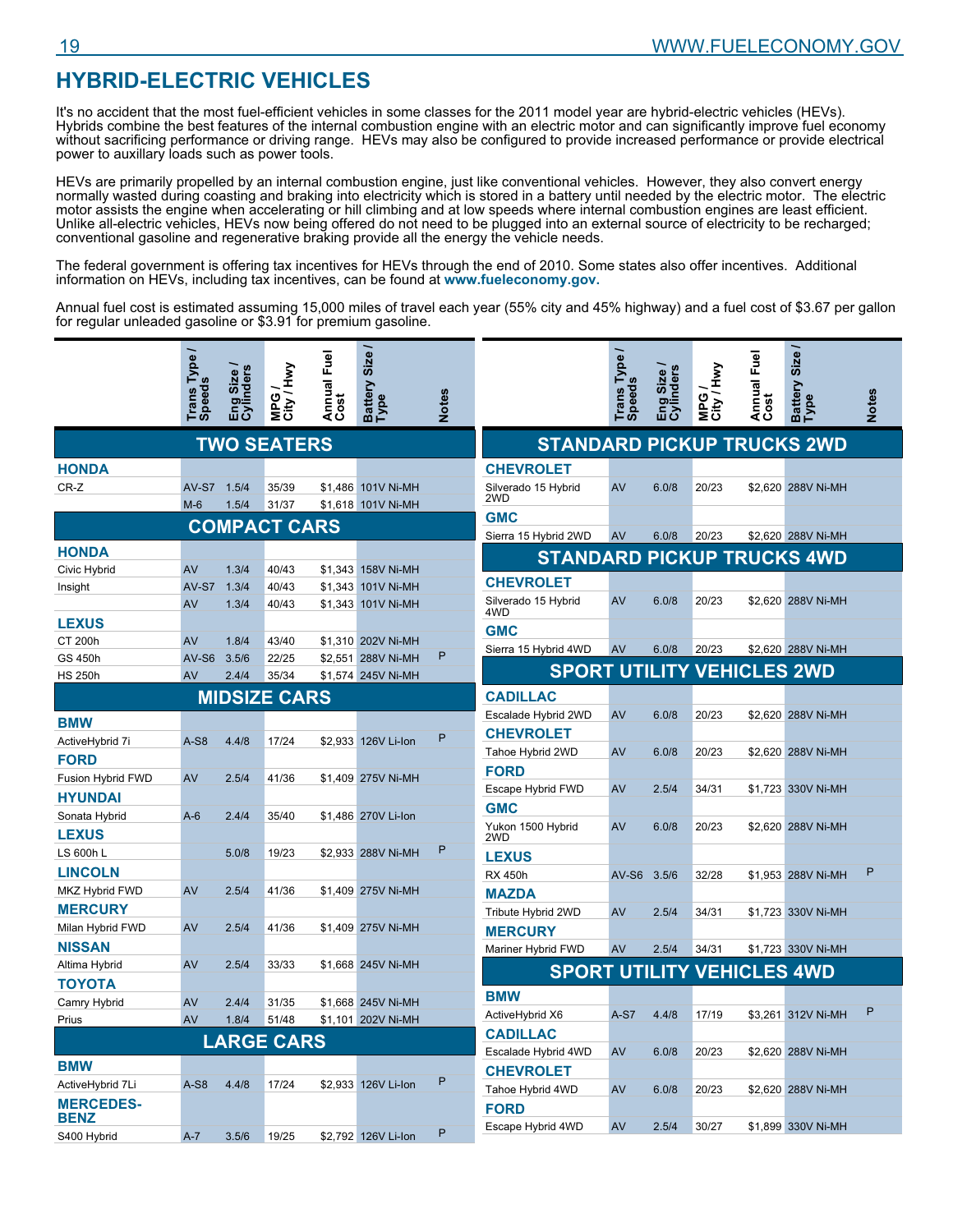# **HYBRID-ELECTRIC VEHICLES**

It's no accident that the most fuel-efficient vehicles in some classes for the 2011 model year are hybrid-electric vehicles (HEVs). Hybrids combine the best features of the internal combustion engine with an electric motor and can significantly improve fuel economy without sacrificing performance or driving range. HEVs may also be configured to provide increased performance or provide electrical power to auxillary loads such as power tools.

HEVs are primarily propelled by an internal combustion engine, just like conventional vehicles. However, they also convert energy normally wasted during coasting and braking into electricity which is stored in a battery until needed by the electric motor. The electric motor assists the engine when accelerating or hill climbing and at low speeds where internal combustion engines are least efficient. Unlike all-electric vehicles, HEVs now being offered do not need to be plugged into an external source of electricity to be recharged; conventional gasoline and regenerative braking provide all the energy the vehicle needs.

The federal government is offering tax incentives for HEVs through the end of 2010. Some states also offer incentives. Additional information on HEVs, including tax incentives, can be found at **www.fueleconomy.gov.**

Annual fuel cost is estimated assuming 15,000 miles of travel each year (55% city and 45% highway) and a fuel cost of \$3.67 per gallon for regular unleaded gasoline or \$3.91 for premium gasoline.

|                   | Trans Type  | Cylinders<br>Eng Size | MPG /<br>City / Hwy | Annual Fuel<br>Cost | Battery Size /<br>Type | <b>Notes</b> |                                   | <b>Trans Type</b><br><b>Speeds</b> | Eng Size /<br>Cylinders | MPG /<br>City / Hwy | Annual Fuel<br>Cost | Battery Size /<br>Type | <b>Notes</b> |
|-------------------|-------------|-----------------------|---------------------|---------------------|------------------------|--------------|-----------------------------------|------------------------------------|-------------------------|---------------------|---------------------|------------------------|--------------|
|                   |             |                       |                     |                     |                        |              |                                   |                                    |                         |                     |                     |                        |              |
|                   |             |                       | <b>TWO SEATERS</b>  |                     |                        |              | <b>STANDARD PICKUP TRUCKS 2WD</b> |                                    |                         |                     |                     |                        |              |
| <b>HONDA</b>      |             |                       |                     |                     |                        |              | <b>CHEVROLET</b>                  |                                    |                         |                     |                     |                        |              |
| CR-Z              | AV-S7 1.5/4 |                       | 35/39               |                     | \$1,486 101V Ni-MH     |              | Silverado 15 Hybrid<br>2WD        | AV                                 | 6.0/8                   | 20/23               |                     | \$2,620 288V Ni-MH     |              |
|                   | $M-6$       | 1.5/4                 | 31/37               |                     | \$1,618 101V Ni-MH     |              | <b>GMC</b>                        |                                    |                         |                     |                     |                        |              |
|                   |             |                       | <b>COMPACT CARS</b> |                     |                        |              | Sierra 15 Hybrid 2WD              | AV                                 | 6.0/8                   | 20/23               |                     | \$2,620 288V Ni-MH     |              |
| <b>HONDA</b>      |             |                       |                     |                     |                        |              | <b>STANDARD PICKUP TRUCKS 4WD</b> |                                    |                         |                     |                     |                        |              |
| Civic Hybrid      | AV          | 1.3/4                 | 40/43               |                     | \$1.343 158V Ni-MH     |              |                                   |                                    |                         |                     |                     |                        |              |
| Insight           | AV-S7       | 1.3/4                 | 40/43               |                     | \$1.343 101V Ni-MH     |              | <b>CHEVROLET</b>                  |                                    |                         |                     |                     |                        |              |
|                   | AV          | 1.3/4                 | 40/43               |                     | \$1,343 101V Ni-MH     |              | Silverado 15 Hybrid<br>4WD        | AV                                 | 6.0/8                   | 20/23               |                     | \$2,620 288V Ni-MH     |              |
| <b>LEXUS</b>      |             |                       |                     |                     |                        |              | <b>GMC</b>                        |                                    |                         |                     |                     |                        |              |
| CT 200h           | AV          | 1.8/4                 | 43/40               |                     | \$1,310 202V Ni-MH     |              | Sierra 15 Hybrid 4WD              | AV                                 | 6.0/8                   | 20/23               |                     | \$2,620 288V Ni-MH     |              |
| GS 450h           | $AV-S6$     | 3.5/6                 | 22/25               |                     | \$2.551 288V Ni-MH     | P            | <b>SPORT UTILITY VEHICLES 2WD</b> |                                    |                         |                     |                     |                        |              |
| <b>HS 250h</b>    | AV          | 2.4/4                 | 35/34               |                     | \$1,574 245V Ni-MH     |              |                                   |                                    |                         |                     |                     |                        |              |
|                   |             |                       | <b>MIDSIZE CARS</b> |                     |                        |              | <b>CADILLAC</b>                   |                                    |                         |                     |                     |                        |              |
| <b>BMW</b>        |             |                       |                     |                     |                        |              | Escalade Hybrid 2WD               | AV                                 | 6.0/8                   | 20/23               |                     | \$2,620 288V Ni-MH     |              |
| ActiveHybrid 7i   | $A-S8$      | 4.4/8                 | 17/24               |                     | \$2,933 126V Li-Ion    | P            | <b>CHEVROLET</b>                  |                                    |                         |                     |                     |                        |              |
| <b>FORD</b>       |             |                       |                     |                     |                        |              | Tahoe Hybrid 2WD                  | AV                                 | 6.0/8                   | 20/23               |                     | \$2,620 288V Ni-MH     |              |
| Fusion Hybrid FWD | AV          | 2.5/4                 | 41/36               |                     | \$1,409 275V Ni-MH     |              | <b>FORD</b>                       |                                    |                         |                     |                     |                        |              |
| <b>HYUNDAI</b>    |             |                       |                     |                     |                        |              | Escape Hybrid FWD                 | AV                                 | 2.5/4                   | 34/31               |                     | \$1,723 330V Ni-MH     |              |
| Sonata Hybrid     | $A-6$       | 2.4/4                 | 35/40               |                     | \$1,486 270V Li-lon    |              | <b>GMC</b>                        |                                    |                         |                     |                     |                        |              |
| <b>LEXUS</b>      |             |                       |                     |                     |                        |              | Yukon 1500 Hybrid<br>2WD          | AV                                 | 6.0/8                   | 20/23               |                     | \$2,620 288V Ni-MH     |              |
| LS 600h L         |             | 5.0/8                 | 19/23               |                     | \$2,933 288V Ni-MH     | P            | <b>LEXUS</b>                      |                                    |                         |                     |                     |                        |              |
| <b>LINCOLN</b>    |             |                       |                     |                     |                        |              | <b>RX 450h</b>                    | $AV-S6$                            | 3.5/6                   | 32/28               |                     | \$1,953 288V Ni-MH     | P            |
| MKZ Hybrid FWD    | AV          | 2.5/4                 | 41/36               |                     | \$1,409 275V Ni-MH     |              | <b>MAZDA</b>                      |                                    |                         |                     |                     |                        |              |
| <b>MERCURY</b>    |             |                       |                     |                     |                        |              | Tribute Hybrid 2WD                | AV                                 | 2.5/4                   | 34/31               |                     | \$1,723 330V Ni-MH     |              |
| Milan Hybrid FWD  | AV          | 2.5/4                 | 41/36               |                     | \$1.409 275V Ni-MH     |              | <b>MERCURY</b>                    |                                    |                         |                     |                     |                        |              |
| <b>NISSAN</b>     |             |                       |                     |                     |                        |              | Mariner Hybrid FWD                | AV                                 | 2.5/4                   | 34/31               |                     | \$1,723 330V Ni-MH     |              |
| Altima Hybrid     | AV          | 2.5/4                 | 33/33               |                     | \$1,668 245V Ni-MH     |              | <b>SPORT UTILITY VEHICLES 4WD</b> |                                    |                         |                     |                     |                        |              |
| <b>TOYOTA</b>     |             |                       |                     |                     |                        |              |                                   |                                    |                         |                     |                     |                        |              |
| Camry Hybrid      | AV          | 2.4/4                 | 31/35               |                     | \$1,668 245V Ni-MH     |              | <b>BMW</b>                        |                                    |                         |                     |                     |                        | P            |
| Prius             | <b>AV</b>   | 1.8/4                 | 51/48               |                     | \$1,101 202V Ni-MH     |              | ActiveHybrid X6                   | $A-S7$                             | 4.4/8                   | 17/19               |                     | \$3,261 312V Ni-MH     |              |
|                   |             |                       | <b>LARGE CARS</b>   |                     |                        |              | <b>CADILLAC</b>                   |                                    |                         |                     |                     |                        |              |
| <b>BMW</b>        |             |                       |                     |                     |                        |              | Escalade Hybrid 4WD               | AV                                 | 6.0/8                   | 20/23               |                     | \$2.620 288V Ni-MH     |              |
| ActiveHybrid 7Li  | $A-S8$      | 4.4/8                 | 17/24               |                     | \$2,933 126V Li-lon    | P            | <b>CHEVROLET</b>                  |                                    |                         |                     |                     |                        |              |
| <b>MERCEDES-</b>  |             |                       |                     |                     |                        |              | Tahoe Hybrid 4WD                  | AV                                 | 6.0/8                   | 20/23               |                     | \$2,620 288V Ni-MH     |              |
| <b>BENZ</b>       |             |                       |                     |                     |                        |              | <b>FORD</b>                       |                                    |                         |                     |                     |                        |              |
| S400 Hybrid       | $A - 7$     | 3.5/6                 | 19/25               |                     | \$2,792 126V Li-lon    | P            | Escape Hybrid 4WD                 | AV                                 | 2.5/4                   | 30/27               |                     | \$1,899 330V Ni-MH     |              |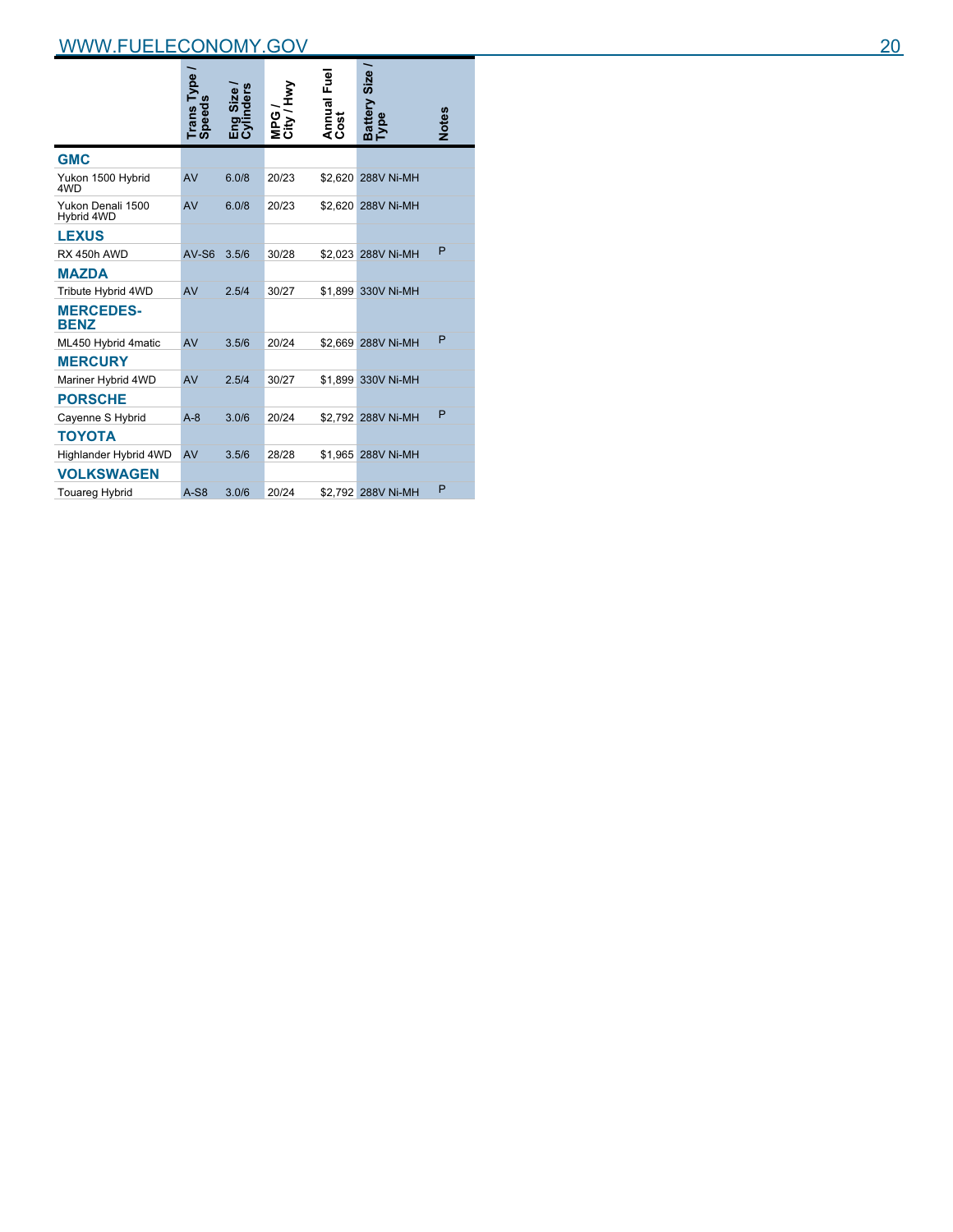|                                 | Trans Type | Eng Size /<br>Cylinders | MPG/<br>City/Hwy | Annual Fuel<br>Cost | Size<br>Battery :<br>Type | <b>Notes</b> |
|---------------------------------|------------|-------------------------|------------------|---------------------|---------------------------|--------------|
| <b>GMC</b>                      |            |                         |                  |                     |                           |              |
| Yukon 1500 Hybrid<br>4WD        | AV         | 6.0/8                   | 20/23            |                     | \$2.620 288V Ni-MH        |              |
| Yukon Denali 1500<br>Hybrid 4WD | AV         | 6.0/8                   | 20/23            |                     | \$2.620 288V Ni-MH        |              |
| <b>LEXUS</b>                    |            |                         |                  |                     |                           |              |
| RX 450h AWD                     | $AV-S6$    | 3.5/6                   | 30/28            |                     | \$2.023 288V Ni-MH        | P            |
| <b>MAZDA</b>                    |            |                         |                  |                     |                           |              |
| Tribute Hybrid 4WD              | AV         | 2.5/4                   | 30/27            |                     | \$1,899 330V Ni-MH        |              |
| <b>MERCEDES-</b><br><b>BENZ</b> |            |                         |                  |                     |                           |              |
| ML450 Hybrid 4matic             | AV         | 3.5/6                   | 20/24            |                     | \$2.669 288V Ni-MH        | P            |
| <b>MERCURY</b>                  |            |                         |                  |                     |                           |              |
| Mariner Hybrid 4WD              | AV         | 2.5/4                   | 30/27            |                     | \$1,899 330V Ni-MH        |              |
| <b>PORSCHE</b>                  |            |                         |                  |                     |                           |              |
| Cayenne S Hybrid                | $A-8$      | 3.0/6                   | 20/24            |                     | \$2.792 288V Ni-MH        | P            |
| <b>TOYOTA</b>                   |            |                         |                  |                     |                           |              |
| Highlander Hybrid 4WD           | AV         | 3.5/6                   | 28/28            |                     | \$1,965 288V Ni-MH        |              |
| <b>VOLKSWAGEN</b>               |            |                         |                  |                     |                           |              |
| <b>Touareg Hybrid</b>           | $A-S8$     | 3.0/6                   | 20/24            |                     | \$2,792 288V Ni-MH        | P            |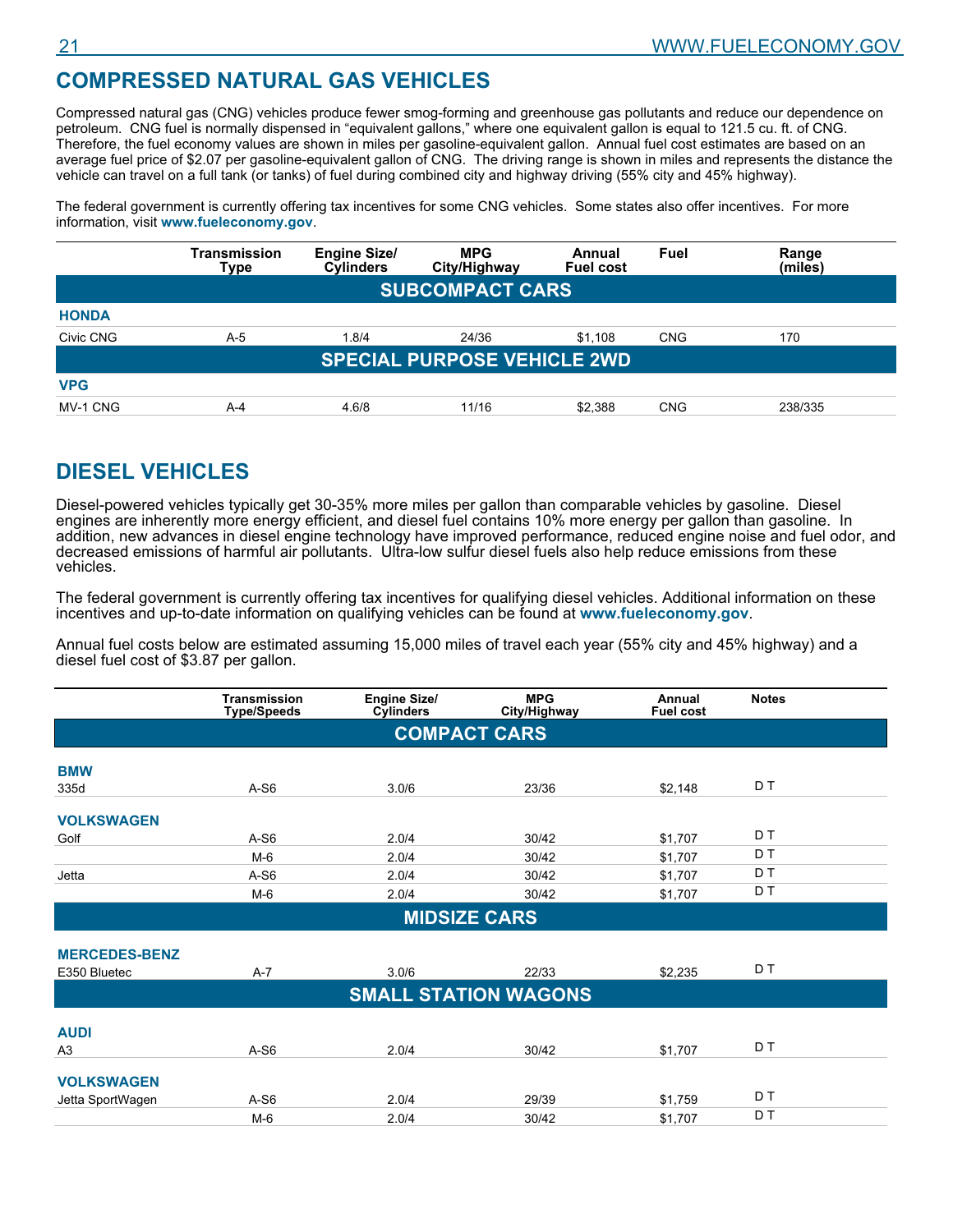# **COMPRESSED NATURAL GAS VEHICLES**

Compressed natural gas (CNG) vehicles produce fewer smog-forming and greenhouse gas pollutants and reduce our dependence on petroleum. CNG fuel is normally dispensed in "equivalent gallons," where one equivalent gallon is equal to 121.5 cu. ft. of CNG. Therefore, the fuel economy values are shown in miles per gasoline-equivalent gallon. Annual fuel cost estimates are based on an average fuel price of \$2.07 per gasoline-equivalent gallon of CNG. The driving range is shown in miles and represents the distance the vehicle can travel on a full tank (or tanks) of fuel during combined city and highway driving (55% city and 45% highway).

The federal government is currently offering tax incentives for some CNG vehicles. Some states also offer incentives. For more information, visit **www.fueleconomy.gov**.

|              | Transmission<br>Type | <b>Engine Size/</b><br><b>Cylinders</b> | <b>MPG</b><br>City/Highway         | Annual<br><b>Fuel cost</b> | Fuel       | Range<br>(miles) |
|--------------|----------------------|-----------------------------------------|------------------------------------|----------------------------|------------|------------------|
|              |                      |                                         | <b>SUBCOMPACT CARS</b>             |                            |            |                  |
| <b>HONDA</b> |                      |                                         |                                    |                            |            |                  |
| Civic CNG    | $A-5$                | 1.8/4                                   | 24/36                              | \$1,108                    | <b>CNG</b> | 170              |
|              |                      |                                         | <b>SPECIAL PURPOSE VEHICLE 2WD</b> |                            |            |                  |
| <b>VPG</b>   |                      |                                         |                                    |                            |            |                  |
| MV-1 CNG     | $A - 4$              | 4.6/8                                   | 11/16                              | \$2.388                    | <b>CNG</b> | 238/335          |

# **DIESEL VEHICLES**

Diesel-powered vehicles typically get 30-35% more miles per gallon than comparable vehicles by gasoline. Diesel engines are inherently more energy efficient, and diesel fuel contains 10% more energy per gallon than gasoline. In addition, new advances in diesel engine technology have improved performance, reduced engine noise and fuel odor, and decreased emissions of harmful air pollutants. Ultra-low sulfur diesel fuels also help reduce emissions from these vehicles.

The federal government is currently offering tax incentives for qualifying diesel vehicles. Additional information on these incentives and up-to-date information on qualifying vehicles can be found at **www.fueleconomy.gov**.

Annual fuel costs below are estimated assuming 15,000 miles of travel each year (55% city and 45% highway) and a diesel fuel cost of \$3.87 per gallon.

|                      | <b>Transmission</b><br><b>Type/Speeds</b> | <b>Engine Size/</b><br><b>Cylinders</b> | <b>MPG</b><br>City/Highway  | Annual<br><b>Fuel cost</b> | <b>Notes</b> |
|----------------------|-------------------------------------------|-----------------------------------------|-----------------------------|----------------------------|--------------|
|                      |                                           |                                         | <b>COMPACT CARS</b>         |                            |              |
| <b>BMW</b>           |                                           |                                         |                             |                            |              |
| 335d                 | $A-S6$                                    | 3.0/6                                   | 23/36                       | \$2,148                    | D T          |
| <b>VOLKSWAGEN</b>    |                                           |                                         |                             |                            |              |
| Golf                 | $A-S6$                                    | 2.0/4                                   | 30/42                       | \$1,707                    | D T          |
|                      | $M-6$                                     | 2.0/4                                   | 30/42                       | \$1,707                    | D T          |
| Jetta                | $A-S6$                                    | 2.0/4                                   | 30/42                       | \$1,707                    | D T          |
|                      | $M-6$                                     | 2.0/4                                   | 30/42                       | \$1,707                    | D T          |
|                      |                                           |                                         | <b>MIDSIZE CARS</b>         |                            |              |
|                      |                                           |                                         |                             |                            |              |
| <b>MERCEDES-BENZ</b> |                                           |                                         |                             |                            |              |
| E350 Bluetec         | $A-7$                                     | 3.0/6                                   | 22/33                       | \$2,235                    | D T          |
|                      |                                           |                                         | <b>SMALL STATION WAGONS</b> |                            |              |
|                      |                                           |                                         |                             |                            |              |
| <b>AUDI</b>          |                                           |                                         |                             |                            |              |
| A <sub>3</sub>       | $A-S6$                                    | 2.0/4                                   | 30/42                       | \$1,707                    | D T          |
| <b>VOLKSWAGEN</b>    |                                           |                                         |                             |                            |              |
| Jetta SportWagen     | $A-S6$                                    | 2.0/4                                   | 29/39                       | \$1,759                    | D T          |
|                      | $M-6$                                     | 2.0/4                                   | 30/42                       | \$1,707                    | D T          |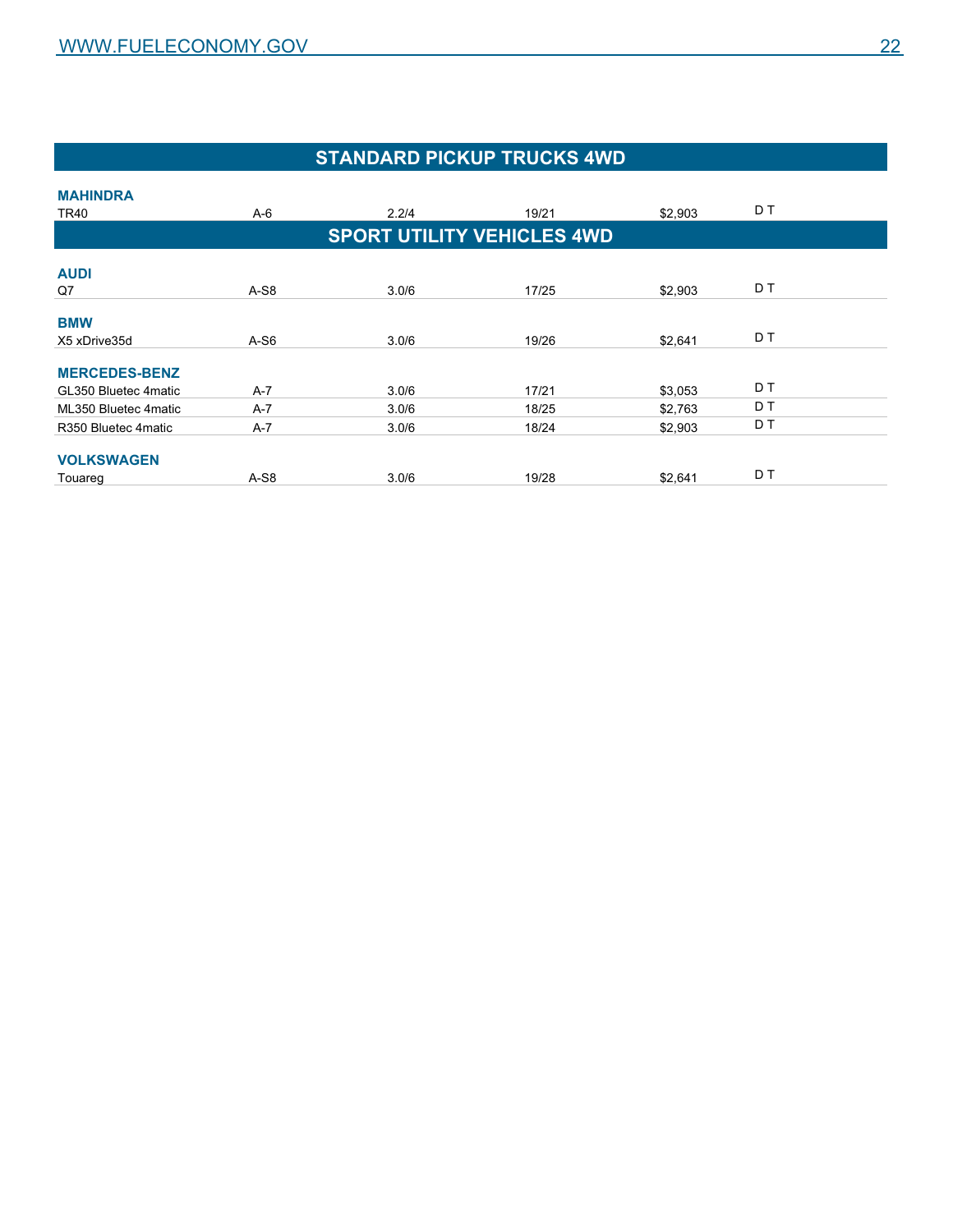# **STANDARD PICKUP TRUCKS 4WD**

| <b>MAHINDRA</b>      |         |                                   |       |         |     |  |
|----------------------|---------|-----------------------------------|-------|---------|-----|--|
| TR40                 | $A-6$   | 2.2/4                             | 19/21 | \$2,903 | D T |  |
|                      |         | <b>SPORT UTILITY VEHICLES 4WD</b> |       |         |     |  |
| <b>AUDI</b>          |         |                                   |       |         |     |  |
| Q7                   | $A-S8$  | 3.0/6                             | 17/25 | \$2,903 | D T |  |
| <b>BMW</b>           |         |                                   |       |         |     |  |
| X5 xDrive35d         | $A-S6$  | 3.0/6                             | 19/26 | \$2,641 | D T |  |
| <b>MERCEDES-BENZ</b> |         |                                   |       |         |     |  |
| GL350 Bluetec 4matic | $A-7$   | 3.0/6                             | 17/21 | \$3,053 | D T |  |
| ML350 Bluetec 4matic | $A-7$   | 3.0/6                             | 18/25 | \$2,763 | D T |  |
| R350 Bluetec 4 matic | $A - 7$ | 3.0/6                             | 18/24 | \$2,903 | D T |  |
| <b>VOLKSWAGEN</b>    |         |                                   |       |         |     |  |
| Touareg              | A-S8    | 3.0/6                             | 19/28 | \$2,641 | D T |  |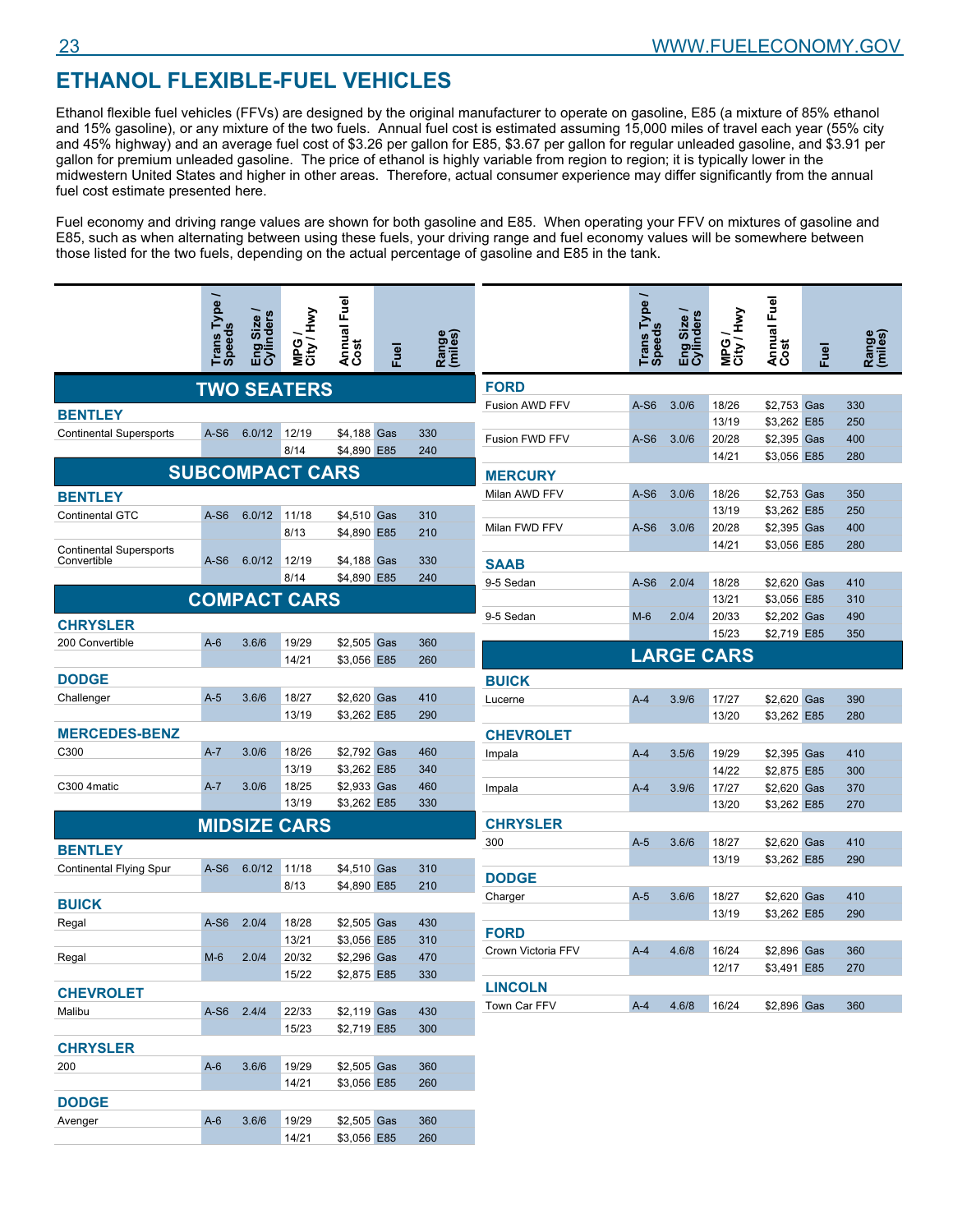# **ETHANOL FLEXIBLE-FUEL VEHICLES**

Ethanol flexible fuel vehicles (FFVs) are designed by the original manufacturer to operate on gasoline, E85 (a mixture of 85% ethanol and 15% gasoline), or any mixture of the two fuels. Annual fuel cost is estimated assuming 15,000 miles of travel each year (55% city and 45% highway) and an average fuel cost of \$3.26 per gallon for E85, \$3.67 per gallon for regular unleaded gasoline, and \$3.91 per gallon for premium unleaded gasoline. The price of ethanol is highly variable from region to region; it is typically lower in the midwestern United States and higher in other areas. Therefore, actual consumer experience may differ significantly from the annual fuel cost estimate presented here.

Fuel economy and driving range values are shown for both gasoline and E85. When operating your FFV on mixtures of gasoline and E85, such as when alternating between using these fuels, your driving range and fuel economy values will be somewhere between those listed for the two fuels, depending on the actual percentage of gasoline and E85 in the tank.

|                                | Trans Type /<br><b>Speeds</b> | Eng Size /<br>Cylinders | MPG/<br>City/Hwy       | Annual Fuel<br>Cost | <u>B</u> | Range<br>(miles) |                    | Trans Type | Eng Size /<br>Cylinders | MPG/<br>City/Hwy  | Annual Fuel<br>Cost | Fuel | Range<br>(miles) |
|--------------------------------|-------------------------------|-------------------------|------------------------|---------------------|----------|------------------|--------------------|------------|-------------------------|-------------------|---------------------|------|------------------|
|                                |                               |                         | <b>TWO SEATERS</b>     |                     |          |                  | <b>FORD</b>        |            |                         |                   |                     |      |                  |
|                                |                               |                         |                        |                     |          |                  | Fusion AWD FFV     | $A-S6$     | 3.0/6                   | 18/26             | \$2,753 Gas         |      | 330              |
| <b>BENTLEY</b>                 |                               |                         |                        |                     |          |                  |                    |            |                         | 13/19             | \$3,262 E85         |      | 250              |
| <b>Continental Supersports</b> | $A-S6$                        | 6.0/12                  | 12/19                  | \$4,188 Gas         |          | 330              | Fusion FWD FFV     | $A-S6$     | 3.0/6                   | 20/28             | \$2,395 Gas         |      | 400              |
|                                |                               |                         | 8/14                   | \$4,890 E85         |          | 240              |                    |            |                         | 14/21             | \$3,056 E85         |      | 280              |
|                                |                               |                         | <b>SUBCOMPACT CARS</b> |                     |          |                  | <b>MERCURY</b>     |            |                         |                   |                     |      |                  |
| <b>BENTLEY</b>                 |                               |                         |                        |                     |          |                  | Milan AWD FFV      | $A-S6$     | 3.0/6                   | 18/26             | \$2,753 Gas         |      | 350              |
| <b>Continental GTC</b>         | $A-S6$                        | 6.0/12                  | 11/18                  | \$4,510 Gas         |          | 310              |                    |            |                         | 13/19             | \$3,262 E85         |      | 250              |
|                                |                               |                         | 8/13                   | \$4,890 E85         |          | 210              | Milan FWD FFV      | $A-S6$     | 3.0/6                   | 20/28             | \$2,395 Gas         |      | 400              |
| <b>Continental Supersports</b> |                               |                         |                        |                     |          |                  |                    |            |                         | 14/21             | \$3,056 E85         |      | 280              |
| Convertible                    | $A-S6$                        | 6.0/12                  | 12/19                  | \$4,188 Gas         |          | 330              | <b>SAAB</b>        |            |                         |                   |                     |      |                  |
|                                |                               |                         | 8/14                   | \$4,890 E85         |          | 240              | 9-5 Sedan          | $A-S6$     | 2.0/4                   | 18/28             | \$2,620 Gas         |      | 410              |
|                                |                               |                         | <b>COMPACT CARS</b>    |                     |          |                  |                    |            |                         | 13/21             | \$3,056 E85         |      | 310              |
| <b>CHRYSLER</b>                |                               |                         |                        |                     |          |                  | 9-5 Sedan          | $M-6$      | 2.0/4                   | 20/33             | \$2,202 Gas         |      | 490              |
| 200 Convertible                | $A-6$                         | 3.6/6                   | 19/29                  | \$2,505 Gas         |          | 360              |                    |            |                         | 15/23             | \$2,719 E85         |      | 350              |
|                                |                               |                         | 14/21                  | \$3,056 E85         |          | 260              |                    |            |                         | <b>LARGE CARS</b> |                     |      |                  |
|                                |                               |                         |                        |                     |          |                  |                    |            |                         |                   |                     |      |                  |
| <b>DODGE</b>                   |                               |                         |                        |                     |          |                  | <b>BUICK</b>       |            |                         |                   |                     |      |                  |
| Challenger                     | $A-5$                         | 3.6/6                   | 18/27                  | \$2.620 Gas         |          | 410              | Lucerne            | $A-4$      | 3.9/6                   | 17/27             | \$2,620 Gas         |      | 390              |
|                                |                               |                         | 13/19                  | \$3,262 E85         |          | 290              |                    |            |                         | 13/20             | \$3,262 E85         |      | 280              |
| <b>MERCEDES-BENZ</b>           |                               |                         |                        |                     |          |                  | <b>CHEVROLET</b>   |            |                         |                   |                     |      |                  |
| C300                           | $A-7$                         | 3.0/6                   | 18/26                  | \$2,792 Gas         |          | 460              | Impala             | $A-4$      | 3.5/6                   | 19/29             | \$2,395 Gas         |      | 410              |
|                                |                               |                         | 13/19                  | \$3,262 E85         |          | 340              |                    |            |                         | 14/22             | \$2,875 E85         |      | 300              |
| C300 4matic                    | $A - 7$                       | 3.0/6                   | 18/25                  | \$2,933 Gas         |          | 460              | Impala             | $A-4$      | 3.9/6                   | 17/27             | \$2,620 Gas         |      | 370              |
|                                |                               |                         | 13/19                  | \$3,262 E85         |          | 330              |                    |            |                         | 13/20             | \$3,262 E85         |      | 270              |
|                                |                               |                         | <b>MIDSIZE CARS</b>    |                     |          |                  | <b>CHRYSLER</b>    |            |                         |                   |                     |      |                  |
| <b>BENTLEY</b>                 |                               |                         |                        |                     |          |                  | 300                | $A-5$      | 3.6/6                   | 18/27             | \$2,620 Gas         |      | 410              |
| Continental Flying Spur        | $A-S6$                        | 6.0/12                  | 11/18                  | \$4,510 Gas         |          | 310              |                    |            |                         | 13/19             | \$3,262 E85         |      | 290              |
|                                |                               |                         | 8/13                   | \$4,890 E85         |          | 210              | <b>DODGE</b>       |            |                         |                   |                     |      |                  |
| <b>BUICK</b>                   |                               |                         |                        |                     |          |                  | Charger            | $A-5$      | 3.6/6                   | 18/27             | \$2,620 Gas         |      | 410              |
| Regal                          | $A-S6$                        | 2.0/4                   | 18/28                  | \$2,505 Gas         |          | 430              |                    |            |                         | 13/19             | \$3,262 E85         |      | 290              |
|                                |                               |                         | 13/21                  | \$3.056 E85         |          | 310              | <b>FORD</b>        |            |                         |                   |                     |      |                  |
| Regal                          | $M-6$                         | 2.0/4                   | 20/32                  | \$2,296 Gas         |          | 470              | Crown Victoria FFV | $A-4$      | 4.6/8                   | 16/24             | \$2,896 Gas         |      | 360              |
|                                |                               |                         | 15/22                  | \$2,875 E85         |          | 330              |                    |            |                         | 12/17             | \$3,491 E85         |      | 270              |
| <b>CHEVROLET</b>               |                               |                         |                        |                     |          |                  | <b>LINCOLN</b>     |            |                         |                   |                     |      |                  |
|                                | A-S6 2.4/4                    |                         |                        | \$2,119 Gas         |          |                  | Town Car FFV       | $A-4$      | 4.6/8                   | 16/24             | \$2,896 Gas         |      | 360              |
| Malibu                         |                               |                         | 22/33<br>15/23         | \$2,719 E85         |          | 430<br>300       |                    |            |                         |                   |                     |      |                  |
|                                |                               |                         |                        |                     |          |                  |                    |            |                         |                   |                     |      |                  |
| <b>CHRYSLER</b>                |                               |                         |                        |                     |          |                  |                    |            |                         |                   |                     |      |                  |
| 200                            | $A-6$                         | 3.6/6                   | 19/29                  | \$2,505 Gas         |          | 360              |                    |            |                         |                   |                     |      |                  |
|                                |                               |                         | 14/21                  | \$3,056 E85         |          | 260              |                    |            |                         |                   |                     |      |                  |
| <b>DODGE</b>                   |                               |                         |                        |                     |          |                  |                    |            |                         |                   |                     |      |                  |
| Avenger                        | $A-6$                         | 3.6/6                   | 19/29                  | \$2,505 Gas         |          | 360              |                    |            |                         |                   |                     |      |                  |

14/21 \$3,056 E85 260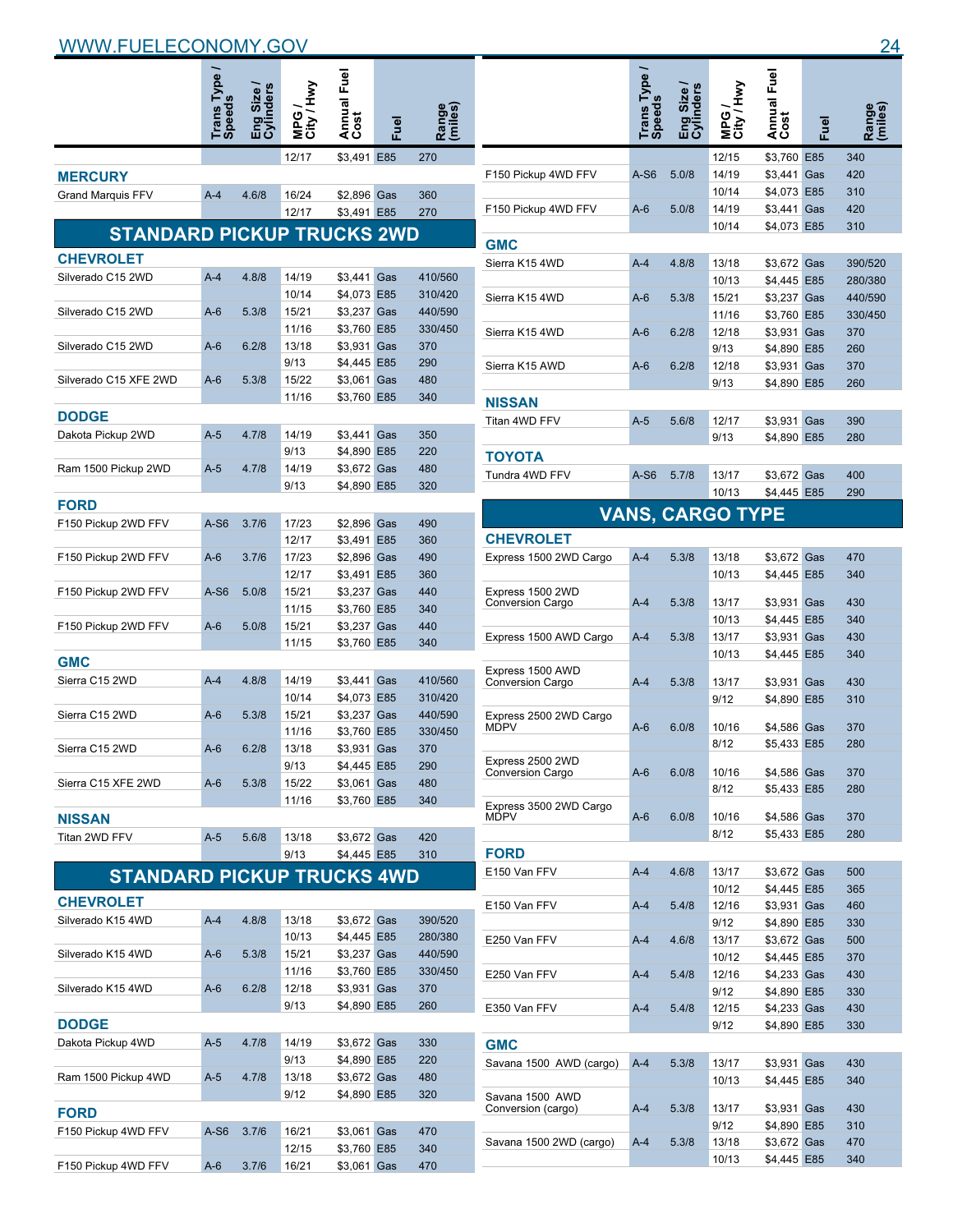|                                   | Trans Type<br>Speeds | g Size /<br>linders | City / Hwy<br><b>MPG</b> | Annual Fuel<br>Cost        | Fuel | Range<br>(miles)   |             |
|-----------------------------------|----------------------|---------------------|--------------------------|----------------------------|------|--------------------|-------------|
|                                   |                      |                     | 12/17                    | \$3,491                    | E85  | 270                |             |
| <b>MERCURY</b>                    |                      |                     |                          |                            |      |                    | $\mathsf F$ |
| <b>Grand Marquis FFV</b>          | $A - 4$              | 4.6/8               | 16/24                    | \$2,896 Gas                |      | 360                |             |
|                                   |                      |                     | 12/17                    | \$3,491 E85                |      | 270                | F           |
| <b>STANDARD PICKUP TRUCKS 2WD</b> |                      |                     |                          |                            |      |                    | G           |
| <b>CHEVROLET</b>                  |                      |                     |                          |                            |      |                    | S           |
| Silverado C15 2WD                 | $A-4$                | 4.8/8               | 14/19                    | \$3,441 Gas                |      | 410/560            |             |
|                                   |                      |                     | 10/14                    | \$4,073 E85                |      | 310/420            | S           |
| Silverado C15 2WD                 | A-6                  | 5.3/8               | 15/21                    | \$3,237 Gas                |      | 440/590            |             |
|                                   |                      |                     | 11/16                    | \$3,760 E85                |      | 330/450<br>370     | S           |
| Silverado C15 2WD                 | $A-6$                | 6.2/8               | 13/18<br>9/13            | \$3,931 Gas<br>\$4,445 E85 |      | 290                |             |
| Silverado C15 XFE 2WD             | $A-6$                | 5.3/8               | 15/22                    | \$3,061 Gas                |      | 480                | S           |
|                                   |                      |                     | 11/16                    | \$3,760 E85                |      | 340                | N           |
| <b>DODGE</b>                      |                      |                     |                          |                            |      |                    | Т           |
| Dakota Pickup 2WD                 | $A-5$                | 4.7/8               | 14/19                    | \$3,441 Gas                |      | 350                |             |
|                                   |                      |                     | 9/13                     | \$4,890 E85                |      | 220                | Т           |
| Ram 1500 Pickup 2WD               | $A-5$                | 4.7/8               | 14/19                    | \$3,672 Gas                |      | 480                | Τ           |
|                                   |                      |                     | 9/13                     | \$4,890 E85                |      | 320                |             |
| <b>FORD</b>                       |                      |                     |                          |                            |      |                    |             |
| F150 Pickup 2WD FFV               | $A-S6$               | 3.7/6               | 17/23<br>12/17           | \$2,896 Gas<br>\$3,491 E85 |      | 490<br>360         | C           |
| F150 Pickup 2WD FFV               | $A-6$                | 3.7/6               | 17/23                    | \$2,896 Gas                |      | 490                | E           |
|                                   |                      |                     | 12/17                    | \$3,491 E85                |      | 360                |             |
| F150 Pickup 2WD FFV               | A-S6                 | 5.0/8               | 15/21                    | \$3,237 Gas                |      | 440                | E           |
|                                   |                      |                     | 11/15                    | \$3,760 E85                |      | 340                | C           |
| F150 Pickup 2WD FFV               | $A-6$                | 5.0/8               | 15/21                    | \$3,237 Gas                |      | 440                | Е           |
|                                   |                      |                     | 11/15                    | \$3,760 E85                |      | 340                |             |
| <b>GMC</b>                        |                      |                     |                          |                            |      |                    | Ε           |
| Sierra C15 2WD                    | $A-4$                | 4.8/8               | 14/19                    | \$3,441 Gas                |      | 410/560            | C           |
| Sierra C15 2WD                    | $A-6$                | 5.3/8               | 10/14<br>15/21           | \$4,073 E85<br>\$3,237 Gas |      | 310/420<br>440/590 |             |
|                                   |                      |                     | 11/16                    | \$3,760 E85                |      | 330/450            | Ε<br>M      |
| Sierra C15 2WD                    | $A-6$                | 6.2/8               | 13/18                    | \$3,931 Gas                |      | 370                |             |
|                                   |                      |                     | 9/13                     | \$4,445 E85                |      | 290                | Ε<br>C      |
| Sierra C15 XFE 2WD                | $A-6$                | 5.3/8               | 15/22                    | \$3,061 Gas                |      | 480                |             |
|                                   |                      |                     | 11/16                    | \$3,760 E85                |      | 340                | Ε           |
| NISSAN                            |                      |                     |                          |                            |      |                    | M           |
| Titan 2WD FFV                     | $A-5$                | 5.6/8               | 13/18                    | \$3,672 Gas                |      | 420                | F           |
|                                   |                      |                     | 9/13                     | \$4,445 E85                |      | 310                | Ε           |
| <b>STANDARD PICKUP TRUCKS 4WD</b> |                      |                     |                          |                            |      |                    |             |
| <b>CHEVROLET</b>                  |                      |                     |                          |                            |      |                    | Ε           |
| Silverado K15 4WD                 | $A-4$                | 4.8/8               | 13/18                    | \$3,672 Gas                |      | 390/520            |             |
| Silverado K15 4WD                 |                      | 5.3/8               | 10/13                    | \$4,445 E85                |      | 280/380<br>440/590 | Е           |
|                                   | $A-6$                |                     | 15/21<br>11/16           | \$3,237 Gas<br>\$3,760 E85 |      | 330/450            |             |
| Silverado K15 4WD                 | $A-6$                | 6.2/8               | 12/18                    | \$3,931 Gas                |      | 370                | Ε           |
|                                   |                      |                     | 9/13                     | \$4,890 E85                |      | 260                | Ε           |
| <b>DODGE</b>                      |                      |                     |                          |                            |      |                    |             |
| Dakota Pickup 4WD                 | $A-5$                | 4.7/8               | 14/19                    | \$3,672 Gas                |      | 330                | G           |
|                                   |                      |                     | 9/13                     | \$4,890 E85                |      | 220                | S           |
| Ram 1500 Pickup 4WD               | A-5                  | 4.7/8               | 13/18                    | \$3,672 Gas                |      | 480                |             |
|                                   |                      |                     | 9/12                     | \$4,890 E85                |      | 320                | S<br>C      |
| <b>FORD</b>                       |                      |                     |                          |                            |      |                    |             |
| F150 Pickup 4WD FFV               | $A-S6$               | 3.7/6               | 16/21<br>12/15           | \$3,061 Gas<br>\$3,760 E85 |      | 470<br>340         | S           |
| F150 Pickup 4WD FFV               | $A-6$                | 3.7/6               | 16/21                    | \$3,061 Gas                |      | 470                |             |
|                                   |                      |                     |                          |                            |      |                    |             |

|                                       | rans $Tv$<br>peeds | linders<br>Eng Size |                | Annual Fuel<br>Cost        | eu<br>Fu |            |
|---------------------------------------|--------------------|---------------------|----------------|----------------------------|----------|------------|
|                                       |                    |                     | 12/15          | \$3,760 E85                |          | 340        |
| F150 Pickup 4WD FFV                   | $A-S6$             | 5.0/8               | 14/19          | \$3,441                    | Gas      | 420        |
|                                       |                    |                     | 10/14          | \$4,073 E85                |          | 310        |
| F150 Pickup 4WD FFV                   | $A-6$              | 5.0/8               | 14/19          | \$3,441 Gas                |          | 420        |
|                                       |                    |                     | 10/14          | \$4.073 E85                |          | 310        |
| <b>GMC</b>                            |                    |                     |                |                            |          |            |
| Sierra K15 4WD                        | $A-4$              | 4.8/8               | 13/18          | \$3,672 Gas                |          | 390/520    |
|                                       |                    |                     | 10/13          | \$4,445 E85                |          | 280/380    |
| Sierra K15 4WD                        | $A-6$              | 5.3/8               | 15/21          | \$3,237 Gas                |          | 440/590    |
|                                       |                    |                     | 11/16          | \$3,760 E85                |          | 330/450    |
| Sierra K15 4WD                        | $A-6$              | 6.2/8               | 12/18          | \$3,931 Gas                |          | 370        |
|                                       |                    |                     | 9/13           | \$4,890 E85                |          | 260        |
| Sierra K15 AWD                        | A-6                | 6.2/8               | 12/18          | \$3,931 Gas                |          | 370        |
|                                       |                    |                     | 9/13           | \$4,890 E85                |          | 260        |
| NISSAN                                |                    |                     |                |                            |          |            |
| Titan 4WD FFV                         | $A-5$              | 5.6/8               | 12/17          | \$3,931                    | Gas      | 390        |
|                                       |                    |                     | 9/13           | \$4,890 E85                |          | 280        |
| ΤΟΥΟΤΑ                                |                    |                     |                |                            |          |            |
| Tundra 4WD FFV                        | $A-S6$             | 5.7/8               | 13/17          | \$3,672 Gas                |          | 400        |
|                                       |                    |                     | 10/13          | \$4,445 E85                |          | 290        |
|                                       |                    | <b>VANS, CARGO</b>  |                | PΕ                         |          |            |
| <b>CHEVROLET</b>                      |                    |                     |                |                            |          |            |
| Express 1500 2WD Cargo                | $A-4$              | 5.3/8               | 13/18          | \$3,672                    | Gas      | 470        |
|                                       |                    |                     | 10/13          | \$4,445 E85                |          | 340        |
| Express 1500 2WD                      |                    |                     |                |                            |          |            |
| Conversion Cargo                      | $A-4$              | 5.3/8               | 13/17<br>10/13 | \$3,931 Gas<br>\$4,445 E85 |          | 430<br>340 |
| Express 1500 AWD Cargo                | A-4                | 5.3/8               | 13/17          | \$3,931 Gas                |          | 430        |
|                                       |                    |                     | 10/13          | \$4,445 E85                |          | 340        |
| Express 1500 AWD                      |                    |                     |                |                            |          |            |
| <b>Conversion Cargo</b>               | $A-4$              | 5.3/8               | 13/17          | \$3,931 Gas                |          | 430        |
|                                       |                    |                     | 9/12           | \$4,890 E85                |          | 310        |
| Express 2500 2WD Cargo<br><b>MDPV</b> | $A-6$              | 6.0/8               | 10/16          | \$4.586 Gas                |          | 370        |
|                                       |                    |                     | 8/12           | \$5,433                    | E85      | 280        |
| Express 2500 2WD                      |                    |                     |                |                            |          |            |
| Conversion Cargo                      | A-6                | 6.0/8               | 10/16          | \$4,586 Gas                |          | 370        |
|                                       |                    |                     | 8/12           | \$5,433 E85                |          | 280        |
| Express 3500 2WD Cargo<br><b>MDPV</b> | $A-6$              | 6.0/8               | 10/16          | \$4,586 Gas                |          | 370        |
|                                       |                    |                     | 8/12           | \$5,433 E85                |          | 280        |
| <b>FORD</b>                           |                    |                     |                |                            |          |            |
| E150 Van FFV                          | $A-4$              | 4.6/8               | 13/17          | \$3,672 Gas                |          | 500        |
|                                       |                    |                     | 10/12          | \$4,445 E85                |          | 365        |
| E150 Van FFV                          | $A-4$              | 5.4/8               | 12/16          | \$3,931 Gas                |          | 460        |
|                                       |                    |                     | 9/12           | \$4,890 E85                |          | 330        |
| E250 Van FFV                          | $A-4$              | 4.6/8               | 13/17          | \$3,672 Gas                |          | 500        |
|                                       |                    |                     | 10/12          | \$4,445 E85                |          | 370        |
| E250 Van FFV                          | $A-4$              | 5.4/8               | 12/16          | \$4,233 Gas                |          | 430        |
|                                       |                    |                     | 9/12           | \$4,890 E85                |          | 330        |
| E350 Van FFV                          | A-4                | 5.4/8               | 12/15          | \$4,233 Gas                |          | 430        |
|                                       |                    |                     | 9/12           | \$4,890 E85                |          | 330        |
| <b>GMC</b>                            |                    |                     |                |                            |          |            |
| Savana 1500 AWD (cargo)               | $A-4$              | 5.3/8               | 13/17          | \$3,931 Gas                |          | 430        |
|                                       |                    |                     | 10/13          | \$4,445 E85                |          | 340        |
| Savana 1500 AWD<br>Conversion (cargo) | A-4                | 5.3/8               | 13/17          | \$3,931 Gas                |          | 430        |
|                                       |                    |                     | 9/12           | \$4,890 E85                |          | 310        |
| Savana 1500 2WD (cargo)               | $A-4$              | 5.3/8               | 13/18          | \$3,672 Gas                |          | 470        |
|                                       |                    |                     | 10/13          | \$4,445 E85                |          | 340        |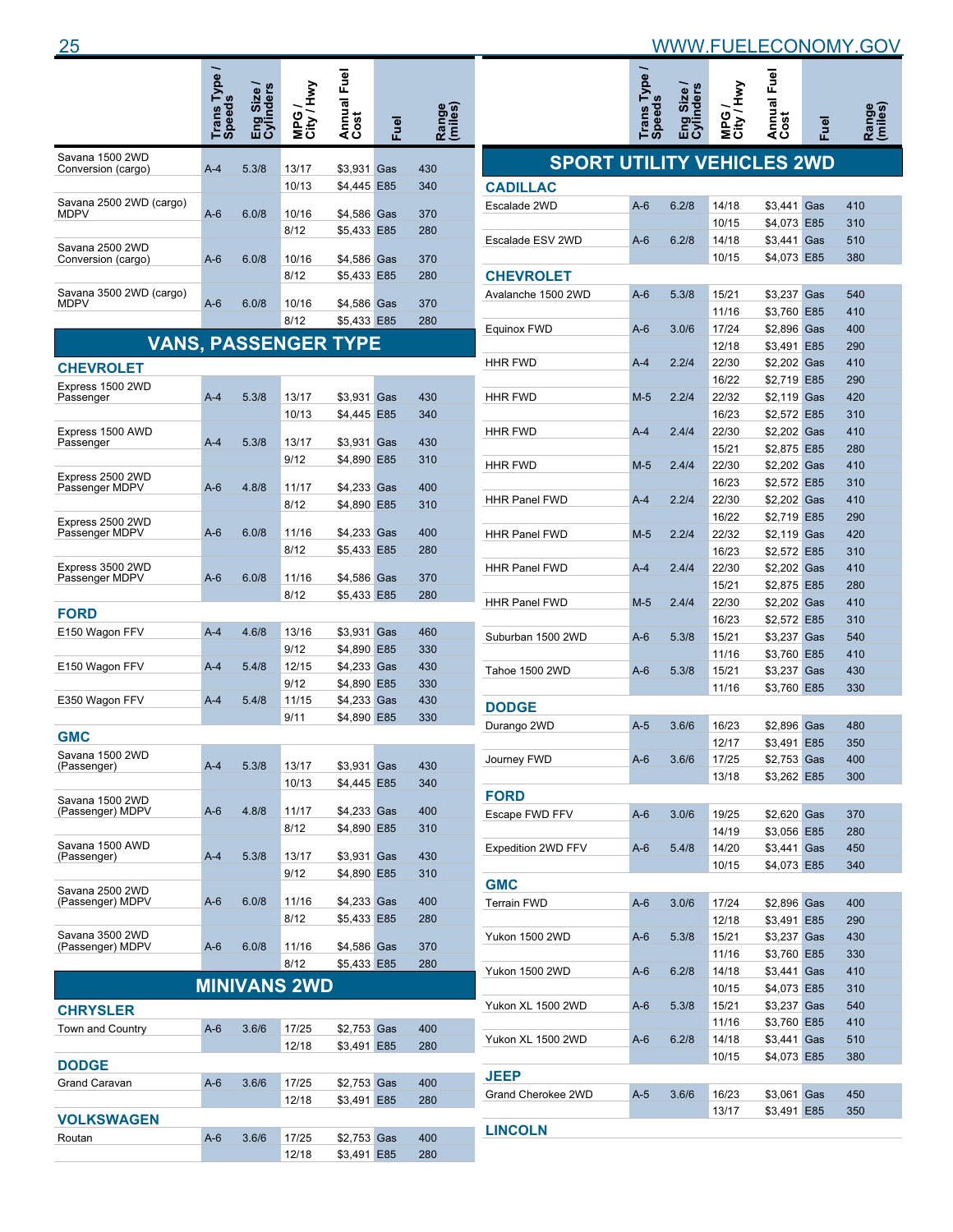|                                       | rans $\overline{1}$ | ders  | <b>Sa</b>           | Annual Fuel<br>Cost        | <u>en</u> |            |
|---------------------------------------|---------------------|-------|---------------------|----------------------------|-----------|------------|
| Savana 1500 2WD                       |                     |       |                     |                            |           |            |
| Conversion (cargo)                    | $A-4$               | 5.3/8 | 13/17<br>10/13      | \$3,931<br>\$4,445 E85     | Gas       | 430<br>340 |
| Savana 2500 2WD (cargo)<br>MDPV       | $A-6$               | 6.0/8 | 10/16<br>8/12       | \$4,586 Gas<br>\$5,433 E85 |           | 370<br>280 |
| Savana 2500 2WD<br>Conversion (cargo) | $A-6$               | 6.0/8 | 10/16<br>8/12       | \$4,586 Gas<br>\$5,433 E85 |           | 370<br>280 |
| Savana 3500 2WD (cargo)<br>MDPV       | A-6                 | 6.0/8 | 10/16<br>8/12       | \$4,586 Gas<br>\$5,433 E85 |           | 370<br>280 |
| <b>VANS, PASSENGER</b>                |                     |       |                     | YPE                        |           |            |
|                                       |                     |       |                     |                            |           |            |
| <b>CHEVROLET</b><br>Express 1500 2WD  |                     |       |                     |                            |           |            |
| Passenger                             | $A-4$               | 5.3/8 | 13/17<br>10/13      | \$3,931<br>\$4,445 E85     | Gas       | 430<br>340 |
| Express 1500 AWD                      | $A-4$               | 5.3/8 | 13/17               |                            |           | 430        |
| Passenger                             |                     |       | 9/12                | \$3,931 Gas<br>\$4,890 E85 |           | 310        |
| Express 2500 2WD<br>Passenger MDPV    | $A-6$               | 4.8/8 | 11/17               | \$4,233 Gas                |           | 400        |
|                                       |                     |       | 8/12                | \$4,890 E85                |           | 310        |
| Express 2500 2WD<br>Passenger MDPV    | $A-6$               | 6.0/8 | 11/16               | \$4,233 Gas                |           | 400        |
|                                       |                     |       | 8/12                | \$5,433 E85                |           | 280        |
| Express 3500 2WD                      | $A-6$               | 6.0/8 | 11/16               |                            |           | 370        |
| Passenger MDPV                        |                     |       | 8/12                | \$4,586 Gas<br>\$5,433 E85 |           | 280        |
| <b>FORD</b>                           |                     |       |                     |                            |           |            |
| E150 Wagon FFV                        | $A-4$               | 4.6/8 | 13/16               | \$3,931 Gas                |           | 460        |
|                                       |                     |       | 9/12                | \$4,890 E85                |           | 330        |
| E150 Wagon FFV                        | $A-4$               | 5.4/8 | 12/15               | \$4,233 Gas                |           | 430        |
| E350 Wagon FFV                        | A-4                 | 5.4/8 | 9/12<br>11/15       | \$4,890 E85<br>\$4,233 Gas |           | 330<br>430 |
|                                       |                     |       | 9/11                | \$4,890 E85                |           | 330        |
| <b>GMC</b>                            |                     |       |                     |                            |           |            |
| Savana 1500 2WD<br>(Passenger)        | A-4                 | 5.3/8 | 13/17<br>10/13      | \$3,931 Gas<br>\$4.445 E85 |           | 430<br>340 |
| Savana 1500 2WD                       |                     |       |                     |                            |           |            |
| (Passenger) MDPV                      | $A-6$               | 4.8/8 | 11/17               | \$4,233 Gas                |           | 400        |
| Savana 1500 AWD                       |                     |       | 8/12                | \$4,890 E85                |           | 310        |
| (Passenger)                           | $A-4$               | 5.3/8 | 13/17<br>9/12       | \$3,931 Gas<br>\$4.890 E85 |           | 430<br>310 |
| Savana 2500 2WD<br>(Passenger) MDPV   | $A-6$               | 6.0/8 | 11/16               | \$4,233 Gas                |           | 400        |
|                                       |                     |       | 8/12                | \$5,433 E85                |           | 280        |
| Savana 3500 2WD<br>(Passenger) MDPV   | $A-6$               | 6.0/8 | 11/16               | \$4,586 Gas                |           | 370        |
|                                       |                     |       | 8/12                | \$5,433 E85                |           | 280        |
|                                       |                     |       | <b>MINIVANS 2WD</b> |                            |           |            |
| <b>CHRYSLER</b>                       |                     |       |                     |                            |           |            |
| Town and Country                      | $A-6$               | 3.6/6 | 17/25               | \$2,753 Gas                |           | 400        |
|                                       |                     |       | 12/18               | \$3,491 E85                |           | 280        |
| <b>DODGE</b>                          |                     |       |                     |                            |           |            |
| Grand Caravan                         | $A-6$               | 3.6/6 | 17/25<br>12/18      | \$2,753 Gas<br>\$3,491 E85 |           | 400<br>280 |
| <b>VOLKSWAGEN</b>                     |                     |       |                     |                            |           |            |
| Routan                                | $A-6$               | 3.6/6 | 17/25               | \$2,753 Gas                |           | 400        |
|                                       |                     |       | 12/18               | \$3,491 E85                |           | 280        |

|                                   | Trans Type /<br>Speeds | Eng Size /<br>Cylinders | MPG /<br>City / Hwy | Annual Fuel<br>Cost        | Fuel | Range<br>(miles) |
|-----------------------------------|------------------------|-------------------------|---------------------|----------------------------|------|------------------|
| <b>SPORT UTILITY VEHICLES 2WD</b> |                        |                         |                     |                            |      |                  |
| <b>CADILLAC</b>                   |                        |                         |                     |                            |      |                  |
| Escalade 2WD                      | $A-6$                  | 6.2/8                   | 14/18               | \$3,441 Gas                |      | 410              |
|                                   |                        |                         | 10/15               | \$4,073 E85                |      | 310              |
| Escalade ESV 2WD                  | $A-6$                  | 6.2/8                   | 14/18               | \$3,441 Gas                |      | 510              |
|                                   |                        |                         | 10/15               | \$4,073 E85                |      | 380              |
| <b>CHEVROLET</b>                  |                        |                         |                     |                            |      |                  |
| Avalanche 1500 2WD                | $A-6$                  | 5.3/8                   | 15/21               | \$3,237 Gas                |      | 540              |
|                                   |                        |                         | 11/16               | \$3,760 E85                |      | 410              |
| Equinox FWD                       | $A-6$                  | 3.0/6                   | 17/24<br>12/18      | \$2,896 Gas<br>\$3,491 E85 |      | 400<br>290       |
| <b>HHR FWD</b>                    | $A-4$                  | 2.2/4                   | 22/30               | \$2,202 Gas                |      | 410              |
|                                   |                        |                         | 16/22               | \$2,719 E85                |      | 290              |
| <b>HHR FWD</b>                    | $M-5$                  | 2.2/4                   | 22/32               | \$2,119 Gas                |      | 420              |
|                                   |                        |                         | 16/23               | \$2,572 E85                |      | 310              |
| <b>HHR FWD</b>                    | A-4                    | 2.4/4                   | 22/30               | \$2,202 Gas                |      | 410              |
|                                   |                        |                         | 15/21               | \$2,875 E85                |      | 280              |
| <b>HHR FWD</b>                    | $M-5$                  | 2.4/4                   | 22/30               | \$2,202 Gas                |      | 410              |
|                                   |                        |                         | 16/23               | \$2,572 E85                |      | 310              |
| <b>HHR Panel FWD</b>              | A-4                    | 2.2/4                   | 22/30               | \$2,202 Gas                |      | 410              |
|                                   |                        |                         | 16/22               | \$2,719 E85                |      | 290              |
| <b>HHR Panel FWD</b>              | $M-5$                  | 2.2/4                   | 22/32               | \$2,119 Gas                |      | 420              |
|                                   |                        |                         | 16/23               | \$2,572 E85                |      | 310              |
| <b>HHR Panel FWD</b>              | $A-4$                  | 2.4/4                   | 22/30               | \$2,202 Gas                |      | 410              |
|                                   |                        |                         | 15/21               | \$2,875 E85                |      | 280              |
| <b>HHR Panel FWD</b>              | $M-5$                  | 2.4/4                   | 22/30               | \$2,202 Gas                |      | 410              |
|                                   |                        |                         | 16/23               | \$2,572 E85                |      | 310              |
| Suburban 1500 2WD                 | $A-6$                  | 5.3/8                   | 15/21               | \$3,237 Gas                |      | 540              |
| Tahoe 1500 2WD                    | $A-6$                  | 5.3/8                   | 11/16<br>15/21      | \$3,760 E85<br>\$3,237 Gas |      | 410<br>430       |
|                                   |                        |                         | 11/16               | \$3,760 E85                |      | 330              |
| <b>DODGE</b>                      |                        |                         |                     |                            |      |                  |
| Durango 2WD                       | $A-5$                  | 3.6/6                   | 16/23               | \$2,896 Gas                |      | 480              |
|                                   |                        |                         | 12/17               | \$3,491 E85                |      | 350              |
| Journey FWD                       | $A-6$                  | 3.6/6                   | 17/25               | \$2,753 Gas                |      | 400              |
|                                   |                        |                         | 13/18               | \$3,262 E85                |      | 300              |
| <b>FORD</b>                       |                        |                         |                     |                            |      |                  |
| Escape FWD FFV                    | $A-6$                  | 3.0/6                   | 19/25               | \$2,620 Gas                |      | 370              |
|                                   |                        |                         | 14/19               | \$3,056 E85                |      | 280              |
| Expedition 2WD FFV                | $A-6$                  | 5.4/8                   | 14/20               | \$3,441 Gas                |      | 450              |
|                                   |                        |                         | 10/15               | \$4,073 E85                |      | 340              |
| <b>GMC</b>                        |                        |                         |                     |                            |      |                  |
| <b>Terrain FWD</b>                | $A-6$                  | 3.0/6                   | 17/24               | \$2,896 Gas                |      | 400              |
|                                   |                        |                         | 12/18               | \$3,491 E85                |      | 290              |
| Yukon 1500 2WD                    | $A-6$                  | 5.3/8                   | 15/21               | \$3,237 Gas                |      | 430              |
|                                   |                        |                         | 11/16               | \$3,760 E85                |      | 330              |
| Yukon 1500 2WD                    | $A-6$                  | 6.2/8                   | 14/18               | \$3,441 Gas                |      | 410              |
|                                   |                        |                         | 10/15               | \$4,073 E85                |      | 310              |
| Yukon XL 1500 2WD                 | $A-6$                  | 5.3/8                   | 15/21               | \$3,237 Gas                |      | 540              |
|                                   |                        |                         | 11/16               | \$3,760 E85                |      | 410              |
| Yukon XL 1500 2WD                 | $A-6$                  | 6.2/8                   | 14/18               | \$3,441 Gas                |      | 510              |
|                                   |                        |                         | 10/15               | \$4,073 E85                |      | 380              |
| <b>JEEP</b>                       |                        |                         |                     |                            |      |                  |
| Grand Cherokee 2WD                | $A-5$                  | 3.6/6                   | 16/23<br>13/17      | \$3,061 Gas<br>\$3,491 E85 |      | 450<br>350       |
| <b>LINCOLN</b>                    |                        |                         |                     |                            |      |                  |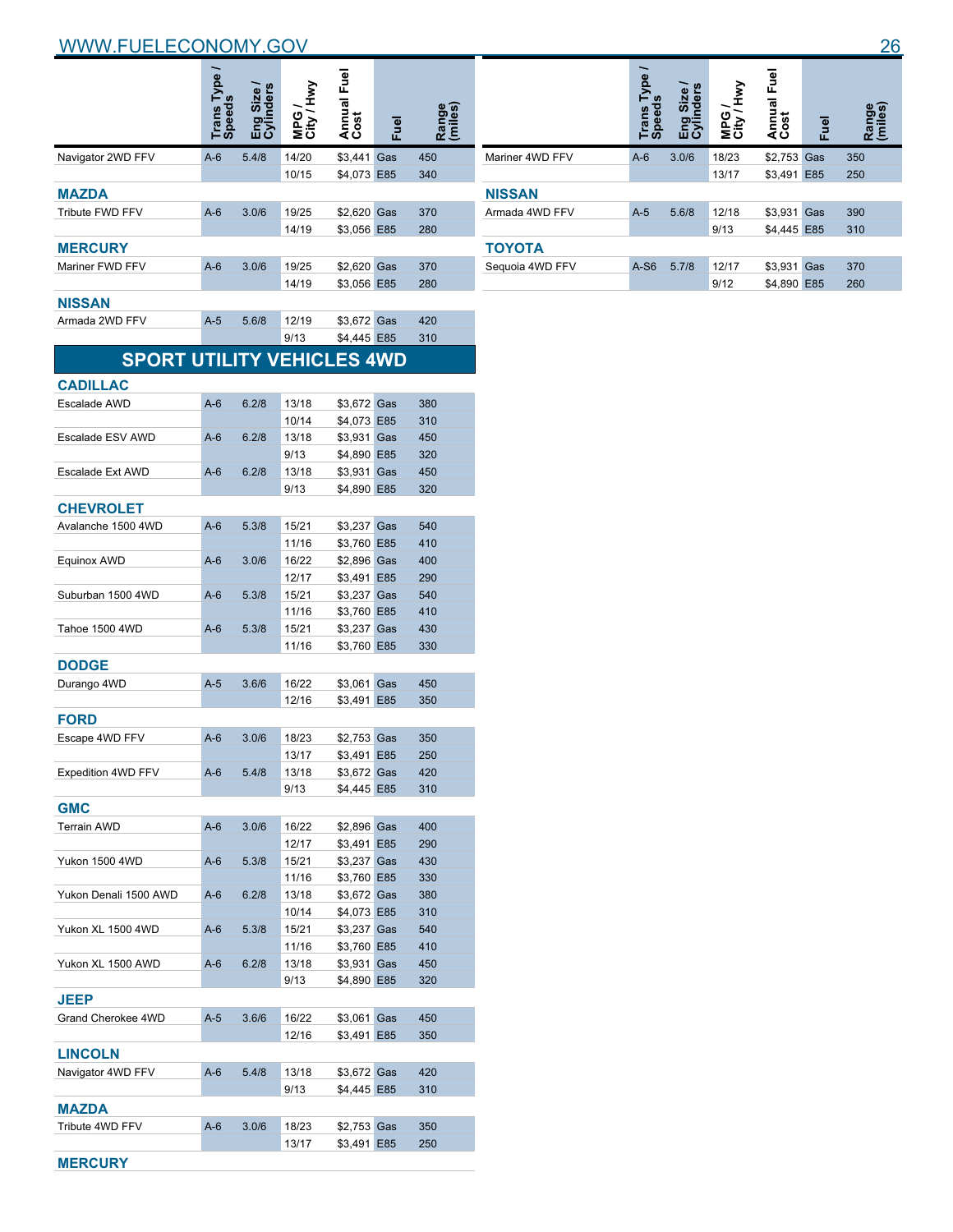|                                   | <b>Trans Type</b><br>Speeds | nders | VMH/TIC<br><b>SdM</b> | Annual Fuel<br>Cost        | <u>B</u> | Range      |
|-----------------------------------|-----------------------------|-------|-----------------------|----------------------------|----------|------------|
| Navigator 2WD FFV                 | $A-6$                       | 5.4/8 | 14/20                 | \$3.441 Gas                |          | 450        |
|                                   |                             |       | 10/15                 | \$4,073 E85                |          | 340        |
| <b>MAZDA</b>                      |                             |       |                       |                            |          |            |
| Tribute FWD FFV                   | $A-6$                       | 3.0/6 | 19/25                 | \$2,620 Gas                |          | 370        |
|                                   |                             |       | 14/19                 | \$3,056 E85                |          | 280        |
| <b>MERCURY</b>                    |                             |       |                       |                            |          |            |
| Mariner FWD FFV                   | $A-6$                       | 3.0/6 | 19/25                 | \$2,620 Gas                |          | 370        |
|                                   |                             |       | 14/19                 | \$3,056 E85                |          | 280        |
| NISSAN                            |                             |       |                       |                            |          |            |
| Armada 2WD FFV                    | $A-5$                       | 5.6/8 | 12/19                 | \$3,672 Gas                |          | 420        |
|                                   |                             |       | 9/13                  | \$4,445 E85                |          | 310        |
| <b>SPORT UTILITY VEHICLES 4WD</b> |                             |       |                       |                            |          |            |
|                                   |                             |       |                       |                            |          |            |
| <b>CADILLAC</b>                   | $A-6$                       | 6.2/8 |                       |                            |          |            |
| Escalade AWD                      |                             |       | 13/18<br>10/14        | \$3,672 Gas<br>\$4,073 E85 |          | 380<br>310 |
| Escalade ESV AWD                  | $A-6$                       | 6.2/8 | 13/18                 | \$3,931 Gas                |          | 450        |
|                                   |                             |       | 9/13                  | \$4,890 E85                |          | 320        |
| <b>Escalade Ext AWD</b>           | $A-6$                       | 6.2/8 | 13/18                 | \$3,931 Gas                |          | 450        |
|                                   |                             |       | 9/13                  | \$4,890 E85                |          | 320        |
| <b>CHEVROLET</b>                  |                             |       |                       |                            |          |            |
| Avalanche 1500 4WD                | $A-6$                       | 5.3/8 | 15/21                 | \$3,237 Gas                |          | 540        |
|                                   |                             |       | 11/16                 | \$3,760 E85                |          | 410        |
| Equinox AWD                       | $A-6$                       | 3.0/6 | 16/22                 | \$2,896 Gas                |          | 400        |
|                                   |                             |       | 12/17                 | \$3,491 E85                |          | 290        |
| Suburban 1500 4WD                 | $A-6$                       | 5.3/8 | 15/21                 | \$3,237 Gas                |          | 540        |
|                                   |                             |       | 11/16                 | \$3,760 E85                |          | 410        |
| Tahoe 1500 4WD                    | $A-6$                       | 5.3/8 | 15/21                 | \$3,237 Gas                |          | 430        |
|                                   |                             |       | 11/16                 | \$3,760 E85                |          | 330        |
| <b>DODGE</b>                      |                             |       |                       |                            |          |            |
| Durango 4WD                       | $A-5$                       | 3.6/6 | 16/22                 | \$3,061                    | Gas      | 450        |
|                                   |                             |       | 12/16                 | \$3,491 E85                |          | 350        |
| <b>FORD</b>                       |                             |       |                       |                            |          |            |
| Escape 4WD FFV                    | $A-6$                       | 3.0/6 | 18/23                 | \$2,753 Gas                |          | 350        |
|                                   |                             |       | 13/17                 | \$3,491 E85                |          | 250        |
| Expedition 4WD FFV                | A-6                         | 5.4/8 | 13/18                 | \$3,672 Gas                |          | 420        |
|                                   |                             |       | 9/13                  | \$4,445 E85                |          | 310        |
| <b>GMC</b>                        |                             |       |                       |                            |          |            |
| Terrain AWD                       | $A-6$                       | 3.0/6 | 16/22                 | \$2,896 Gas                |          | 400        |
|                                   |                             | 5.3/8 | 12/17                 | \$3,491 E85<br>\$3,237 Gas |          | 290        |
| Yukon 1500 4WD                    | $A-6$                       |       | 15/21<br>11/16        | \$3,760 E85                |          | 430<br>330 |
| Yukon Denali 1500 AWD             | $A-6$                       | 6.2/8 | 13/18                 | \$3,672 Gas                |          | 380        |
|                                   |                             |       | 10/14                 | \$4,073 E85                |          | 310        |
| Yukon XL 1500 4WD                 | $A-6$                       | 5.3/8 | 15/21                 | \$3,237 Gas                |          | 540        |
|                                   |                             |       | 11/16                 | \$3,760 E85                |          | 410        |
| Yukon XL 1500 AWD                 | $A-6$                       | 6.2/8 | 13/18                 | \$3,931 Gas                |          | 450        |
|                                   |                             |       | 9/13                  | \$4,890 E85                |          | 320        |
| <b>JEEP</b>                       |                             |       |                       |                            |          |            |
| Grand Cherokee 4WD                | $A-5$                       | 3.6/6 | 16/22                 | \$3,061 Gas                |          | 450        |
|                                   |                             |       | 12/16                 | \$3,491 E85                |          | 350        |
| <b>LINCOLN</b>                    |                             |       |                       |                            |          |            |
| Navigator 4WD FFV                 | $A-6$                       | 5.4/8 | 13/18                 | \$3,672 Gas                |          | 420        |
|                                   |                             |       | 9/13                  | \$4,445 E85                |          | 310        |
| <b>MAZDA</b>                      |                             |       |                       |                            |          |            |
| Tribute 4WD FFV                   | $A-6$                       | 3.0/6 | 18/23                 | \$2,753 Gas                |          | 350        |
|                                   |                             |       | 13/17                 | \$3,491 E85                |          | 250        |

**MERCURY**

|                 | <b>Type</b><br>Trans<br>Speed | Eng Size /<br>Cylinders | ⋚<br>NPG<br>City <sup>7</sup> | Annual Fuel<br>Cost | Fuel | Range<br>(miles) |
|-----------------|-------------------------------|-------------------------|-------------------------------|---------------------|------|------------------|
| Mariner 4WD FFV | $A-6$                         | 3.0/6                   | 18/23                         | \$2,753 Gas         |      | 350              |
|                 |                               |                         | 13/17                         | \$3,491 E85         |      | 250              |
| <b>NISSAN</b>   |                               |                         |                               |                     |      |                  |
| Armada 4WD FFV  | $A-5$                         | 5.6/8                   | 12/18                         | \$3,931 Gas         |      | 390              |
|                 |                               |                         | 9/13                          | \$4,445 E85         |      | 310              |
| ΤΟΥΟΤΑ          |                               |                         |                               |                     |      |                  |
| Sequoia 4WD FFV | $A-S6$                        | 5.7/8                   | 12/17                         | \$3,931 Gas         |      | 370              |
|                 |                               |                         | 9/12                          | \$4,890 E85         |      | 260              |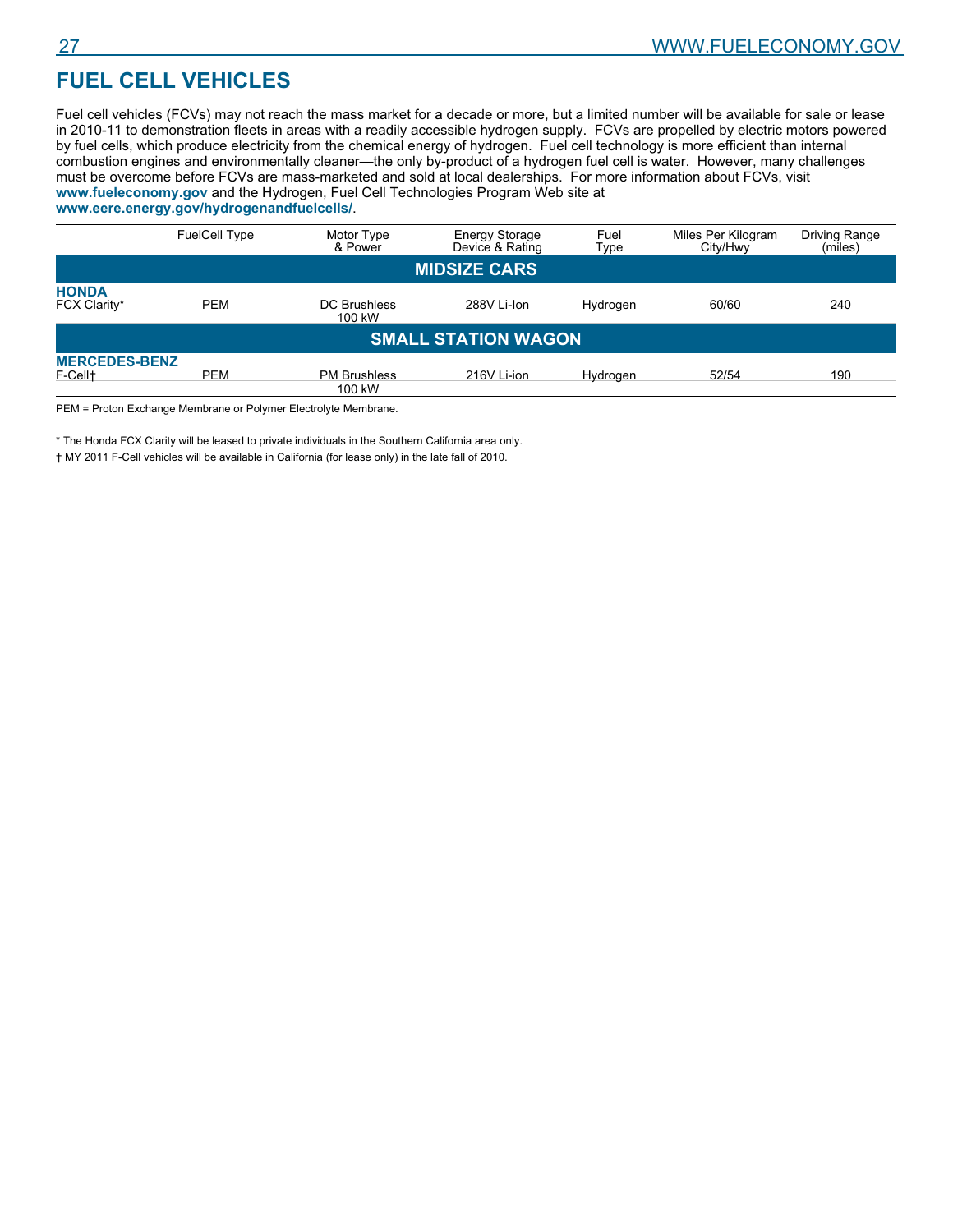# **FUEL CELL VEHICLES**

Fuel cell vehicles (FCVs) may not reach the mass market for a decade or more, but a limited number will be available for sale or lease in 2010-11 to demonstration fleets in areas with a readily accessible hydrogen supply. FCVs are propelled by electric motors powered by fuel cells, which produce electricity from the chemical energy of hydrogen. Fuel cell technology is more efficient than internal combustion engines and environmentally cleaner—the only by-product of a hydrogen fuel cell is water. However, many challenges must be overcome before FCVs are mass-marketed and sold at local dealerships. For more information about FCVs, visit **www.fueleconomy.gov** and the Hydrogen, Fuel Cell Technologies Program Web site at

| www.eere.energy.gov/hydrogenandfuelcells/. |  |  |
|--------------------------------------------|--|--|
|--------------------------------------------|--|--|

|                                             | <b>FuelCell Type</b> | Motor Type<br>& Power         | <b>Energy Storage</b><br>Device & Rating | Fuel<br>Type | Miles Per Kilogram<br>City/Hwy | <b>Driving Range</b><br>(miles) |  |  |  |
|---------------------------------------------|----------------------|-------------------------------|------------------------------------------|--------------|--------------------------------|---------------------------------|--|--|--|
|                                             | <b>MIDSIZE CARS</b>  |                               |                                          |              |                                |                                 |  |  |  |
| <b>HONDA</b><br>FCX Clarity*                | <b>PEM</b>           | DC Brushless<br>100 kW        | 288V Li-Ion                              | Hydrogen     | 60/60                          | 240                             |  |  |  |
| <b>SMALL STATION WAGON</b>                  |                      |                               |                                          |              |                                |                                 |  |  |  |
| <b>MERCEDES-BENZ</b><br>F-Cell <sup>+</sup> | <b>PEM</b>           | <b>PM Brushless</b><br>100 kW | 216V Li-ion                              | Hydrogen     | 52/54                          | 190                             |  |  |  |

PEM = Proton Exchange Membrane or Polymer Electrolyte Membrane.

\* The Honda FCX Clarity will be leased to private individuals in the Southern California area only.

† MY 2011 F-Cell vehicles will be available in California (for lease only) in the late fall of 2010.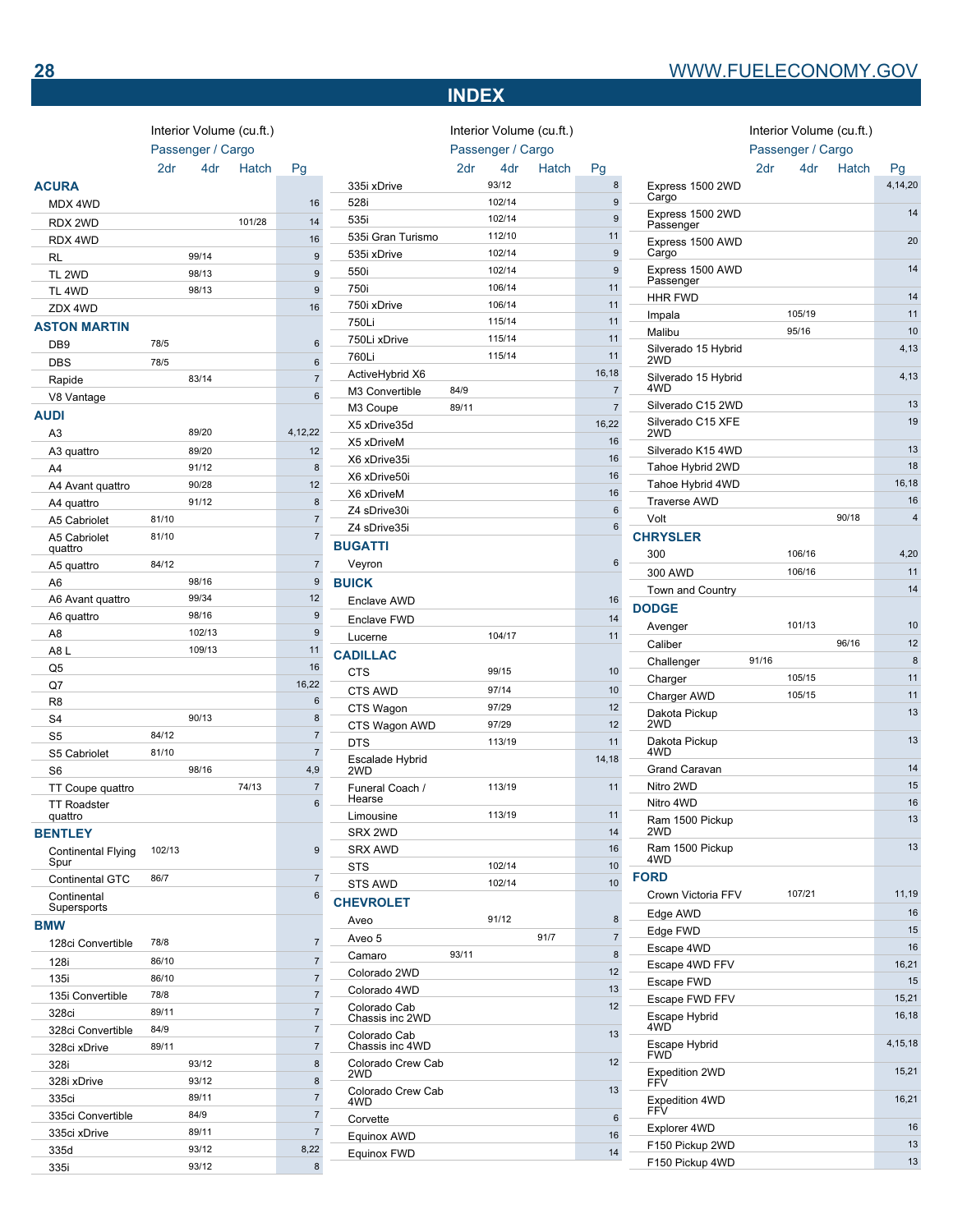# **INDEX**

Interior Volume (cu.ft.)

Interior Volume (cu.ft.)

Passenger / Cargo

2dr 4dr Hatch Pi

|                                   | Interior Volume (cu.ft.)<br>Passenger / Cargo |        |        |                |
|-----------------------------------|-----------------------------------------------|--------|--------|----------------|
|                                   | 2dr                                           | 4dr    | Hatch  | Pg             |
| <b>ACURA</b>                      |                                               |        |        |                |
| MDX 4WD                           |                                               |        |        | 16             |
| RDX 2WD                           |                                               |        | 101/28 | 14             |
| RDX 4WD                           |                                               |        |        | 16             |
| RL                                |                                               | 99/14  |        | 9              |
| TL <sub>2WD</sub>                 |                                               | 98/13  |        | 9              |
| TL <sub>4</sub> WD                |                                               | 98/13  |        | 9              |
| ZDX 4WD                           |                                               |        |        | 16             |
| <b>ASTON MARTIN</b>               |                                               |        |        |                |
| DB <sub>9</sub>                   | 78/5                                          |        |        | 6              |
| <b>DBS</b>                        | 78/5                                          |        |        | 6              |
| Rapide                            |                                               | 83/14  |        | $\overline{7}$ |
| V8 Vantage                        |                                               |        |        | 6              |
| AUDI                              |                                               |        |        |                |
| A <sub>3</sub>                    |                                               | 89/20  |        | 4,12,22        |
| A3 quattro                        |                                               | 89/20  |        | 12             |
| A4                                |                                               | 91/12  |        | 8              |
| A4 Avant quattro                  |                                               | 90/28  |        | 12             |
| A4 quattro                        |                                               | 91/12  |        | 8              |
| A5 Cabriolet                      | 81/10                                         |        |        | $\overline{7}$ |
| A5 Cabriolet                      | 81/10                                         |        |        | $\overline{7}$ |
| quattro<br>A5 quattro             | 84/12                                         |        |        | $\overline{7}$ |
| A6                                |                                               | 98/16  |        | 9              |
| A6 Avant quattro                  |                                               | 99/34  |        | 12             |
| A6 quattro                        |                                               | 98/16  |        | 9              |
| A8                                |                                               | 102/13 |        | 9              |
| A8L                               |                                               | 109/13 |        | 11             |
| Q5                                |                                               |        |        | 16             |
| Q7                                |                                               |        |        | 16,22          |
| R <sub>8</sub>                    |                                               |        |        | 6              |
| S4                                |                                               | 90/13  |        | 8              |
| S <sub>5</sub>                    | 84/12                                         |        |        | 7              |
| S5 Cabriolet                      | 81/10                                         |        |        | $\overline{7}$ |
| S6                                |                                               | 98/16  |        | 4,9            |
| TT Coupe quattro                  |                                               |        | 74/13  | 7              |
| <b>TT Roadster</b><br>quattro     |                                               |        |        | 6              |
| <b>BENTLEY</b>                    |                                               |        |        |                |
| <b>Continental Flying</b><br>Spur | 102/13                                        |        |        | 9              |
| <b>Continental GTC</b>            | 86/7                                          |        |        | $\overline{7}$ |
| Continental<br>Supersports        |                                               |        |        | 6              |
| <b>BMW</b>                        |                                               |        |        |                |
| 128ci Convertible                 | 78/8                                          |        |        | 7              |
| 128i                              | 86/10                                         |        |        | $\overline{7}$ |
| 135i                              | 86/10                                         |        |        | $\overline{7}$ |
| 135i Convertible                  | 78/8                                          |        |        | $\overline{7}$ |
| 328ci                             | 89/11                                         |        |        | $\overline{7}$ |
| 328ci Convertible                 | 84/9                                          |        |        | $\overline{7}$ |
| 328ci xDrive                      | 89/11                                         |        |        | $\overline{7}$ |
| 328i                              |                                               | 93/12  |        | 8              |
| 328i xDrive                       |                                               | 93/12  |        | 8              |
| 335ci                             |                                               | 89/11  |        | $\overline{7}$ |
| 335ci Convertible                 |                                               | 84/9   |        | $\overline{7}$ |
| 335ci xDrive                      |                                               | 89/11  |        | 7              |
| 335d                              |                                               | 93/12  |        | 8,22           |
| 335i                              |                                               | 93/12  |        | 8              |

|                                 |       | Passenger / Cargo |       |                |
|---------------------------------|-------|-------------------|-------|----------------|
|                                 | 2dr   | 4dr               | Hatch | Pg             |
| 335i xDrive                     |       | 93/12             |       | 8              |
| 528i                            |       | 102/14            |       | 9              |
| 535i                            |       | 102/14            |       | 9              |
| 535i Gran Turismo               |       | 112/10            |       | 11             |
| 535i xDrive                     |       | 102/14            |       | 9              |
| 550i                            |       | 102/14            |       | 9              |
| 750i                            |       | 106/14            |       | 11             |
| 750i xDrive                     |       | 106/14            |       | 11             |
| 750Li                           |       | 115/14            |       | 11             |
| 750Li xDrive                    |       | 115/14            |       | 11             |
| 760Li                           |       | 115/14            |       | 11             |
| ActiveHybrid X6                 |       |                   |       | 16,18          |
|                                 | 84/9  |                   |       | 7              |
| M3 Convertible                  | 89/11 |                   |       | $\overline{7}$ |
| M3 Coupe                        |       |                   |       |                |
| X5 xDrive35d                    |       |                   |       | 16,22<br>16    |
| X5 xDriveM                      |       |                   |       |                |
| X6 xDrive35i                    |       |                   |       | 16             |
| X6 xDrive50i                    |       |                   |       | 16             |
| X6 xDriveM                      |       |                   |       | 16             |
| Z4 sDrive30i                    |       |                   |       | 6              |
| Z4 sDrive35i                    |       |                   |       | 6              |
| <b>BUGATTI</b>                  |       |                   |       |                |
| Veyron                          |       |                   |       | 6              |
| <b>BUICK</b>                    |       |                   |       |                |
| Enclave AWD                     |       |                   |       | 16             |
| Enclave FWD                     |       |                   |       | 14             |
| Lucerne                         |       | 104/17            |       | 11             |
| <b>CADILLAC</b>                 |       |                   |       |                |
| <b>CTS</b>                      |       | 99/15             |       | 10             |
| <b>CTS AWD</b>                  |       | 97/14             |       | 10             |
| CTS Wagon                       |       | 97/29             |       | 12             |
| CTS Wagon AWD                   |       | 97/29             |       | 12             |
| <b>DTS</b>                      |       | 113/19            |       | 11             |
| Escalade Hybrid                 |       |                   |       | 14,18          |
| 2WD                             |       |                   |       |                |
| Funeral Coach /<br>Hearse       |       | 113/19            |       | 11             |
| Limousine                       |       | 113/19            |       | 11             |
| SRX 2WD                         |       |                   |       | 14             |
| <b>SRX AWD</b>                  |       |                   |       | 16             |
| STS                             |       | 102/14            |       | 10             |
| <b>STS AWD</b>                  |       | 102/14            |       | 10             |
| <b>CHEVROLET</b>                |       |                   |       |                |
| Aveo                            |       | 91/12             |       | 8              |
|                                 |       |                   | 91/7  | $\overline{7}$ |
| Aveo 5<br>Camaro                | 93/11 |                   |       | 8              |
|                                 |       |                   |       | 12             |
| Colorado 2WD                    |       |                   |       | 13             |
| Colorado 4WD<br>Colorado Cab    |       |                   |       | 12             |
| Chassis inc 2WD                 |       |                   |       |                |
| Colorado Cab<br>Chassis inc 4WD |       |                   |       | 13             |
| Colorado Crew Cab<br>2WD        |       |                   |       | 12             |
| Colorado Crew Cab<br>4WD        |       |                   |       | 13             |
| Corvette                        |       |                   |       | 6              |
| Equinox AWD                     |       |                   |       | 16             |
| Equinox FWD                     |       |                   |       | 14             |
|                                 |       |                   |       |                |

|                                     | zar   | 4ar    | Hatch | ٢g             |
|-------------------------------------|-------|--------|-------|----------------|
| Express 1500 2WD<br>Cargo           |       |        |       | 4,14,20        |
| Express 1500 2WD<br>Passenger       |       |        |       | 14             |
| Express 1500 AWD<br>Cargo           |       |        |       | 20             |
| Express 1500 AWD<br>Passenger       |       |        |       | 14             |
| <b>HHR FWD</b>                      |       |        |       | 14             |
| Impala                              |       | 105/19 |       | 11             |
| Malibu                              |       | 95/16  |       | 10             |
| Silverado 15 Hybrid<br>2WD          |       |        |       | 4,13           |
| Silverado 15 Hybrid<br>4WD          |       |        |       | 4,13           |
| Silverado C15 2WD                   |       |        |       | 13             |
| Silverado C15 XFE<br>2WD            |       |        |       | 19             |
| Silverado K15 4WD                   |       |        |       | 13             |
| Tahoe Hybrid 2WD                    |       |        |       | 18             |
| Tahoe Hybrid 4WD                    |       |        |       | 16,18          |
| <b>Traverse AWD</b>                 |       |        |       | 16             |
| Volt                                |       |        | 90/18 | $\overline{4}$ |
| <b>CHRYSLER</b>                     |       |        |       |                |
| 300                                 |       | 106/16 |       | 4,20           |
| 300 AWD                             |       | 106/16 |       | 11             |
| Town and Country                    |       |        |       | 14             |
| <b>DODGE</b>                        |       |        |       |                |
| Avenger                             |       | 101/13 |       | 10             |
| Caliber                             |       |        | 96/16 | 12             |
| Challenger                          | 91/16 |        |       | 8              |
| Charger                             |       | 105/15 |       | 11             |
| Charger AWD                         |       | 105/15 |       | 11             |
| Dakota Pickup<br>2WD                |       |        |       | 13             |
| Dakota Pickup<br>4WD                |       |        |       | 13             |
| <b>Grand Caravan</b>                |       |        |       | 14             |
| Nitro 2WD                           |       |        |       | 15             |
| Nitro 4WD                           |       |        |       | 16             |
| Ram 1500 Pickup<br>2WD              |       |        |       | 13             |
| Ram 1500 Pickup<br>4WD              |       |        |       | 13             |
| FORD                                |       |        |       |                |
| Crown Victoria FFV                  |       | 107/21 |       | 11,19          |
| Edge AWD                            |       |        |       | 16             |
| Edge FWD                            |       |        |       | 15             |
| Escape 4WD                          |       |        |       | 16             |
| Escape 4WD FFV                      |       |        |       | 16,21          |
| Escape FWD                          |       |        |       | 15             |
| Escape FWD FFV                      |       |        |       | 15,21          |
| Escape Hybrid<br>4WD                |       |        |       | 16,18          |
| Escape Hybrid<br>FWD                |       |        |       | 4,15,18        |
| <b>Expedition 2WD</b><br><b>FFV</b> |       |        |       | 15,21          |
| <b>Expedition 4WD</b><br><b>FFV</b> |       |        |       | 16,21          |
| Explorer 4WD                        |       |        |       | 16             |
| F150 Pickup 2WD                     |       |        |       | 13             |
| F150 Pickup 4WD                     |       |        |       | 13             |
|                                     |       |        |       |                |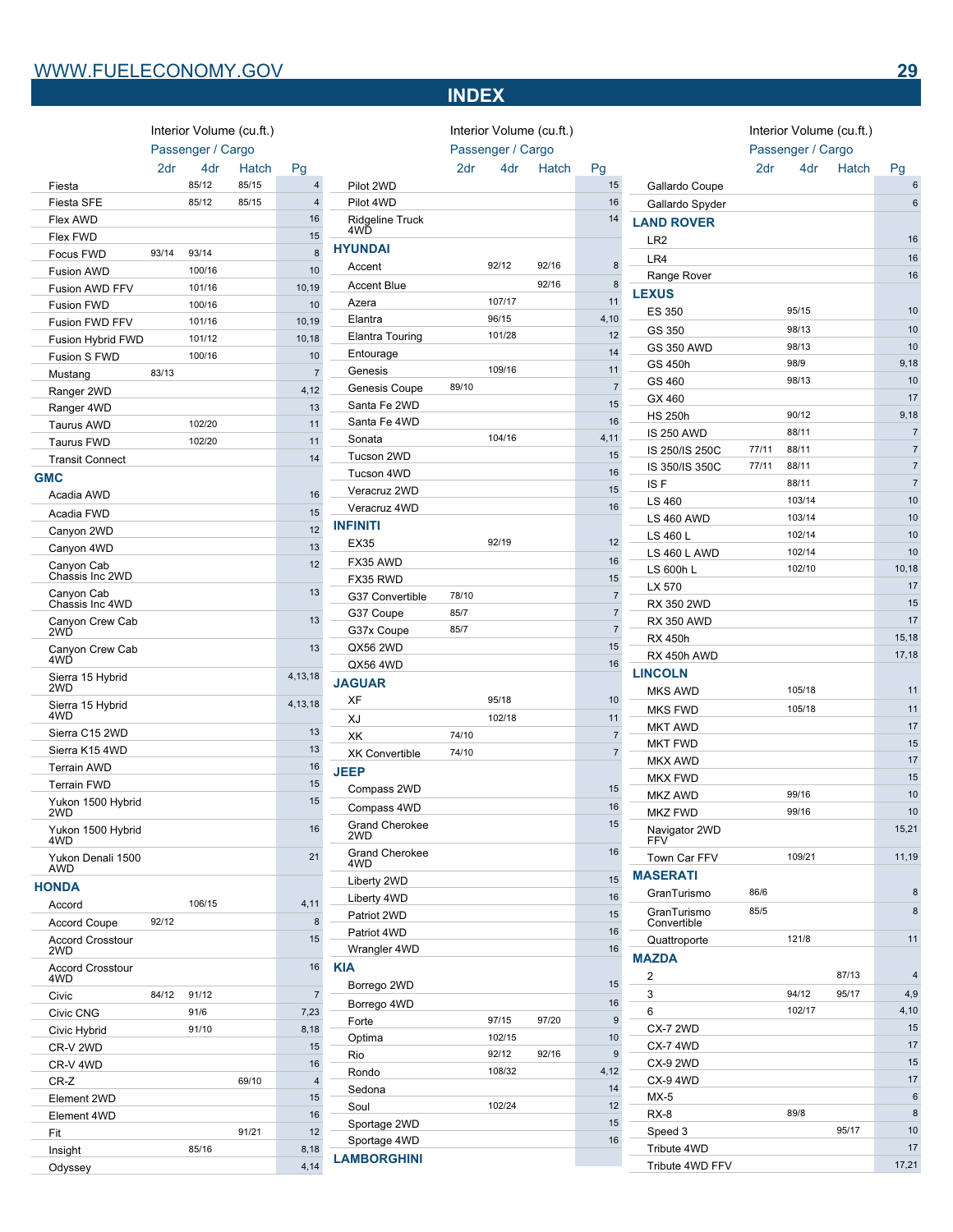**GMC**

Canyon Cab Chassis Inc 2WD

Canyon Cab Chassis Inc 4WD

Canyon Crew Cab 2WD

Canyon Crew Cab 4WD

Sierra 15 Hybrid 2WD

Sierra 15 Hybrid 4WD

Yukon 1500 Hybrid 2WD

Yukon 1500 Hybrid

Yukon Denali 1500

Accord Crosstour

Accord Crosstour

4WD

AWD

**HONDA**

2WD

4WD

Interior Volume (cu.ft.) Passenger / Cargo

Fiesta 85/12 85/15 4 Fiesta SFE 85/12 85/15 4 Flex AWD 16 Flex FWD 15 Focus FWD 93/14 93/14 93/14 8 Fusion AWD 100/16 100 Fusion AWD FFV 101/16 10,19 Fusion FWD 100/16 100 Fusion FWD FFV 101/16 10,19 Fusion Hybrid FWD 101/12 10,18 Fusion S FWD 100/16 100 Mustang 83/13 7 Ranger 2WD 4,12 Ranger 4WD 13 Taurus AWD 102/20 11 Taurus FWD 102/20 11 Transit Connect 14

Acadia AWD 16 Acadia FWD 15 Canyon 2WD 12 Canyon 4WD 13

Sierra C15 2WD 13 Sierra K15 4WD 13 Terrain AWD 16 Terrain FWD 15

Accord 106/15 4,11 Accord Coupe 92/12 8

Civic 84/12 91/12 7 Civic CNG 91/6 7,23<br>Civic Hybrid 91/10 8,18 Civic Hybrid 91/10 8,18 CR-V 2WD 15 CR-V 4WD 16 CR-Z 69/10 4 Element 2WD 15 Element 4WD 16 **Fit** 91/21 12 Insight 85/16 8,18 Odyssey 4,14

2dr 4dr Hatch Pg

# **INDEX**

Interior Volume (cu.ft.)

Interior Volume (cu.ft.) Passenger / Cargo

#### 2dr 4dr Hatch Pg

Passenger / Cargo 2dr 4dr Hatch Pg Pilot 2WD 15 Pilot 4WD 16 Ridgeline Truck 4WD 14 Accent 92/12 92/16 8 Accent Blue 8 and 92/16 8 Azera 107/17 11 Elantra 96/15 4,10 Elantra Touring 101/28 12 Entourage 14 Genesis 109/16 11 Genesis Coupe 89/10 7 Santa Fe 2WD 15 Santa Fe 4WD 16 Sonata 104/16 4,11 Tucson 2WD 15 Tucson 4WD 16 Veracruz 2WD 15 Veracruz 4WD 16 EX35 92/19 92/19 12 **FX35 AWD** 16 FX35 RWD 15 G37 Convertible 78/10 7 G37 Coupe 85/7 2012 12:00:00 12:00:00 12:00:00 12:00:00 12:00:00 12:00:00 12:00:00 12:00:00 12:00:00 12:00:00 1 G37x Coupe 85/7 85/7 7 QX56 2WD 15 QX56 4WD 16 **LEXUS**

# **JAGUAR**

**INFINITI**

**HYUNDAI**

12

13

13

13

4,13,18

4,13,18

15

16

 $21$ 

15

16

| <b>JAGUAR</b>                |       |        |       |                |
|------------------------------|-------|--------|-------|----------------|
| XF                           |       | 95/18  |       | 10             |
| XJ                           |       | 102/18 |       | 11             |
| XK                           | 74/10 |        |       | $\overline{7}$ |
| <b>XK Convertible</b>        | 74/10 |        |       | $\overline{7}$ |
| <b>JEEP</b>                  |       |        |       |                |
| Compass 2WD                  |       |        |       | 15             |
| Compass 4WD                  |       |        |       | 16             |
| <b>Grand Cherokee</b><br>2WD |       |        |       | 15             |
| <b>Grand Cherokee</b><br>4WD |       |        |       | 16             |
| Liberty 2WD                  |       |        |       | 15             |
| Liberty 4WD                  |       |        |       | 16             |
| Patriot 2WD                  |       |        |       | 15             |
| Patriot 4WD                  |       |        |       | 16             |
| Wrangler 4WD                 |       |        |       | 16             |
| <b>KIA</b>                   |       |        |       |                |
| Borrego 2WD                  |       |        |       | 15             |
| Borrego 4WD                  |       |        |       | 16             |
| Forte                        |       | 97/15  | 97/20 | 9              |
| Optima                       |       | 102/15 |       | 10             |
| Rio                          |       | 92/12  | 92/16 | 9              |
| Rondo                        |       | 108/32 |       | 4.12           |
| Sedona                       |       |        |       | 14             |
| Soul                         |       | 102/24 |       | 12             |
| Sportage 2WD                 |       |        |       | 15             |
| Sportage 4WD                 |       |        |       | 16             |
| <b>LAMBORGHINI</b>           |       |        |       |                |

| 6<br>Gallardo Spyder<br><b>LAND ROVER</b><br>16<br>LR <sub>2</sub><br>16<br>LR4<br>16<br>Range Rover<br><b>LEXUS</b><br><b>ES 350</b><br>95/15<br>10<br>98/13<br>10<br>GS 350<br>98/13<br>10<br><b>GS 350 AWD</b><br>98/9<br>9,18<br>GS 450h<br>98/13<br>GS 460<br>10<br>17<br>GX 460<br>90/12<br>9,18<br><b>HS 250h</b><br><b>IS 250 AWD</b><br>88/11<br>7<br>77/11<br>$\overline{7}$<br>88/11<br>IS 250/IS 250C<br>77/11<br>7<br>88/11<br>IS 350/IS 350C<br>IS F<br>88/11<br>$\overline{7}$<br>103/14<br>10<br>LS 460<br>103/14<br>10<br><b>LS 460 AWD</b><br>102/14<br>10<br>LS 460 L<br>102/14<br>10<br>LS 460 L AWD<br>102/10<br>10,18<br>LS 600h L<br>LX 570<br>17<br>RX 350 2WD<br>15<br><b>RX 350 AWD</b><br>17<br><b>RX 450h</b><br>15,18<br>17,18<br>RX 450h AWD<br><b>LINCOLN</b><br>105/18<br>11<br><b>MKS AWD</b><br>105/18<br>11<br><b>MKS FWD</b><br>17<br><b>MKT AWD</b><br>15<br><b>MKT FWD</b><br><b>MKX AWD</b><br>17<br><b>MKX FWD</b><br>15<br>99/16<br>10<br><b>MKZ AWD</b><br><b>MKZ FWD</b><br>99/16<br>10<br>15,21<br>Navigator 2WD<br><b>FFV</b><br>109/21<br>11,19<br>Town Car FFV<br><b>MASERATI</b><br>8<br>86/6<br>GranTurismo<br>85/5<br>8<br>GranTurismo<br>Convertible<br>11<br>121/8<br>Quattroporte<br><b>MAZDA</b><br>87/13<br>4<br>2<br>94/12<br>95/17<br>4.9<br>3<br>102/17<br>4,10<br>6<br>15<br><b>CX-7 2WD</b><br>17<br><b>CX-7 4WD</b> | Gallardo Coupe  |  | ັ<br>6 |
|----------------------------------------------------------------------------------------------------------------------------------------------------------------------------------------------------------------------------------------------------------------------------------------------------------------------------------------------------------------------------------------------------------------------------------------------------------------------------------------------------------------------------------------------------------------------------------------------------------------------------------------------------------------------------------------------------------------------------------------------------------------------------------------------------------------------------------------------------------------------------------------------------------------------------------------------------------------------------------------------------------------------------------------------------------------------------------------------------------------------------------------------------------------------------------------------------------------------------------------------------------------------------------------------------------------------------------------------------------------------------------|-----------------|--|--------|
|                                                                                                                                                                                                                                                                                                                                                                                                                                                                                                                                                                                                                                                                                                                                                                                                                                                                                                                                                                                                                                                                                                                                                                                                                                                                                                                                                                                  |                 |  |        |
|                                                                                                                                                                                                                                                                                                                                                                                                                                                                                                                                                                                                                                                                                                                                                                                                                                                                                                                                                                                                                                                                                                                                                                                                                                                                                                                                                                                  |                 |  |        |
|                                                                                                                                                                                                                                                                                                                                                                                                                                                                                                                                                                                                                                                                                                                                                                                                                                                                                                                                                                                                                                                                                                                                                                                                                                                                                                                                                                                  |                 |  |        |
|                                                                                                                                                                                                                                                                                                                                                                                                                                                                                                                                                                                                                                                                                                                                                                                                                                                                                                                                                                                                                                                                                                                                                                                                                                                                                                                                                                                  |                 |  |        |
|                                                                                                                                                                                                                                                                                                                                                                                                                                                                                                                                                                                                                                                                                                                                                                                                                                                                                                                                                                                                                                                                                                                                                                                                                                                                                                                                                                                  |                 |  |        |
|                                                                                                                                                                                                                                                                                                                                                                                                                                                                                                                                                                                                                                                                                                                                                                                                                                                                                                                                                                                                                                                                                                                                                                                                                                                                                                                                                                                  |                 |  |        |
|                                                                                                                                                                                                                                                                                                                                                                                                                                                                                                                                                                                                                                                                                                                                                                                                                                                                                                                                                                                                                                                                                                                                                                                                                                                                                                                                                                                  |                 |  |        |
|                                                                                                                                                                                                                                                                                                                                                                                                                                                                                                                                                                                                                                                                                                                                                                                                                                                                                                                                                                                                                                                                                                                                                                                                                                                                                                                                                                                  |                 |  |        |
|                                                                                                                                                                                                                                                                                                                                                                                                                                                                                                                                                                                                                                                                                                                                                                                                                                                                                                                                                                                                                                                                                                                                                                                                                                                                                                                                                                                  |                 |  |        |
|                                                                                                                                                                                                                                                                                                                                                                                                                                                                                                                                                                                                                                                                                                                                                                                                                                                                                                                                                                                                                                                                                                                                                                                                                                                                                                                                                                                  |                 |  |        |
|                                                                                                                                                                                                                                                                                                                                                                                                                                                                                                                                                                                                                                                                                                                                                                                                                                                                                                                                                                                                                                                                                                                                                                                                                                                                                                                                                                                  |                 |  |        |
|                                                                                                                                                                                                                                                                                                                                                                                                                                                                                                                                                                                                                                                                                                                                                                                                                                                                                                                                                                                                                                                                                                                                                                                                                                                                                                                                                                                  |                 |  |        |
|                                                                                                                                                                                                                                                                                                                                                                                                                                                                                                                                                                                                                                                                                                                                                                                                                                                                                                                                                                                                                                                                                                                                                                                                                                                                                                                                                                                  |                 |  |        |
|                                                                                                                                                                                                                                                                                                                                                                                                                                                                                                                                                                                                                                                                                                                                                                                                                                                                                                                                                                                                                                                                                                                                                                                                                                                                                                                                                                                  |                 |  |        |
|                                                                                                                                                                                                                                                                                                                                                                                                                                                                                                                                                                                                                                                                                                                                                                                                                                                                                                                                                                                                                                                                                                                                                                                                                                                                                                                                                                                  |                 |  |        |
|                                                                                                                                                                                                                                                                                                                                                                                                                                                                                                                                                                                                                                                                                                                                                                                                                                                                                                                                                                                                                                                                                                                                                                                                                                                                                                                                                                                  |                 |  |        |
|                                                                                                                                                                                                                                                                                                                                                                                                                                                                                                                                                                                                                                                                                                                                                                                                                                                                                                                                                                                                                                                                                                                                                                                                                                                                                                                                                                                  |                 |  |        |
|                                                                                                                                                                                                                                                                                                                                                                                                                                                                                                                                                                                                                                                                                                                                                                                                                                                                                                                                                                                                                                                                                                                                                                                                                                                                                                                                                                                  |                 |  |        |
|                                                                                                                                                                                                                                                                                                                                                                                                                                                                                                                                                                                                                                                                                                                                                                                                                                                                                                                                                                                                                                                                                                                                                                                                                                                                                                                                                                                  |                 |  |        |
|                                                                                                                                                                                                                                                                                                                                                                                                                                                                                                                                                                                                                                                                                                                                                                                                                                                                                                                                                                                                                                                                                                                                                                                                                                                                                                                                                                                  |                 |  |        |
|                                                                                                                                                                                                                                                                                                                                                                                                                                                                                                                                                                                                                                                                                                                                                                                                                                                                                                                                                                                                                                                                                                                                                                                                                                                                                                                                                                                  |                 |  |        |
|                                                                                                                                                                                                                                                                                                                                                                                                                                                                                                                                                                                                                                                                                                                                                                                                                                                                                                                                                                                                                                                                                                                                                                                                                                                                                                                                                                                  |                 |  |        |
|                                                                                                                                                                                                                                                                                                                                                                                                                                                                                                                                                                                                                                                                                                                                                                                                                                                                                                                                                                                                                                                                                                                                                                                                                                                                                                                                                                                  |                 |  |        |
|                                                                                                                                                                                                                                                                                                                                                                                                                                                                                                                                                                                                                                                                                                                                                                                                                                                                                                                                                                                                                                                                                                                                                                                                                                                                                                                                                                                  |                 |  |        |
|                                                                                                                                                                                                                                                                                                                                                                                                                                                                                                                                                                                                                                                                                                                                                                                                                                                                                                                                                                                                                                                                                                                                                                                                                                                                                                                                                                                  |                 |  |        |
|                                                                                                                                                                                                                                                                                                                                                                                                                                                                                                                                                                                                                                                                                                                                                                                                                                                                                                                                                                                                                                                                                                                                                                                                                                                                                                                                                                                  |                 |  |        |
|                                                                                                                                                                                                                                                                                                                                                                                                                                                                                                                                                                                                                                                                                                                                                                                                                                                                                                                                                                                                                                                                                                                                                                                                                                                                                                                                                                                  |                 |  |        |
|                                                                                                                                                                                                                                                                                                                                                                                                                                                                                                                                                                                                                                                                                                                                                                                                                                                                                                                                                                                                                                                                                                                                                                                                                                                                                                                                                                                  |                 |  |        |
|                                                                                                                                                                                                                                                                                                                                                                                                                                                                                                                                                                                                                                                                                                                                                                                                                                                                                                                                                                                                                                                                                                                                                                                                                                                                                                                                                                                  |                 |  |        |
|                                                                                                                                                                                                                                                                                                                                                                                                                                                                                                                                                                                                                                                                                                                                                                                                                                                                                                                                                                                                                                                                                                                                                                                                                                                                                                                                                                                  |                 |  |        |
|                                                                                                                                                                                                                                                                                                                                                                                                                                                                                                                                                                                                                                                                                                                                                                                                                                                                                                                                                                                                                                                                                                                                                                                                                                                                                                                                                                                  |                 |  |        |
|                                                                                                                                                                                                                                                                                                                                                                                                                                                                                                                                                                                                                                                                                                                                                                                                                                                                                                                                                                                                                                                                                                                                                                                                                                                                                                                                                                                  |                 |  |        |
|                                                                                                                                                                                                                                                                                                                                                                                                                                                                                                                                                                                                                                                                                                                                                                                                                                                                                                                                                                                                                                                                                                                                                                                                                                                                                                                                                                                  |                 |  |        |
|                                                                                                                                                                                                                                                                                                                                                                                                                                                                                                                                                                                                                                                                                                                                                                                                                                                                                                                                                                                                                                                                                                                                                                                                                                                                                                                                                                                  |                 |  |        |
|                                                                                                                                                                                                                                                                                                                                                                                                                                                                                                                                                                                                                                                                                                                                                                                                                                                                                                                                                                                                                                                                                                                                                                                                                                                                                                                                                                                  |                 |  |        |
|                                                                                                                                                                                                                                                                                                                                                                                                                                                                                                                                                                                                                                                                                                                                                                                                                                                                                                                                                                                                                                                                                                                                                                                                                                                                                                                                                                                  |                 |  |        |
|                                                                                                                                                                                                                                                                                                                                                                                                                                                                                                                                                                                                                                                                                                                                                                                                                                                                                                                                                                                                                                                                                                                                                                                                                                                                                                                                                                                  |                 |  |        |
|                                                                                                                                                                                                                                                                                                                                                                                                                                                                                                                                                                                                                                                                                                                                                                                                                                                                                                                                                                                                                                                                                                                                                                                                                                                                                                                                                                                  |                 |  |        |
|                                                                                                                                                                                                                                                                                                                                                                                                                                                                                                                                                                                                                                                                                                                                                                                                                                                                                                                                                                                                                                                                                                                                                                                                                                                                                                                                                                                  |                 |  |        |
|                                                                                                                                                                                                                                                                                                                                                                                                                                                                                                                                                                                                                                                                                                                                                                                                                                                                                                                                                                                                                                                                                                                                                                                                                                                                                                                                                                                  |                 |  |        |
|                                                                                                                                                                                                                                                                                                                                                                                                                                                                                                                                                                                                                                                                                                                                                                                                                                                                                                                                                                                                                                                                                                                                                                                                                                                                                                                                                                                  |                 |  |        |
|                                                                                                                                                                                                                                                                                                                                                                                                                                                                                                                                                                                                                                                                                                                                                                                                                                                                                                                                                                                                                                                                                                                                                                                                                                                                                                                                                                                  |                 |  |        |
|                                                                                                                                                                                                                                                                                                                                                                                                                                                                                                                                                                                                                                                                                                                                                                                                                                                                                                                                                                                                                                                                                                                                                                                                                                                                                                                                                                                  |                 |  |        |
|                                                                                                                                                                                                                                                                                                                                                                                                                                                                                                                                                                                                                                                                                                                                                                                                                                                                                                                                                                                                                                                                                                                                                                                                                                                                                                                                                                                  |                 |  |        |
|                                                                                                                                                                                                                                                                                                                                                                                                                                                                                                                                                                                                                                                                                                                                                                                                                                                                                                                                                                                                                                                                                                                                                                                                                                                                                                                                                                                  |                 |  |        |
|                                                                                                                                                                                                                                                                                                                                                                                                                                                                                                                                                                                                                                                                                                                                                                                                                                                                                                                                                                                                                                                                                                                                                                                                                                                                                                                                                                                  |                 |  |        |
|                                                                                                                                                                                                                                                                                                                                                                                                                                                                                                                                                                                                                                                                                                                                                                                                                                                                                                                                                                                                                                                                                                                                                                                                                                                                                                                                                                                  |                 |  |        |
|                                                                                                                                                                                                                                                                                                                                                                                                                                                                                                                                                                                                                                                                                                                                                                                                                                                                                                                                                                                                                                                                                                                                                                                                                                                                                                                                                                                  |                 |  |        |
|                                                                                                                                                                                                                                                                                                                                                                                                                                                                                                                                                                                                                                                                                                                                                                                                                                                                                                                                                                                                                                                                                                                                                                                                                                                                                                                                                                                  |                 |  |        |
| <b>CX-9 2WD</b><br>15                                                                                                                                                                                                                                                                                                                                                                                                                                                                                                                                                                                                                                                                                                                                                                                                                                                                                                                                                                                                                                                                                                                                                                                                                                                                                                                                                            |                 |  |        |
| 17<br><b>CX-9 4WD</b>                                                                                                                                                                                                                                                                                                                                                                                                                                                                                                                                                                                                                                                                                                                                                                                                                                                                                                                                                                                                                                                                                                                                                                                                                                                                                                                                                            |                 |  |        |
| 6<br>$MX-5$                                                                                                                                                                                                                                                                                                                                                                                                                                                                                                                                                                                                                                                                                                                                                                                                                                                                                                                                                                                                                                                                                                                                                                                                                                                                                                                                                                      |                 |  |        |
| $RX-8$<br>89/8<br>8                                                                                                                                                                                                                                                                                                                                                                                                                                                                                                                                                                                                                                                                                                                                                                                                                                                                                                                                                                                                                                                                                                                                                                                                                                                                                                                                                              |                 |  |        |
| 95/17<br>10<br>Speed 3                                                                                                                                                                                                                                                                                                                                                                                                                                                                                                                                                                                                                                                                                                                                                                                                                                                                                                                                                                                                                                                                                                                                                                                                                                                                                                                                                           |                 |  | 17     |
|                                                                                                                                                                                                                                                                                                                                                                                                                                                                                                                                                                                                                                                                                                                                                                                                                                                                                                                                                                                                                                                                                                                                                                                                                                                                                                                                                                                  | Tribute 4WD     |  |        |
|                                                                                                                                                                                                                                                                                                                                                                                                                                                                                                                                                                                                                                                                                                                                                                                                                                                                                                                                                                                                                                                                                                                                                                                                                                                                                                                                                                                  | Tribute 4WD FFV |  | 17,21  |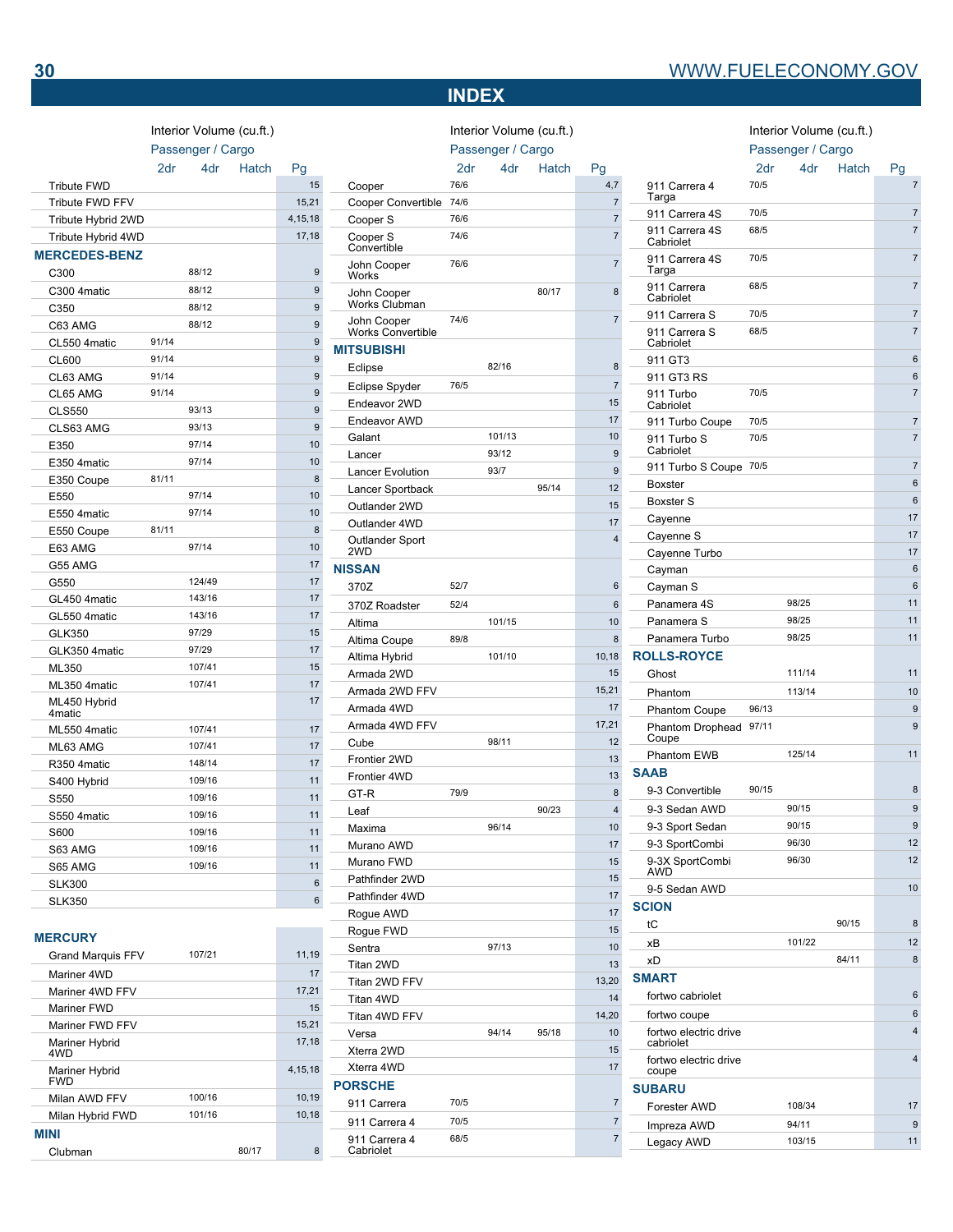# **INDEX**

Interior Volume (cu.ft.)

# Interior Volume (cu.ft.)

|                                    |       | Passenger / Cargo |       |           |   |
|------------------------------------|-------|-------------------|-------|-----------|---|
|                                    | 2dr   | 4dr               | Hatch | Pg        |   |
| <b>Tribute FWD</b>                 |       |                   |       | 15        |   |
| Tribute FWD FFV                    |       |                   |       | 15,21     |   |
| Tribute Hybrid 2WD                 |       |                   |       | 4, 15, 18 |   |
| Tribute Hybrid 4WD                 |       |                   |       | 17,18     |   |
| <b>MERCEDES-BENZ</b>               |       |                   |       |           |   |
| C300                               |       | 88/12             |       | 9         |   |
| C300 4matic                        |       | 88/12             |       | 9         |   |
| C350                               |       | 88/12             |       | 9         |   |
| C63 AMG                            |       | 88/12             |       | 9         |   |
| CL550 4matic                       | 91/14 |                   |       | 9         |   |
| CL600                              | 91/14 |                   |       | 9         | N |
| CL63 AMG                           | 91/14 |                   |       | 9         |   |
| CL65 AMG                           | 91/14 |                   |       | 9         |   |
| <b>CLS550</b>                      |       | 93/13             |       | 9         |   |
| CLS63 AMG                          |       | 93/13             |       | 9         |   |
| E350                               |       | 97/14             |       | 10        |   |
| E350 4matic                        |       | 97/14             |       | 10        |   |
| E350 Coupe                         | 81/11 |                   |       | 8         |   |
| E550                               |       | 97/14             |       | 10        |   |
| E550 4matic                        |       | 97/14             |       | 10        |   |
| E550 Coupe                         | 81/11 |                   |       | 8         |   |
| E63 AMG                            |       | 97/14             |       | 10        |   |
| G55 AMG                            |       |                   |       | 17        | N |
| G550                               |       | 124/49            |       | 17        |   |
| GL450 4matic                       |       | 143/16            |       | 17        |   |
| GL550 4matic                       |       | 143/16            |       | 17        |   |
| <b>GLK350</b>                      |       | 97/29             |       | 15        |   |
| GLK350 4matic                      |       | 97/29             |       | 17        |   |
| ML350                              |       | 107/41            |       | 15        |   |
| ML350 4matic                       |       | 107/41            |       | 17        |   |
| ML450 Hybrid<br>4 <sub>matic</sub> |       |                   |       | 17        |   |
| ML550 4matic                       |       | 107/41            |       | 17        |   |
| ML63 AMG                           |       | 107/41            |       | 17        |   |
| R350 4matic                        |       | 148/14            |       | 17        |   |
| S400 Hybrid                        |       | 109/16            |       | 11        |   |
| S550                               |       | 109/16            |       | 11        |   |
| S550 4matic                        |       | 109/16            |       | 11        |   |
| <b>S600</b>                        |       | 109/16            |       | 11        |   |
| S63 AMG                            |       | 109/16            |       | 11        |   |
| S65 AMG                            |       | 109/16            |       | 11        |   |
| <b>SLK300</b>                      |       |                   |       | 6         |   |
| <b>SLK350</b>                      |       |                   |       | 6         |   |
|                                    |       |                   |       |           |   |
| <b>MERCURY</b>                     |       |                   |       |           |   |
| <b>Grand Marquis FFV</b>           |       | 107/21            |       | 11,19     |   |

Interior Volume (cu.ft.)

| 107/21<br><b>Grand Marquis FFV</b> | 11,19   |
|------------------------------------|---------|
| Mariner 4WD                        | 17      |
| Mariner 4WD FFV                    | 17,21   |
| Mariner FWD                        | 15      |
| Mariner FWD FFV                    | 15.21   |
| Mariner Hybrid<br>4WD              | 17,18   |
| Mariner Hybrid<br><b>FWD</b>       | 4.15.18 |
| 100/16<br>Milan AWD FFV            | 10.19   |
| 101/16<br>Milan Hybrid FWD         | 10,18   |
| <b>MINI</b>                        |         |
| Clubman<br>80/17                   | 8       |

|                                         |      | $m$ erior volume (cu.it.) |       |                |
|-----------------------------------------|------|---------------------------|-------|----------------|
|                                         |      | Passenger / Cargo         |       |                |
|                                         | 2dr  | 4dr                       | Hatch | Pg             |
| Cooper                                  | 76/6 |                           |       | 4,7            |
| Cooper Convertible                      | 74/6 |                           |       | $\overline{7}$ |
| Cooper S                                | 76/6 |                           |       | $\overline{7}$ |
| Cooper S<br>Convertible                 | 74/6 |                           |       | $\overline{7}$ |
| John Cooper<br>Works                    | 76/6 |                           |       | $\overline{7}$ |
| John Cooper<br>Works Clubman            |      |                           | 80/17 | 8              |
| John Cooper<br><b>Works Convertible</b> | 74/6 |                           |       | $\overline{7}$ |
| <b>MITSUBISHI</b>                       |      |                           |       |                |
| Eclipse                                 |      | 82/16                     |       | 8              |
| Eclipse Spyder                          | 76/5 |                           |       | $\overline{7}$ |
| Endeavor 2WD                            |      |                           |       | 15             |
| <b>Endeavor AWD</b>                     |      |                           |       | 17             |
| Galant                                  |      | 101/13                    |       | 10             |
| Lancer                                  |      | 93/12                     |       | 9              |
| <b>Lancer Evolution</b>                 |      | 93/7                      |       | 9              |
| Lancer Sportback                        |      |                           | 95/14 | 12             |
| Outlander 2WD                           |      |                           |       | 15             |
| Outlander 4WD                           |      |                           |       | 17             |
| Outlander Sport<br>2WD                  |      |                           |       | 4              |
| <b>NISSAN</b>                           |      |                           |       |                |
| 370Z                                    | 52/7 |                           |       | 6              |
| 370Z Roadster                           | 52/4 |                           |       | 6              |
| Altima                                  |      | 101/15                    |       | 10             |
| Altima Coupe                            | 89/8 |                           |       | 8              |
| Altima Hybrid                           |      | 101/10                    |       | 10,18          |
| Armada 2WD                              |      |                           |       | 15             |
| Armada 2WD FFV                          |      |                           |       | 15,21          |
| Armada 4WD                              |      |                           |       | 17             |
| Armada 4WD FFV                          |      |                           |       | 17,21          |
| Cube                                    |      | 98/11                     |       | 12             |
| Frontier 2WD                            |      |                           |       | 13             |
| Frontier 4WD                            |      |                           |       | 13             |
| GT-R                                    | 79/9 |                           |       | 8              |
| Leaf                                    |      |                           | 90/23 | 4              |
| Maxima                                  |      | 96/14                     |       | 10             |
| Murano AWD                              |      |                           |       | 17             |
| Murano FWD                              |      |                           |       | 15             |
| Pathfinder 2WD                          |      |                           |       | 15             |
| Pathfinder 4WD                          |      |                           |       | 17             |
| Rogue AWD                               |      |                           |       | 17             |
| Rogue FWD                               |      |                           |       | 15             |
| Sentra                                  |      | 97/13                     |       | 10             |
| Titan 2WD                               |      |                           |       | 13             |
| Titan 2WD FFV                           |      |                           |       | 13,20          |
| Titan 4WD                               |      |                           |       | 14             |
| Titan 4WD FFV                           |      |                           |       | 14,20          |
| Versa                                   |      | 94/14                     | 95/18 | 10             |
| Xterra 2WD                              |      |                           |       | 15             |
| Xterra 4WD                              |      |                           |       | 17             |
| <b>PORSCHE</b>                          |      |                           |       |                |
| 911 Carrera                             | 70/5 |                           |       | $\overline{7}$ |
| 911 Carrera 4                           | 70/5 |                           |       | $\overline{7}$ |
| 911 Carrera 4<br>Cabriolet              | 68/5 |                           |       | $\overline{7}$ |

|                                    | Passenger / Cargo |        |       |                |
|------------------------------------|-------------------|--------|-------|----------------|
|                                    | 2dr               | 4dr    | Hatch | Pg             |
| 911 Carrera 4<br>Targa             | 70/5              |        |       | $\overline{7}$ |
| 911 Carrera 4S                     | 70/5              |        |       | $\overline{7}$ |
| 911 Carrera 4S<br>Cabriolet        | 68/5              |        |       | $\overline{7}$ |
| 911 Carrera 4S<br>Targa            | 70/5              |        |       | $\overline{7}$ |
| 911 Carrera<br>Cabriolet           | 68/5              |        |       | $\overline{7}$ |
| 911 Carrera S                      | 70/5              |        |       | $\overline{7}$ |
| 911 Carrera S<br>Cabriolet         | 68/5              |        |       | $\overline{7}$ |
| 911 GT3                            |                   |        |       | 6              |
| 911 GT3 RS                         |                   |        |       | 6              |
| 911 Turbo<br>Cabriolet             | 70/5              |        |       | $\overline{7}$ |
| 911 Turbo Coupe                    | 70/5              |        |       | $\overline{7}$ |
| 911 Turbo S<br>Cabriolet           | 70/5              |        |       | $\overline{7}$ |
| 911 Turbo S Coupe                  | 70/5              |        |       | $\overline{7}$ |
| <b>Boxster</b>                     |                   |        |       | 6              |
| <b>Boxster S</b>                   |                   |        |       | 6              |
| Cayenne                            |                   |        |       | 17             |
| Cayenne S                          |                   |        |       | 17             |
| Cayenne Turbo                      |                   |        |       | 17             |
| Cayman                             |                   |        |       | 6              |
| Cayman S                           |                   |        |       | 6              |
| Panamera 4S                        |                   | 98/25  |       | 11             |
| Panamera S                         |                   | 98/25  |       | 11             |
| Panamera Turbo                     |                   | 98/25  |       | 11             |
| <b>ROLLS-ROYCE</b>                 |                   |        |       |                |
| Ghost                              |                   | 111/14 |       | 11             |
| Phantom                            |                   | 113/14 |       | 10             |
| <b>Phantom Coupe</b>               | 96/13             |        |       | 9              |
| Phantom Drophead<br>Coupe          | 97/11             |        |       | 9              |
| Phantom EWB                        |                   | 125/14 |       | 11             |
| <b>SAAB</b>                        |                   |        |       |                |
| 9-3 Convertible                    | 90/15             |        |       | 8              |
| 9-3 Sedan AWD                      |                   | 90/15  |       | 9              |
| 9-3 Sport Sedan                    |                   | 90/15  |       | 9              |
| 9-3 SportCombi                     |                   | 96/30  |       | 12             |
| 9-3X SportCombi<br><b>AWD</b>      |                   | 96/30  |       | 12             |
| 9-5 Sedan AWD                      |                   |        |       | 10             |
| <b>SCION</b>                       |                   |        |       |                |
| tC                                 |                   |        | 90/15 | 8              |
| хB                                 |                   | 101/22 |       | 12             |
| хD                                 |                   |        | 84/11 | 8              |
| <b>SMART</b>                       |                   |        |       |                |
| fortwo cabriolet                   |                   |        |       | 6              |
| fortwo coupe                       |                   |        |       | 6              |
| fortwo electric drive<br>cabriolet |                   |        |       | 4              |
| fortwo electric drive<br>coupe     |                   |        |       | 4              |
| <b>SUBARU</b>                      |                   |        |       |                |
| Forester AWD                       |                   | 108/34 |       | 17             |
| Impreza AWD                        |                   | 94/11  |       | 9              |
| Legacy AWD                         |                   | 103/15 |       | 11             |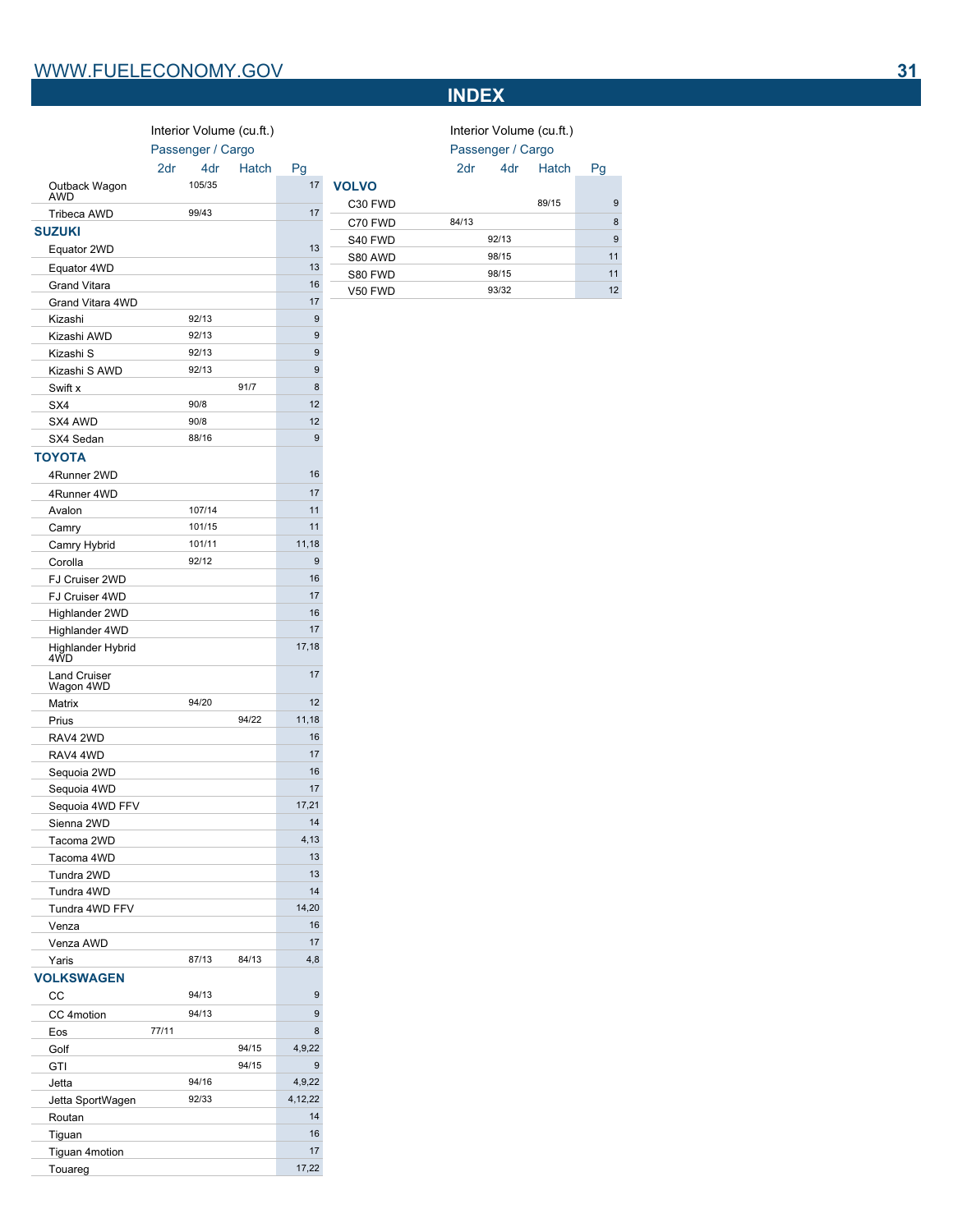# **INDEX**

|                          |                   |                 |                          |                  |              | ╨╹                |       |                          |    |
|--------------------------|-------------------|-----------------|--------------------------|------------------|--------------|-------------------|-------|--------------------------|----|
|                          |                   |                 | Interior Volume (cu.ft.) |                  |              |                   |       | Interior Volume (cu.ft.) |    |
|                          | Passenger / Cargo |                 |                          |                  |              | Passenger / Cargo |       |                          |    |
|                          | 2dr               | 4 <sub>dr</sub> | Hatch                    | Pg               |              | 2dr               | 4dr   | Hatch                    | Pg |
| Outback Wagon            |                   | 105/35          |                          | 17               | <b>VOLVO</b> |                   |       |                          |    |
| <b>AWD</b>               |                   |                 |                          |                  | C30 FWD      |                   |       | 89/15                    | 9  |
| Tribeca AWD              |                   | 99/43           |                          | 17               | C70 FWD      | 84/13             |       |                          | 8  |
| <b>SUZUKI</b>            |                   |                 |                          |                  | S40 FWD      |                   | 92/13 |                          | 9  |
| Equator 2WD              |                   |                 |                          | 13               | S80 AWD      |                   | 98/15 |                          | 11 |
| Equator 4WD              |                   |                 |                          | 13               | S80 FWD      |                   | 98/15 |                          | 11 |
| <b>Grand Vitara</b>      |                   |                 |                          | 16               | V50 FWD      |                   | 93/32 |                          | 12 |
| Grand Vitara 4WD         |                   |                 |                          | 17               |              |                   |       |                          |    |
| Kizashi                  |                   | 92/13           |                          | $\boldsymbol{9}$ |              |                   |       |                          |    |
| Kizashi AWD              |                   | 92/13           |                          | 9                |              |                   |       |                          |    |
| Kizashi S                |                   | 92/13           |                          | 9                |              |                   |       |                          |    |
| Kizashi S AWD            |                   | 92/13           |                          | 9                |              |                   |       |                          |    |
| Swift x                  |                   |                 | 91/7                     | 8                |              |                   |       |                          |    |
| SX4                      |                   | 90/8            |                          | 12               |              |                   |       |                          |    |
| SX4 AWD                  |                   | 90/8            |                          | 12               |              |                   |       |                          |    |
| SX4 Sedan                |                   | 88/16           |                          | $\overline{9}$   |              |                   |       |                          |    |
| <b>TOYOTA</b>            |                   |                 |                          |                  |              |                   |       |                          |    |
| 4Runner 2WD              |                   |                 |                          | 16               |              |                   |       |                          |    |
| 4Runner 4WD              |                   |                 |                          | 17               |              |                   |       |                          |    |
| Avalon                   |                   | 107/14          |                          | 11               |              |                   |       |                          |    |
| Camry                    |                   | 101/15          |                          | 11               |              |                   |       |                          |    |
| Camry Hybrid             |                   | 101/11          |                          | 11,18            |              |                   |       |                          |    |
| Corolla                  |                   | 92/12           |                          | 9                |              |                   |       |                          |    |
| FJ Cruiser 2WD           |                   |                 |                          | 16               |              |                   |       |                          |    |
| FJ Cruiser 4WD           |                   |                 |                          | 17               |              |                   |       |                          |    |
| Highlander 2WD           |                   |                 |                          | 16               |              |                   |       |                          |    |
| Highlander 4WD           |                   |                 |                          | 17               |              |                   |       |                          |    |
| Highlander Hybrid<br>4WD |                   |                 |                          | 17,18            |              |                   |       |                          |    |
| <b>Land Cruiser</b>      |                   |                 |                          | 17               |              |                   |       |                          |    |

Matrix 94/20 12 Prius 94/22 11,18 RAV4 2WD 16<br>RAV4 4WD 17

Sequoia 2WD 16 Sequoia 4WD 17 Sequoia 4WD FFV 17,21 Sienna 2WD 14 Tacoma 2WD 4,13 Tacoma 4WD 13 Tundra 2WD 13 Tundra 4WD 14 Tundra 4WD FFV 14,20 Venza 16 Venza AWD 17<br>
Yaris 87/13 84/13 4.8 Yaris 87/13 84/13 4,8

CC 94/13 9 CC 4motion 94/13 9 Eos 77/11 8 Golf 94/15 4,9,22 GTI 94/15 94/15 Jetta 94/16 4,9,22 Jetta SportWagen 92/33 4,12,22 Routan 14 Tiguan 16 Tiguan 4motion 17<br>
Touareg 17,22

Land Cruiser Wagon 4WD

RAV4 4WD

**VOLKSWAGEN**

Touareg

|            | Interior Volume (cu.ft.) |       |           |    |  |  |
|------------|--------------------------|-------|-----------|----|--|--|
|            | Passenger / Cargo        |       |           |    |  |  |
|            | 2dr                      |       | 4dr Hatch | Pg |  |  |
| <b>LVO</b> |                          |       |           |    |  |  |
| C30 FWD    |                          |       | 89/15     | 9  |  |  |
| C70 FWD    | 84/13                    |       |           | 8  |  |  |
| S40 FWD    |                          | 92/13 |           | 9  |  |  |
| S80 AWD    |                          | 98/15 |           | 11 |  |  |
| S80 FWD    |                          | 98/15 |           | 11 |  |  |